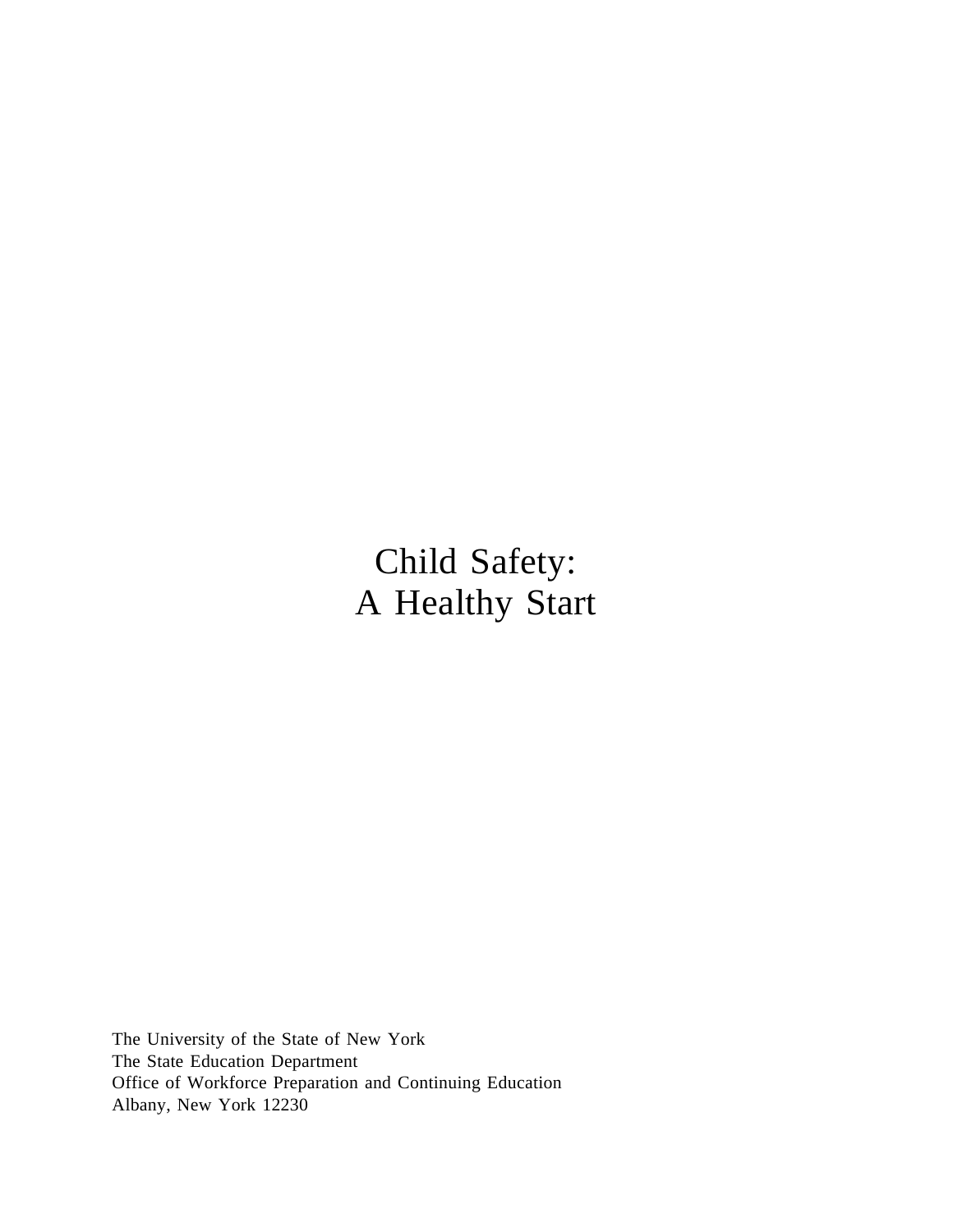Child Safety: A Healthy Start

The University of the State of New York The State Education Department Office of Workforce Preparation and Continuing Education Albany, New York 12230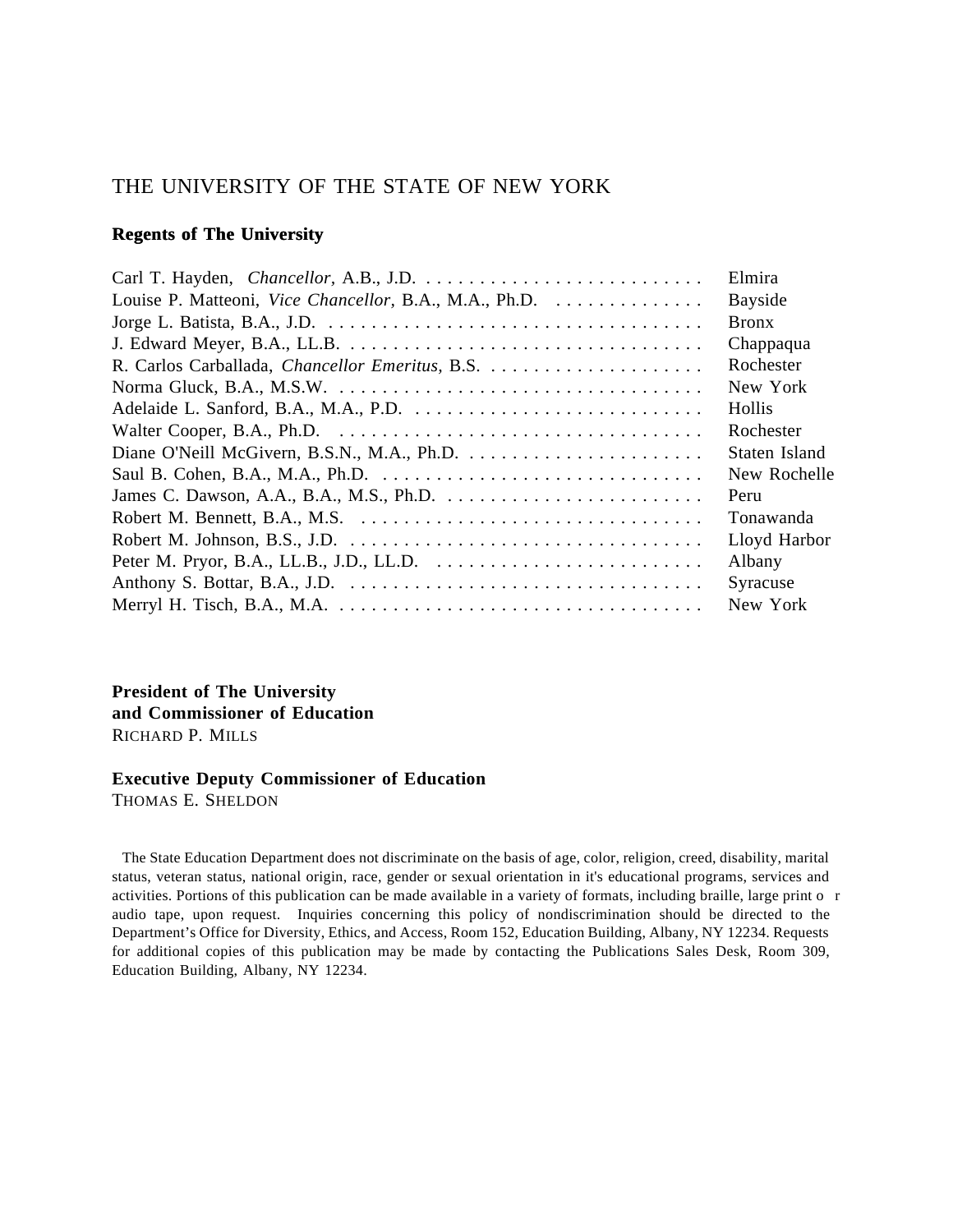## THE UNIVERSITY OF THE STATE OF NEW YORK

#### **Regents of The University**

|                                                         | Elmira         |
|---------------------------------------------------------|----------------|
| Louise P. Matteoni, Vice Chancellor, B.A., M.A., Ph.D.  | <b>Bayside</b> |
|                                                         | <b>Bronx</b>   |
|                                                         | Chappaqua      |
| R. Carlos Carballada, <i>Chancellor Emeritus</i> , B.S. | Rochester      |
|                                                         | New York       |
|                                                         | Hollis         |
|                                                         | Rochester      |
|                                                         | Staten Island  |
|                                                         | New Rochelle   |
|                                                         | Peru           |
|                                                         | Tonawanda      |
|                                                         | Lloyd Harbor   |
|                                                         | Albany         |
|                                                         | Syracuse       |
|                                                         | New York       |

**President of The University and Commissioner of Education** RICHARD P. MILLS

#### **Executive Deputy Commissioner of Education**

THOMAS E. SHELDON

 The State Education Department does not discriminate on the basis of age, color, religion, creed, disability, marital status, veteran status, national origin, race, gender or sexual orientation in it's educational programs, services and activities. Portions of this publication can be made available in a variety of formats, including braille, large print o r audio tape, upon request. Inquiries concerning this policy of nondiscrimination should be directed to the Department's Office for Diversity, Ethics, and Access, Room 152, Education Building, Albany, NY 12234. Requests for additional copies of this publication may be made by contacting the Publications Sales Desk, Room 309, Education Building, Albany, NY 12234.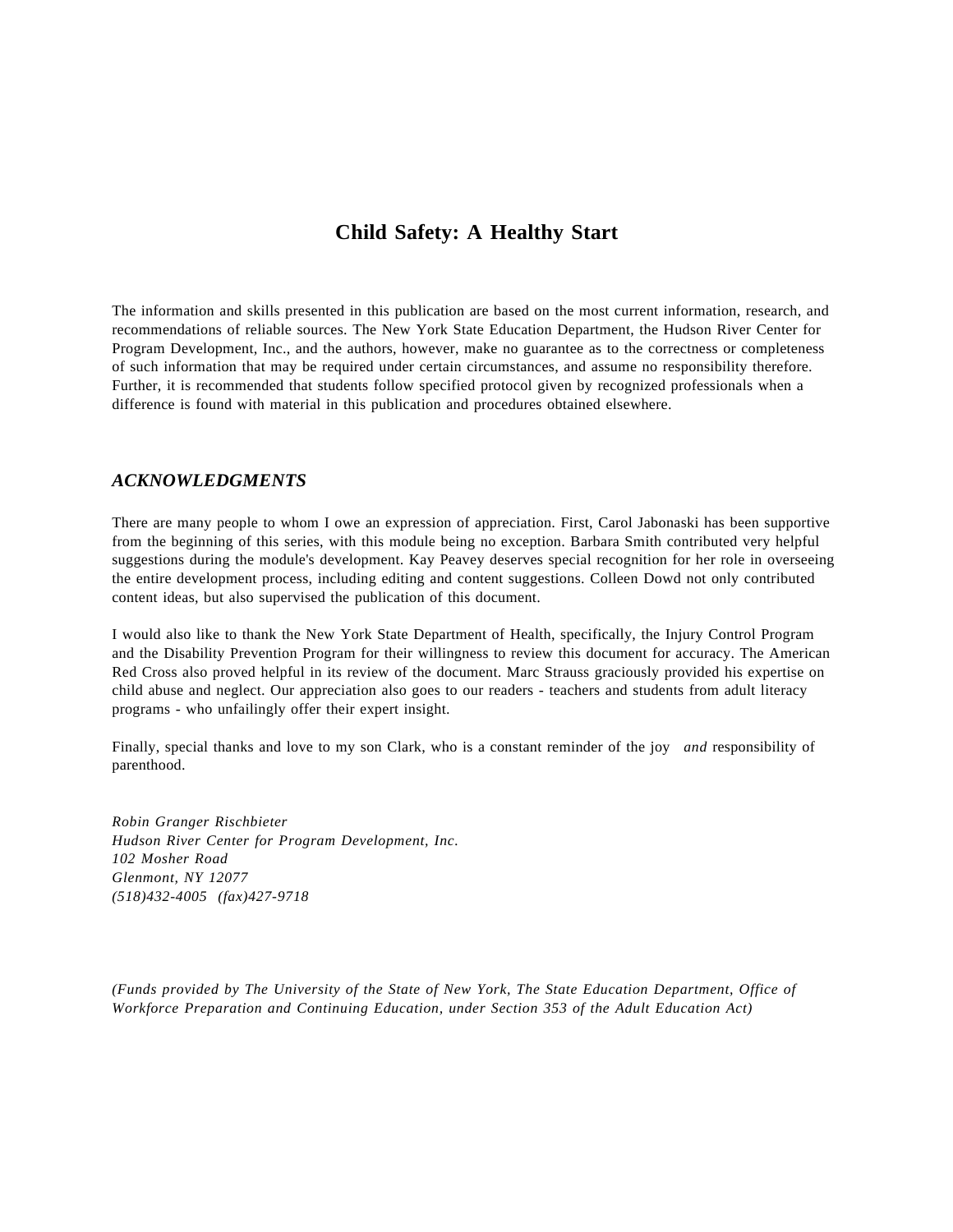## **Child Safety: A Healthy Start**

The information and skills presented in this publication are based on the most current information, research, and recommendations of reliable sources. The New York State Education Department, the Hudson River Center for Program Development, Inc., and the authors, however, make no guarantee as to the correctness or completeness of such information that may be required under certain circumstances, and assume no responsibility therefore. Further, it is recommended that students follow specified protocol given by recognized professionals when a difference is found with material in this publication and procedures obtained elsewhere.

#### *ACKNOWLEDGMENTS*

There are many people to whom I owe an expression of appreciation. First, Carol Jabonaski has been supportive from the beginning of this series, with this module being no exception. Barbara Smith contributed very helpful suggestions during the module's development. Kay Peavey deserves special recognition for her role in overseeing the entire development process, including editing and content suggestions. Colleen Dowd not only contributed content ideas, but also supervised the publication of this document.

I would also like to thank the New York State Department of Health, specifically, the Injury Control Program and the Disability Prevention Program for their willingness to review this document for accuracy. The American Red Cross also proved helpful in its review of the document. Marc Strauss graciously provided his expertise on child abuse and neglect. Our appreciation also goes to our readers - teachers and students from adult literacy programs - who unfailingly offer their expert insight.

Finally, special thanks and love to my son Clark, who is a constant reminder of the joy *and* responsibility of parenthood.

*Robin Granger Rischbieter Hudson River Center for Program Development, Inc. 102 Mosher Road Glenmont, NY 12077 (518)432-4005 (fax)427-9718*

*(Funds provided by The University of the State of New York, The State Education Department, Office of Workforce Preparation and Continuing Education, under Section 353 of the Adult Education Act)*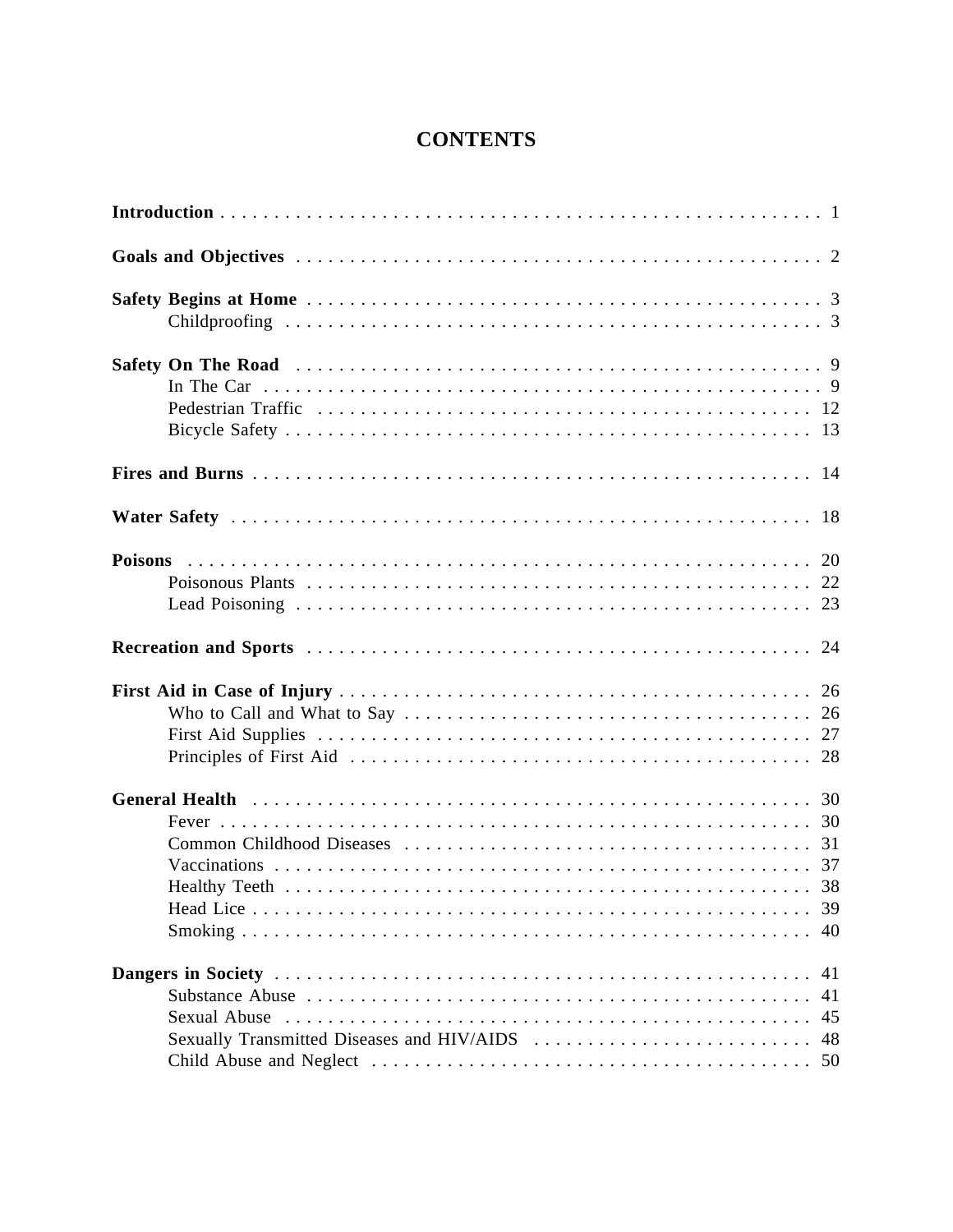# **CONTENTS**

|                                            | 40                   |
|--------------------------------------------|----------------------|
| Sexually Transmitted Diseases and HIV/AIDS | 41<br>41<br>45<br>48 |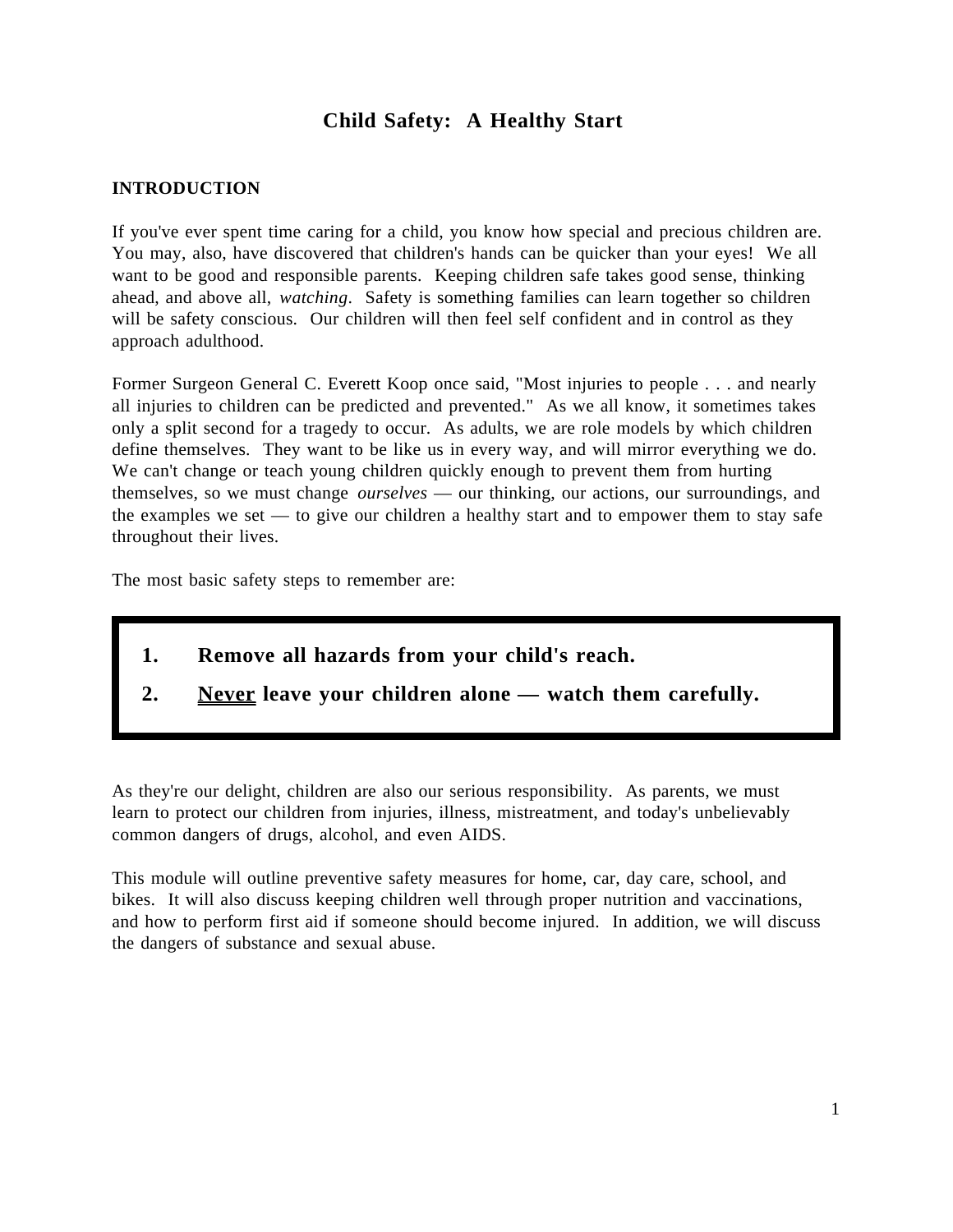## **Child Safety: A Healthy Start**

## **INTRODUCTION**

If you've ever spent time caring for a child, you know how special and precious children are. You may, also, have discovered that children's hands can be quicker than your eyes! We all want to be good and responsible parents. Keeping children safe takes good sense, thinking ahead, and above all, *watching*. Safety is something families can learn together so children will be safety conscious. Our children will then feel self confident and in control as they approach adulthood.

Former Surgeon General C. Everett Koop once said, "Most injuries to people . . . and nearly all injuries to children can be predicted and prevented." As we all know, it sometimes takes only a split second for a tragedy to occur. As adults, we are role models by which children define themselves. They want to be like us in every way, and will mirror everything we do. We can't change or teach young children quickly enough to prevent them from hurting themselves, so we must change *ourselves* — our thinking, our actions, our surroundings, and the examples we set — to give our children a healthy start and to empower them to stay safe throughout their lives.

The most basic safety steps to remember are:

- **1. Remove all hazards from your child's reach.**
- **2. Never leave your children alone watch them carefully.**

As they're our delight, children are also our serious responsibility. As parents, we must learn to protect our children from injuries, illness, mistreatment, and today's unbelievably common dangers of drugs, alcohol, and even AIDS.

This module will outline preventive safety measures for home, car, day care, school, and bikes. It will also discuss keeping children well through proper nutrition and vaccinations, and how to perform first aid if someone should become injured. In addition, we will discuss the dangers of substance and sexual abuse.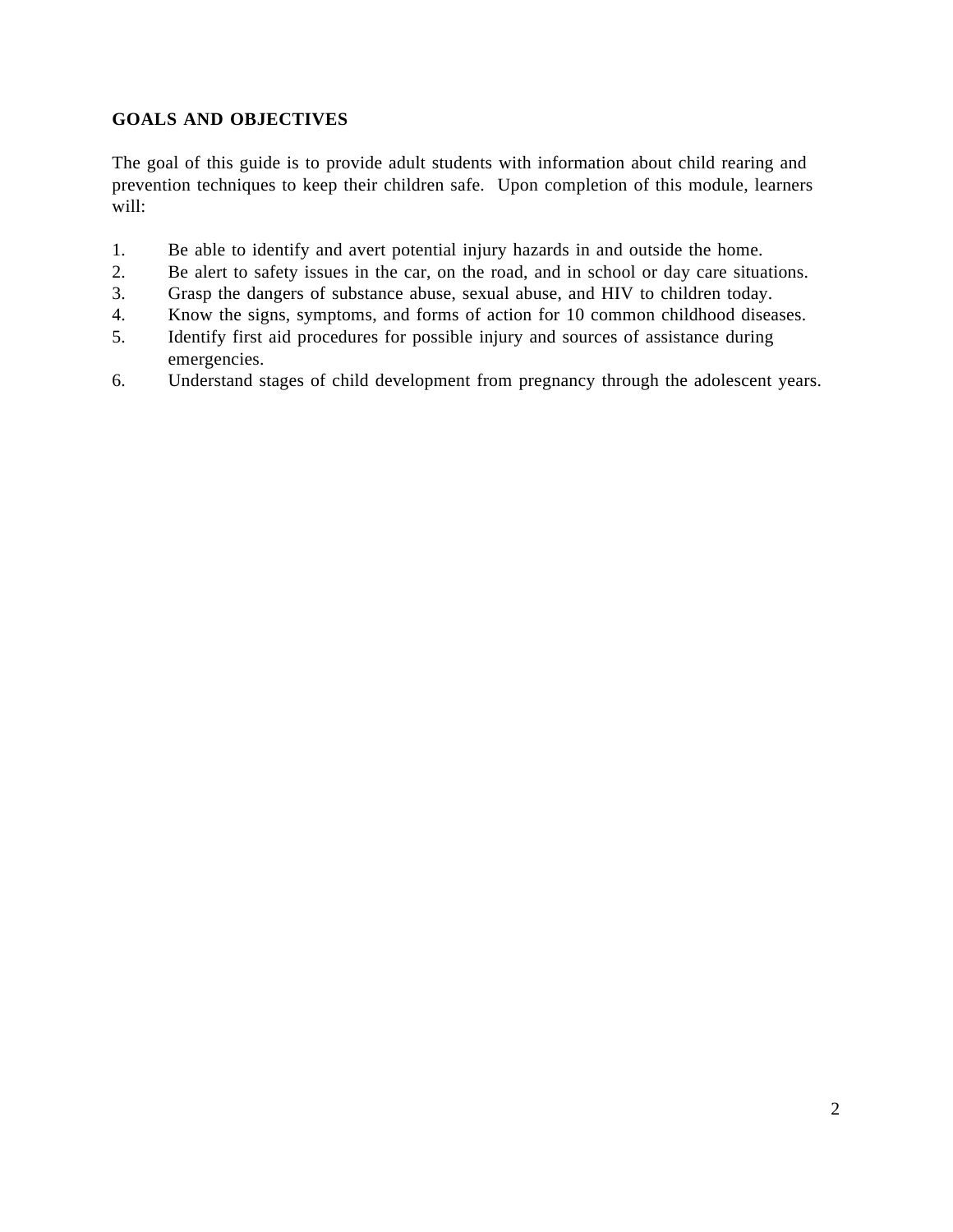## **GOALS AND OBJECTIVES**

The goal of this guide is to provide adult students with information about child rearing and prevention techniques to keep their children safe. Upon completion of this module, learners will:

- 1. Be able to identify and avert potential injury hazards in and outside the home.
- 2. Be alert to safety issues in the car, on the road, and in school or day care situations.
- 3. Grasp the dangers of substance abuse, sexual abuse, and HIV to children today.
- 4. Know the signs, symptoms, and forms of action for 10 common childhood diseases.
- 5. Identify first aid procedures for possible injury and sources of assistance during emergencies.
- 6. Understand stages of child development from pregnancy through the adolescent years.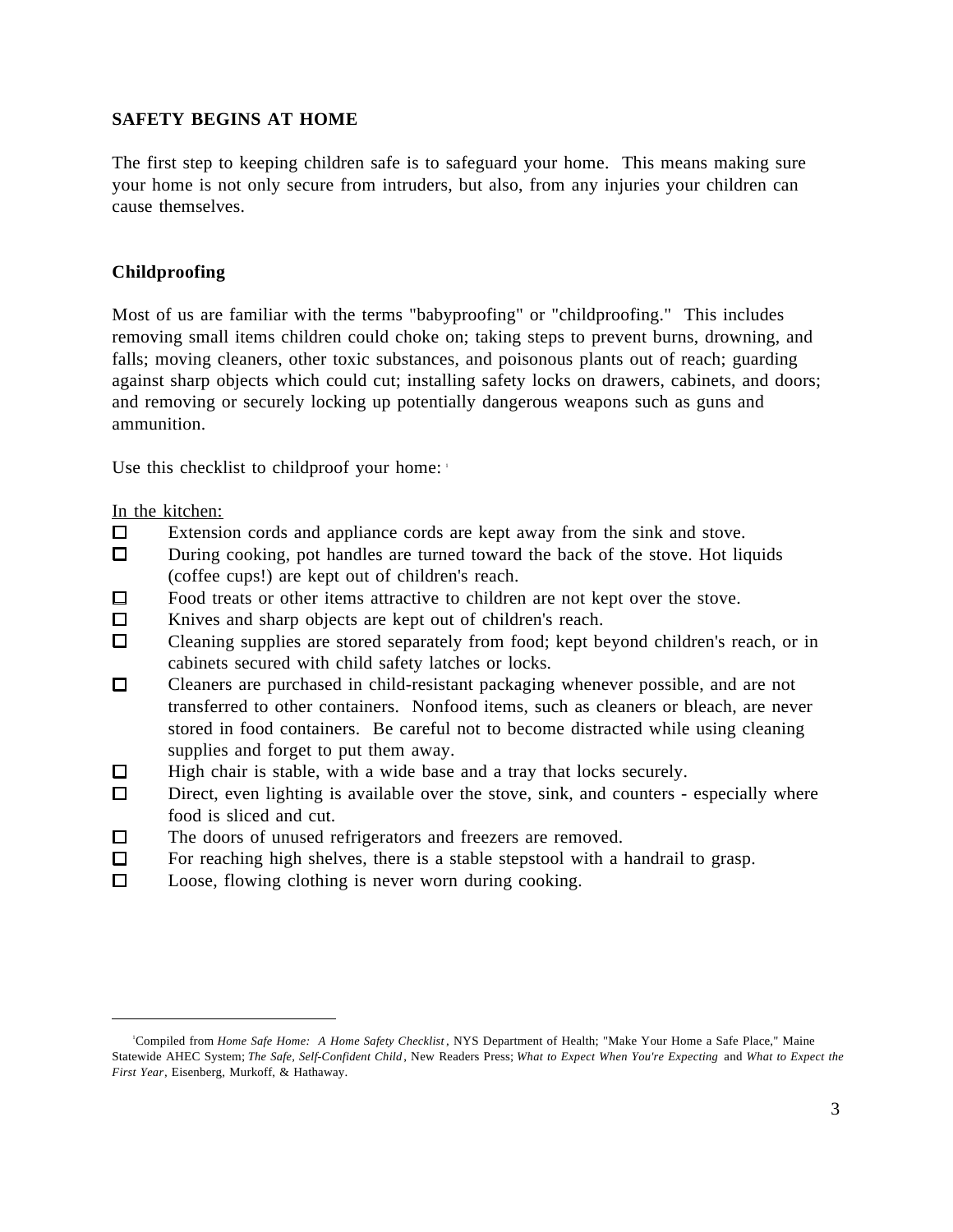## **SAFETY BEGINS AT HOME**

The first step to keeping children safe is to safeguard your home. This means making sure your home is not only secure from intruders, but also, from any injuries your children can cause themselves.

### **Childproofing**

Most of us are familiar with the terms "babyproofing" or "childproofing." This includes removing small items children could choke on; taking steps to prevent burns, drowning, and falls; moving cleaners, other toxic substances, and poisonous plants out of reach; guarding against sharp objects which could cut; installing safety locks on drawers, cabinets, and doors; and removing or securely locking up potentially dangerous weapons such as guns and ammunition.

Use this checklist to childproof your home:

In the kitchen:

l

- $\Box$ Extension cords and appliance cords are kept away from the sink and stove.
- During cooking, pot handles are turned toward the back of the stove. Hot liquids  $\Box$ (coffee cups!) are kept out of children's reach.
- $\Box$ Food treats or other items attractive to children are not kept over the stove.
- $\Box$ Knives and sharp objects are kept out of children's reach.
- $\Box$ Cleaning supplies are stored separately from food; kept beyond children's reach, or in cabinets secured with child safety latches or locks.
- $\Box$ Cleaners are purchased in child-resistant packaging whenever possible, and are not transferred to other containers. Nonfood items, such as cleaners or bleach, are never stored in food containers. Be careful not to become distracted while using cleaning supplies and forget to put them away.
- $\Box$ High chair is stable, with a wide base and a tray that locks securely.
- $\Box$ Direct, even lighting is available over the stove, sink, and counters - especially where food is sliced and cut.
- The doors of unused refrigerators and freezers are removed.  $\Box$
- $\Box$ For reaching high shelves, there is a stable stepstool with a handrail to grasp.
- $\Box$ Loose, flowing clothing is never worn during cooking.

<sup>1</sup>Compiled from *Home Safe Home: A Home Safety Checklist* , NYS Department of Health; "Make Your Home a Safe Place," Maine Statewide AHEC System; *The Safe, Self-Confident Child*, New Readers Press; *What to Expect When You're Expecting* and *What to Expect the First Year*, Eisenberg, Murkoff, & Hathaway.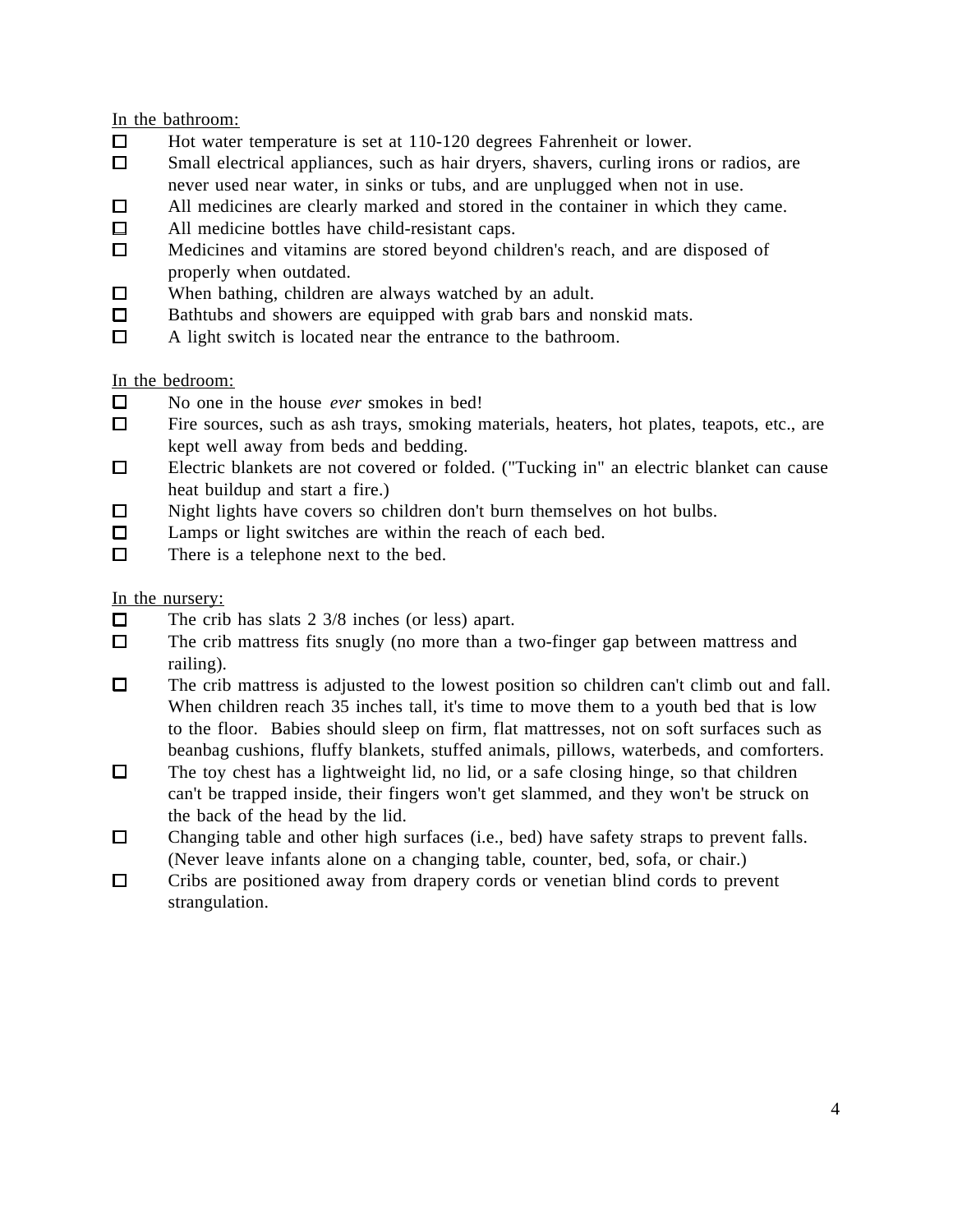In the bathroom:

- $\Box$ Hot water temperature is set at 110-120 degrees Fahrenheit or lower.
- $\Box$ Small electrical appliances, such as hair dryers, shavers, curling irons or radios, are never used near water, in sinks or tubs, and are unplugged when not in use.
- All medicines are clearly marked and stored in the container in which they came.  $\Box$
- $\Box$ All medicine bottles have child-resistant caps.
- $\Box$ Medicines and vitamins are stored beyond children's reach, and are disposed of properly when outdated.
- $\Box$ When bathing, children are always watched by an adult.
- $\Box$ Bathtubs and showers are equipped with grab bars and nonskid mats.
- $\Box$ A light switch is located near the entrance to the bathroom.

In the bedroom:

- $\Box$ No one in the house *ever* smokes in bed!
- Fire sources, such as ash trays, smoking materials, heaters, hot plates, teapots, etc., are  $\Box$ kept well away from beds and bedding.
- $\Box$ Electric blankets are not covered or folded. ("Tucking in" an electric blanket can cause heat buildup and start a fire.)
- $\Box$ Night lights have covers so children don't burn themselves on hot bulbs.
- $\Box$ Lamps or light switches are within the reach of each bed.
- $\Box$ There is a telephone next to the bed.

In the nursery:

- The crib has slats 2 3/8 inches (or less) apart.  $\Box$
- $\Box$ The crib mattress fits snugly (no more than a two-finger gap between mattress and railing).
- $\Box$ The crib mattress is adjusted to the lowest position so children can't climb out and fall. When children reach 35 inches tall, it's time to move them to a youth bed that is low to the floor. Babies should sleep on firm, flat mattresses, not on soft surfaces such as beanbag cushions, fluffy blankets, stuffed animals, pillows, waterbeds, and comforters.
- $\Box$ The toy chest has a lightweight lid, no lid, or a safe closing hinge, so that children can't be trapped inside, their fingers won't get slammed, and they won't be struck on the back of the head by the lid.
- $\Box$ Changing table and other high surfaces (i.e., bed) have safety straps to prevent falls. (Never leave infants alone on a changing table, counter, bed, sofa, or chair.)
- $\Box$ Cribs are positioned away from drapery cords or venetian blind cords to prevent strangulation.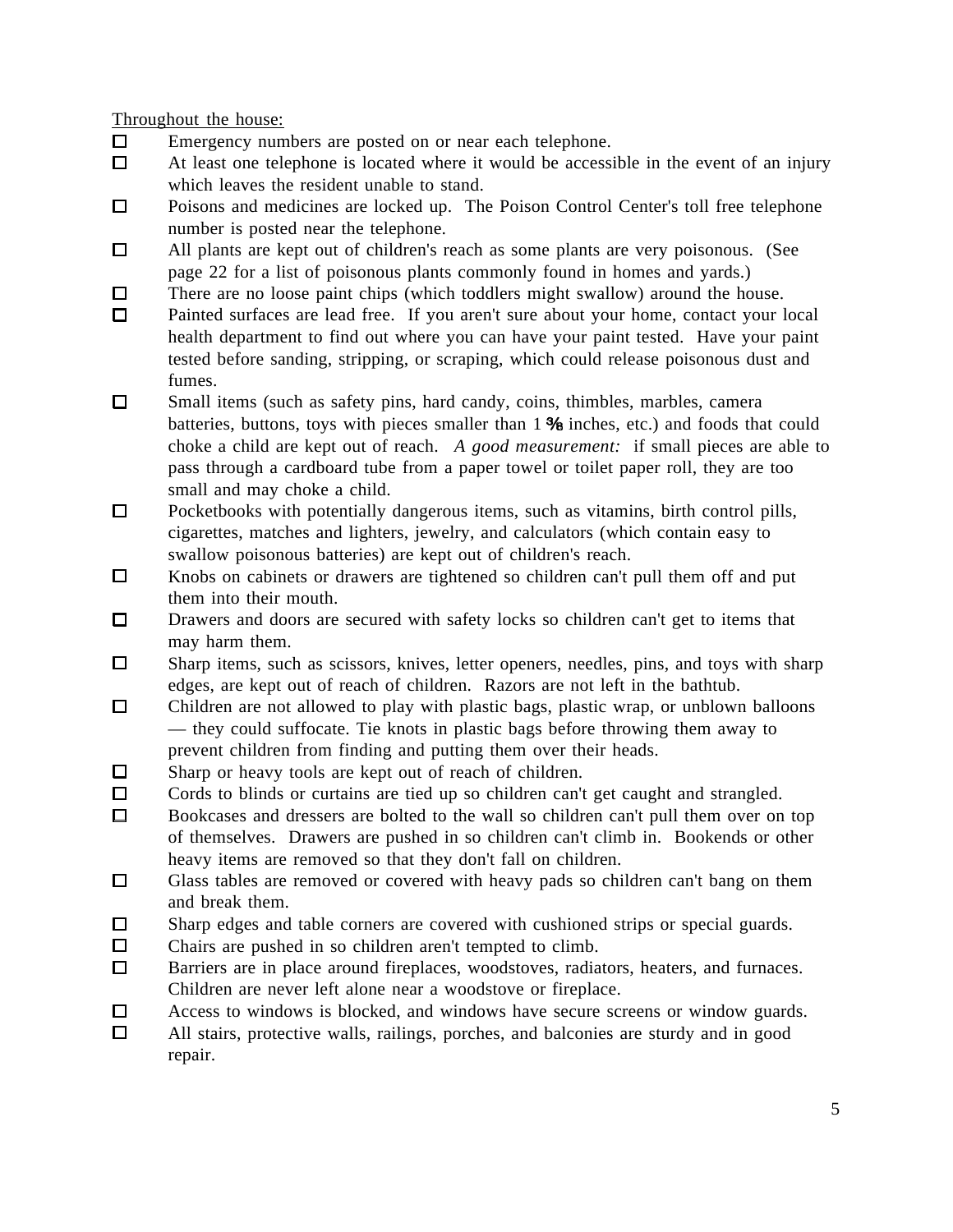Throughout the house:

- $\Box$ Emergency numbers are posted on or near each telephone.
- $\Box$ At least one telephone is located where it would be accessible in the event of an injury which leaves the resident unable to stand.
- $\Box$ Poisons and medicines are locked up. The Poison Control Center's toll free telephone number is posted near the telephone.
- $\Box$ All plants are kept out of children's reach as some plants are very poisonous. (See page 22 for a list of poisonous plants commonly found in homes and yards.)
- $\Box$ There are no loose paint chips (which toddlers might swallow) around the house.
- $\Box$ Painted surfaces are lead free. If you aren't sure about your home, contact your local health department to find out where you can have your paint tested. Have your paint tested before sanding, stripping, or scraping, which could release poisonous dust and fumes.
- $\Box$ Small items (such as safety pins, hard candy, coins, thimbles, marbles, camera batteries, buttons, toys with pieces smaller than  $1\%$  inches, etc.) and foods that could choke a child are kept out of reach. *A good measurement:* if small pieces are able to pass through a cardboard tube from a paper towel or toilet paper roll, they are too small and may choke a child.
- $\Box$ Pocketbooks with potentially dangerous items, such as vitamins, birth control pills, cigarettes, matches and lighters, jewelry, and calculators (which contain easy to swallow poisonous batteries) are kept out of children's reach.
- $\Box$ Knobs on cabinets or drawers are tightened so children can't pull them off and put them into their mouth.
- $\Box$ Drawers and doors are secured with safety locks so children can't get to items that may harm them.
- $\Box$ Sharp items, such as scissors, knives, letter openers, needles, pins, and toys with sharp edges, are kept out of reach of children. Razors are not left in the bathtub.
- $\Box$ Children are not allowed to play with plastic bags, plastic wrap, or unblown balloons — they could suffocate. Tie knots in plastic bags before throwing them away to prevent children from finding and putting them over their heads.
- $\Box$ Sharp or heavy tools are kept out of reach of children.
- Cords to blinds or curtains are tied up so children can't get caught and strangled.  $\Box$
- $\Box$ Bookcases and dressers are bolted to the wall so children can't pull them over on top of themselves. Drawers are pushed in so children can't climb in. Bookends or other heavy items are removed so that they don't fall on children.
- $\Box$ Glass tables are removed or covered with heavy pads so children can't bang on them and break them.
- Sharp edges and table corners are covered with cushioned strips or special guards.  $\Box$
- $\Box$ Chairs are pushed in so children aren't tempted to climb.
- $\Box$ Barriers are in place around fireplaces, woodstoves, radiators, heaters, and furnaces. Children are never left alone near a woodstove or fireplace.
- $\Box$ Access to windows is blocked, and windows have secure screens or window guards.
- $\Box$ All stairs, protective walls, railings, porches, and balconies are sturdy and in good repair.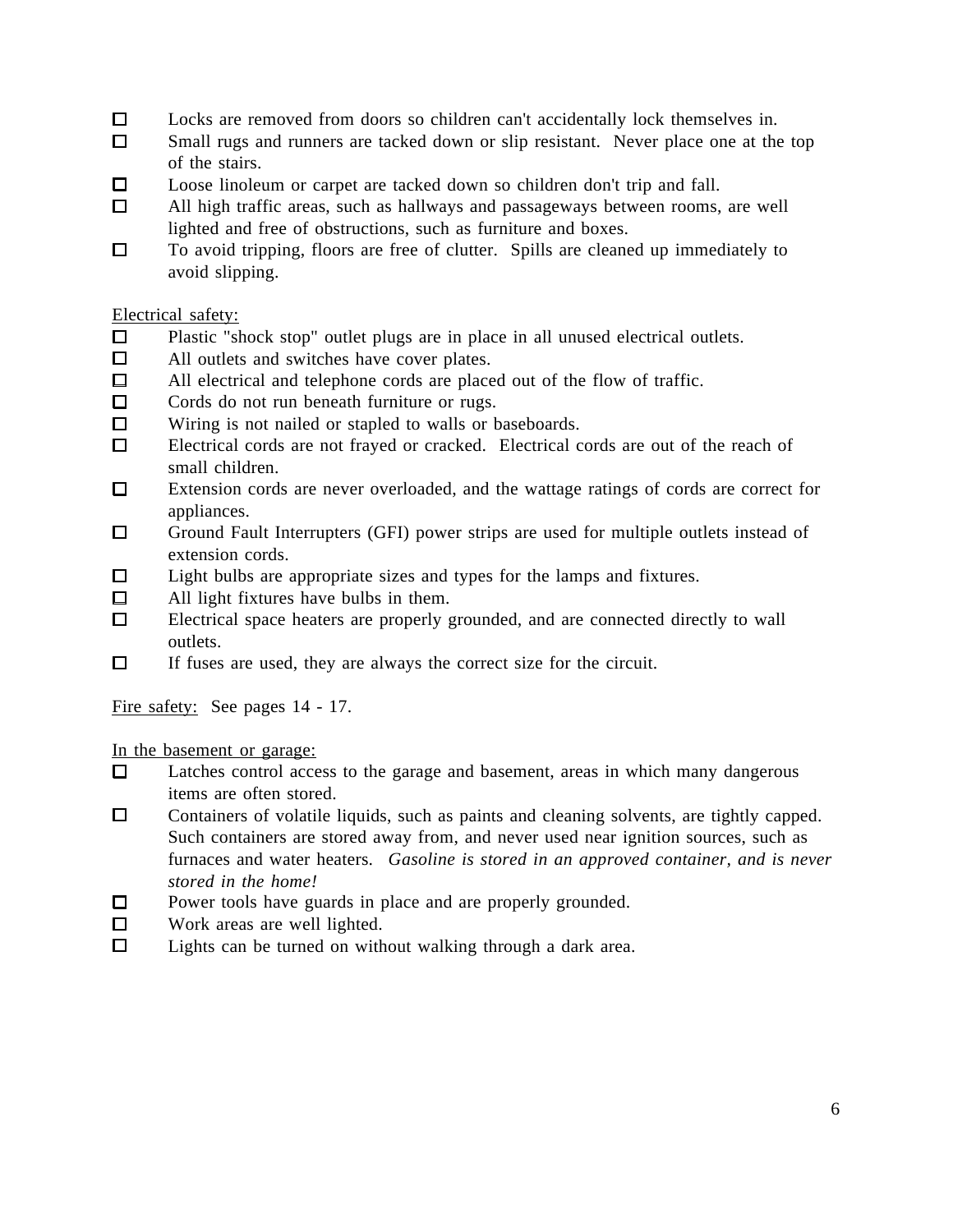- $\Box$ Locks are removed from doors so children can't accidentally lock themselves in.
- $\Box$ Small rugs and runners are tacked down or slip resistant. Never place one at the top of the stairs.
- $\Box$ Loose linoleum or carpet are tacked down so children don't trip and fall.
- $\Box$ All high traffic areas, such as hallways and passageways between rooms, are well lighted and free of obstructions, such as furniture and boxes.
- To avoid tripping, floors are free of clutter. Spills are cleaned up immediately to  $\Box$ avoid slipping.

## Electrical safety:

- $\Box$ Plastic "shock stop" outlet plugs are in place in all unused electrical outlets.
- $\Box$ All outlets and switches have cover plates.
- All electrical and telephone cords are placed out of the flow of traffic.  $\Box$
- $\Box$ Cords do not run beneath furniture or rugs.
- $\Box$ Wiring is not nailed or stapled to walls or baseboards.
- $\Box$ Electrical cords are not frayed or cracked. Electrical cords are out of the reach of small children.
- $\Box$ Extension cords are never overloaded, and the wattage ratings of cords are correct for appliances.
- $\Box$ Ground Fault Interrupters (GFI) power strips are used for multiple outlets instead of extension cords.
- $\Box$ Light bulbs are appropriate sizes and types for the lamps and fixtures.
- All light fixtures have bulbs in them.  $\Box$
- $\Box$ Electrical space heaters are properly grounded, and are connected directly to wall outlets.
- $\Box$ If fuses are used, they are always the correct size for the circuit.

Fire safety: See pages 14 - 17.

In the basement or garage:

- $\Box$ Latches control access to the garage and basement, areas in which many dangerous items are often stored.
- $\Box$ Containers of volatile liquids, such as paints and cleaning solvents, are tightly capped. Such containers are stored away from, and never used near ignition sources, such as furnaces and water heaters. *Gasoline is stored in an approved container, and is never stored in the home!*
- $\Box$ Power tools have guards in place and are properly grounded.
- $\Box$ Work areas are well lighted.
- $\Box$ Lights can be turned on without walking through a dark area.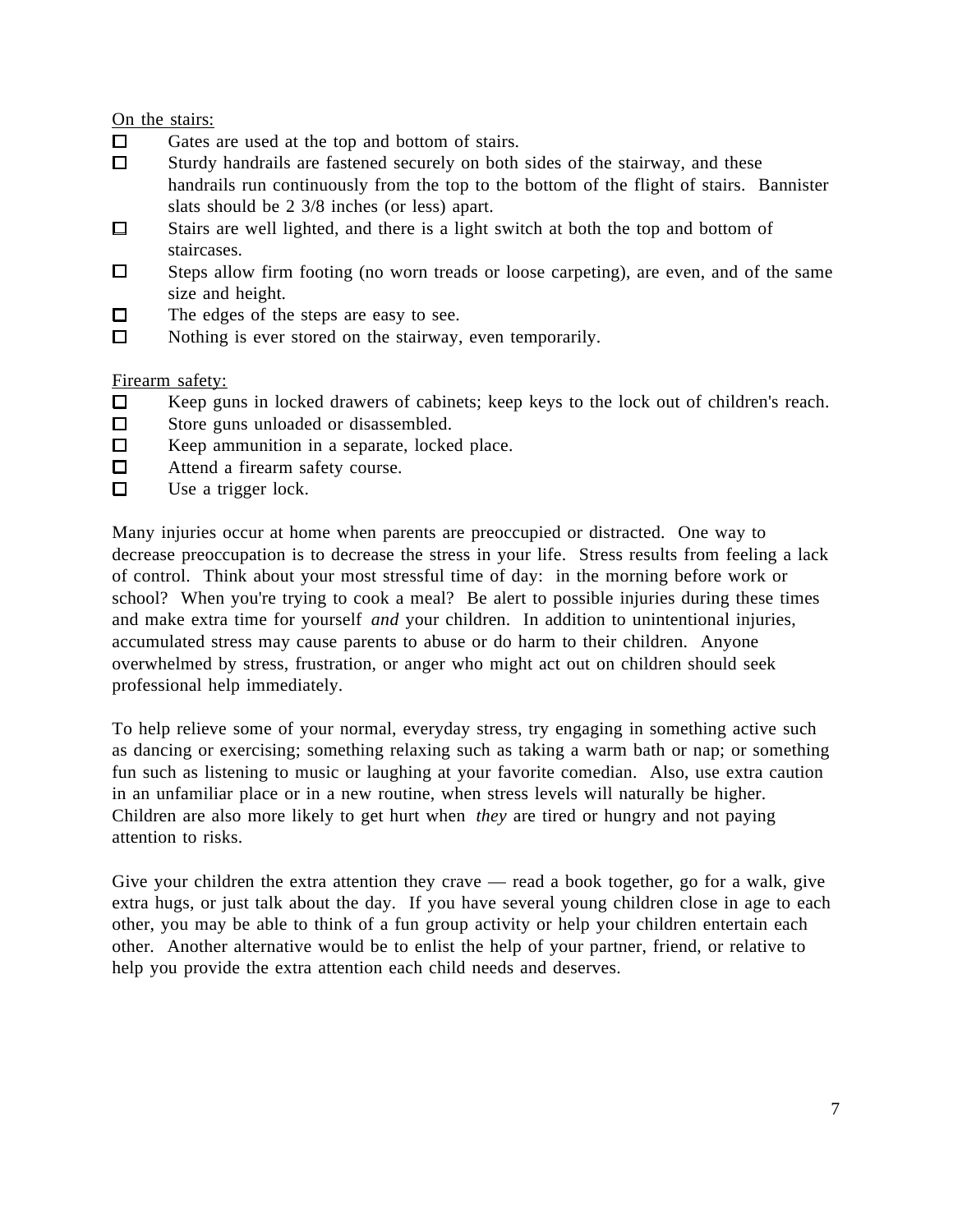On the stairs:

- Gates are used at the top and bottom of stairs.  $\Box$
- $\Box$ Sturdy handrails are fastened securely on both sides of the stairway, and these handrails run continuously from the top to the bottom of the flight of stairs. Bannister slats should be 2 3/8 inches (or less) apart.
- $\Box$ Stairs are well lighted, and there is a light switch at both the top and bottom of staircases.
- $\Box$ Steps allow firm footing (no worn treads or loose carpeting), are even, and of the same size and height.
- The edges of the steps are easy to see.  $\Box$
- $\Box$ Nothing is ever stored on the stairway, even temporarily.

### Firearm safety:

- $\Box$ Keep guns in locked drawers of cabinets; keep keys to the lock out of children's reach.
- Store guns unloaded or disassembled.  $\Box$
- $\Box$ Keep ammunition in a separate, locked place.
- $\Box$ Attend a firearm safety course.
- $\Box$ Use a trigger lock.

Many injuries occur at home when parents are preoccupied or distracted. One way to decrease preoccupation is to decrease the stress in your life. Stress results from feeling a lack of control. Think about your most stressful time of day: in the morning before work or school? When you're trying to cook a meal? Be alert to possible injuries during these times and make extra time for yourself *and* your children. In addition to unintentional injuries, accumulated stress may cause parents to abuse or do harm to their children. Anyone overwhelmed by stress, frustration, or anger who might act out on children should seek professional help immediately.

To help relieve some of your normal, everyday stress, try engaging in something active such as dancing or exercising; something relaxing such as taking a warm bath or nap; or something fun such as listening to music or laughing at your favorite comedian. Also, use extra caution in an unfamiliar place or in a new routine, when stress levels will naturally be higher. Children are also more likely to get hurt when *they* are tired or hungry and not paying attention to risks.

Give your children the extra attention they crave  $-$  read a book together, go for a walk, give extra hugs, or just talk about the day. If you have several young children close in age to each other, you may be able to think of a fun group activity or help your children entertain each other. Another alternative would be to enlist the help of your partner, friend, or relative to help you provide the extra attention each child needs and deserves.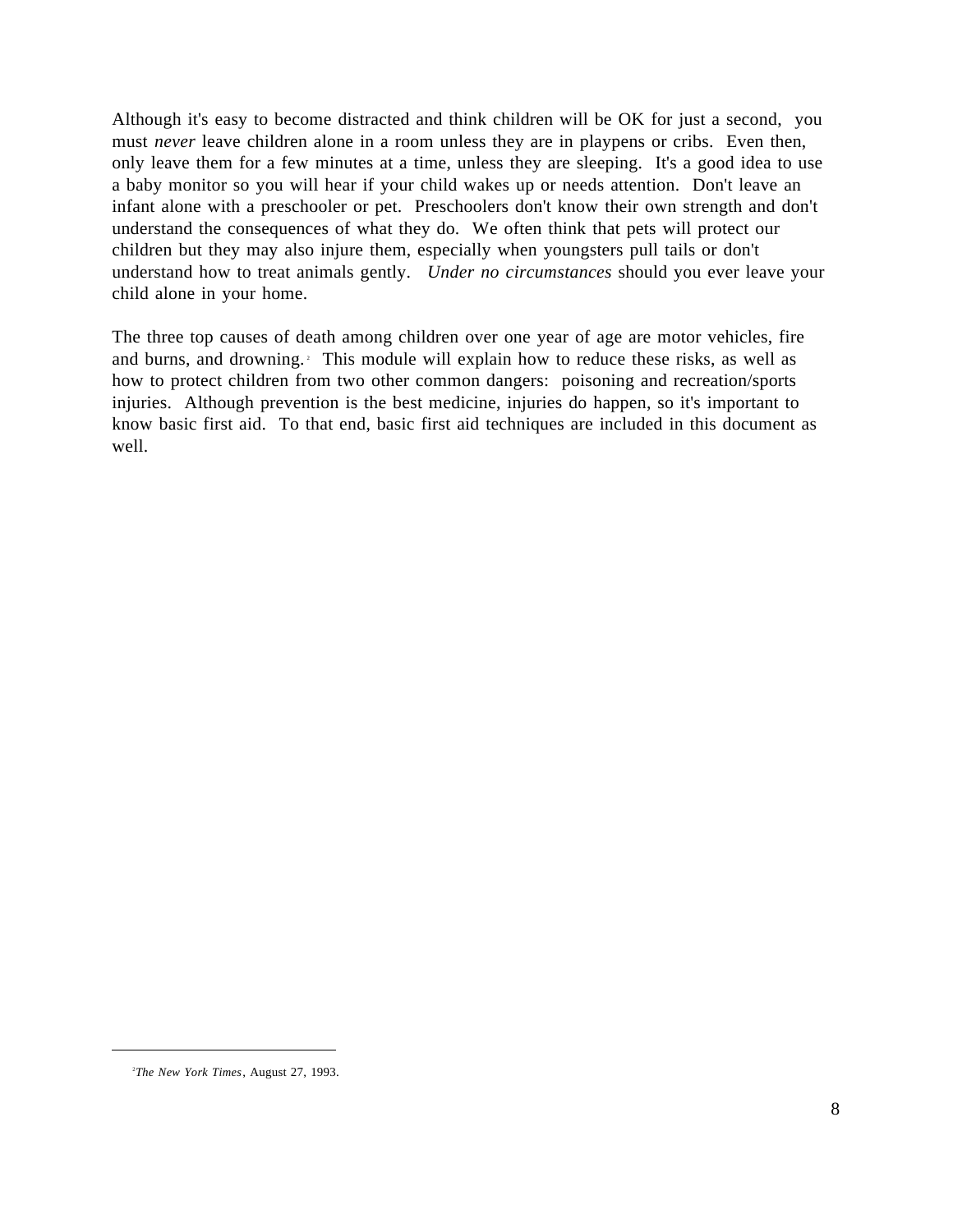Although it's easy to become distracted and think children will be OK for just a second, you must *never* leave children alone in a room unless they are in playpens or cribs. Even then, only leave them for a few minutes at a time, unless they are sleeping. It's a good idea to use a baby monitor so you will hear if your child wakes up or needs attention. Don't leave an infant alone with a preschooler or pet. Preschoolers don't know their own strength and don't understand the consequences of what they do. We often think that pets will protect our children but they may also injure them, especially when youngsters pull tails or don't understand how to treat animals gently. *Under no circumstances* should you ever leave your child alone in your home.

The three top causes of death among children over one year of age are motor vehicles, fire and burns, and drowning.<sup>2</sup> This module will explain how to reduce these risks, as well as how to protect children from two other common dangers: poisoning and recreation/sports injuries. Although prevention is the best medicine, injuries do happen, so it's important to know basic first aid. To that end, basic first aid techniques are included in this document as well.

<sup>2</sup>*The New York Times*, August 27, 1993.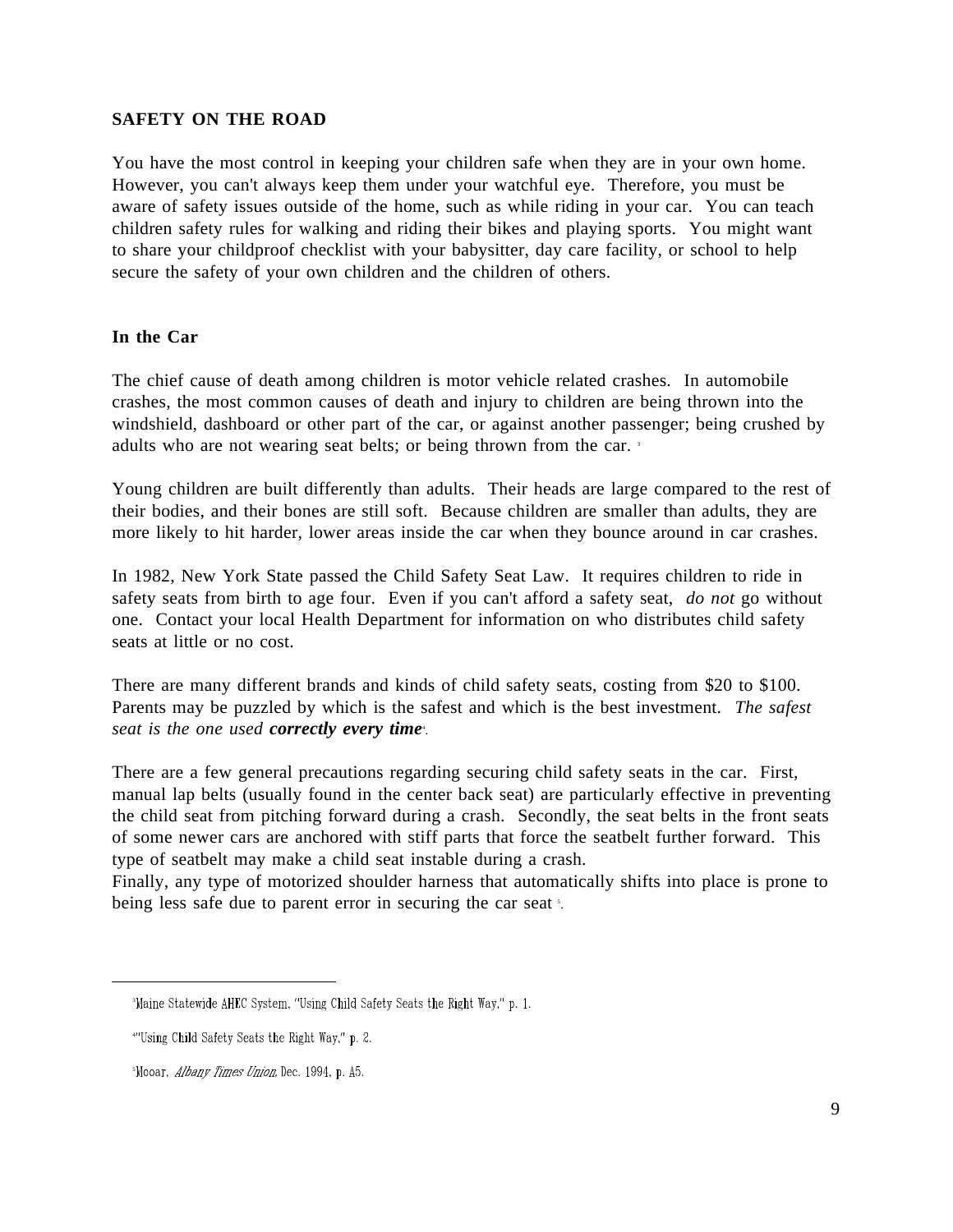### **SAFETY ON THE ROAD**

You have the most control in keeping your children safe when they are in your own home. However, you can't always keep them under your watchful eye. Therefore, you must be aware of safety issues outside of the home, such as while riding in your car. You can teach children safety rules for walking and riding their bikes and playing sports. You might want to share your childproof checklist with your babysitter, day care facility, or school to help secure the safety of your own children and the children of others.

#### **In the Car**

The chief cause of death among children is motor vehicle related crashes. In automobile crashes, the most common causes of death and injury to children are being thrown into the windshield, dashboard or other part of the car, or against another passenger; being crushed by adults who are not wearing seat belts; or being thrown from the car. <sup>3</sup>

Young children are built differently than adults. Their heads are large compared to the rest of their bodies, and their bones are still soft. Because children are smaller than adults, they are more likely to hit harder, lower areas inside the car when they bounce around in car crashes.

In 1982, New York State passed the Child Safety Seat Law. It requires children to ride in safety seats from birth to age four. Even if you can't afford a safety seat, *do not* go without one. Contact your local Health Department for information on who distributes child safety seats at little or no cost.

There are many different brands and kinds of child safety seats, costing from \$20 to \$100. Parents may be puzzled by which is the safest and which is the best investment. *The safest* seat is the one used *correctly every time<sup>4</sup>*.

There are a few general precautions regarding securing child safety seats in the car. First, manual lap belts (usually found in the center back seat) are particularly effective in preventing the child seat from pitching forward during a crash. Secondly, the seat belts in the front seats of some newer cars are anchored with stiff parts that force the seatbelt further forward. This type of seatbelt may make a child seat instable during a crash.

Finally, any type of motorized shoulder harness that automatically shifts into place is prone to being less safe due to parent error in securing the car seat s.

l

<sup>&</sup>lt;sup>3</sup>Maine Statewide AHEC System, "Using Child Safety Seats the Right Way," p. 1.

<sup>&</sup>quot;Using Child Safety Seats the Right Way," p. 2.

Mooar, Albany Times Union, Dec. 1994, p. A5.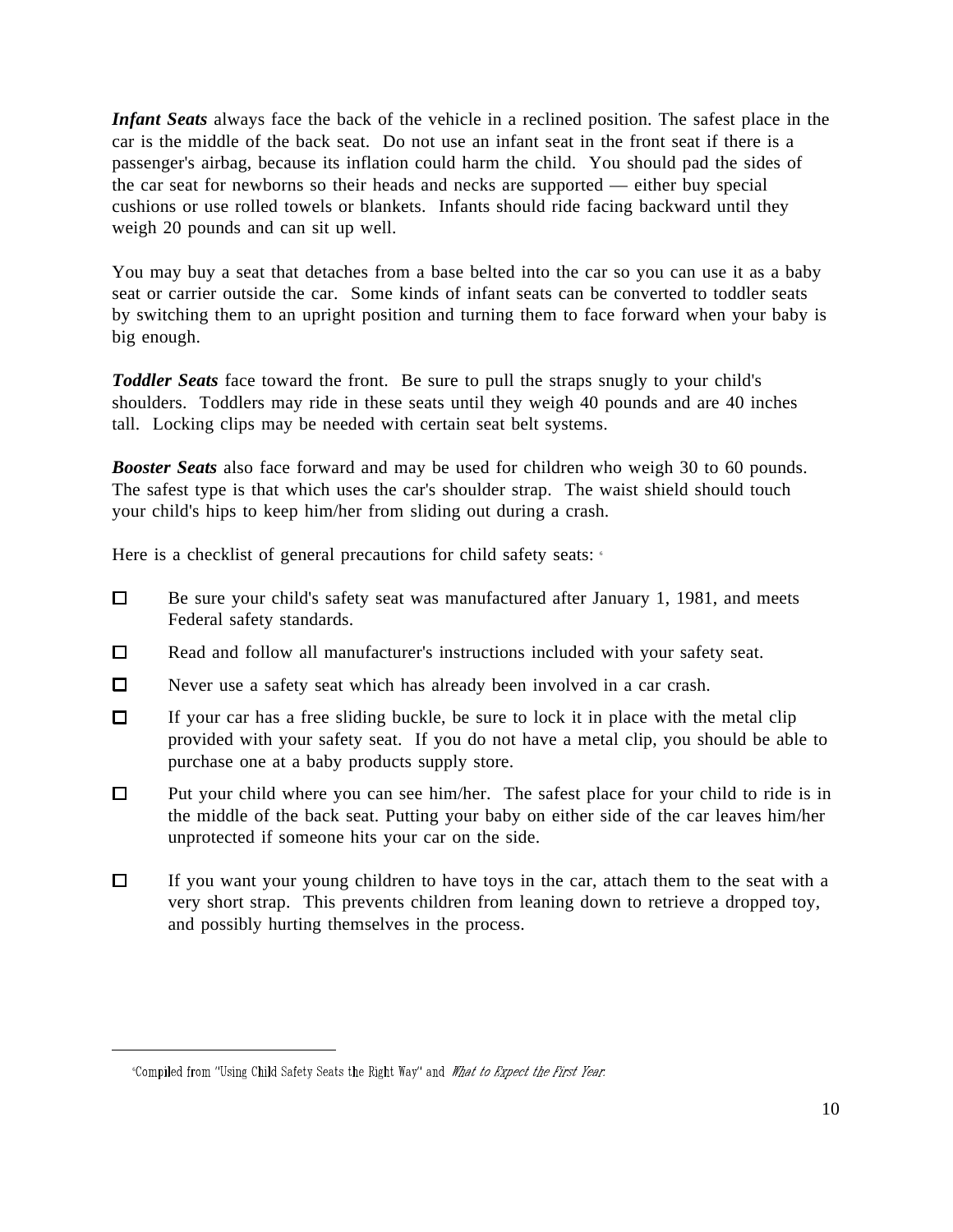*Infant Seats* always face the back of the vehicle in a reclined position. The safest place in the car is the middle of the back seat. Do not use an infant seat in the front seat if there is a passenger's airbag, because its inflation could harm the child. You should pad the sides of the car seat for newborns so their heads and necks are supported — either buy special cushions or use rolled towels or blankets. Infants should ride facing backward until they weigh 20 pounds and can sit up well.

You may buy a seat that detaches from a base belted into the car so you can use it as a baby seat or carrier outside the car. Some kinds of infant seats can be converted to toddler seats by switching them to an upright position and turning them to face forward when your baby is big enough.

*Toddler Seats* face toward the front. Be sure to pull the straps snugly to your child's shoulders. Toddlers may ride in these seats until they weigh 40 pounds and are 40 inches tall. Locking clips may be needed with certain seat belt systems.

*Booster Seats* also face forward and may be used for children who weigh 30 to 60 pounds. The safest type is that which uses the car's shoulder strap. The waist shield should touch your child's hips to keep him/her from sliding out during a crash.

Here is a checklist of general precautions for child safety seats:  $\epsilon$ 

- $\Box$ Be sure your child's safety seat was manufactured after January 1, 1981, and meets Federal safety standards.
- $\Box$ Read and follow all manufacturer's instructions included with your safety seat.
- $\Box$ Never use a safety seat which has already been involved in a car crash.
- $\Box$ If your car has a free sliding buckle, be sure to lock it in place with the metal clip provided with your safety seat. If you do not have a metal clip, you should be able to purchase one at a baby products supply store.
- $\Box$ Put your child where you can see him/her. The safest place for your child to ride is in the middle of the back seat. Putting your baby on either side of the car leaves him/her unprotected if someone hits your car on the side.
- $\Box$ If you want your young children to have toys in the car, attach them to the seat with a very short strap. This prevents children from leaning down to retrieve a dropped toy, and possibly hurting themselves in the process.

<sup>&</sup>quot;Compiled from "Using Child Safety Seats the Right Way" and What to Expect the First Year.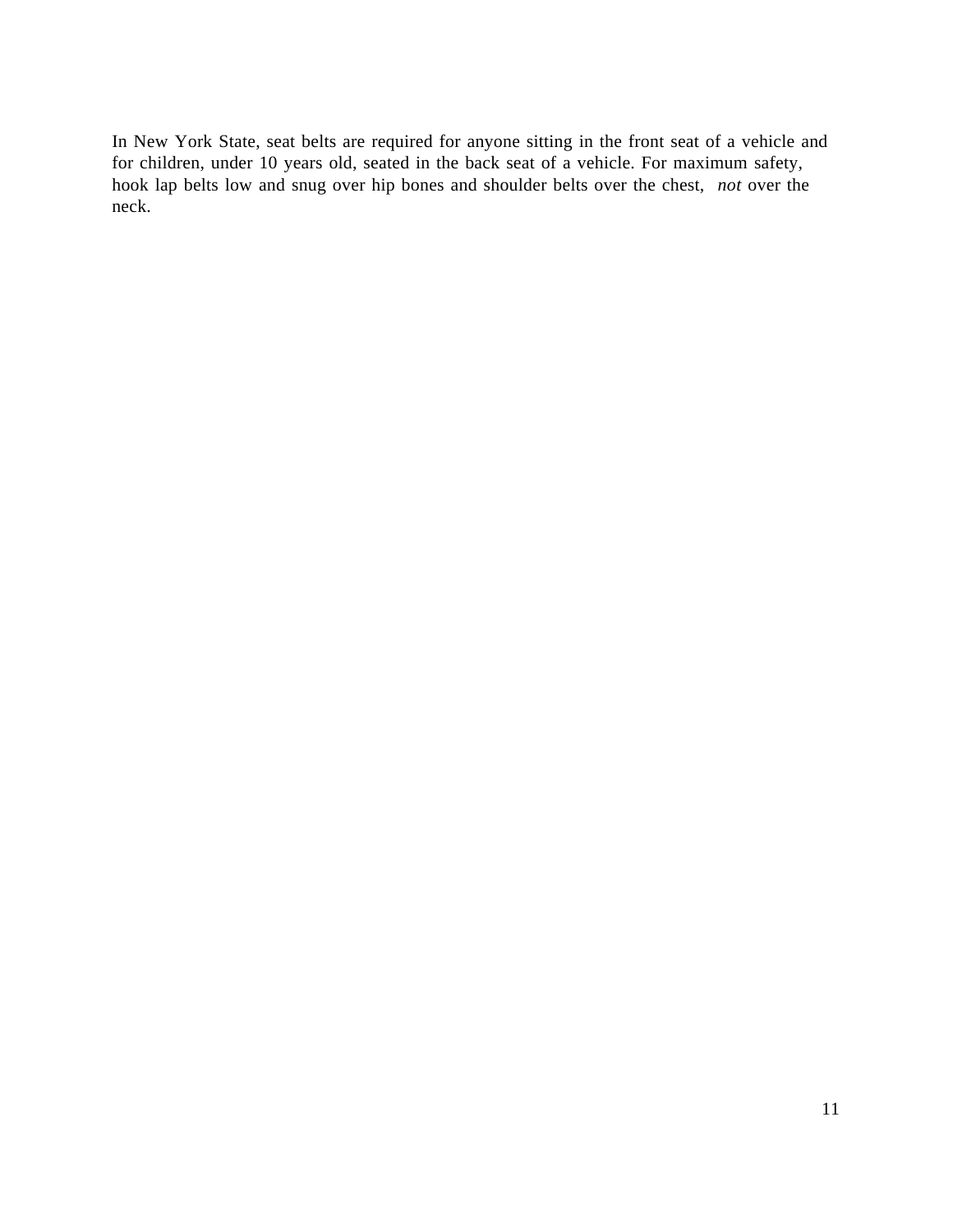In New York State, seat belts are required for anyone sitting in the front seat of a vehicle and for children, under 10 years old, seated in the back seat of a vehicle. For maximum safety, hook lap belts low and snug over hip bones and shoulder belts over the chest, *not* over the neck.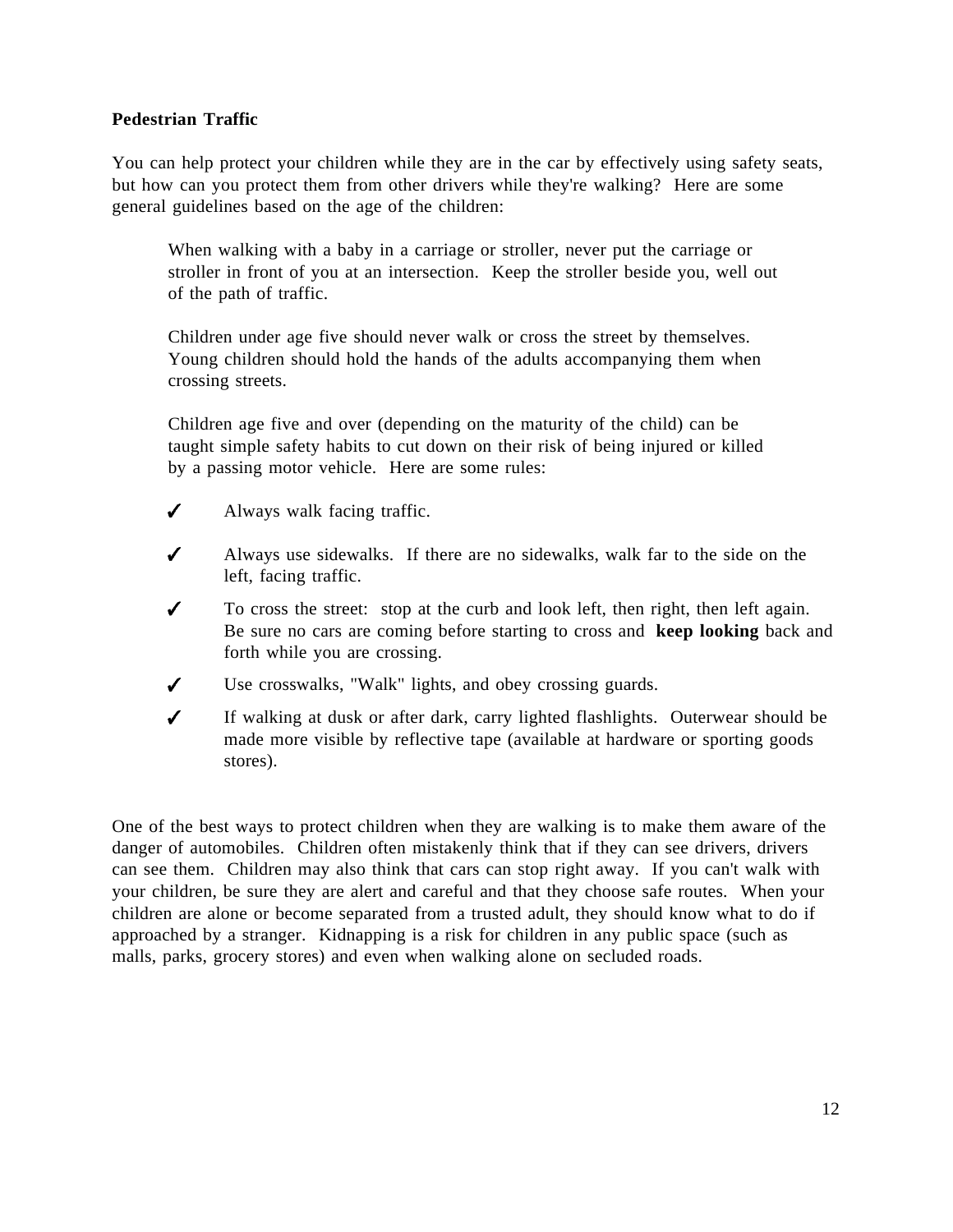## **Pedestrian Traffic**

You can help protect your children while they are in the car by effectively using safety seats, but how can you protect them from other drivers while they're walking? Here are some general guidelines based on the age of the children:

When walking with a baby in a carriage or stroller, never put the carriage or stroller in front of you at an intersection. Keep the stroller beside you, well out of the path of traffic.

Children under age five should never walk or cross the street by themselves. Young children should hold the hands of the adults accompanying them when crossing streets.

Children age five and over (depending on the maturity of the child) can be taught simple safety habits to cut down on their risk of being injured or killed by a passing motor vehicle. Here are some rules:

- $\boldsymbol{J}$ Always walk facing traffic.
- $\boldsymbol{J}$ Always use sidewalks. If there are no sidewalks, walk far to the side on the left, facing traffic.
- $\boldsymbol{J}$ To cross the street: stop at the curb and look left, then right, then left again. Be sure no cars are coming before starting to cross and **keep looking** back and forth while you are crossing.
- $\checkmark$ Use crosswalks, "Walk" lights, and obey crossing guards.
- $\boldsymbol{J}$ If walking at dusk or after dark, carry lighted flashlights. Outerwear should be made more visible by reflective tape (available at hardware or sporting goods stores).

One of the best ways to protect children when they are walking is to make them aware of the danger of automobiles. Children often mistakenly think that if they can see drivers, drivers can see them. Children may also think that cars can stop right away. If you can't walk with your children, be sure they are alert and careful and that they choose safe routes. When your children are alone or become separated from a trusted adult, they should know what to do if approached by a stranger. Kidnapping is a risk for children in any public space (such as malls, parks, grocery stores) and even when walking alone on secluded roads.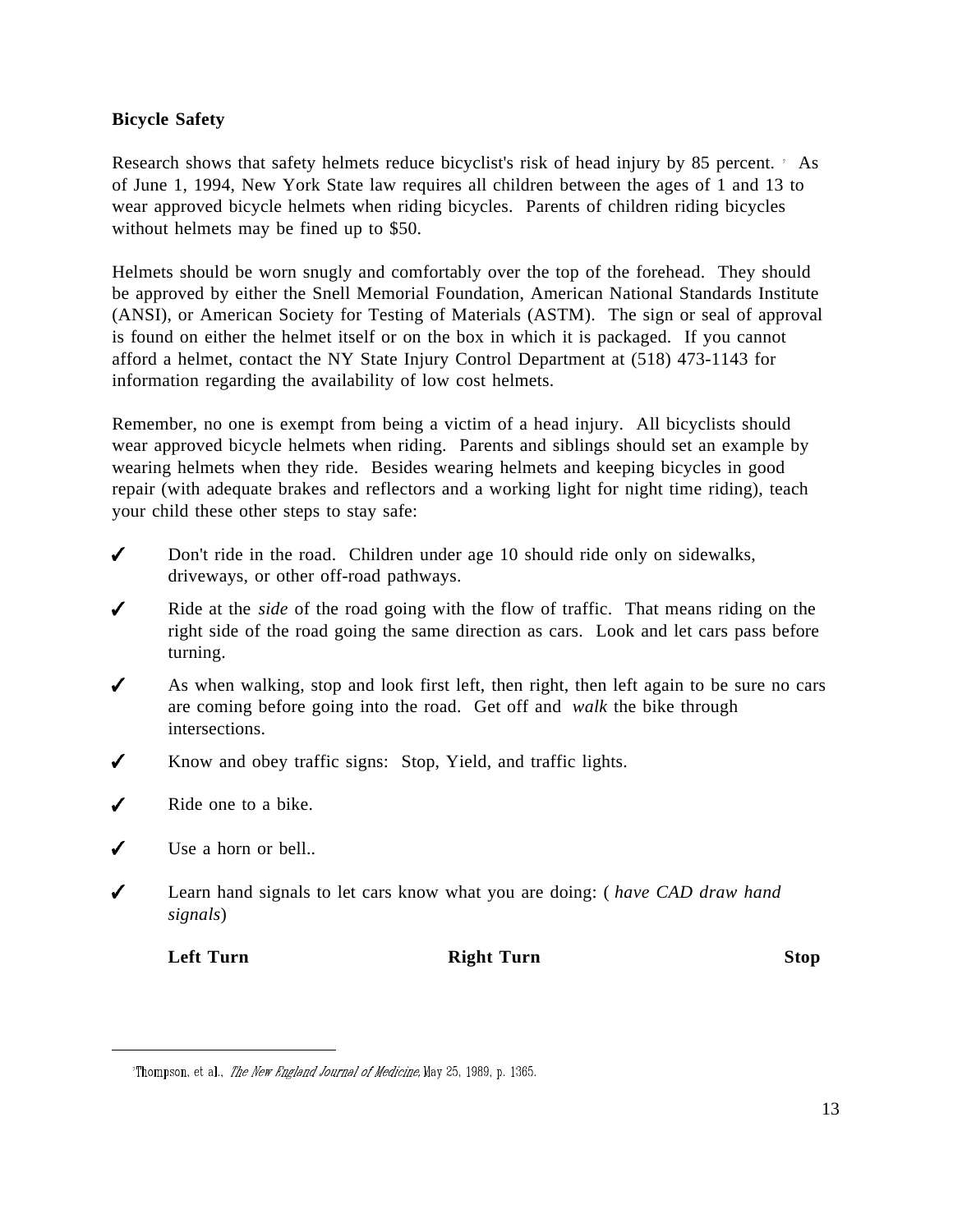## **Bicycle Safety**

Research shows that safety helmets reduce bicyclist's risk of head injury by 85 percent. As of June 1, 1994, New York State law requires all children between the ages of 1 and 13 to wear approved bicycle helmets when riding bicycles. Parents of children riding bicycles without helmets may be fined up to \$50.

Helmets should be worn snugly and comfortably over the top of the forehead. They should be approved by either the Snell Memorial Foundation, American National Standards Institute (ANSI), or American Society for Testing of Materials (ASTM). The sign or seal of approval is found on either the helmet itself or on the box in which it is packaged. If you cannot afford a helmet, contact the NY State Injury Control Department at (518) 473-1143 for information regarding the availability of low cost helmets.

Remember, no one is exempt from being a victim of a head injury. All bicyclists should wear approved bicycle helmets when riding. Parents and siblings should set an example by wearing helmets when they ride. Besides wearing helmets and keeping bicycles in good repair (with adequate brakes and reflectors and a working light for night time riding), teach your child these other steps to stay safe:

- $\checkmark$ Don't ride in the road. Children under age 10 should ride only on sidewalks, driveways, or other off-road pathways.
- $\checkmark$ Ride at the *side* of the road going with the flow of traffic. That means riding on the right side of the road going the same direction as cars. Look and let cars pass before turning.
- $\checkmark$ As when walking, stop and look first left, then right, then left again to be sure no cars are coming before going into the road. Get off and *walk* the bike through intersections.
- $\checkmark$ Know and obey traffic signs: Stop, Yield, and traffic lights.
- $\overline{\mathcal{L}}$ Ride one to a bike.
- $\boldsymbol{J}$ Use a horn or bell..
- Learn hand signals to let cars know what you are doing: ( *have CAD draw hand* ✔ *signals*)

 $\overline{a}$ 

**Left Turn Right Turn Stop**

<sup>&</sup>quot;Thompson, et al., *The New England Journal of Medicine*, May 25, 1989, p. 1365.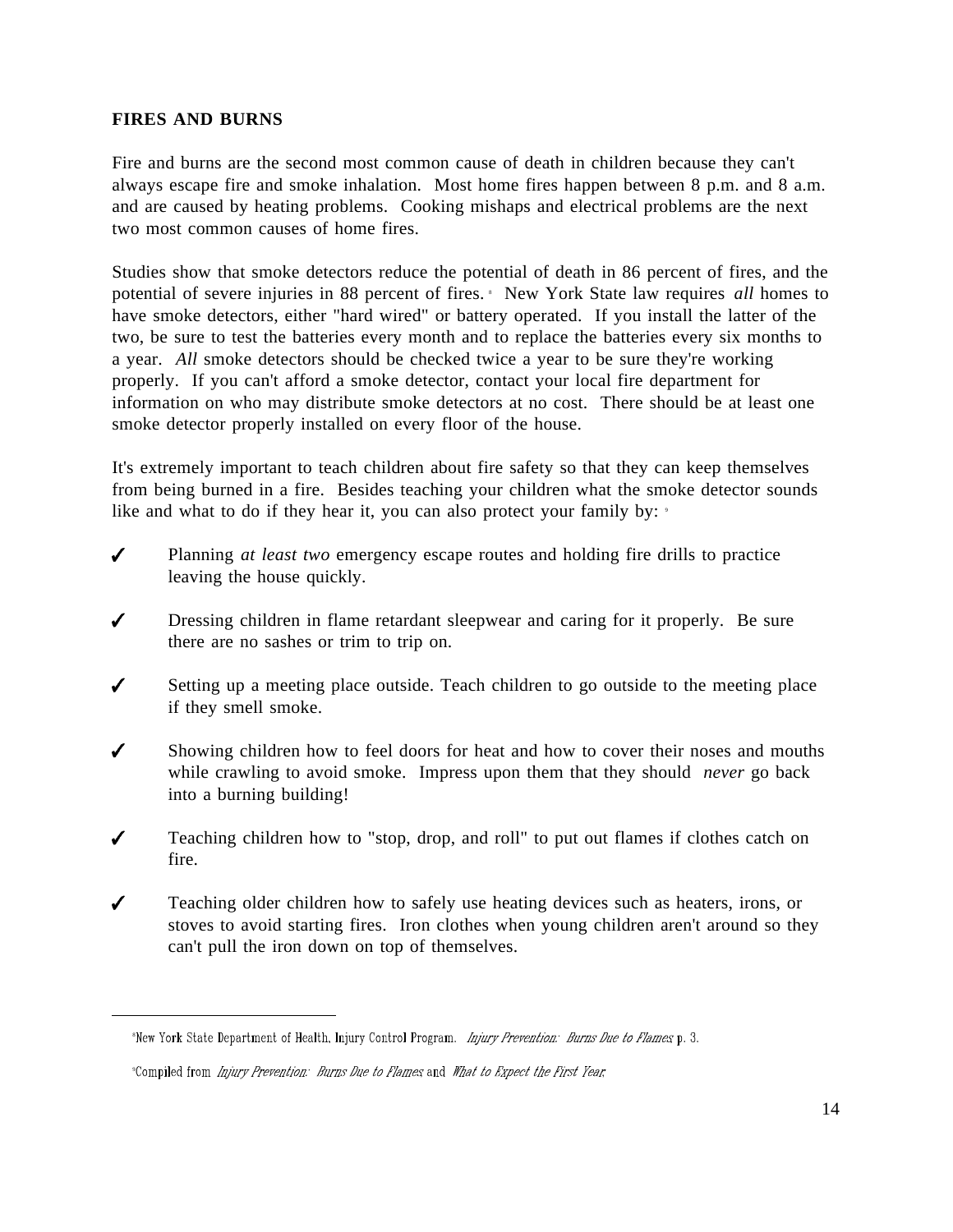#### **FIRES AND BURNS**

 $\overline{a}$ 

Fire and burns are the second most common cause of death in children because they can't always escape fire and smoke inhalation. Most home fires happen between 8 p.m. and 8 a.m. and are caused by heating problems. Cooking mishaps and electrical problems are the next two most common causes of home fires.

Studies show that smoke detectors reduce the potential of death in 86 percent of fires, and the potential of severe injuries in 88 percent of fires. <sup>8</sup> New York State law requires *all* homes to have smoke detectors, either "hard wired" or battery operated. If you install the latter of the two, be sure to test the batteries every month and to replace the batteries every six months to a year. *All* smoke detectors should be checked twice a year to be sure they're working properly. If you can't afford a smoke detector, contact your local fire department for information on who may distribute smoke detectors at no cost. There should be at least one smoke detector properly installed on every floor of the house.

It's extremely important to teach children about fire safety so that they can keep themselves from being burned in a fire. Besides teaching your children what the smoke detector sounds like and what to do if they hear it, you can also protect your family by:

- $\checkmark$ Planning *at least two* emergency escape routes and holding fire drills to practice leaving the house quickly.
- ✔ Dressing children in flame retardant sleepwear and caring for it properly. Be sure there are no sashes or trim to trip on.
- Setting up a meeting place outside. Teach children to go outside to the meeting place ✔ if they smell smoke.
- $\boldsymbol{J}$ Showing children how to feel doors for heat and how to cover their noses and mouths while crawling to avoid smoke. Impress upon them that they should *never* go back into a burning building!
- $\checkmark$ Teaching children how to "stop, drop, and roll" to put out flames if clothes catch on fire.
- $\boldsymbol{J}$ Teaching older children how to safely use heating devices such as heaters, irons, or stoves to avoid starting fires. Iron clothes when young children aren't around so they can't pull the iron down on top of themselves.

<sup>\*</sup>New York State Department of Health, Injury Control Program. Injury Prevention: Burns Due to Flames p. 3.

<sup>&</sup>lt;sup>9</sup>Compiled from *Injury Prevention: Burns Due to Flames* and *What to Expect the First Year*,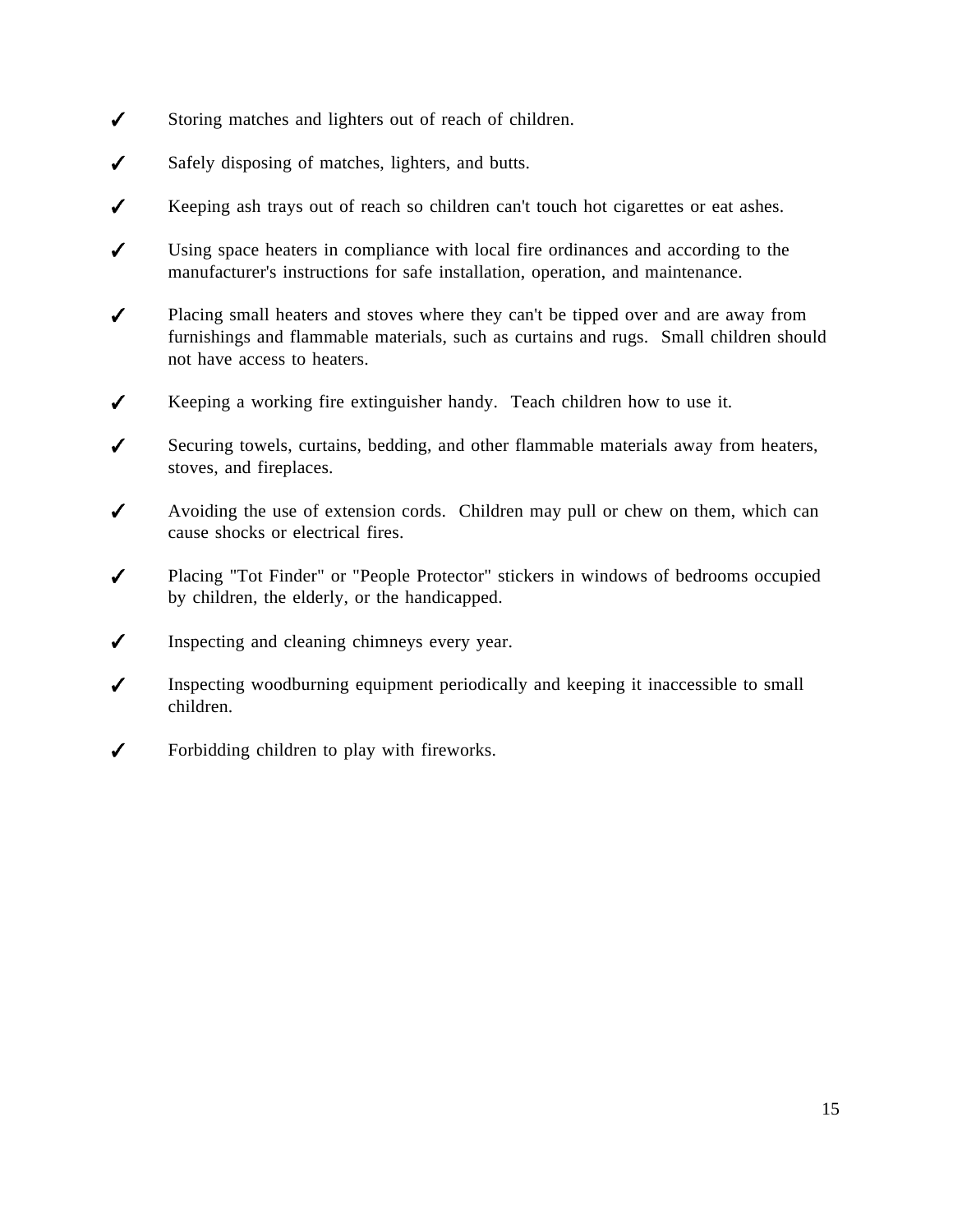- $\checkmark$ Storing matches and lighters out of reach of children.
- $\checkmark$ Safely disposing of matches, lighters, and butts.
- $\checkmark$ Keeping ash trays out of reach so children can't touch hot cigarettes or eat ashes.
- $\boldsymbol{J}$ Using space heaters in compliance with local fire ordinances and according to the manufacturer's instructions for safe installation, operation, and maintenance.
- $\checkmark$ Placing small heaters and stoves where they can't be tipped over and are away from furnishings and flammable materials, such as curtains and rugs. Small children should not have access to heaters.
- $\checkmark$ Keeping a working fire extinguisher handy. Teach children how to use it.
- $\boldsymbol{J}$ Securing towels, curtains, bedding, and other flammable materials away from heaters, stoves, and fireplaces.
- $\checkmark$ Avoiding the use of extension cords. Children may pull or chew on them, which can cause shocks or electrical fires.
- $\boldsymbol{J}$ Placing "Tot Finder" or "People Protector" stickers in windows of bedrooms occupied by children, the elderly, or the handicapped.
- $\checkmark$ Inspecting and cleaning chimneys every year.
- $\boldsymbol{J}$ Inspecting woodburning equipment periodically and keeping it inaccessible to small children.
- Forbidding children to play with fireworks.  $\checkmark$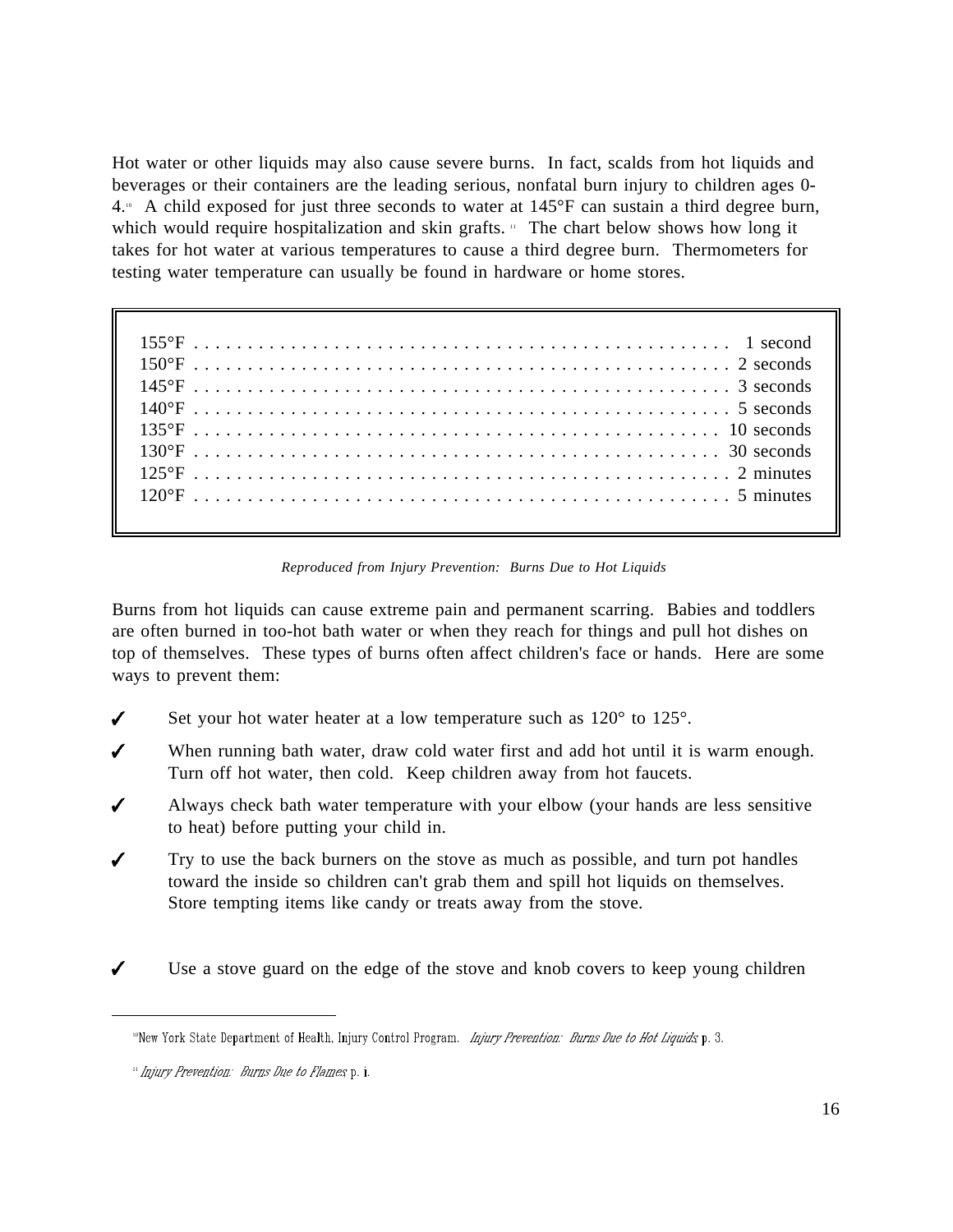Hot water or other liquids may also cause severe burns. In fact, scalds from hot liquids and beverages or their containers are the leading serious, nonfatal burn injury to children ages 0-  $4.1\degree$  A child exposed for just three seconds to water at  $145\degree$ F can sustain a third degree burn, which would require hospitalization and skin grafts. " The chart below shows how long it takes for hot water at various temperatures to cause a third degree burn. Thermometers for testing water temperature can usually be found in hardware or home stores.

| $120^{\circ}$ F $\ldots$ $\ldots$ $\ldots$ $\ldots$ $\ldots$ $\ldots$ $\ldots$ $\ldots$ $\ldots$ $\ldots$ $\ldots$ $\ldots$ $\ldots$ $\ldots$ 5 minutes |
|---------------------------------------------------------------------------------------------------------------------------------------------------------|
|                                                                                                                                                         |

*Reproduced from Injury Prevention: Burns Due to Hot Liquids*

Burns from hot liquids can cause extreme pain and permanent scarring. Babies and toddlers are often burned in too-hot bath water or when they reach for things and pull hot dishes on top of themselves. These types of burns often affect children's face or hands. Here are some ways to prevent them:

- Set your hot water heater at a low temperature such as  $120^{\circ}$  to  $125^{\circ}$ . ✔
- $\boldsymbol{J}$ When running bath water, draw cold water first and add hot until it is warm enough. Turn off hot water, then cold. Keep children away from hot faucets.
- Always check bath water temperature with your elbow (your hands are less sensitive ✔ to heat) before putting your child in.
- Try to use the back burners on the stove as much as possible, and turn pot handles toward the inside so children can't grab them and spill hot liquids on themselves. Store tempting items like candy or treats away from the stove.
- Use a stove guard on the edge of the stove and knob covers to keep young children

<sup>&</sup>quot;New York State Department of Health, Injury Control Program. Injury Prevention: Burns Due to Hot Liquids p. 3.

<sup>&</sup>quot; Injury Prevention: Burns Due to Flames p. i.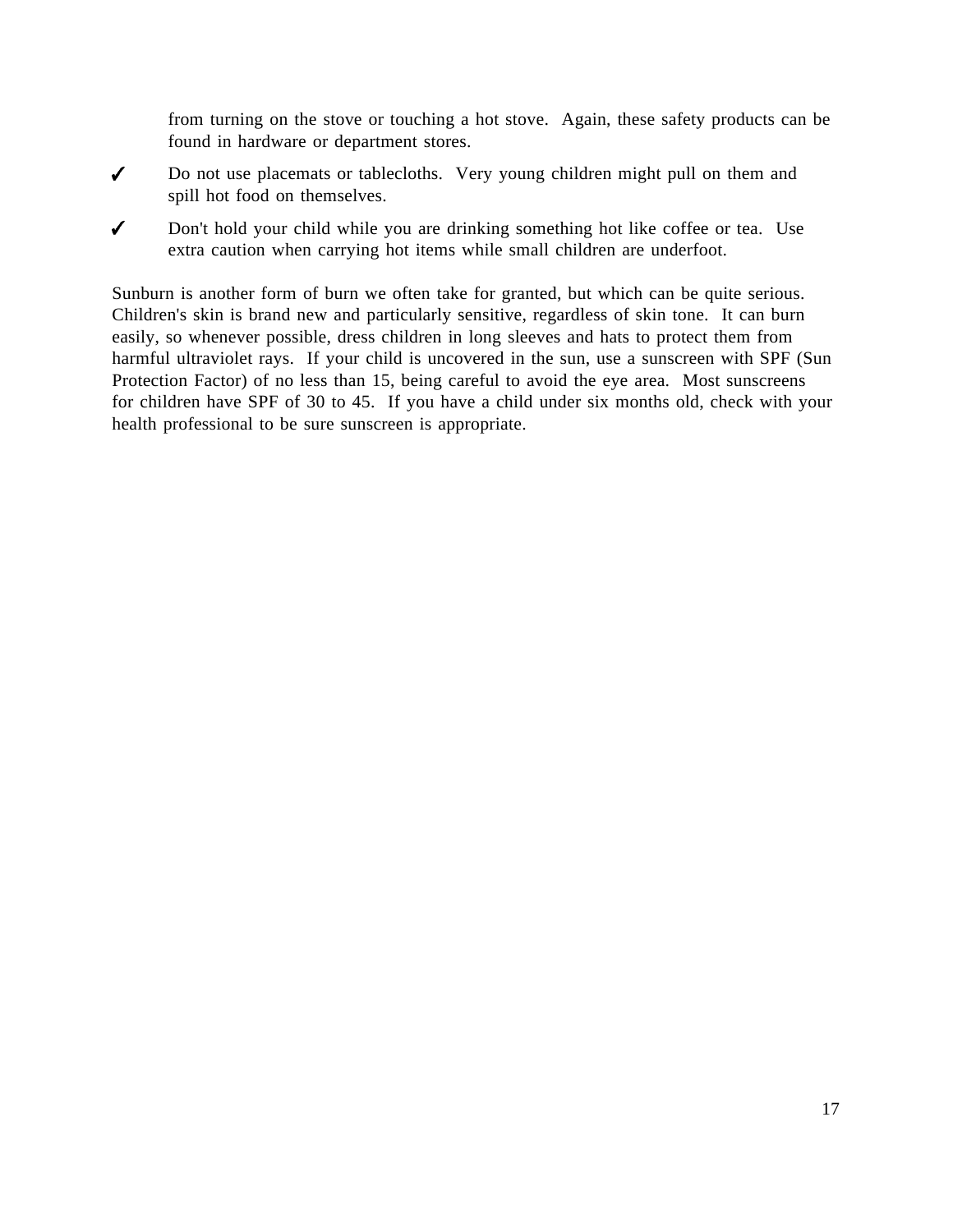from turning on the stove or touching a hot stove. Again, these safety products can be found in hardware or department stores.

- Do not use placemats or tablecloths. Very young children might pull on them and  $\checkmark$ spill hot food on themselves.
- $\checkmark$ Don't hold your child while you are drinking something hot like coffee or tea. Use extra caution when carrying hot items while small children are underfoot.

Sunburn is another form of burn we often take for granted, but which can be quite serious. Children's skin is brand new and particularly sensitive, regardless of skin tone. It can burn easily, so whenever possible, dress children in long sleeves and hats to protect them from harmful ultraviolet rays. If your child is uncovered in the sun, use a sunscreen with SPF (Sun Protection Factor) of no less than 15, being careful to avoid the eye area. Most sunscreens for children have SPF of 30 to 45. If you have a child under six months old, check with your health professional to be sure sunscreen is appropriate.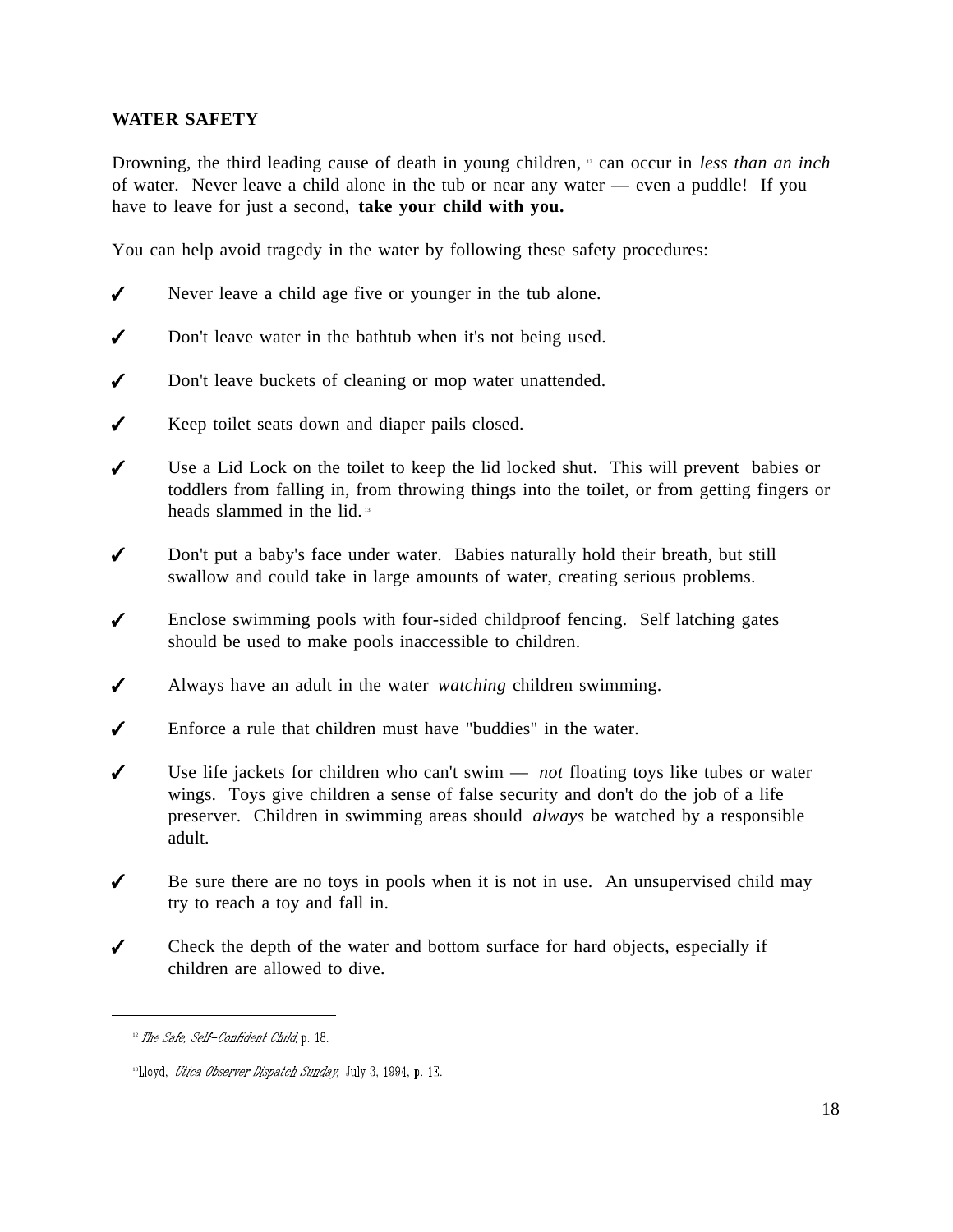## **WATER SAFETY**

Drowning, the third leading cause of death in young children, <sup>12</sup> can occur in *less than an inch* of water. Never leave a child alone in the tub or near any water — even a puddle! If you have to leave for just a second, **take your child with you.**

You can help avoid tragedy in the water by following these safety procedures:

- $\boldsymbol{J}$ Never leave a child age five or younger in the tub alone.
- Don't leave water in the bathtub when it's not being used.
- Don't leave buckets of cleaning or mop water unattended.
- $\sqrt{2}$ Keep toilet seats down and diaper pails closed.
- Use a Lid Lock on the toilet to keep the lid locked shut. This will prevent babies or toddlers from falling in, from throwing things into the toilet, or from getting fingers or heads slammed in the lid. <sup>13</sup>
- $\checkmark$ Don't put a baby's face under water. Babies naturally hold their breath, but still swallow and could take in large amounts of water, creating serious problems.
- Enclose swimming pools with four-sided childproof fencing. Self latching gates  $\boldsymbol{J}$ should be used to make pools inaccessible to children.
- Always have an adult in the water *watching* children swimming.  $\checkmark$
- Enforce a rule that children must have "buddies" in the water.
- $\checkmark$ Use life jackets for children who can't swim — *not* floating toys like tubes or water wings. Toys give children a sense of false security and don't do the job of a life preserver. Children in swimming areas should *always* be watched by a responsible adult.
- $\checkmark$ Be sure there are no toys in pools when it is not in use. An unsupervised child may try to reach a toy and fall in.
- Check the depth of the water and bottom surface for hard objects, especially if ✔ children are allowed to dive.

 $12$  The Safe, Self-Confident Child, p. 18.

<sup>&</sup>lt;sup>13</sup>Lloyd, Utica Observer Dispatch Sunday, July 3, 1994, p. 1E.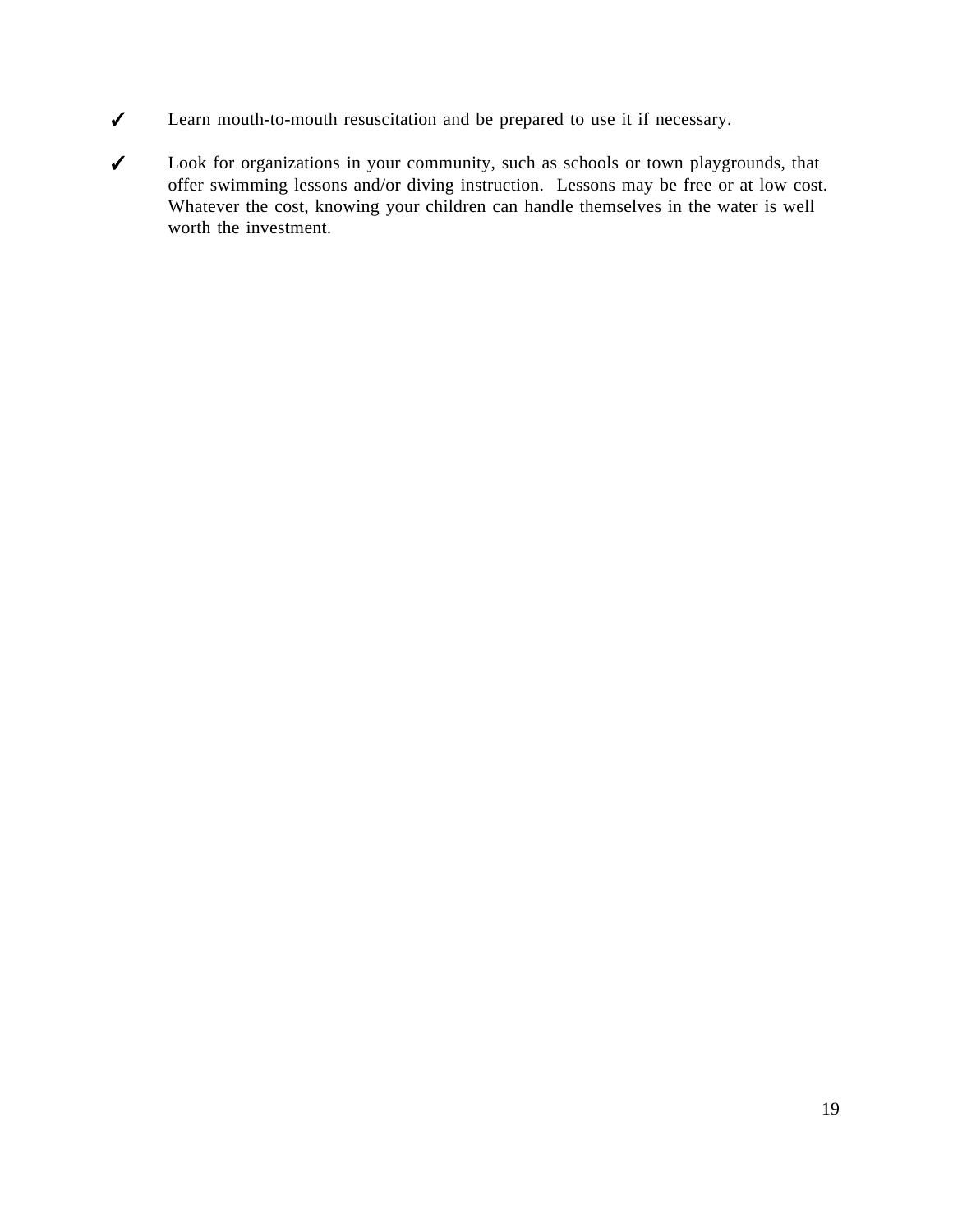- $\checkmark$ Learn mouth-to-mouth resuscitation and be prepared to use it if necessary.
- Look for organizations in your community, such as schools or town playgrounds, that  $\checkmark$ offer swimming lessons and/or diving instruction. Lessons may be free or at low cost. Whatever the cost, knowing your children can handle themselves in the water is well worth the investment.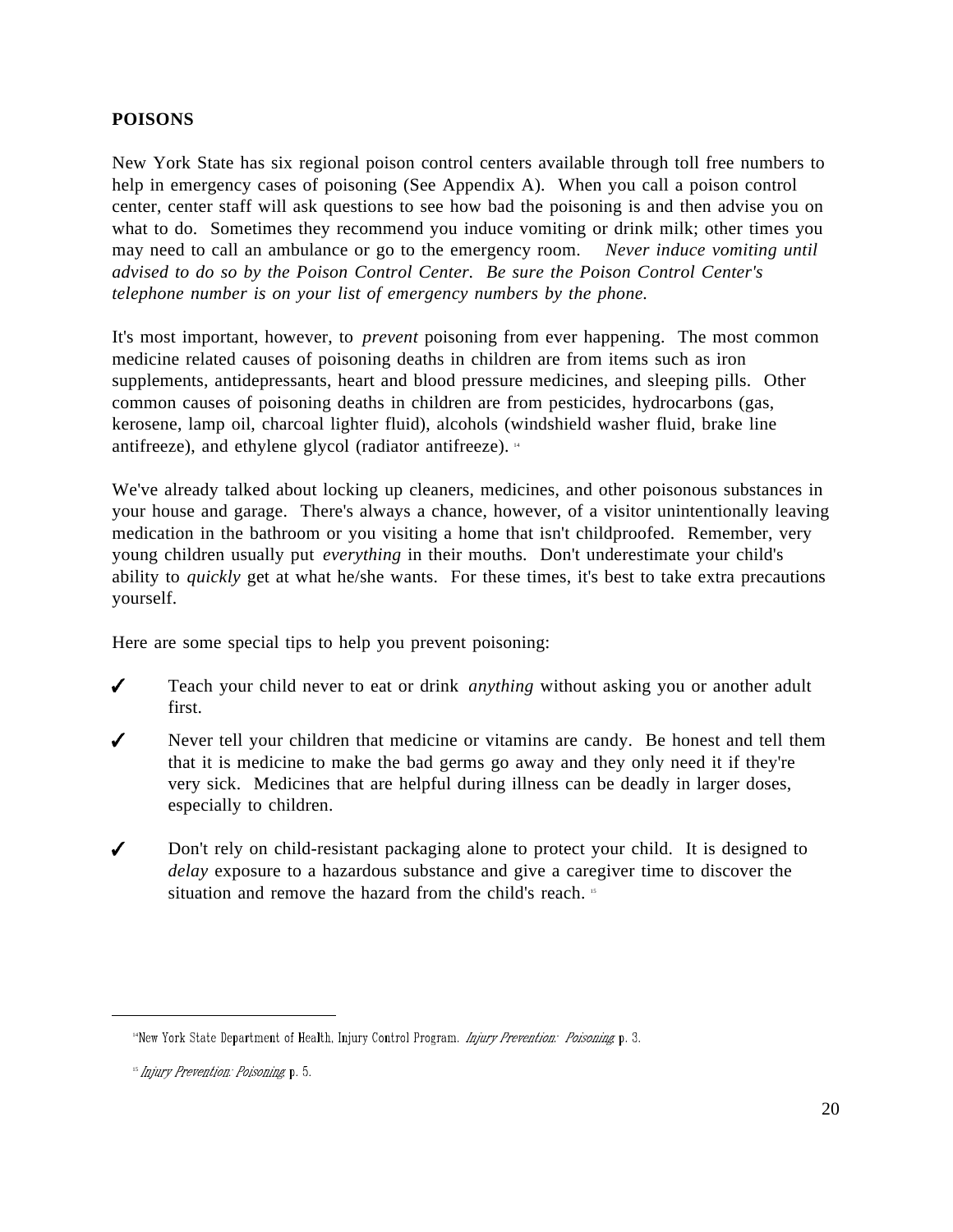## **POISONS**

New York State has six regional poison control centers available through toll free numbers to help in emergency cases of poisoning (See Appendix A). When you call a poison control center, center staff will ask questions to see how bad the poisoning is and then advise you on what to do. Sometimes they recommend you induce vomiting or drink milk; other times you may need to call an ambulance or go to the emergency room. *Never induce vomiting until advised to do so by the Poison Control Center. Be sure the Poison Control Center's telephone number is on your list of emergency numbers by the phone.*

It's most important, however, to *prevent* poisoning from ever happening. The most common medicine related causes of poisoning deaths in children are from items such as iron supplements, antidepressants, heart and blood pressure medicines, and sleeping pills. Other common causes of poisoning deaths in children are from pesticides, hydrocarbons (gas, kerosene, lamp oil, charcoal lighter fluid), alcohols (windshield washer fluid, brake line antifreeze), and ethylene glycol (radiator antifreeze). <sup>14</sup>

We've already talked about locking up cleaners, medicines, and other poisonous substances in your house and garage. There's always a chance, however, of a visitor unintentionally leaving medication in the bathroom or you visiting a home that isn't childproofed. Remember, very young children usually put *everything* in their mouths. Don't underestimate your child's ability to *quickly* get at what he/she wants. For these times, it's best to take extra precautions yourself.

Here are some special tips to help you prevent poisoning:

- Teach your child never to eat or drink *anything* without asking you or another adult  $\checkmark$ first.
- Never tell your children that medicine or vitamins are candy. Be honest and tell them ✔ that it is medicine to make the bad germs go away and they only need it if they're very sick. Medicines that are helpful during illness can be deadly in larger doses, especially to children.
- $\checkmark$ Don't rely on child-resistant packaging alone to protect your child. It is designed to *delay* exposure to a hazardous substance and give a caregiver time to discover the situation and remove the hazard from the child's reach. <sup>15</sup>

<sup>&</sup>lt;sup>14</sup>New York State Department of Health, Injury Control Program. Injury Prevention: Poisoning p. 3.

<sup>&</sup>lt;sup>15</sup> Injury Prevention: Poisoning p. 5.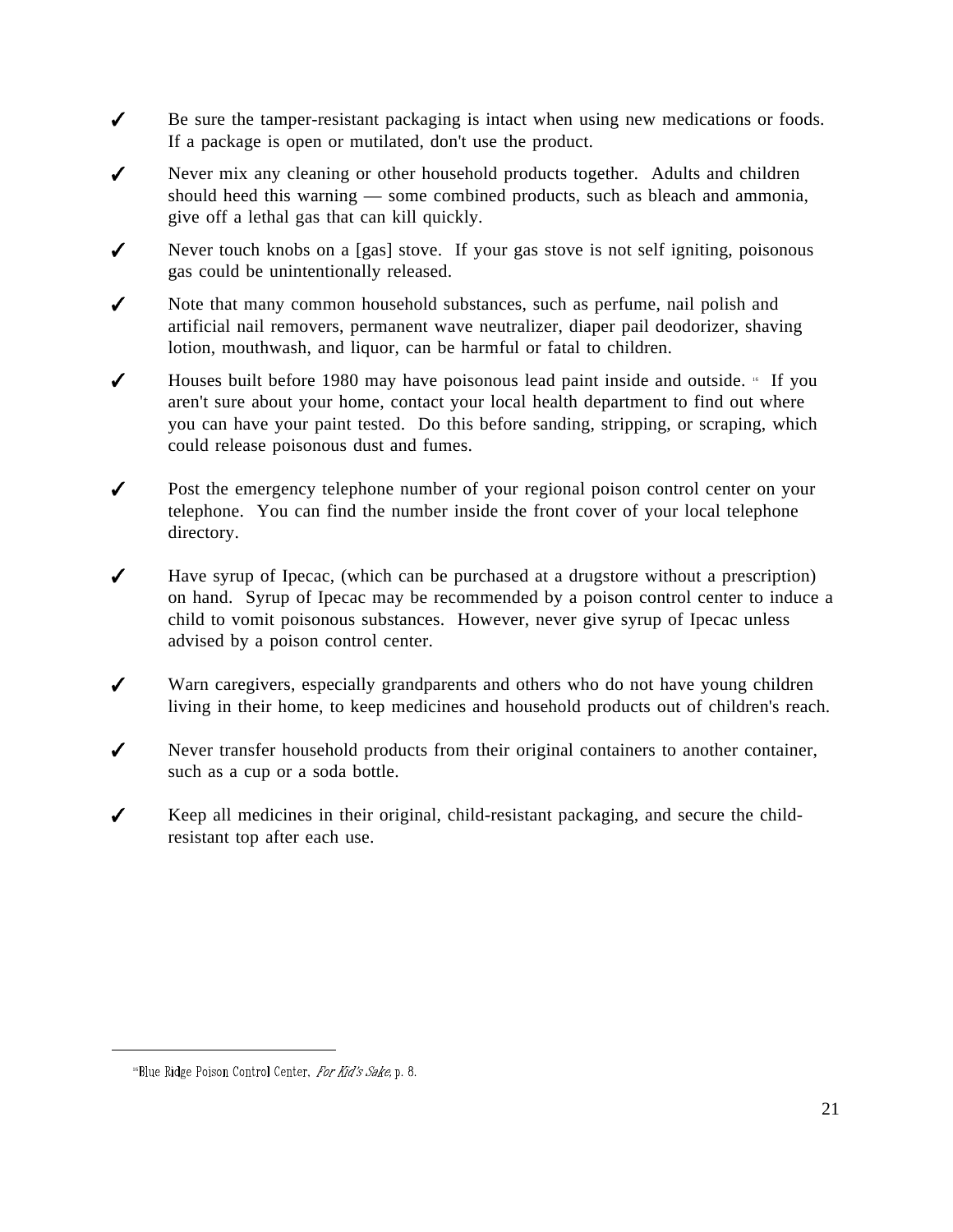- $\checkmark$ Be sure the tamper-resistant packaging is intact when using new medications or foods. If a package is open or mutilated, don't use the product.
- $\checkmark$ Never mix any cleaning or other household products together. Adults and children should heed this warning — some combined products, such as bleach and ammonia, give off a lethal gas that can kill quickly.
- ✔ Never touch knobs on a [gas] stove. If your gas stove is not self igniting, poisonous gas could be unintentionally released.
- ✔ Note that many common household substances, such as perfume, nail polish and artificial nail removers, permanent wave neutralizer, diaper pail deodorizer, shaving lotion, mouthwash, and liquor, can be harmful or fatal to children.
- ✔ Houses built before 1980 may have poisonous lead paint inside and outside.  $\cdot$  If you aren't sure about your home, contact your local health department to find out where you can have your paint tested. Do this before sanding, stripping, or scraping, which could release poisonous dust and fumes.
- $\checkmark$ Post the emergency telephone number of your regional poison control center on your telephone. You can find the number inside the front cover of your local telephone directory.
- $\checkmark$ Have syrup of Ipecac, (which can be purchased at a drugstore without a prescription) on hand. Syrup of Ipecac may be recommended by a poison control center to induce a child to vomit poisonous substances. However, never give syrup of Ipecac unless advised by a poison control center.
- $\checkmark$ Warn caregivers, especially grandparents and others who do not have young children living in their home, to keep medicines and household products out of children's reach.
- Never transfer household products from their original containers to another container,  $\checkmark$ such as a cup or a soda bottle.
- $\checkmark$ Keep all medicines in their original, child-resistant packaging, and secure the childresistant top after each use.

<sup>&</sup>lt;sup>16</sup>Blue Ridge Poison Control Center, For Kid's Sake, p. 8.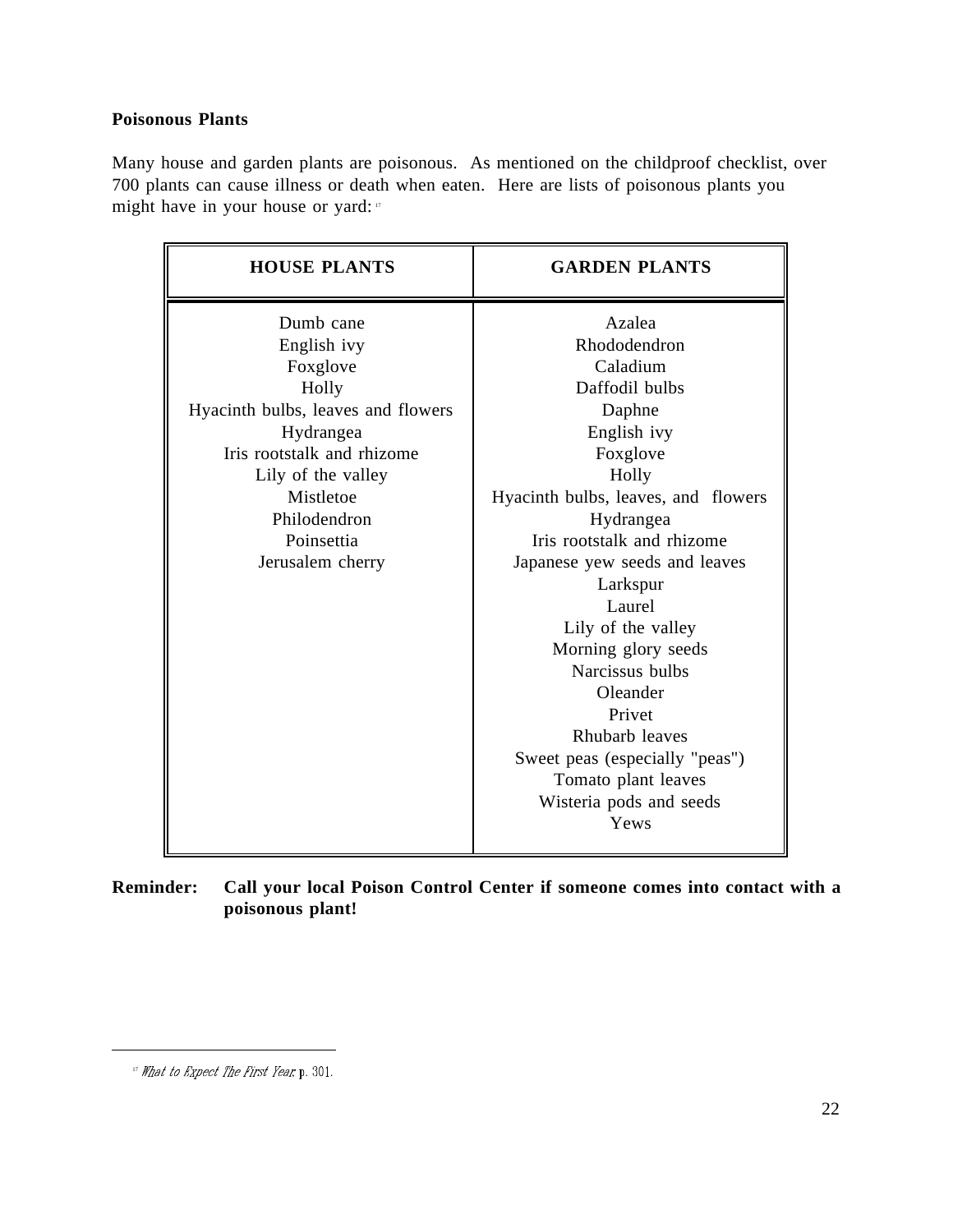## **Poisonous Plants**

Many house and garden plants are poisonous. As mentioned on the childproof checklist, over 700 plants can cause illness or death when eaten. Here are lists of poisonous plants you might have in your house or yard: "

| <b>HOUSE PLANTS</b>                                                                                                                                                                                                 | <b>GARDEN PLANTS</b>                                                                                                                                                                                                                                                                                                                                                                                                                            |
|---------------------------------------------------------------------------------------------------------------------------------------------------------------------------------------------------------------------|-------------------------------------------------------------------------------------------------------------------------------------------------------------------------------------------------------------------------------------------------------------------------------------------------------------------------------------------------------------------------------------------------------------------------------------------------|
| Dumb cane<br>English ivy<br>Foxglove<br>Holly<br>Hyacinth bulbs, leaves and flowers<br>Hydrangea<br>Iris rootstalk and rhizome<br>Lily of the valley<br>Mistletoe<br>Philodendron<br>Poinsettia<br>Jerusalem cherry | Azalea<br>Rhododendron<br>Caladium<br>Daffodil bulbs<br>Daphne<br>English ivy<br>Foxglove<br>Holly<br>Hyacinth bulbs, leaves, and flowers<br>Hydrangea<br>Iris rootstalk and rhizome<br>Japanese yew seeds and leaves<br>Larkspur<br>Laurel<br>Lily of the valley<br>Morning glory seeds<br>Narcissus bulbs<br>Oleander<br>Privet<br>Rhubarb leaves<br>Sweet peas (especially "peas")<br>Tomato plant leaves<br>Wisteria pods and seeds<br>Yews |
|                                                                                                                                                                                                                     |                                                                                                                                                                                                                                                                                                                                                                                                                                                 |

**Reminder: Call your local Poison Control Center if someone comes into contact with a poisonous plant!**

<sup>&</sup>lt;sup>17</sup> What to Expect The First Year, p. 301.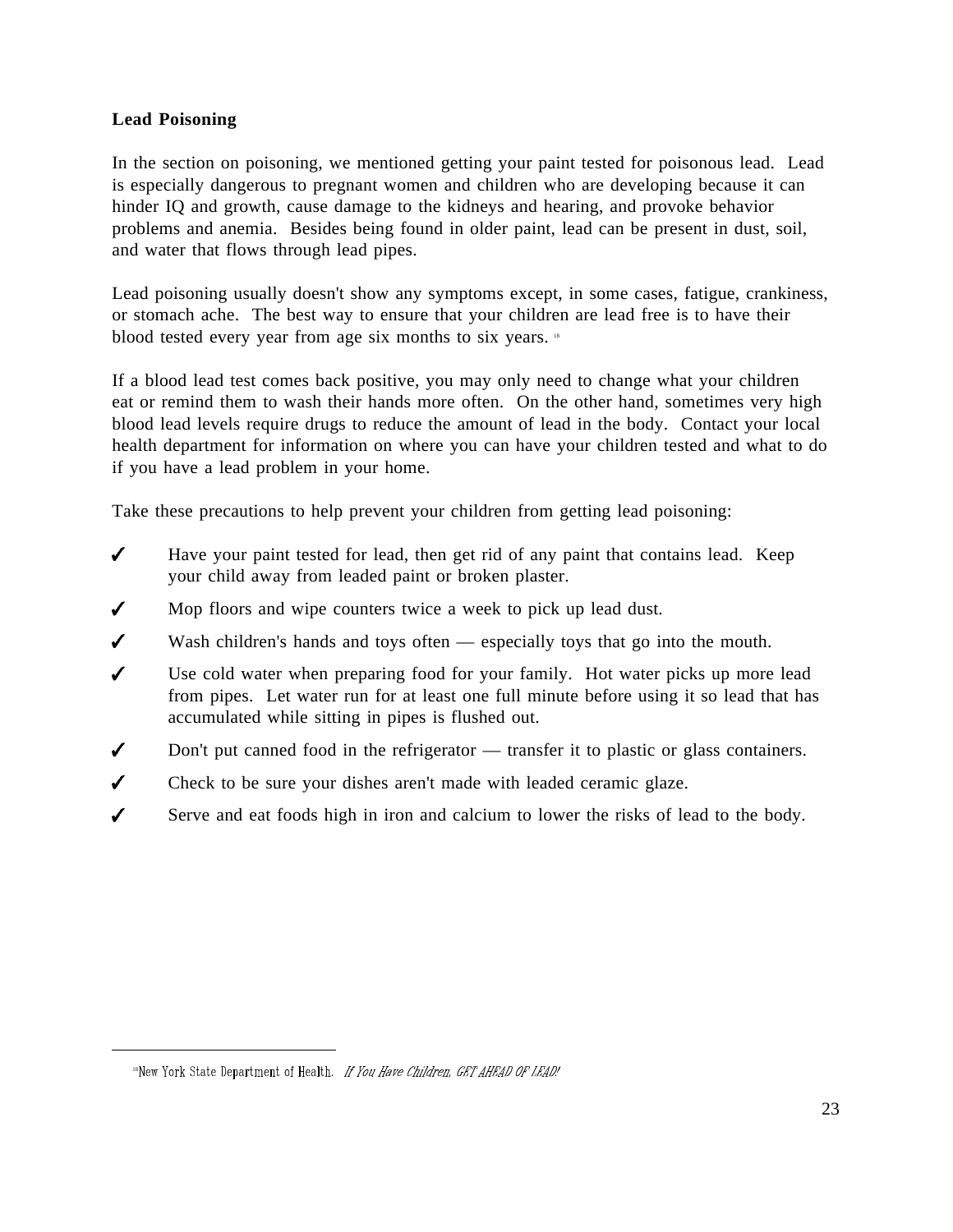## **Lead Poisoning**

In the section on poisoning, we mentioned getting your paint tested for poisonous lead. Lead is especially dangerous to pregnant women and children who are developing because it can hinder IQ and growth, cause damage to the kidneys and hearing, and provoke behavior problems and anemia. Besides being found in older paint, lead can be present in dust, soil, and water that flows through lead pipes.

Lead poisoning usually doesn't show any symptoms except, in some cases, fatigue, crankiness, or stomach ache. The best way to ensure that your children are lead free is to have their blood tested every year from age six months to six years. <sup>18</sup>

If a blood lead test comes back positive, you may only need to change what your children eat or remind them to wash their hands more often. On the other hand, sometimes very high blood lead levels require drugs to reduce the amount of lead in the body. Contact your local health department for information on where you can have your children tested and what to do if you have a lead problem in your home.

Take these precautions to help prevent your children from getting lead poisoning:

- $\checkmark$ Have your paint tested for lead, then get rid of any paint that contains lead. Keep your child away from leaded paint or broken plaster.
- Mop floors and wipe counters twice a week to pick up lead dust.  $\checkmark$
- $\checkmark$ Wash children's hands and toys often — especially toys that go into the mouth.
- $\boldsymbol{J}$ Use cold water when preparing food for your family. Hot water picks up more lead from pipes. Let water run for at least one full minute before using it so lead that has accumulated while sitting in pipes is flushed out.
- $\checkmark$ Don't put canned food in the refrigerator — transfer it to plastic or glass containers.
- $\boldsymbol{J}$ Check to be sure your dishes aren't made with leaded ceramic glaze.
- $\overline{\mathcal{L}}$ Serve and eat foods high in iron and calcium to lower the risks of lead to the body.

<sup>&</sup>lt;sup>18</sup>New York State Department of Health. If You Have Children, GET AHEAD OF LEAD!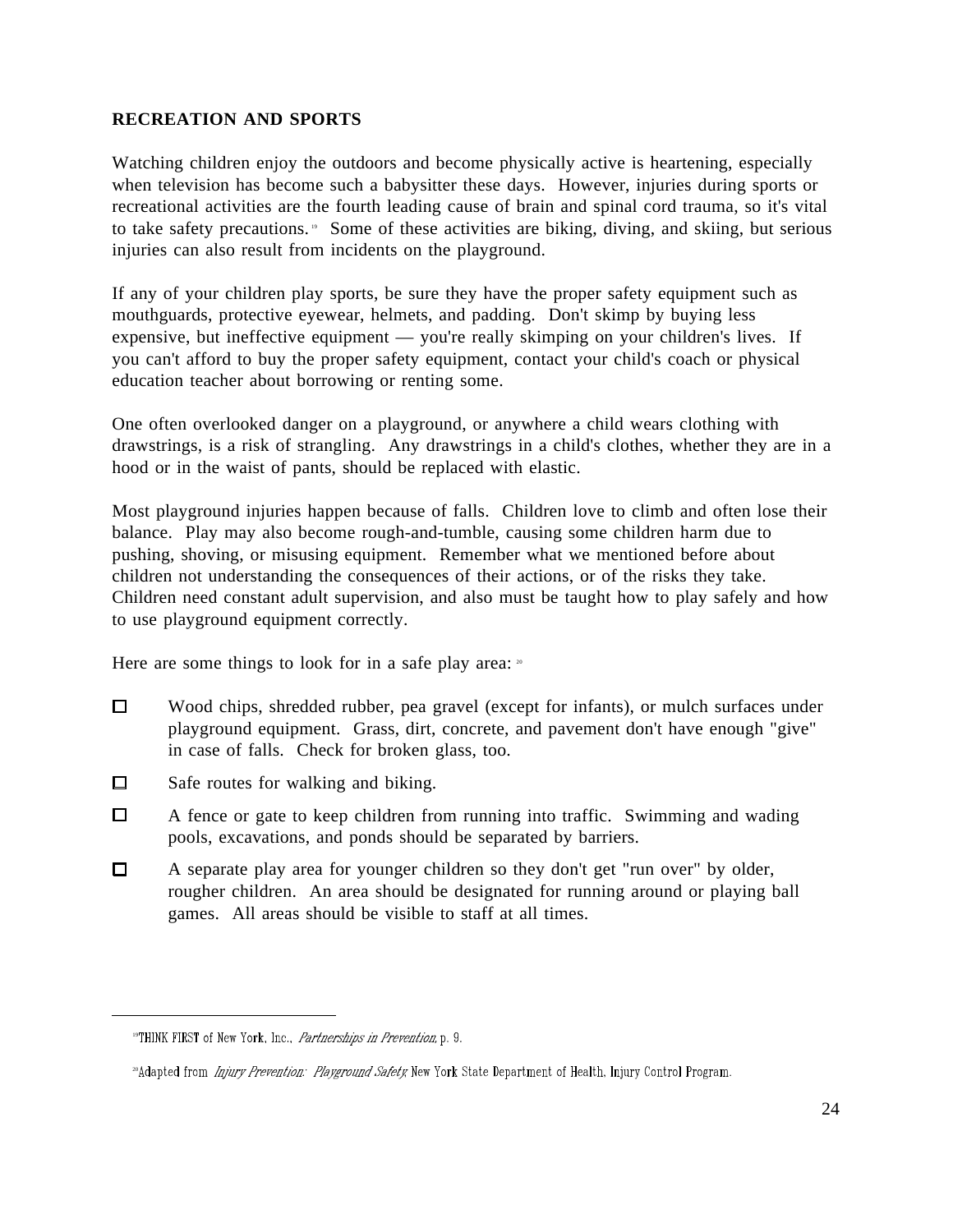## **RECREATION AND SPORTS**

Watching children enjoy the outdoors and become physically active is heartening, especially when television has become such a babysitter these days. However, injuries during sports or recreational activities are the fourth leading cause of brain and spinal cord trauma, so it's vital to take safety precautions.  $\degree$  Some of these activities are biking, diving, and skiing, but serious injuries can also result from incidents on the playground.

If any of your children play sports, be sure they have the proper safety equipment such as mouthguards, protective eyewear, helmets, and padding. Don't skimp by buying less expensive, but ineffective equipment — you're really skimping on your children's lives. If you can't afford to buy the proper safety equipment, contact your child's coach or physical education teacher about borrowing or renting some.

One often overlooked danger on a playground, or anywhere a child wears clothing with drawstrings, is a risk of strangling. Any drawstrings in a child's clothes, whether they are in a hood or in the waist of pants, should be replaced with elastic.

Most playground injuries happen because of falls. Children love to climb and often lose their balance. Play may also become rough-and-tumble, causing some children harm due to pushing, shoving, or misusing equipment. Remember what we mentioned before about children not understanding the consequences of their actions, or of the risks they take. Children need constant adult supervision, and also must be taught how to play safely and how to use playground equipment correctly.

Here are some things to look for in a safe play area:  $\infty$ 

- $\Box$ Wood chips, shredded rubber, pea gravel (except for infants), or mulch surfaces under playground equipment. Grass, dirt, concrete, and pavement don't have enough "give" in case of falls. Check for broken glass, too.
- $\Box$ Safe routes for walking and biking.
- $\Box$ A fence or gate to keep children from running into traffic. Swimming and wading pools, excavations, and ponds should be separated by barriers.
- $\Box$ A separate play area for younger children so they don't get "run over" by older, rougher children. An area should be designated for running around or playing ball games. All areas should be visible to staff at all times.

<sup>&</sup>lt;sup>19</sup>THINK FIRST of New York, Inc., *Partnerships in Prevention*, p. 9.

<sup>&</sup>lt;sup>20</sup>Adapted from *Injury Prevention: Playground Safety*, New York State Department of Health, Injury Control Program.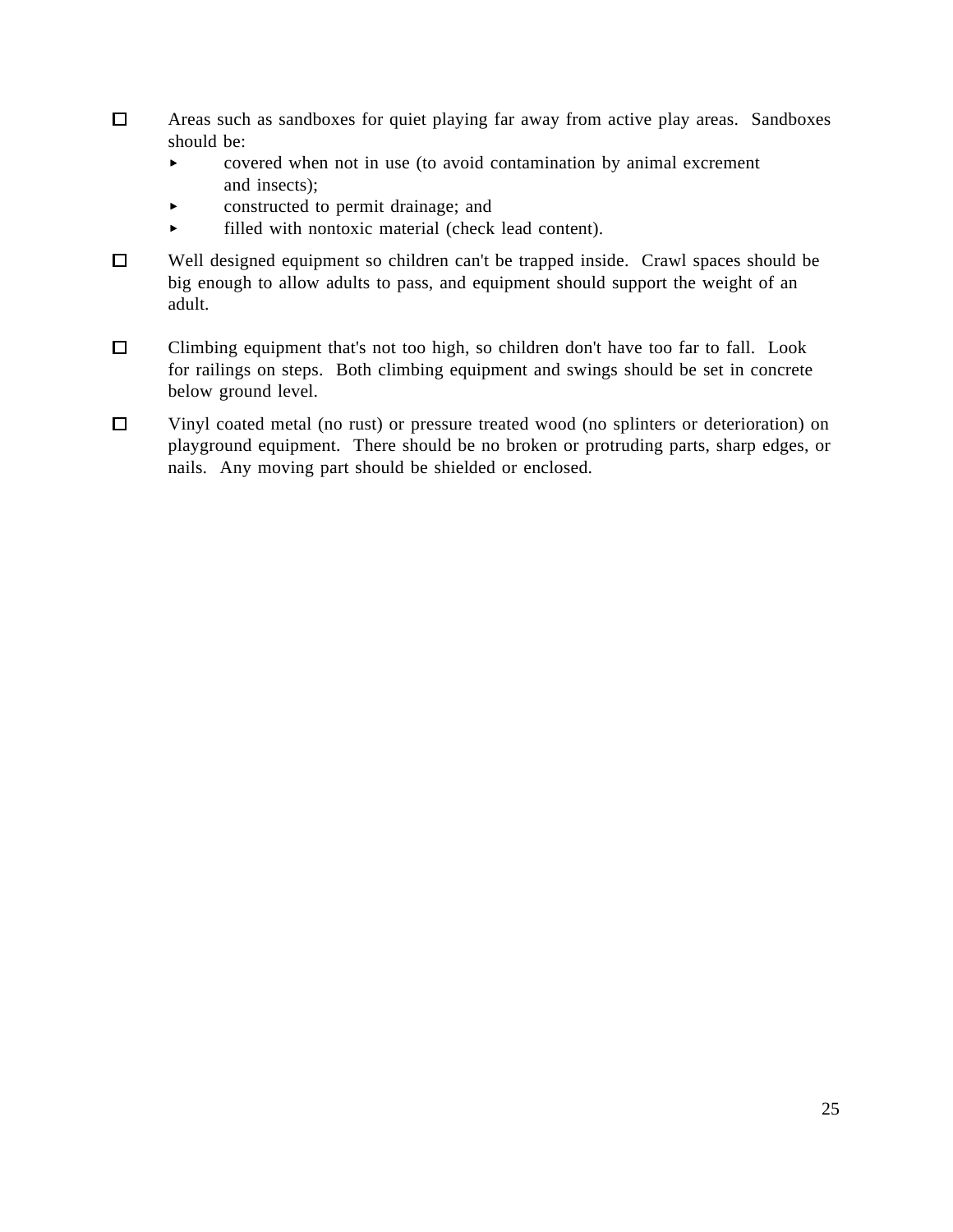- $\Box$ Areas such as sandboxes for quiet playing far away from active play areas. Sandboxes should be:
	- $\blacktriangleright$ covered when not in use (to avoid contamination by animal excrement and insects);
	- constructed to permit drainage; and  $\blacktriangleright$
	- $\blacktriangleright$ filled with nontoxic material (check lead content).
- $\Box$ Well designed equipment so children can't be trapped inside. Crawl spaces should be big enough to allow adults to pass, and equipment should support the weight of an adult.
- $\Box$ Climbing equipment that's not too high, so children don't have too far to fall. Look for railings on steps. Both climbing equipment and swings should be set in concrete below ground level.
- $\Box$ Vinyl coated metal (no rust) or pressure treated wood (no splinters or deterioration) on playground equipment. There should be no broken or protruding parts, sharp edges, or nails. Any moving part should be shielded or enclosed.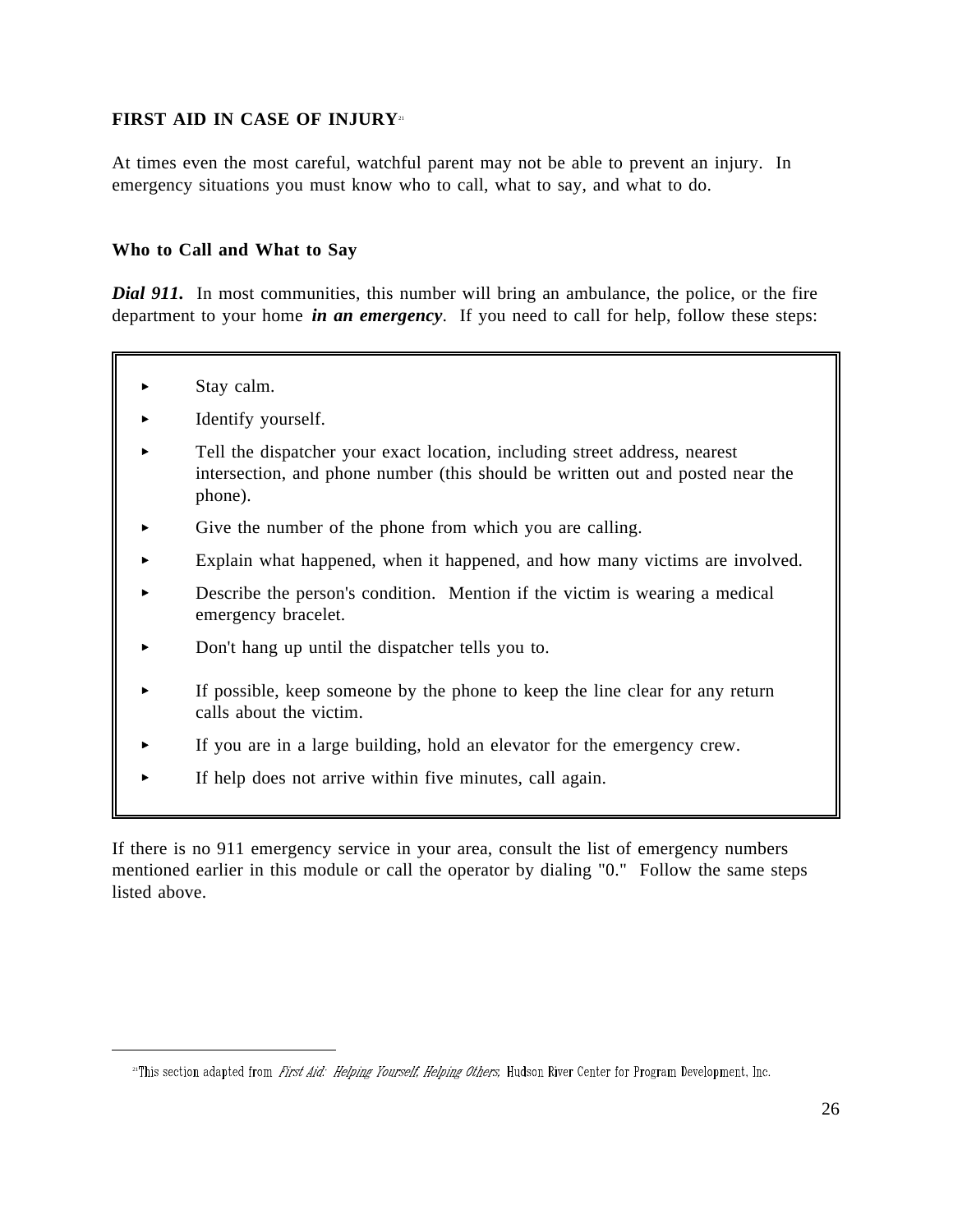## **FIRST AID IN CASE OF INJURY**<sup>21</sup>

At times even the most careful, watchful parent may not be able to prevent an injury. In emergency situations you must know who to call, what to say, and what to do.

#### **Who to Call and What to Say**

*Dial 911.* In most communities, this number will bring an ambulance, the police, or the fire department to your home *in an emergency*. If you need to call for help, follow these steps:

Stay calm.

 $\overline{a}$ 

- Identify yourself.
- Tell the dispatcher your exact location, including street address, nearest intersection, and phone number (this should be written out and posted near the phone).
- Give the number of the phone from which you are calling.
- Explain what happened, when it happened, and how many victims are involved.
- $\blacktriangleright$ Describe the person's condition. Mention if the victim is wearing a medical emergency bracelet.
- $\blacktriangleright$ Don't hang up until the dispatcher tells you to.
- If possible, keep someone by the phone to keep the line clear for any return calls about the victim.
- If you are in a large building, hold an elevator for the emergency crew.
- If help does not arrive within five minutes, call again.

If there is no 911 emergency service in your area, consult the list of emergency numbers mentioned earlier in this module or call the operator by dialing "0." Follow the same steps listed above.

<sup>&</sup>lt;sup>21</sup>This section adapted from *First Aid: Helping Yourself, Helping Others*, Hudson River Center for Program Development, Inc.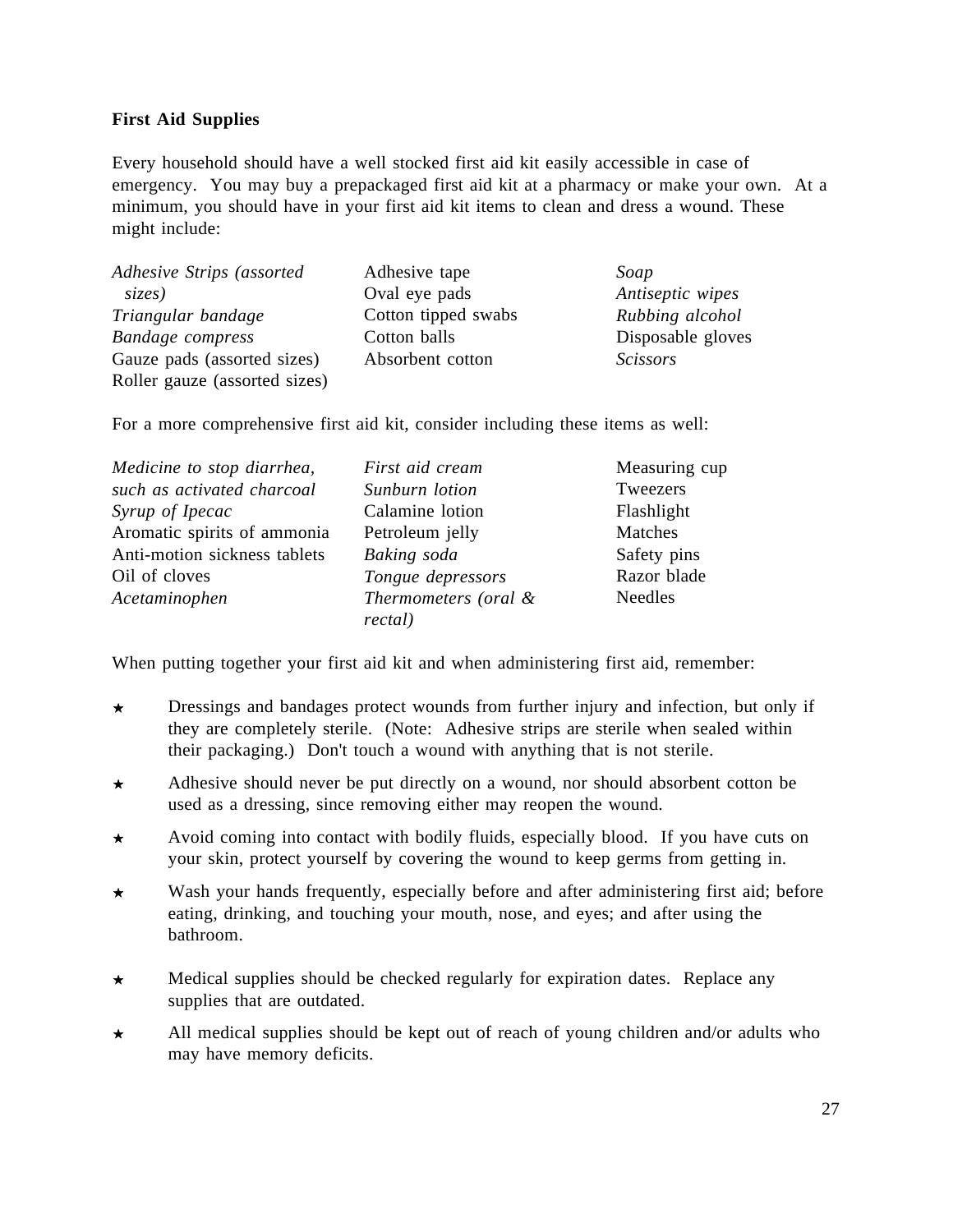## **First Aid Supplies**

Every household should have a well stocked first aid kit easily accessible in case of emergency. You may buy a prepackaged first aid kit at a pharmacy or make your own. At a minimum, you should have in your first aid kit items to clean and dress a wound. These might include:

| Adhesive Strips (assorted     | Adhesive tape       | Soap              |
|-------------------------------|---------------------|-------------------|
| sizes)                        | Oval eye pads       | Antiseptic wipes  |
| Triangular bandage            | Cotton tipped swabs | Rubbing alcohol   |
| <b>Bandage</b> compress       | Cotton balls        | Disposable gloves |
| Gauze pads (assorted sizes)   | Absorbent cotton    | <b>Scissors</b>   |
| Roller gauze (assorted sizes) |                     |                   |

For a more comprehensive first aid kit, consider including these items as well:

| Medicine to stop diarrhea,   | First aid cream      | Measuring cup  |
|------------------------------|----------------------|----------------|
| such as activated charcoal   | Sunburn lotion       | Tweezers       |
| Syrup of Ipecac              | Calamine lotion      | Flashlight     |
| Aromatic spirits of ammonia  | Petroleum jelly      | Matches        |
| Anti-motion sickness tablets | Baking soda          | Safety pins    |
| Oil of cloves                | Tongue depressors    | Razor blade    |
| Acetaminophen                | Thermometers (oral & | <b>Needles</b> |
|                              | rectal)              |                |

When putting together your first aid kit and when administering first aid, remember:

- Dressings and bandages protect wounds from further injury and infection, but only if  $\star$ they are completely sterile. (Note: Adhesive strips are sterile when sealed within their packaging.) Don't touch a wound with anything that is not sterile.
- Adhesive should never be put directly on a wound, nor should absorbent cotton be  $\star$ used as a dressing, since removing either may reopen the wound.
- Avoid coming into contact with bodily fluids, especially blood. If you have cuts on  $\star$ your skin, protect yourself by covering the wound to keep germs from getting in.
- Wash your hands frequently, especially before and after administering first aid; before  $\star$ eating, drinking, and touching your mouth, nose, and eyes; and after using the bathroom.
- Medical supplies should be checked regularly for expiration dates. Replace any  $\star$ supplies that are outdated.
- All medical supplies should be kept out of reach of young children and/or adults who  $\star$ may have memory deficits.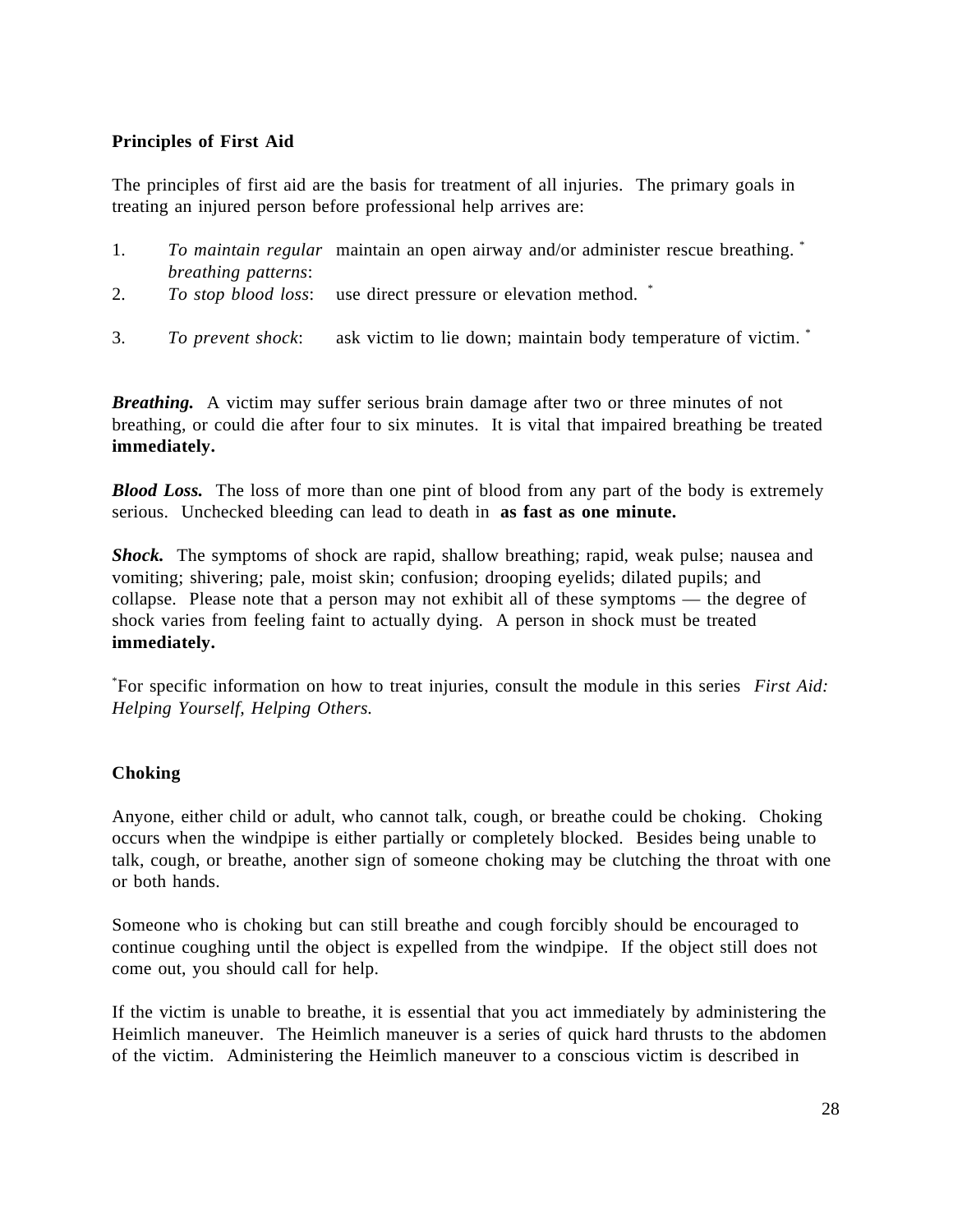#### **Principles of First Aid**

The principles of first aid are the basis for treatment of all injuries. The primary goals in treating an injured person before professional help arrives are:

- 1. *To maintain regular* maintain an open airway and/or administer rescue breathing. \* *breathing patterns*:
- 2. *To stop blood loss*: use direct pressure or elevation method. \*
- 3. *To prevent shock*: ask victim to lie down; maintain body temperature of victim. \*

*Breathing.* A victim may suffer serious brain damage after two or three minutes of not breathing, or could die after four to six minutes. It is vital that impaired breathing be treated **immediately.**

*Blood Loss.* The loss of more than one pint of blood from any part of the body is extremely serious. Unchecked bleeding can lead to death in **as fast as one minute.**

*Shock.* The symptoms of shock are rapid, shallow breathing; rapid, weak pulse; nausea and vomiting; shivering; pale, moist skin; confusion; drooping eyelids; dilated pupils; and collapse. Please note that a person may not exhibit all of these symptoms — the degree of shock varies from feeling faint to actually dying. A person in shock must be treated **immediately.**

\* For specific information on how to treat injuries, consult the module in this series *First Aid: Helping Yourself, Helping Others.*

### **Choking**

Anyone, either child or adult, who cannot talk, cough, or breathe could be choking. Choking occurs when the windpipe is either partially or completely blocked. Besides being unable to talk, cough, or breathe, another sign of someone choking may be clutching the throat with one or both hands.

Someone who is choking but can still breathe and cough forcibly should be encouraged to continue coughing until the object is expelled from the windpipe. If the object still does not come out, you should call for help.

If the victim is unable to breathe, it is essential that you act immediately by administering the Heimlich maneuver. The Heimlich maneuver is a series of quick hard thrusts to the abdomen of the victim. Administering the Heimlich maneuver to a conscious victim is described in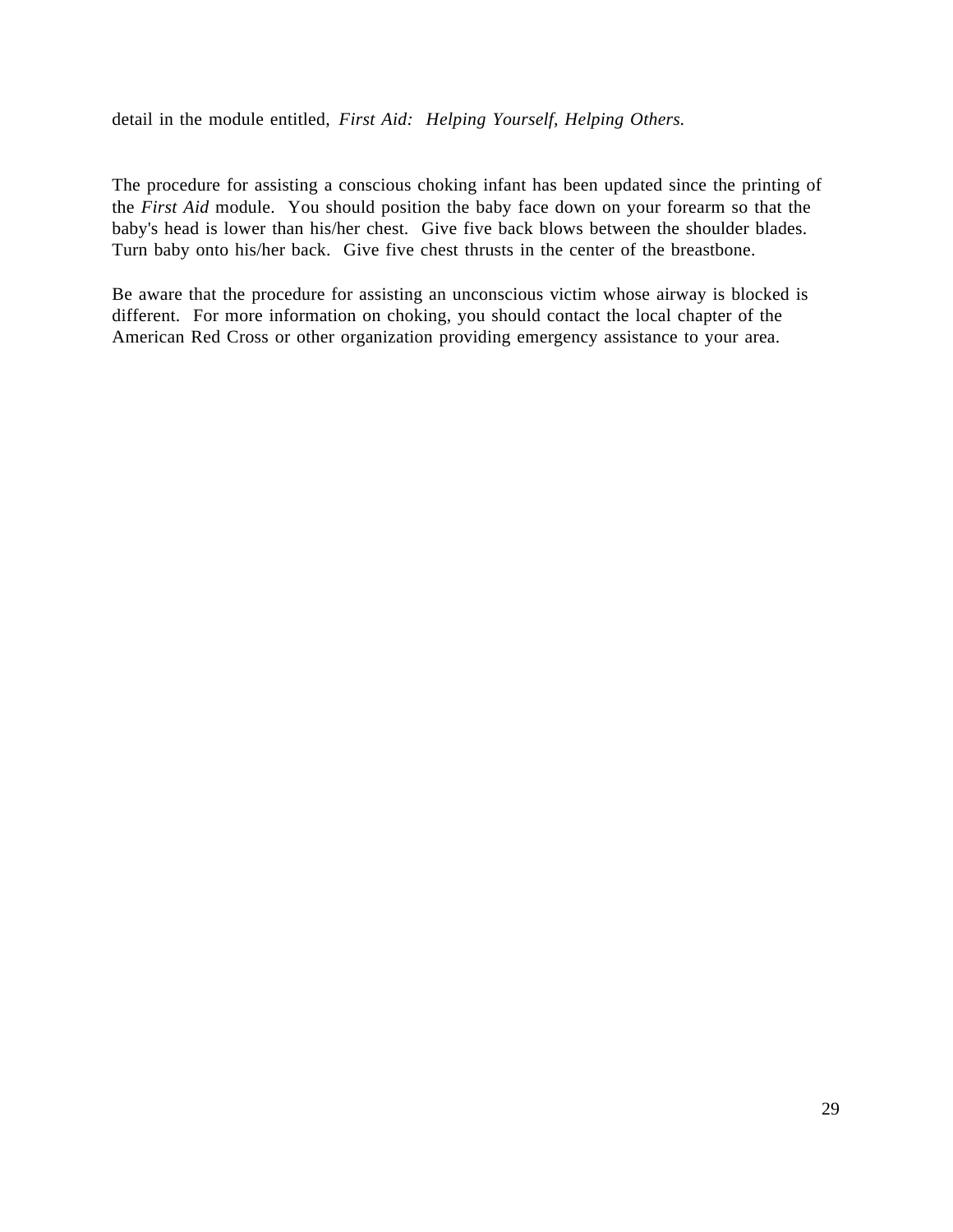detail in the module entitled, *First Aid: Helping Yourself, Helping Others.* 

The procedure for assisting a conscious choking infant has been updated since the printing of the *First Aid* module. You should position the baby face down on your forearm so that the baby's head is lower than his/her chest. Give five back blows between the shoulder blades. Turn baby onto his/her back. Give five chest thrusts in the center of the breastbone.

Be aware that the procedure for assisting an unconscious victim whose airway is blocked is different. For more information on choking, you should contact the local chapter of the American Red Cross or other organization providing emergency assistance to your area.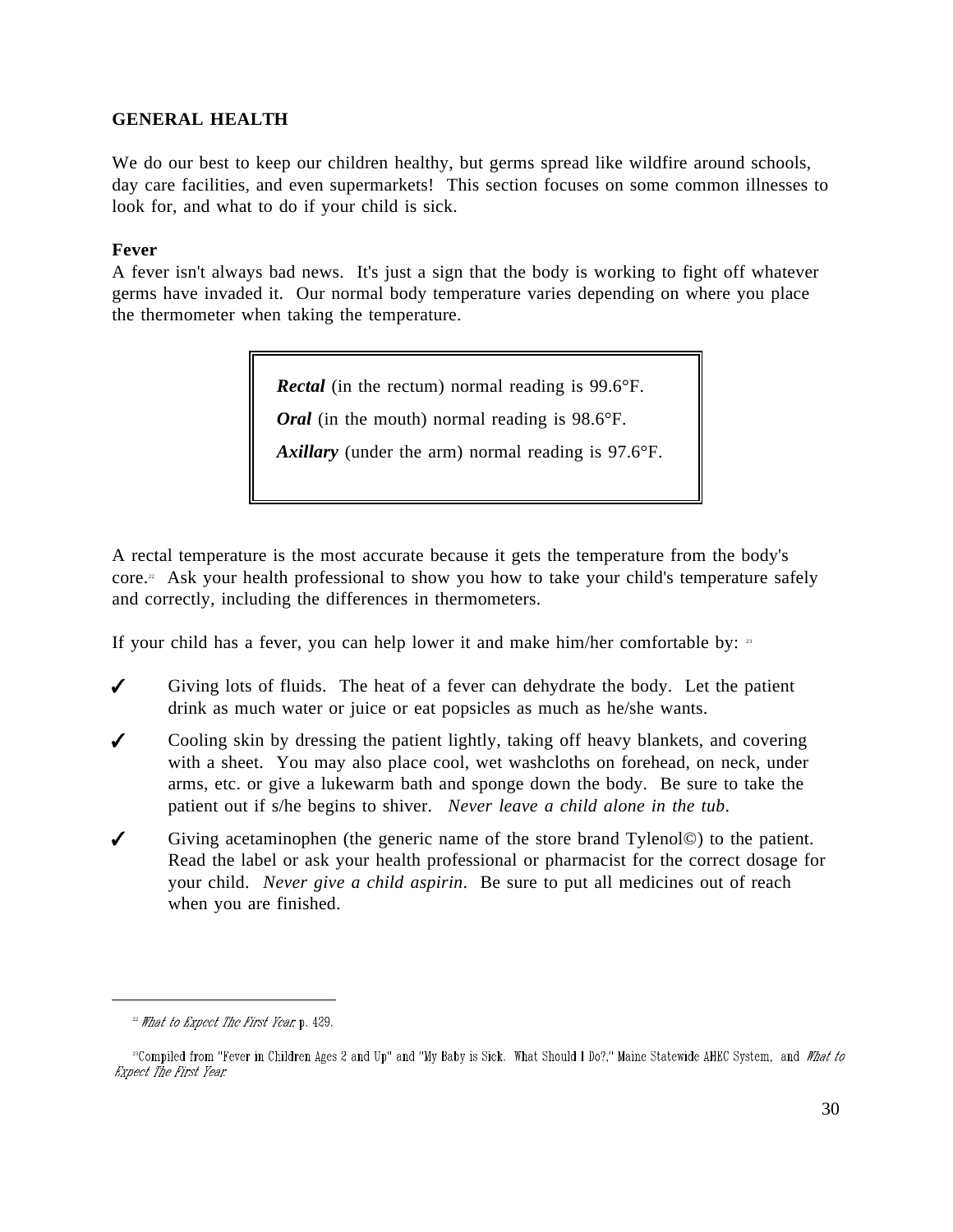## **GENERAL HEALTH**

We do our best to keep our children healthy, but germs spread like wildfire around schools, day care facilities, and even supermarkets! This section focuses on some common illnesses to look for, and what to do if your child is sick.

### **Fever**

A fever isn't always bad news. It's just a sign that the body is working to fight off whatever germs have invaded it. Our normal body temperature varies depending on where you place the thermometer when taking the temperature.

*Rectal* (in the rectum) normal reading is 99.6°F.

*Oral* (in the mouth) normal reading is 98.6°F.

*Axillary* (under the arm) normal reading is 97.6°F.

A rectal temperature is the most accurate because it gets the temperature from the body's core.<sup>22</sup> Ask your health professional to show you how to take your child's temperature safely and correctly, including the differences in thermometers.

If your child has a fever, you can help lower it and make him/her comfortable by:  $\frac{33}{2}$ 

- $\checkmark$ Giving lots of fluids. The heat of a fever can dehydrate the body. Let the patient drink as much water or juice or eat popsicles as much as he/she wants.
- $\checkmark$ Cooling skin by dressing the patient lightly, taking off heavy blankets, and covering with a sheet. You may also place cool, wet washcloths on forehead, on neck, under arms, etc. or give a lukewarm bath and sponge down the body. Be sure to take the patient out if s/he begins to shiver. *Never leave a child alone in the tub*.
- $\checkmark$ Giving acetaminophen (the generic name of the store brand Tylenol©) to the patient. Read the label or ask your health professional or pharmacist for the correct dosage for your child. *Never give a child aspirin*. Be sure to put all medicines out of reach when you are finished.

 $22$  What to Expect The First Year, p. 429.

<sup>&</sup>lt;sup>23</sup>Compiled from "Fever in Children Ages 2 and Up" and "My Baby is Sick. What Should I Do?," Maine Statewide AHEC System, and What to **Expect The First Year**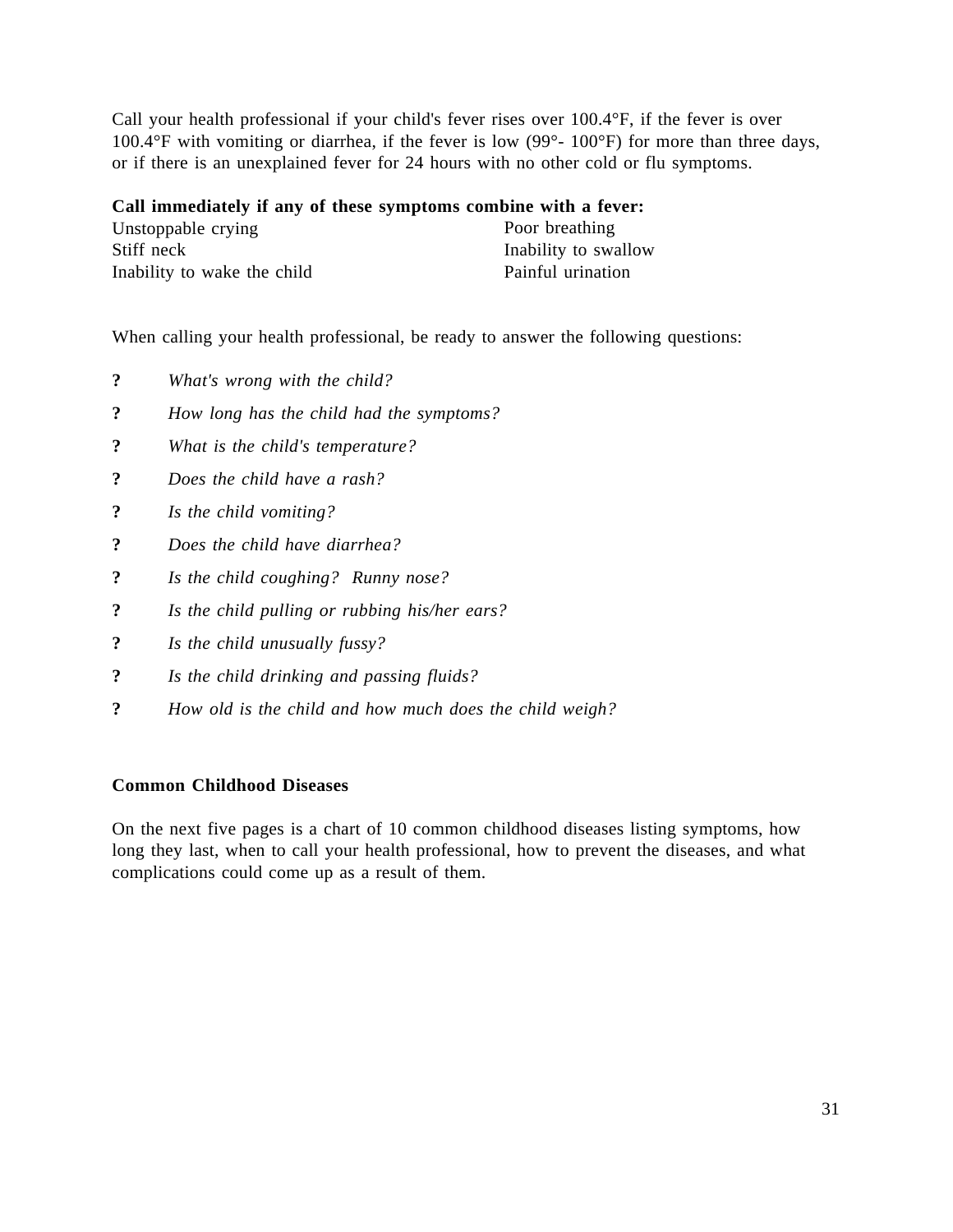Call your health professional if your child's fever rises over 100.4°F, if the fever is over 100.4°F with vomiting or diarrhea, if the fever is low (99°- 100°F) for more than three days, or if there is an unexplained fever for 24 hours with no other cold or flu symptoms.

**Call immediately if any of these symptoms combine with a fever:** Unstoppable crying Stiff neck Inability to wake the child Poor breathing Inability to swallow Painful urination

When calling your health professional, be ready to answer the following questions:

- **?** *What's wrong with the child?*
- **?** *How long has the child had the symptoms?*
- **?** *What is the child's temperature?*
- **?** *Does the child have a rash?*
- **?** *Is the child vomiting?*
- **?** *Does the child have diarrhea?*
- **?** *Is the child coughing? Runny nose?*
- **?** *Is the child pulling or rubbing his/her ears?*
- **?** *Is the child unusually fussy?*
- **?** *Is the child drinking and passing fluids?*
- **?** *How old is the child and how much does the child weigh?*

### **Common Childhood Diseases**

On the next five pages is a chart of 10 common childhood diseases listing symptoms, how long they last, when to call your health professional, how to prevent the diseases, and what complications could come up as a result of them.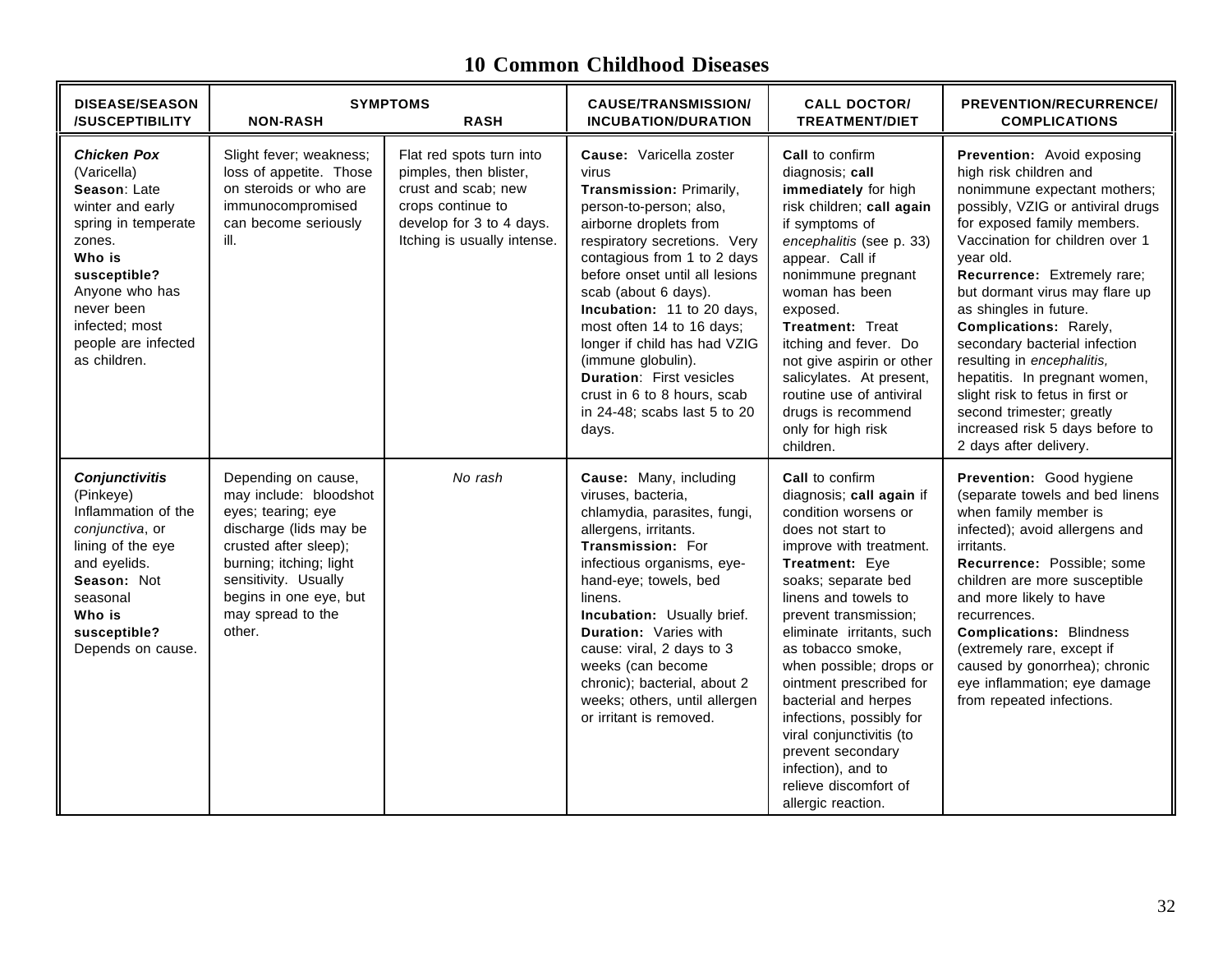# **10 Common Childhood Diseases**

| <b>DISEASE/SEASON</b><br><b>/SUSCEPTIBILITY</b>                                                                                                                                                                           | <b>NON-RASH</b>                                                                                                                                                                                                                    | <b>SYMPTOMS</b><br><b>RASH</b>                                                                                                                            | <b>CAUSE/TRANSMISSION/</b><br><b>INCUBATION/DURATION</b>                                                                                                                                                                                                                                                                                                                                                                                                               | <b>CALL DOCTOR/</b><br><b>TREATMENT/DIET</b>                                                                                                                                                                                                                                                                                                                                                                                                                                                           | PREVENTION/RECURRENCE/<br><b>COMPLICATIONS</b>                                                                                                                                                                                                                                                                                                                                                                                                                                                                                                              |
|---------------------------------------------------------------------------------------------------------------------------------------------------------------------------------------------------------------------------|------------------------------------------------------------------------------------------------------------------------------------------------------------------------------------------------------------------------------------|-----------------------------------------------------------------------------------------------------------------------------------------------------------|------------------------------------------------------------------------------------------------------------------------------------------------------------------------------------------------------------------------------------------------------------------------------------------------------------------------------------------------------------------------------------------------------------------------------------------------------------------------|--------------------------------------------------------------------------------------------------------------------------------------------------------------------------------------------------------------------------------------------------------------------------------------------------------------------------------------------------------------------------------------------------------------------------------------------------------------------------------------------------------|-------------------------------------------------------------------------------------------------------------------------------------------------------------------------------------------------------------------------------------------------------------------------------------------------------------------------------------------------------------------------------------------------------------------------------------------------------------------------------------------------------------------------------------------------------------|
| <b>Chicken Pox</b><br>(Varicella)<br>Season: Late<br>winter and early<br>spring in temperate<br>zones.<br>Who is<br>susceptible?<br>Anyone who has<br>never been<br>infected; most<br>people are infected<br>as children. | Slight fever; weakness;<br>loss of appetite. Those<br>on steroids or who are<br>immunocompromised<br>can become seriously<br>ill.                                                                                                  | Flat red spots turn into<br>pimples, then blister,<br>crust and scab; new<br>crops continue to<br>develop for 3 to 4 days.<br>Itching is usually intense. | Cause: Varicella zoster<br>virus<br>Transmission: Primarily,<br>person-to-person; also,<br>airborne droplets from<br>respiratory secretions. Very<br>contagious from 1 to 2 days<br>before onset until all lesions<br>scab (about 6 days).<br>Incubation: 11 to 20 days,<br>most often 14 to 16 days;<br>longer if child has had VZIG<br>(immune globulin).<br><b>Duration: First vesicles</b><br>crust in 6 to 8 hours, scab<br>in 24-48; scabs last 5 to 20<br>days. | Call to confirm<br>diagnosis; call<br>immediately for high<br>risk children; call again<br>if symptoms of<br>encephalitis (see p. 33)<br>appear. Call if<br>nonimmune pregnant<br>woman has been<br>exposed.<br>Treatment: Treat<br>itching and fever. Do<br>not give aspirin or other<br>salicylates. At present,<br>routine use of antiviral<br>drugs is recommend<br>only for high risk<br>children.                                                                                                | Prevention: Avoid exposing<br>high risk children and<br>nonimmune expectant mothers;<br>possibly, VZIG or antiviral drugs<br>for exposed family members.<br>Vaccination for children over 1<br>year old.<br>Recurrence: Extremely rare;<br>but dormant virus may flare up<br>as shingles in future.<br>Complications: Rarely,<br>secondary bacterial infection<br>resulting in encephalitis,<br>hepatitis. In pregnant women,<br>slight risk to fetus in first or<br>second trimester; greatly<br>increased risk 5 days before to<br>2 days after delivery. |
| <b>Conjunctivitis</b><br>(Pinkeye)<br>Inflammation of the<br>conjunctiva, or<br>lining of the eye<br>and eyelids.<br>Season: Not<br>seasonal<br>Who is<br>susceptible?<br>Depends on cause.                               | Depending on cause,<br>may include: bloodshot<br>eyes; tearing; eye<br>discharge (lids may be<br>crusted after sleep);<br>burning; itching; light<br>sensitivity. Usually<br>begins in one eye, but<br>may spread to the<br>other. | No rash                                                                                                                                                   | Cause: Many, including<br>viruses, bacteria,<br>chlamydia, parasites, fungi,<br>allergens, irritants.<br>Transmission: For<br>infectious organisms, eye-<br>hand-eye; towels, bed<br>linens.<br>Incubation: Usually brief.<br>Duration: Varies with<br>cause: viral, 2 days to 3<br>weeks (can become<br>chronic); bacterial, about 2<br>weeks; others, until allergen<br>or irritant is removed.                                                                      | <b>Call</b> to confirm<br>diagnosis; call again if<br>condition worsens or<br>does not start to<br>improve with treatment.<br>Treatment: Eye<br>soaks; separate bed<br>linens and towels to<br>prevent transmission;<br>eliminate irritants, such<br>as tobacco smoke,<br>when possible; drops or<br>ointment prescribed for<br>bacterial and herpes<br>infections, possibly for<br>viral conjunctivitis (to<br>prevent secondary<br>infection), and to<br>relieve discomfort of<br>allergic reaction. | Prevention: Good hygiene<br>(separate towels and bed linens<br>when family member is<br>infected); avoid allergens and<br>irritants.<br>Recurrence: Possible; some<br>children are more susceptible<br>and more likely to have<br>recurrences.<br><b>Complications: Blindness</b><br>(extremely rare, except if<br>caused by gonorrhea); chronic<br>eye inflammation; eye damage<br>from repeated infections.                                                                                                                                               |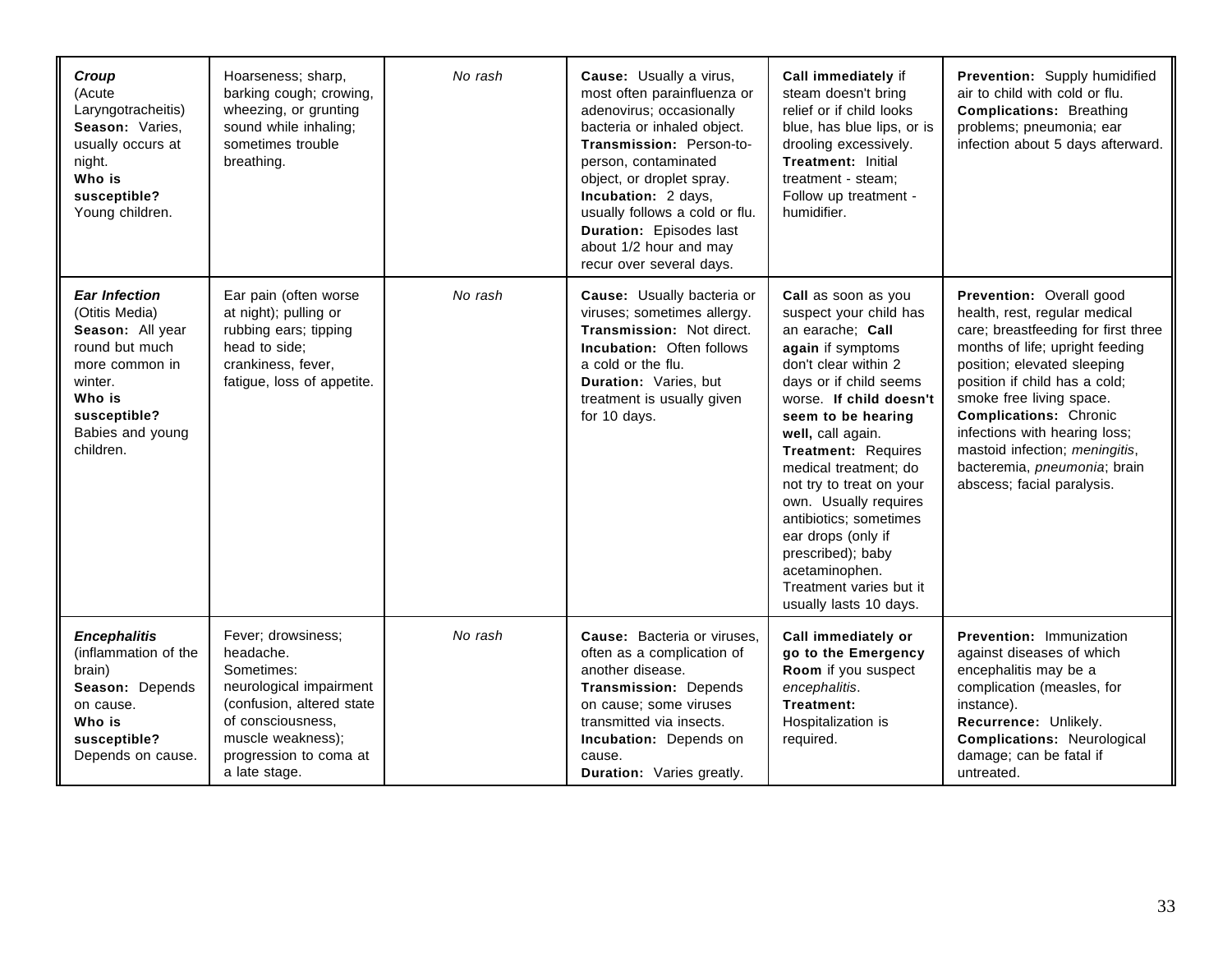| Croup<br>(Acute<br>Laryngotracheitis)<br>Season: Varies,<br>usually occurs at<br>night.<br>Who is<br>susceptible?<br>Young children.                                 | Hoarseness; sharp,<br>barking cough; crowing,<br>wheezing, or grunting<br>sound while inhaling;<br>sometimes trouble<br>breathing.                                                         | No rash | Cause: Usually a virus,<br>most often parainfluenza or<br>adenovirus; occasionally<br>bacteria or inhaled object.<br>Transmission: Person-to-<br>person, contaminated<br>object, or droplet spray.<br>Incubation: 2 days,<br>usually follows a cold or flu.<br>Duration: Episodes last<br>about 1/2 hour and may<br>recur over several days. | Call immediately if<br>steam doesn't bring<br>relief or if child looks<br>blue, has blue lips, or is<br>drooling excessively.<br>Treatment: Initial<br>treatment - steam:<br>Follow up treatment -<br>humidifier.                                                                                                                                                                                                                                               | Prevention: Supply humidified<br>air to child with cold or flu.<br><b>Complications: Breathing</b><br>problems; pneumonia; ear<br>infection about 5 days afterward.                                                                                                                                                                                                                               |
|----------------------------------------------------------------------------------------------------------------------------------------------------------------------|--------------------------------------------------------------------------------------------------------------------------------------------------------------------------------------------|---------|----------------------------------------------------------------------------------------------------------------------------------------------------------------------------------------------------------------------------------------------------------------------------------------------------------------------------------------------|-----------------------------------------------------------------------------------------------------------------------------------------------------------------------------------------------------------------------------------------------------------------------------------------------------------------------------------------------------------------------------------------------------------------------------------------------------------------|---------------------------------------------------------------------------------------------------------------------------------------------------------------------------------------------------------------------------------------------------------------------------------------------------------------------------------------------------------------------------------------------------|
| <b>Ear Infection</b><br>(Otitis Media)<br>Season: All year<br>round but much<br>more common in<br>winter.<br>Who is<br>susceptible?<br>Babies and young<br>children. | Ear pain (often worse<br>at night); pulling or<br>rubbing ears; tipping<br>head to side;<br>crankiness, fever,<br>fatigue, loss of appetite.                                               | No rash | Cause: Usually bacteria or<br>viruses; sometimes allergy.<br>Transmission: Not direct.<br><b>Incubation: Often follows</b><br>a cold or the flu.<br>Duration: Varies, but<br>treatment is usually given<br>for 10 days.                                                                                                                      | Call as soon as you<br>suspect your child has<br>an earache; Call<br>again if symptoms<br>don't clear within 2<br>days or if child seems<br>worse. If child doesn't<br>seem to be hearing<br>well, call again.<br>Treatment: Requires<br>medical treatment: do<br>not try to treat on your<br>own. Usually requires<br>antibiotics; sometimes<br>ear drops (only if<br>prescribed); baby<br>acetaminophen.<br>Treatment varies but it<br>usually lasts 10 days. | Prevention: Overall good<br>health, rest, regular medical<br>care; breastfeeding for first three<br>months of life; upright feeding<br>position; elevated sleeping<br>position if child has a cold;<br>smoke free living space.<br><b>Complications: Chronic</b><br>infections with hearing loss;<br>mastoid infection; meningitis,<br>bacteremia, pneumonia; brain<br>abscess; facial paralysis. |
| <b>Encephalitis</b><br>(inflammation of the<br>brain)<br>Season: Depends<br>on cause.<br>Who is<br>susceptible?<br>Depends on cause.                                 | Fever; drowsiness;<br>headache.<br>Sometimes:<br>neurological impairment<br>(confusion, altered state<br>of consciousness,<br>muscle weakness);<br>progression to coma at<br>a late stage. | No rash | Cause: Bacteria or viruses,<br>often as a complication of<br>another disease.<br>Transmission: Depends<br>on cause; some viruses<br>transmitted via insects.<br>Incubation: Depends on<br>cause.<br>Duration: Varies greatly.                                                                                                                | Call immediately or<br>go to the Emergency<br>Room if you suspect<br>encephalitis.<br>Treatment:<br>Hospitalization is<br>required.                                                                                                                                                                                                                                                                                                                             | <b>Prevention: Immunization</b><br>against diseases of which<br>encephalitis may be a<br>complication (measles, for<br>instance).<br>Recurrence: Unlikely.<br><b>Complications: Neurological</b><br>damage; can be fatal if<br>untreated.                                                                                                                                                         |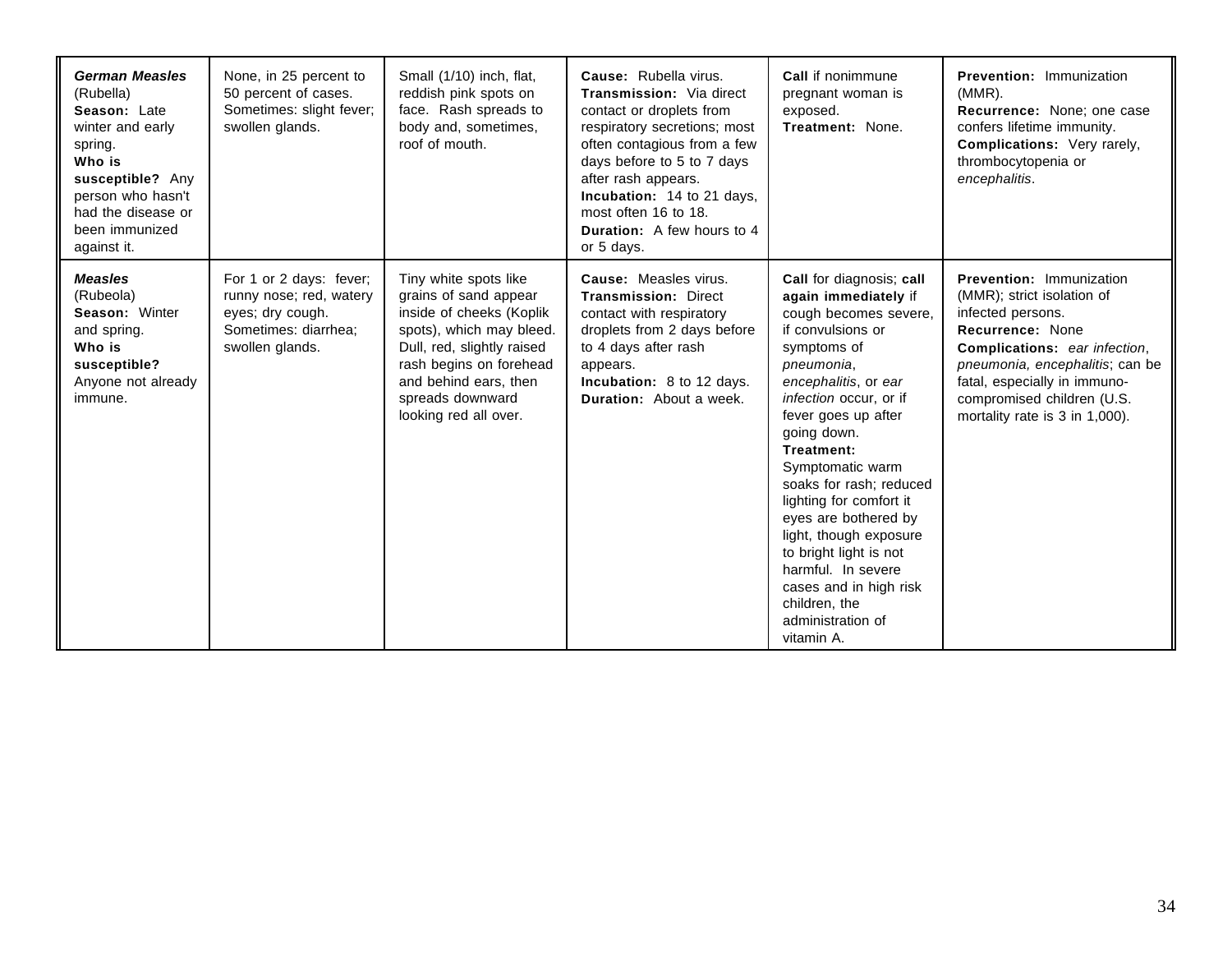| <b>German Measles</b><br>(Rubella)<br>Season: Late<br>winter and early<br>spring.<br>Who is<br>susceptible? Any<br>person who hasn't<br>had the disease or<br>been immunized<br>against it. | None, in 25 percent to<br>50 percent of cases.<br>Sometimes: slight fever;<br>swollen glands.                     | Small (1/10) inch, flat,<br>reddish pink spots on<br>face. Rash spreads to<br>body and, sometimes,<br>roof of mouth.                                                                                                                  | Cause: Rubella virus.<br><b>Transmission:</b> Via direct<br>contact or droplets from<br>respiratory secretions; most<br>often contagious from a few<br>days before to 5 to 7 days<br>after rash appears.<br>Incubation: 14 to 21 days,<br>most often 16 to 18.<br><b>Duration:</b> A few hours to 4<br>or 5 days. | Call if nonimmune<br>pregnant woman is<br>exposed.<br>Treatment: None.                                                                                                                                                                                                                                                                                                                                                                                                                      | Prevention: Immunization<br>$(MMR)$ .<br>Recurrence: None; one case<br>confers lifetime immunity.<br>Complications: Very rarely,<br>thrombocytopenia or<br>encephalitis.                                                                                                          |
|---------------------------------------------------------------------------------------------------------------------------------------------------------------------------------------------|-------------------------------------------------------------------------------------------------------------------|---------------------------------------------------------------------------------------------------------------------------------------------------------------------------------------------------------------------------------------|-------------------------------------------------------------------------------------------------------------------------------------------------------------------------------------------------------------------------------------------------------------------------------------------------------------------|---------------------------------------------------------------------------------------------------------------------------------------------------------------------------------------------------------------------------------------------------------------------------------------------------------------------------------------------------------------------------------------------------------------------------------------------------------------------------------------------|-----------------------------------------------------------------------------------------------------------------------------------------------------------------------------------------------------------------------------------------------------------------------------------|
| <b>Measles</b><br>(Rubeola)<br>Season: Winter<br>and spring.<br>Who is<br>susceptible?<br>Anyone not already<br>immune.                                                                     | For 1 or 2 days: fever;<br>runny nose; red, watery<br>eyes; dry cough.<br>Sometimes: diarrhea;<br>swollen glands. | Tiny white spots like<br>grains of sand appear<br>inside of cheeks (Koplik<br>spots), which may bleed.<br>Dull, red, slightly raised<br>rash begins on forehead<br>and behind ears, then<br>spreads downward<br>looking red all over. | Cause: Measles virus.<br><b>Transmission: Direct</b><br>contact with respiratory<br>droplets from 2 days before<br>to 4 days after rash<br>appears.<br>Incubation: 8 to 12 days.<br><b>Duration:</b> About a week.                                                                                                | Call for diagnosis; call<br>again immediately if<br>cough becomes severe,<br>if convulsions or<br>symptoms of<br>pneumonia,<br>encephalitis, or ear<br>infection occur, or if<br>fever goes up after<br>going down.<br>Treatment:<br>Symptomatic warm<br>soaks for rash; reduced<br>lighting for comfort it<br>eyes are bothered by<br>light, though exposure<br>to bright light is not<br>harmful. In severe<br>cases and in high risk<br>children, the<br>administration of<br>vitamin A. | <b>Prevention: Immunization</b><br>(MMR); strict isolation of<br>infected persons.<br>Recurrence: None<br><b>Complications:</b> ear infection,<br>pneumonia, encephalitis; can be<br>fatal, especially in immuno-<br>compromised children (U.S.<br>mortality rate is 3 in 1,000). |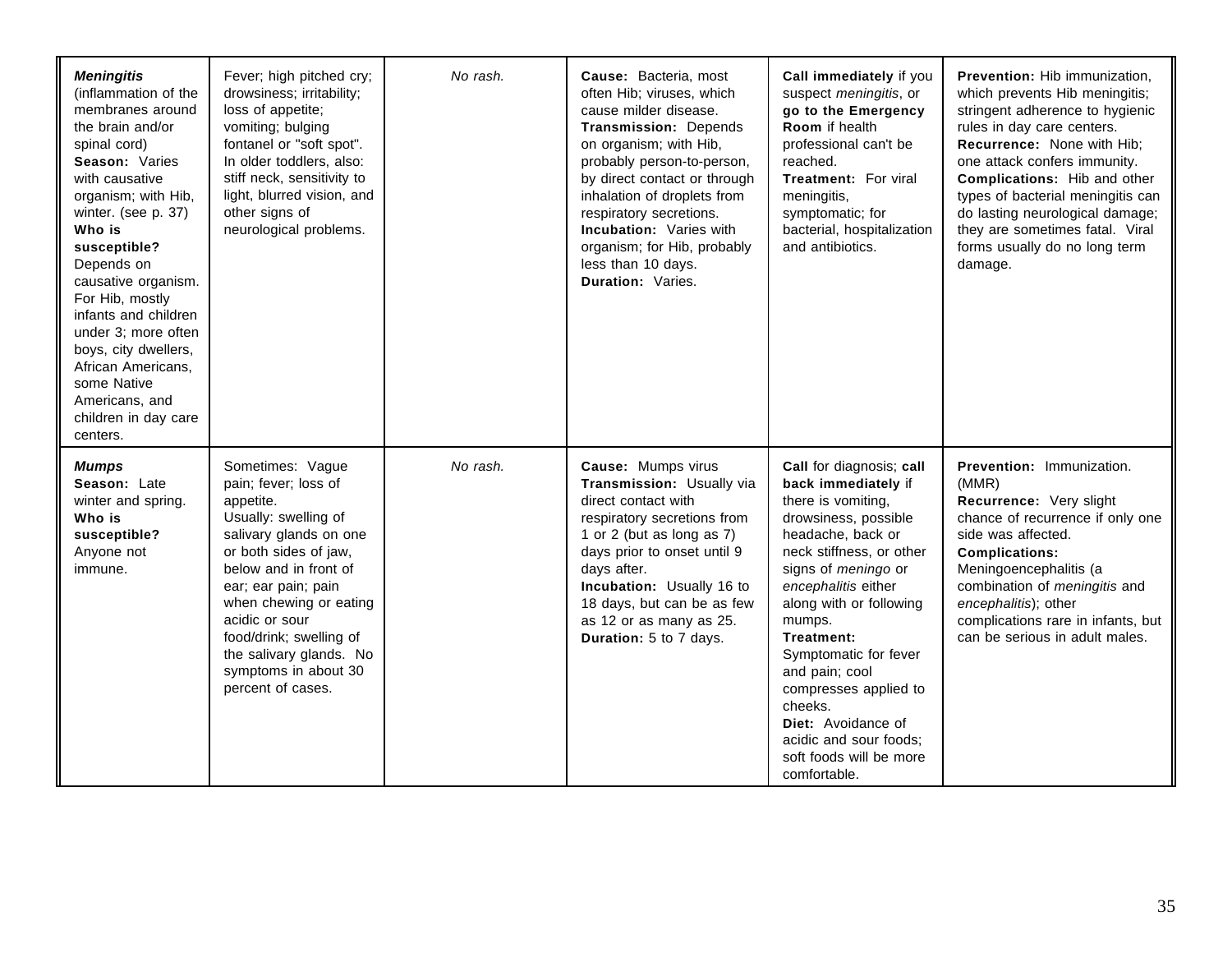| <b>Meningitis</b><br>(inflammation of the<br>membranes around<br>the brain and/or<br>spinal cord)<br>Season: Varies<br>with causative<br>organism; with Hib,<br>winter. (see p. 37)<br>Who is<br>susceptible?<br>Depends on<br>causative organism.<br>For Hib, mostly<br>infants and children<br>under 3; more often<br>boys, city dwellers,<br>African Americans,<br>some Native<br>Americans, and<br>children in day care<br>centers. | Fever; high pitched cry;<br>drowsiness; irritability;<br>loss of appetite;<br>vomiting; bulging<br>fontanel or "soft spot".<br>In older toddlers, also:<br>stiff neck, sensitivity to<br>light, blurred vision, and<br>other signs of<br>neurological problems.                                                                 | No rash. | Cause: Bacteria, most<br>often Hib; viruses, which<br>cause milder disease.<br><b>Transmission: Depends</b><br>on organism; with Hib,<br>probably person-to-person,<br>by direct contact or through<br>inhalation of droplets from<br>respiratory secretions.<br><b>Incubation: Varies with</b><br>organism; for Hib, probably<br>less than 10 days.<br>Duration: Varies. | Call immediately if you<br>suspect <i>meningitis</i> , or<br>go to the Emergency<br><b>Room</b> if health<br>professional can't be<br>reached.<br><b>Treatment: For viral</b><br>meningitis,<br>symptomatic; for<br>bacterial, hospitalization<br>and antibiotics.                                                                                                                                                               | Prevention: Hib immunization,<br>which prevents Hib meningitis;<br>stringent adherence to hygienic<br>rules in day care centers.<br>Recurrence: None with Hib;<br>one attack confers immunity.<br><b>Complications:</b> Hib and other<br>types of bacterial meningitis can<br>do lasting neurological damage;<br>they are sometimes fatal. Viral<br>forms usually do no long term<br>damage. |
|-----------------------------------------------------------------------------------------------------------------------------------------------------------------------------------------------------------------------------------------------------------------------------------------------------------------------------------------------------------------------------------------------------------------------------------------|---------------------------------------------------------------------------------------------------------------------------------------------------------------------------------------------------------------------------------------------------------------------------------------------------------------------------------|----------|---------------------------------------------------------------------------------------------------------------------------------------------------------------------------------------------------------------------------------------------------------------------------------------------------------------------------------------------------------------------------|----------------------------------------------------------------------------------------------------------------------------------------------------------------------------------------------------------------------------------------------------------------------------------------------------------------------------------------------------------------------------------------------------------------------------------|----------------------------------------------------------------------------------------------------------------------------------------------------------------------------------------------------------------------------------------------------------------------------------------------------------------------------------------------------------------------------------------------|
| Mumps<br>Season: Late<br>winter and spring.<br>Who is<br>susceptible?<br>Anyone not<br>immune.                                                                                                                                                                                                                                                                                                                                          | Sometimes: Vague<br>pain; fever; loss of<br>appetite.<br>Usually: swelling of<br>salivary glands on one<br>or both sides of jaw,<br>below and in front of<br>ear; ear pain; pain<br>when chewing or eating<br>acidic or sour<br>food/drink; swelling of<br>the salivary glands. No<br>symptoms in about 30<br>percent of cases. | No rash. | Cause: Mumps virus<br>Transmission: Usually via<br>direct contact with<br>respiratory secretions from<br>1 or 2 (but as long as 7)<br>days prior to onset until 9<br>days after.<br>Incubation: Usually 16 to<br>18 days, but can be as few<br>as 12 or as many as 25.<br>Duration: 5 to 7 days.                                                                          | Call for diagnosis; call<br>back immediately if<br>there is vomiting,<br>drowsiness, possible<br>headache, back or<br>neck stiffness, or other<br>signs of <i>meningo</i> or<br>encephalitis either<br>along with or following<br>mumps.<br>Treatment:<br>Symptomatic for fever<br>and pain; cool<br>compresses applied to<br>cheeks.<br>Diet: Avoidance of<br>acidic and sour foods:<br>soft foods will be more<br>comfortable. | <b>Prevention: Immunization.</b><br>(MMR)<br>Recurrence: Very slight<br>chance of recurrence if only one<br>side was affected.<br><b>Complications:</b><br>Meningoencephalitis (a<br>combination of meningitis and<br>encephalitis); other<br>complications rare in infants, but<br>can be serious in adult males.                                                                           |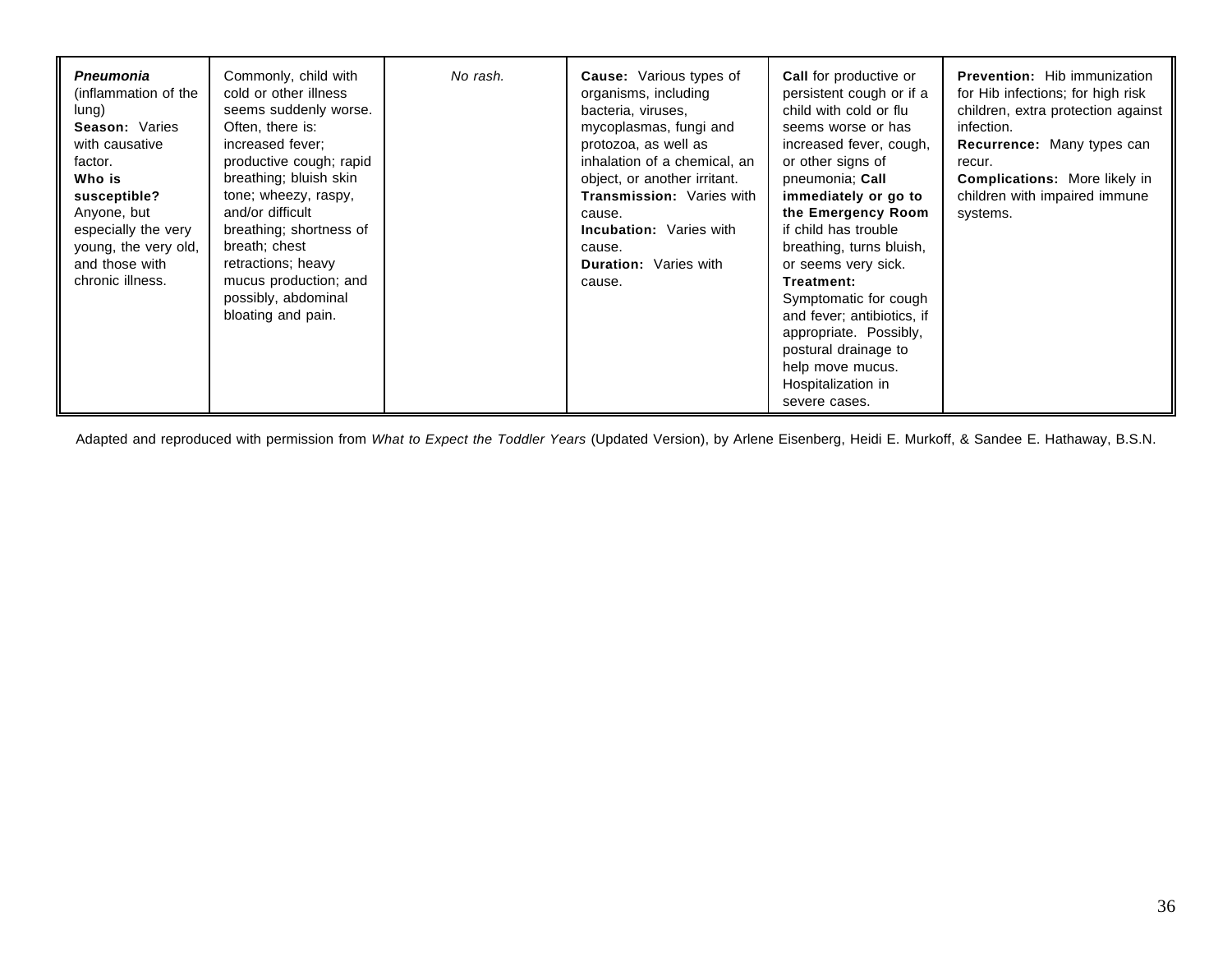| <b>Pneumonia</b><br>(inflammation of the<br>lung)<br>Season: Varies<br>with causative<br>factor.<br>Who is<br>susceptible?<br>Anyone, but<br>especially the very<br>young, the very old,<br>and those with<br>chronic illness. | Commonly, child with<br>cold or other illness<br>seems suddenly worse.<br>Often, there is:<br>increased fever:<br>productive cough; rapid<br>breathing; bluish skin<br>tone; wheezy, raspy,<br>and/or difficult<br>breathing; shortness of<br>breath; chest<br>retractions; heavy<br>mucus production; and<br>possibly, abdominal<br>bloating and pain. | No rash. | <b>Cause:</b> Various types of<br>organisms, including<br>bacteria, viruses,<br>mycoplasmas, fungi and<br>protozoa, as well as<br>inhalation of a chemical, an<br>object, or another irritant.<br><b>Transmission: Varies with</b><br>cause.<br><b>Incubation:</b> Varies with<br>cause.<br><b>Duration: Varies with</b><br>cause. | <b>Call for productive or</b><br>persistent cough or if a<br>child with cold or flu<br>seems worse or has<br>increased fever, cough,<br>or other signs of<br>pneumonia; Call<br>immediately or go to<br>the Emergency Room<br>if child has trouble<br>breathing, turns bluish,<br>or seems very sick.<br>Treatment:<br>Symptomatic for cough<br>and fever; antibiotics, if<br>appropriate. Possibly,<br>postural drainage to<br>help move mucus.<br>Hospitalization in<br>severe cases. | <b>Prevention:</b> Hib immunization<br>for Hib infections; for high risk<br>children, extra protection against<br>infection.<br>Recurrence: Many types can<br>recur.<br><b>Complications:</b> More likely in<br>children with impaired immune<br>systems. |
|--------------------------------------------------------------------------------------------------------------------------------------------------------------------------------------------------------------------------------|---------------------------------------------------------------------------------------------------------------------------------------------------------------------------------------------------------------------------------------------------------------------------------------------------------------------------------------------------------|----------|------------------------------------------------------------------------------------------------------------------------------------------------------------------------------------------------------------------------------------------------------------------------------------------------------------------------------------|-----------------------------------------------------------------------------------------------------------------------------------------------------------------------------------------------------------------------------------------------------------------------------------------------------------------------------------------------------------------------------------------------------------------------------------------------------------------------------------------|-----------------------------------------------------------------------------------------------------------------------------------------------------------------------------------------------------------------------------------------------------------|
|--------------------------------------------------------------------------------------------------------------------------------------------------------------------------------------------------------------------------------|---------------------------------------------------------------------------------------------------------------------------------------------------------------------------------------------------------------------------------------------------------------------------------------------------------------------------------------------------------|----------|------------------------------------------------------------------------------------------------------------------------------------------------------------------------------------------------------------------------------------------------------------------------------------------------------------------------------------|-----------------------------------------------------------------------------------------------------------------------------------------------------------------------------------------------------------------------------------------------------------------------------------------------------------------------------------------------------------------------------------------------------------------------------------------------------------------------------------------|-----------------------------------------------------------------------------------------------------------------------------------------------------------------------------------------------------------------------------------------------------------|

Adapted and reproduced with permission from *What to Expect the Toddler Years* (Updated Version), by Arlene Eisenberg, Heidi E. Murkoff, & Sandee E. Hathaway, B.S.N.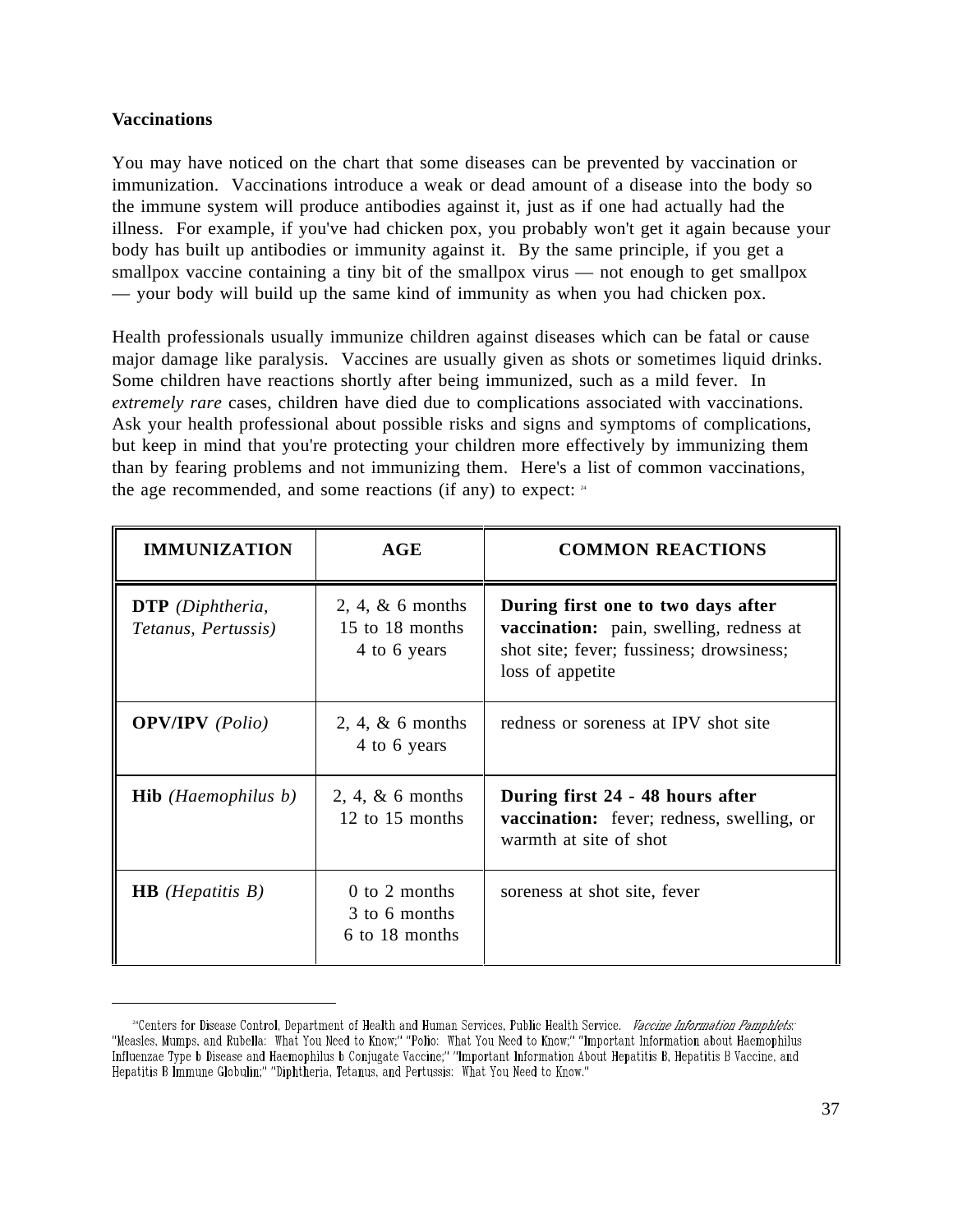## **Vaccinations**

 $\overline{a}$ 

You may have noticed on the chart that some diseases can be prevented by vaccination or immunization. Vaccinations introduce a weak or dead amount of a disease into the body so the immune system will produce antibodies against it, just as if one had actually had the illness. For example, if you've had chicken pox, you probably won't get it again because your body has built up antibodies or immunity against it. By the same principle, if you get a smallpox vaccine containing a tiny bit of the smallpox virus — not enough to get smallpox — your body will build up the same kind of immunity as when you had chicken pox.

Health professionals usually immunize children against diseases which can be fatal or cause major damage like paralysis. Vaccines are usually given as shots or sometimes liquid drinks. Some children have reactions shortly after being immunized, such as a mild fever. In *extremely rare* cases, children have died due to complications associated with vaccinations. Ask your health professional about possible risks and signs and symptoms of complications, but keep in mind that you're protecting your children more effectively by immunizing them than by fearing problems and not immunizing them. Here's a list of common vaccinations, the age recommended, and some reactions (if any) to expect:  $24$ 

| <b>IMMUNIZATION</b>                            | AGE                                                    | <b>COMMON REACTIONS</b>                                                                                                                              |
|------------------------------------------------|--------------------------------------------------------|------------------------------------------------------------------------------------------------------------------------------------------------------|
| <b>DTP</b> (Diphtheria,<br>Tetanus, Pertussis) | $2, 4, \& 6$ months<br>15 to 18 months<br>4 to 6 years | During first one to two days after<br><b>vaccination:</b> pain, swelling, redness at<br>shot site; fever; fussiness; drowsiness;<br>loss of appetite |
| <b>OPV/IPV</b> (Polio)                         | $2, 4, \& 6$ months<br>4 to 6 years                    | redness or soreness at IPV shot site                                                                                                                 |
| <b>Hib</b> (Haemophilus b)                     | $2, 4, \& 6$ months<br>12 to 15 months                 | During first 24 - 48 hours after<br><b>vaccination:</b> fever; redness, swelling, or<br>warmth at site of shot                                       |
| <b>HB</b> ( <i>Hepatitis B</i> )               | $0$ to 2 months<br>3 to 6 months<br>6 to 18 months     | soreness at shot site, fever                                                                                                                         |

<sup>&</sup>lt;sup>24</sup>Centers for Disease Control, Department of Health and Human Services, Public Health Service. *Vaccine Information Pamphlets*: Influenzae Type b Disease and Haemophilus b Conjugate Vaccine;" "Important Information About Hepatitis B, Hepatitis B Vaccine, and Hepatitis B Immune Globulin;" "Diphtheria, Tetanus, and Pertussis: What You Need to Know."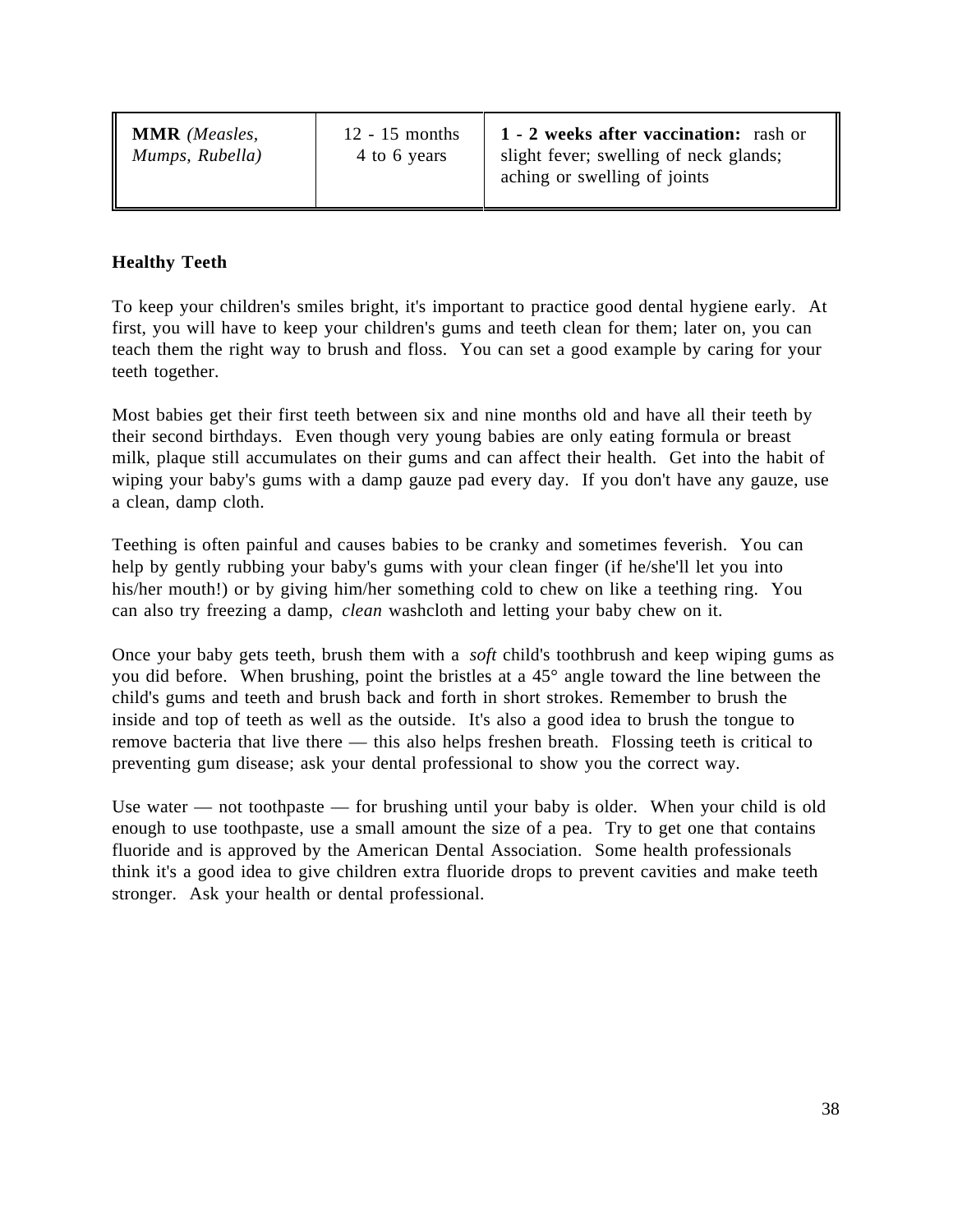**MMR** *(Measles, Mumps, Rubella)* 12 - 15 months 4 to 6 years

**1 - 2 weeks after vaccination:** rash or slight fever; swelling of neck glands; aching or swelling of joints

# **Healthy Teeth**

To keep your children's smiles bright, it's important to practice good dental hygiene early. At first, you will have to keep your children's gums and teeth clean for them; later on, you can teach them the right way to brush and floss. You can set a good example by caring for your teeth together.

Most babies get their first teeth between six and nine months old and have all their teeth by their second birthdays. Even though very young babies are only eating formula or breast milk, plaque still accumulates on their gums and can affect their health. Get into the habit of wiping your baby's gums with a damp gauze pad every day. If you don't have any gauze, use a clean, damp cloth.

Teething is often painful and causes babies to be cranky and sometimes feverish. You can help by gently rubbing your baby's gums with your clean finger (if he/she'll let you into his/her mouth!) or by giving him/her something cold to chew on like a teething ring. You can also try freezing a damp, *clean* washcloth and letting your baby chew on it.

Once your baby gets teeth, brush them with a *soft* child's toothbrush and keep wiping gums as you did before. When brushing, point the bristles at a 45° angle toward the line between the child's gums and teeth and brush back and forth in short strokes. Remember to brush the inside and top of teeth as well as the outside. It's also a good idea to brush the tongue to remove bacteria that live there — this also helps freshen breath. Flossing teeth is critical to preventing gum disease; ask your dental professional to show you the correct way.

Use water — not toothpaste — for brushing until your baby is older. When your child is old enough to use toothpaste, use a small amount the size of a pea. Try to get one that contains fluoride and is approved by the American Dental Association. Some health professionals think it's a good idea to give children extra fluoride drops to prevent cavities and make teeth stronger. Ask your health or dental professional.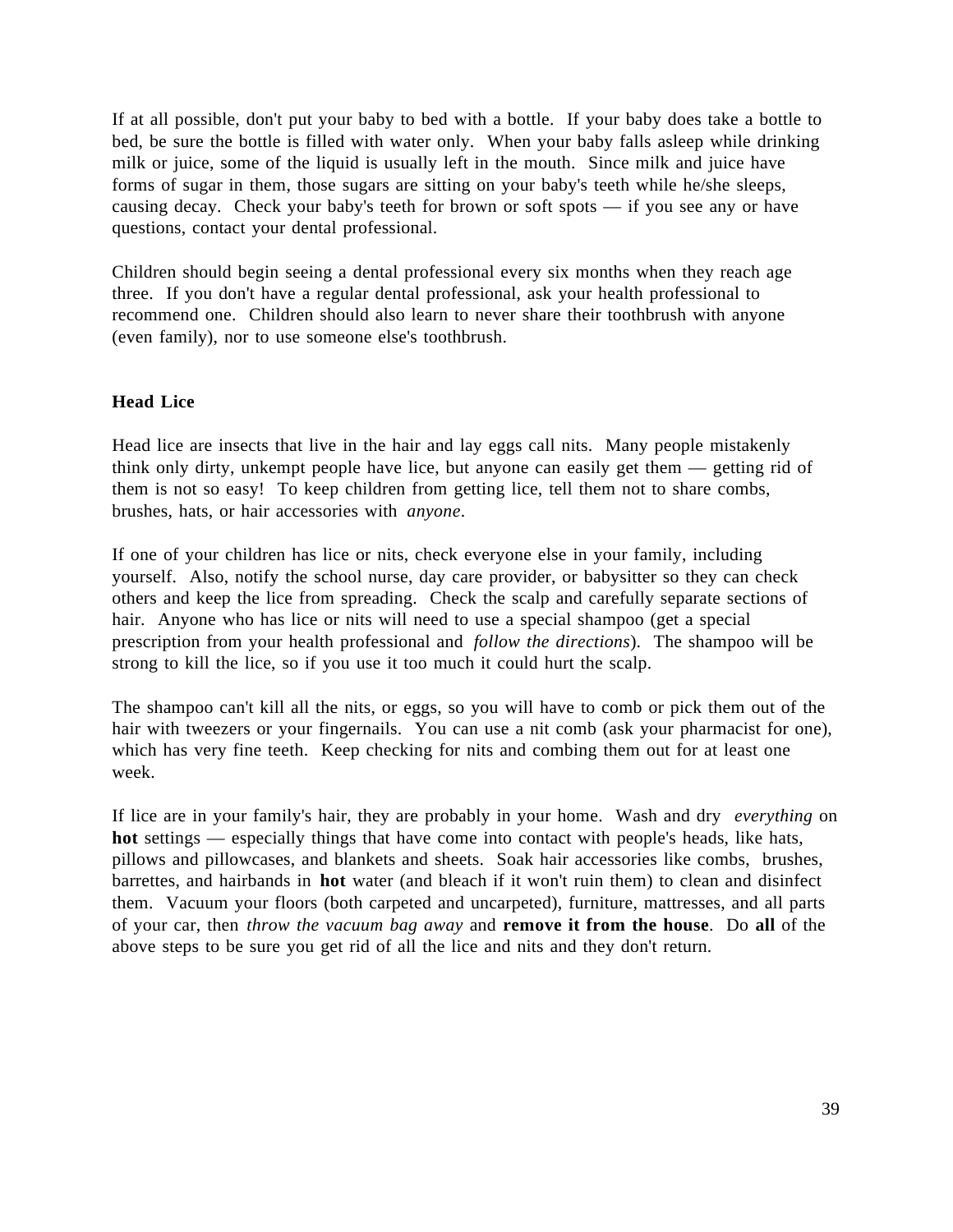If at all possible, don't put your baby to bed with a bottle. If your baby does take a bottle to bed, be sure the bottle is filled with water only. When your baby falls asleep while drinking milk or juice, some of the liquid is usually left in the mouth. Since milk and juice have forms of sugar in them, those sugars are sitting on your baby's teeth while he/she sleeps, causing decay. Check your baby's teeth for brown or soft spots — if you see any or have questions, contact your dental professional.

Children should begin seeing a dental professional every six months when they reach age three. If you don't have a regular dental professional, ask your health professional to recommend one. Children should also learn to never share their toothbrush with anyone (even family), nor to use someone else's toothbrush.

### **Head Lice**

Head lice are insects that live in the hair and lay eggs call nits. Many people mistakenly think only dirty, unkempt people have lice, but anyone can easily get them — getting rid of them is not so easy! To keep children from getting lice, tell them not to share combs, brushes, hats, or hair accessories with *anyone*.

If one of your children has lice or nits, check everyone else in your family, including yourself. Also, notify the school nurse, day care provider, or babysitter so they can check others and keep the lice from spreading. Check the scalp and carefully separate sections of hair. Anyone who has lice or nits will need to use a special shampoo (get a special prescription from your health professional and *follow the directions*). The shampoo will be strong to kill the lice, so if you use it too much it could hurt the scalp.

The shampoo can't kill all the nits, or eggs, so you will have to comb or pick them out of the hair with tweezers or your fingernails. You can use a nit comb (ask your pharmacist for one), which has very fine teeth. Keep checking for nits and combing them out for at least one week.

If lice are in your family's hair, they are probably in your home. Wash and dry *everything* on **hot** settings — especially things that have come into contact with people's heads, like hats, pillows and pillowcases, and blankets and sheets. Soak hair accessories like combs, brushes, barrettes, and hairbands in **hot** water (and bleach if it won't ruin them) to clean and disinfect them. Vacuum your floors (both carpeted and uncarpeted), furniture, mattresses, and all parts of your car, then *throw the vacuum bag away* and **remove it from the house**. Do **all** of the above steps to be sure you get rid of all the lice and nits and they don't return.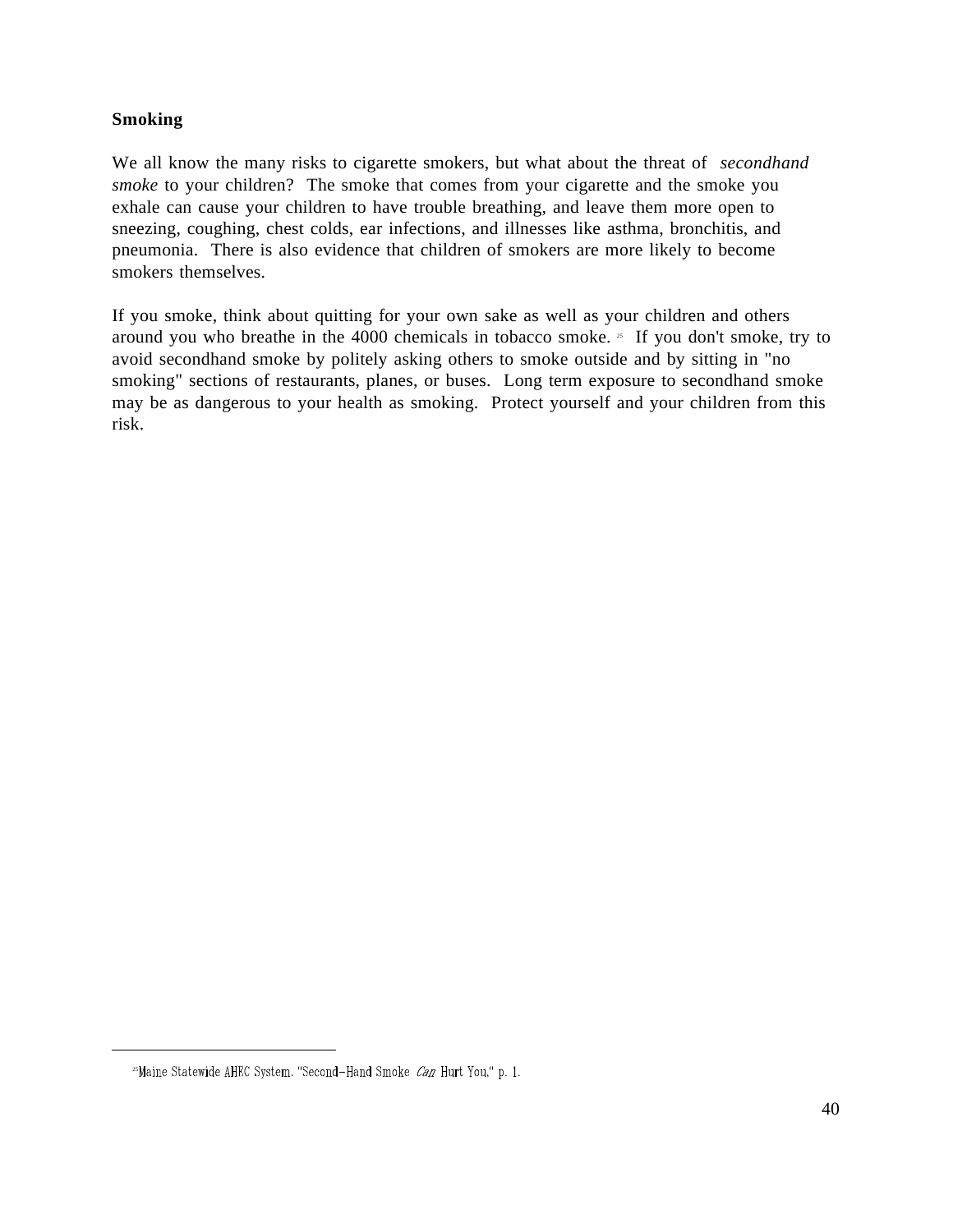## **Smoking**

We all know the many risks to cigarette smokers, but what about the threat of *secondhand smoke* to your children? The smoke that comes from your cigarette and the smoke you exhale can cause your children to have trouble breathing, and leave them more open to sneezing, coughing, chest colds, ear infections, and illnesses like asthma, bronchitis, and pneumonia. There is also evidence that children of smokers are more likely to become smokers themselves.

If you smoke, think about quitting for your own sake as well as your children and others around you who breathe in the 4000 chemicals in tobacco smoke. <sup>25</sup> If you don't smoke, try to avoid secondhand smoke by politely asking others to smoke outside and by sitting in "no smoking" sections of restaurants, planes, or buses. Long term exposure to secondhand smoke may be as dangerous to your health as smoking. Protect yourself and your children from this risk.

<sup>&</sup>lt;sup>25</sup>Maine Statewide AHEC System. "Second-Hand Smoke Can Hurt You," p. 1.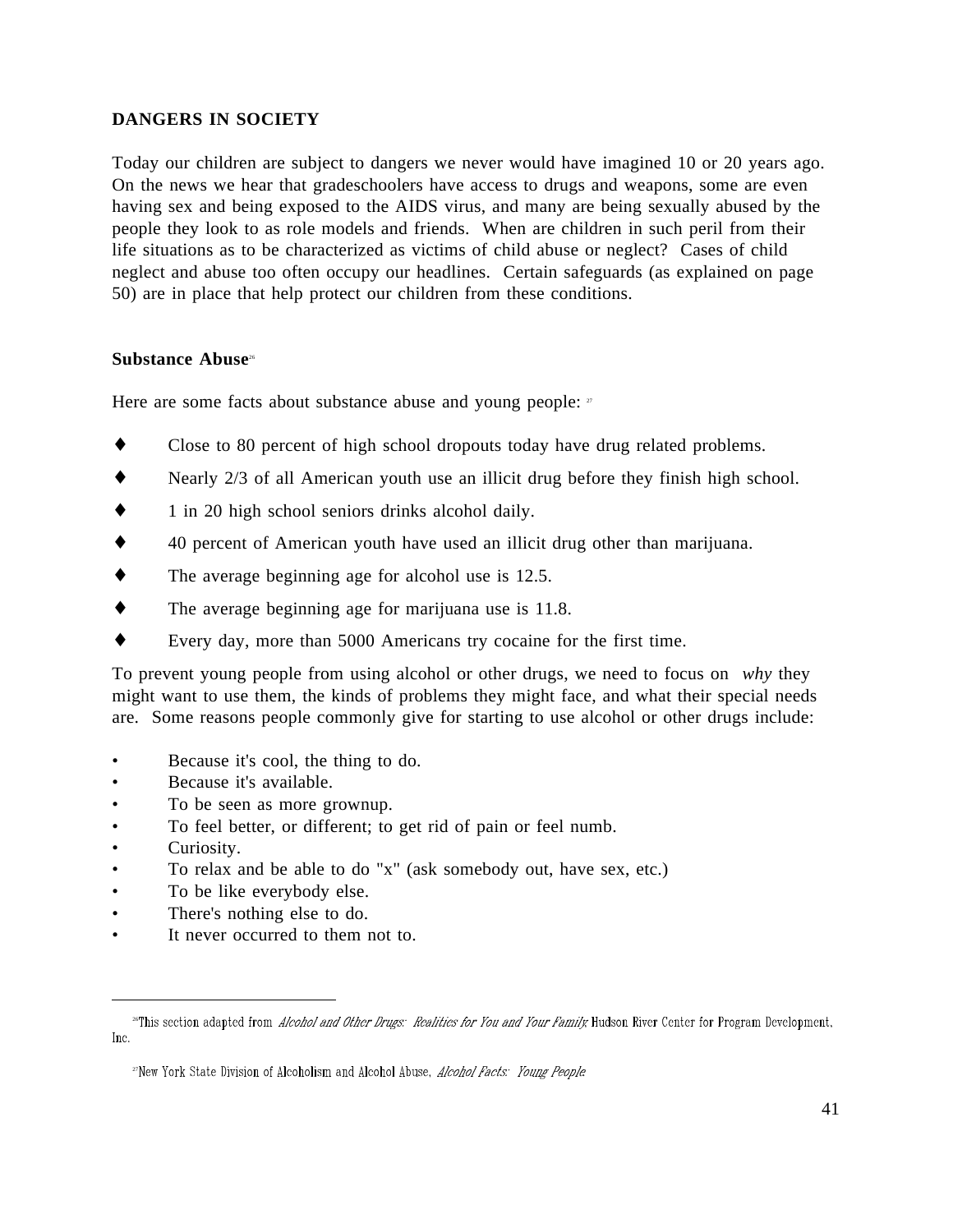# **DANGERS IN SOCIETY**

Today our children are subject to dangers we never would have imagined 10 or 20 years ago. On the news we hear that gradeschoolers have access to drugs and weapons, some are even having sex and being exposed to the AIDS virus, and many are being sexually abused by the people they look to as role models and friends. When are children in such peril from their life situations as to be characterized as victims of child abuse or neglect? Cases of child neglect and abuse too often occupy our headlines. Certain safeguards (as explained on page 50) are in place that help protect our children from these conditions.

### **Substance Abuse**<sup>26</sup>

Here are some facts about substance abuse and young people: 27

- Close to 80 percent of high school dropouts today have drug related problems.
- Nearly 2/3 of all American youth use an illicit drug before they finish high school.
- 1 in 20 high school seniors drinks alcohol daily.
- ♦ 40 percent of American youth have used an illicit drug other than marijuana.
- ♦ The average beginning age for alcohol use is 12.5.
- ♦ The average beginning age for marijuana use is 11.8.
- ♦ Every day, more than 5000 Americans try cocaine for the first time.

To prevent young people from using alcohol or other drugs, we need to focus on *why* they might want to use them, the kinds of problems they might face, and what their special needs are. Some reasons people commonly give for starting to use alcohol or other drugs include:

- Because it's cool, the thing to do.
- Because it's available.
- To be seen as more grownup.
- To feel better, or different; to get rid of pain or feel numb.
- Curiosity.

l

- To relax and be able to do "x" (ask somebody out, have sex, etc.)
- To be like everybody else.
- There's nothing else to do.
- It never occurred to them not to.

<sup>&</sup>lt;sup>26</sup>This section adapted from *Alcohol and Other Drugs: Realities for You and Your Family*, Hudson River Center for Program Development, Inc.

<sup>&</sup>lt;sup>27</sup>New York State Division of Alcoholism and Alcohol Abuse, *Alcohol Facts: Young People*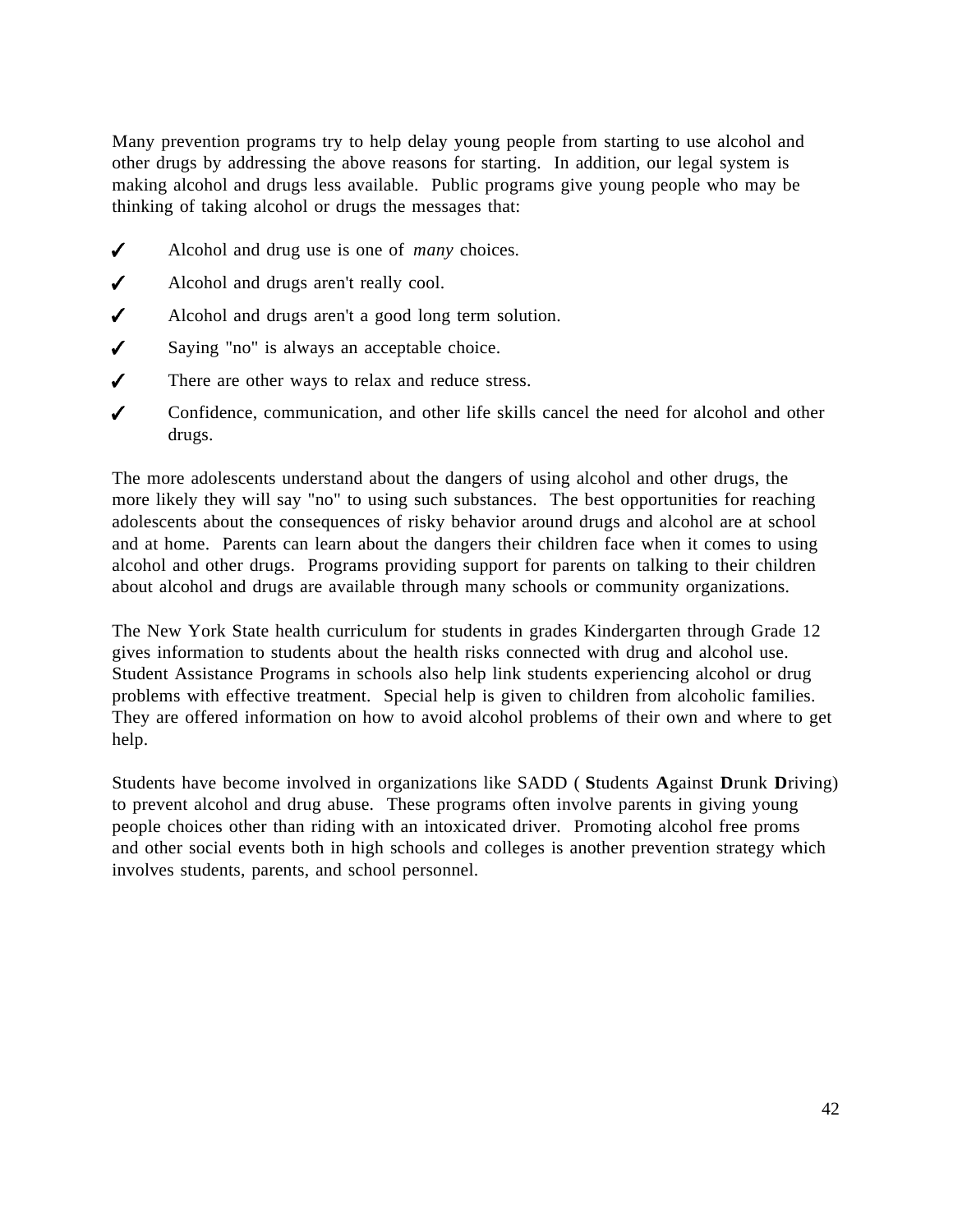Many prevention programs try to help delay young people from starting to use alcohol and other drugs by addressing the above reasons for starting. In addition, our legal system is making alcohol and drugs less available. Public programs give young people who may be thinking of taking alcohol or drugs the messages that:

- $\checkmark$ Alcohol and drug use is one of *many* choices.
- $\checkmark$ Alcohol and drugs aren't really cool.
- $\checkmark$ Alcohol and drugs aren't a good long term solution.
- $\checkmark$ Saying "no" is always an acceptable choice.
- $\checkmark$ There are other ways to relax and reduce stress.
- $\mathcal{L}$ Confidence, communication, and other life skills cancel the need for alcohol and other drugs.

The more adolescents understand about the dangers of using alcohol and other drugs, the more likely they will say "no" to using such substances. The best opportunities for reaching adolescents about the consequences of risky behavior around drugs and alcohol are at school and at home. Parents can learn about the dangers their children face when it comes to using alcohol and other drugs. Programs providing support for parents on talking to their children about alcohol and drugs are available through many schools or community organizations.

The New York State health curriculum for students in grades Kindergarten through Grade 12 gives information to students about the health risks connected with drug and alcohol use. Student Assistance Programs in schools also help link students experiencing alcohol or drug problems with effective treatment. Special help is given to children from alcoholic families. They are offered information on how to avoid alcohol problems of their own and where to get help.

Students have become involved in organizations like SADD ( **S**tudents **A**gainst **D**runk **D**riving) to prevent alcohol and drug abuse. These programs often involve parents in giving young people choices other than riding with an intoxicated driver. Promoting alcohol free proms and other social events both in high schools and colleges is another prevention strategy which involves students, parents, and school personnel.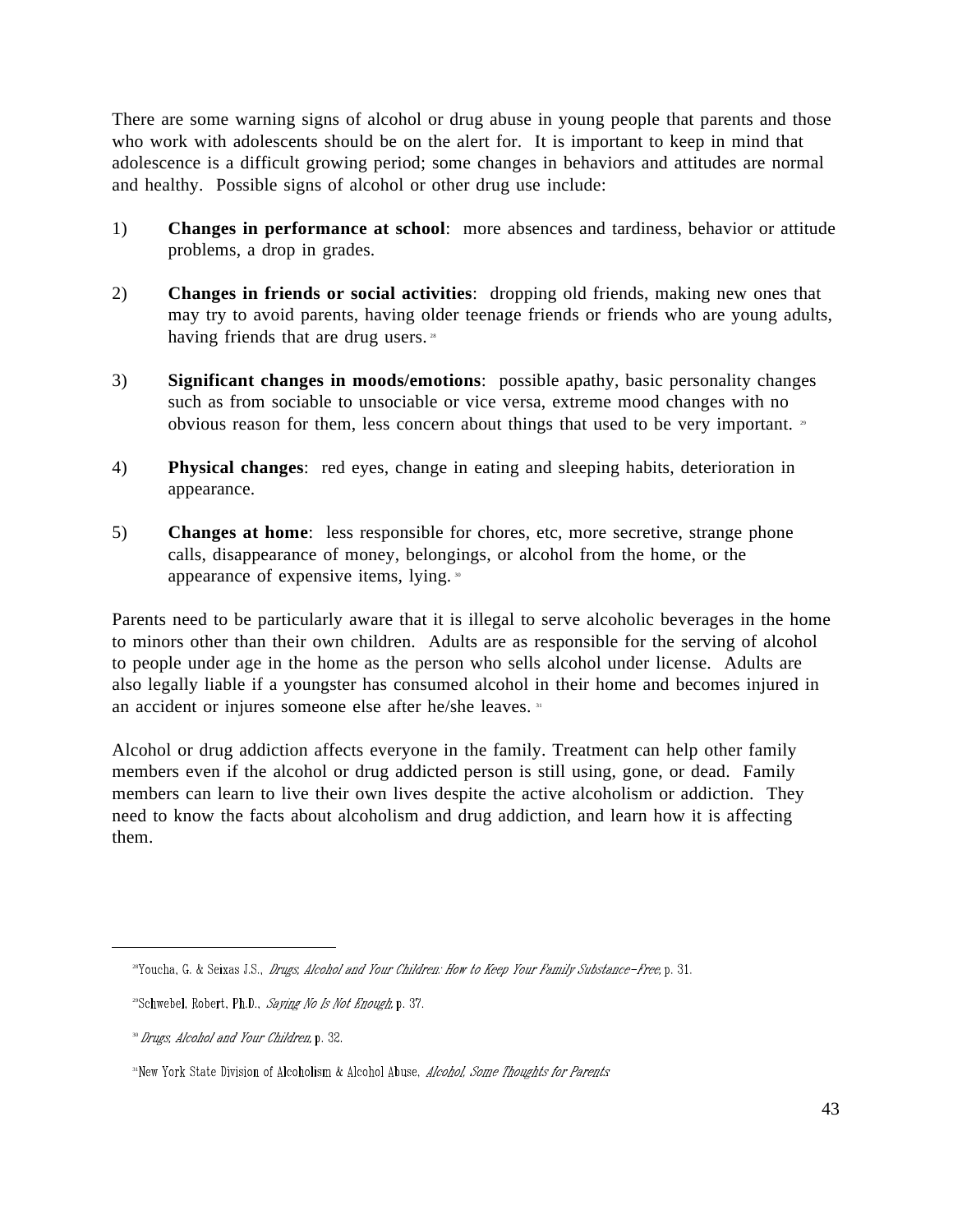There are some warning signs of alcohol or drug abuse in young people that parents and those who work with adolescents should be on the alert for. It is important to keep in mind that adolescence is a difficult growing period; some changes in behaviors and attitudes are normal and healthy. Possible signs of alcohol or other drug use include:

- 1) **Changes in performance at school**: more absences and tardiness, behavior or attitude problems, a drop in grades.
- 2) **Changes in friends or social activities**: dropping old friends, making new ones that may try to avoid parents, having older teenage friends or friends who are young adults, having friends that are drug users.<sup>28</sup>
- 3) **Significant changes in moods/emotions**: possible apathy, basic personality changes such as from sociable to unsociable or vice versa, extreme mood changes with no obvious reason for them, less concern about things that used to be very important. <sup>39</sup>
- 4) **Physical changes**: red eyes, change in eating and sleeping habits, deterioration in appearance.
- 5) **Changes at home**: less responsible for chores, etc, more secretive, strange phone calls, disappearance of money, belongings, or alcohol from the home, or the appearance of expensive items, lying. <sup>30</sup>

Parents need to be particularly aware that it is illegal to serve alcoholic beverages in the home to minors other than their own children. Adults are as responsible for the serving of alcohol to people under age in the home as the person who sells alcohol under license. Adults are also legally liable if a youngster has consumed alcohol in their home and becomes injured in an accident or injures someone else after he/she leaves. 31

Alcohol or drug addiction affects everyone in the family. Treatment can help other family members even if the alcohol or drug addicted person is still using, gone, or dead. Family members can learn to live their own lives despite the active alcoholism or addiction. They need to know the facts about alcoholism and drug addiction, and learn how it is affecting them.

<sup>&</sup>lt;sup>28</sup>Youcha, G. & Seixas J.S., *Drugs, Alcohol and Your Children: How to Keep Your Family Substance-Free*, p. 31.

<sup>&</sup>lt;sup>29</sup>Schwebel, Robert, Ph.D., Saying No Is Not Enough, p. 37.

<sup>&</sup>lt;sup>30</sup> Drugs, Alcohol and Your Children, p. 32.

<sup>&</sup>lt;sup>31</sup>New York State Division of Alcoholism & Alcohol Abuse, *Alcohol, Some Thoughts for Parents*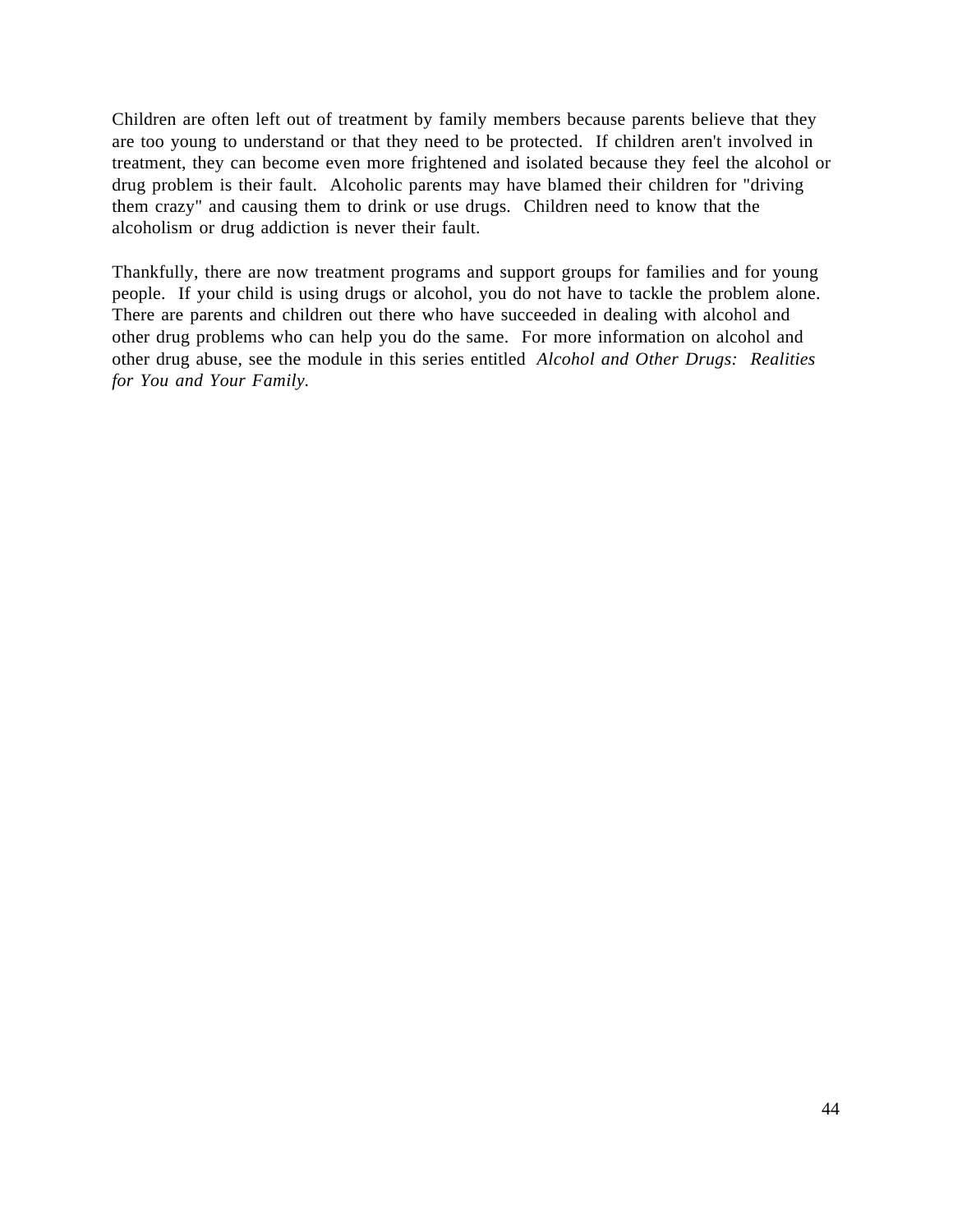Children are often left out of treatment by family members because parents believe that they are too young to understand or that they need to be protected. If children aren't involved in treatment, they can become even more frightened and isolated because they feel the alcohol or drug problem is their fault. Alcoholic parents may have blamed their children for "driving them crazy" and causing them to drink or use drugs. Children need to know that the alcoholism or drug addiction is never their fault.

Thankfully, there are now treatment programs and support groups for families and for young people. If your child is using drugs or alcohol, you do not have to tackle the problem alone. There are parents and children out there who have succeeded in dealing with alcohol and other drug problems who can help you do the same. For more information on alcohol and other drug abuse, see the module in this series entitled *Alcohol and Other Drugs: Realities for You and Your Family.*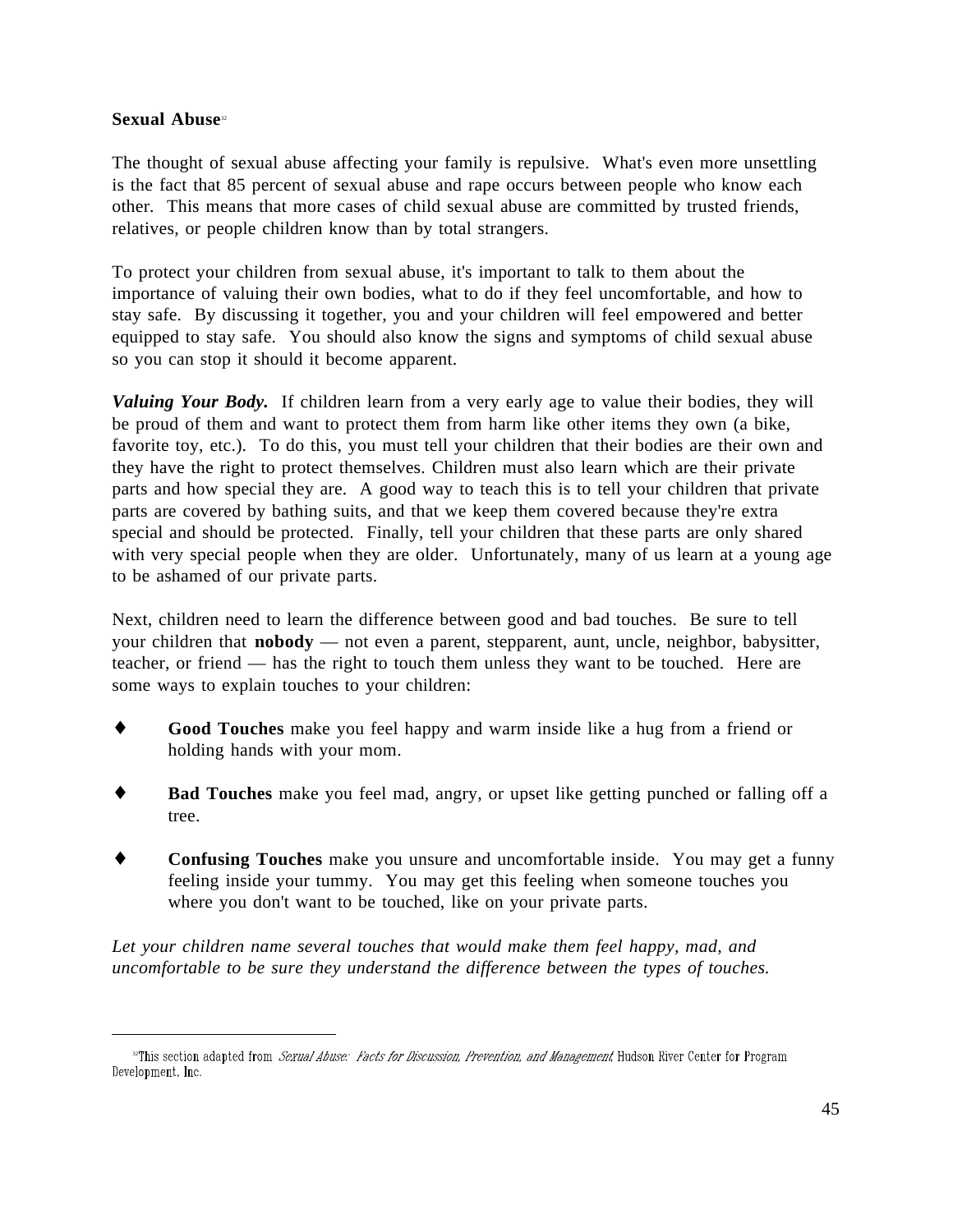### **Sexual Abuse**<sup>22</sup>

 $\overline{a}$ 

The thought of sexual abuse affecting your family is repulsive. What's even more unsettling is the fact that 85 percent of sexual abuse and rape occurs between people who know each other. This means that more cases of child sexual abuse are committed by trusted friends, relatives, or people children know than by total strangers.

To protect your children from sexual abuse, it's important to talk to them about the importance of valuing their own bodies, what to do if they feel uncomfortable, and how to stay safe. By discussing it together, you and your children will feel empowered and better equipped to stay safe. You should also know the signs and symptoms of child sexual abuse so you can stop it should it become apparent.

*Valuing Your Body.* If children learn from a very early age to value their bodies, they will be proud of them and want to protect them from harm like other items they own (a bike, favorite toy, etc.). To do this, you must tell your children that their bodies are their own and they have the right to protect themselves. Children must also learn which are their private parts and how special they are. A good way to teach this is to tell your children that private parts are covered by bathing suits, and that we keep them covered because they're extra special and should be protected. Finally, tell your children that these parts are only shared with very special people when they are older. Unfortunately, many of us learn at a young age to be ashamed of our private parts.

Next, children need to learn the difference between good and bad touches. Be sure to tell your children that **nobody** — not even a parent, stepparent, aunt, uncle, neighbor, babysitter, teacher, or friend — has the right to touch them unless they want to be touched. Here are some ways to explain touches to your children:

- **Good Touches** make you feel happy and warm inside like a hug from a friend or holding hands with your mom.
- **Bad Touches** make you feel mad, angry, or upset like getting punched or falling off a tree.
- **Confusing Touches** make you unsure and uncomfortable inside. You may get a funny feeling inside your tummy. You may get this feeling when someone touches you where you don't want to be touched, like on your private parts.

*Let your children name several touches that would make them feel happy, mad, and uncomfortable to be sure they understand the difference between the types of touches.*

Phis section adapted from *Sexual Abuse: Facts for Discussion, Prevention, and Management*, Hudson River Center for Program (300 Feature 15) Development, Inc.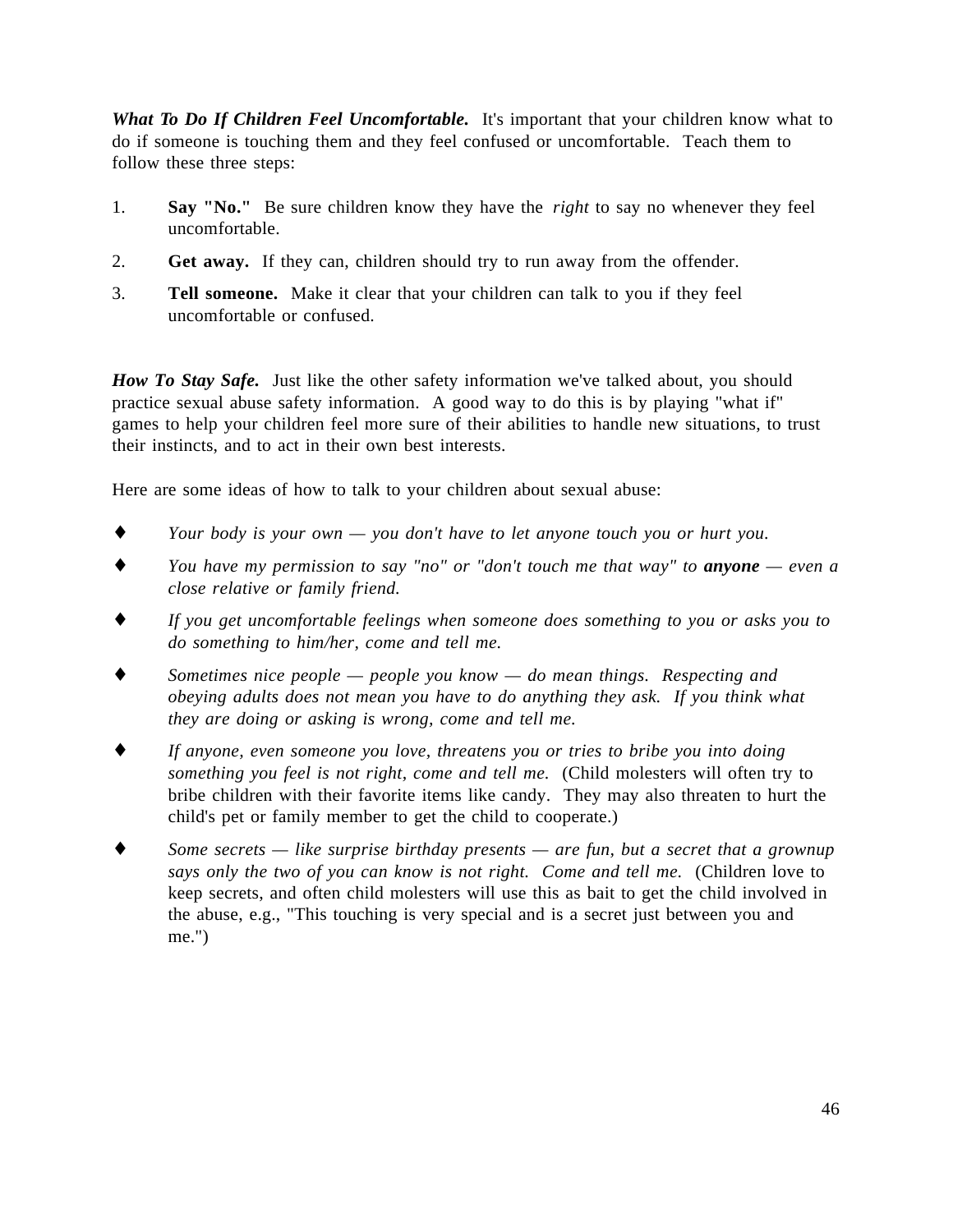*What To Do If Children Feel Uncomfortable.* It's important that your children know what to do if someone is touching them and they feel confused or uncomfortable. Teach them to follow these three steps:

- 1. **Say "No."** Be sure children know they have the *right* to say no whenever they feel uncomfortable.
- 2. **Get away.** If they can, children should try to run away from the offender.
- 3. **Tell someone.** Make it clear that your children can talk to you if they feel uncomfortable or confused.

*How To Stay Safe.* Just like the other safety information we've talked about, you should practice sexual abuse safety information. A good way to do this is by playing "what if" games to help your children feel more sure of their abilities to handle new situations, to trust their instincts, and to act in their own best interests.

Here are some ideas of how to talk to your children about sexual abuse:

- ♦ *Your body is your own you don't have to let anyone touch you or hurt you.*
- ♦ *You have my permission to say "no" or "don't touch me that way" to anyone even a close relative or family friend.*
- ♦ *If you get uncomfortable feelings when someone does something to you or asks you to do something to him/her, come and tell me.*
- Sometimes nice people people you know do mean things. Respecting and *obeying adults does not mean you have to do anything they ask. If you think what they are doing or asking is wrong, come and tell me.*
- ♦ *If anyone, even someone you love, threatens you or tries to bribe you into doing something you feel is not right, come and tell me.* (Child molesters will often try to bribe children with their favorite items like candy. They may also threaten to hurt the child's pet or family member to get the child to cooperate.)
- ♦ *Some secrets like surprise birthday presents are fun, but a secret that a grownup says only the two of you can know is not right. Come and tell me.* (Children love to keep secrets, and often child molesters will use this as bait to get the child involved in the abuse, e.g., "This touching is very special and is a secret just between you and me.")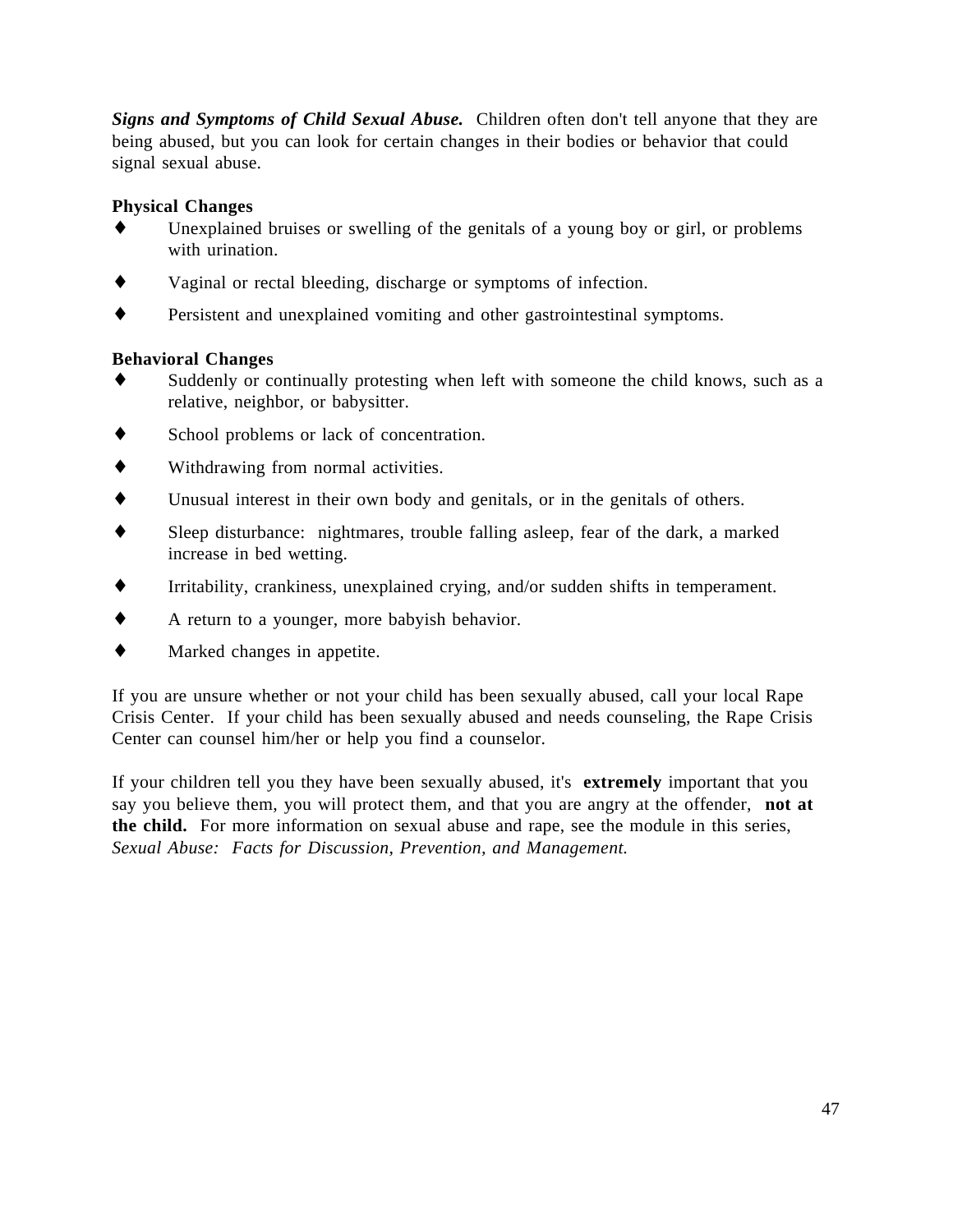*Signs and Symptoms of Child Sexual Abuse.* Children often don't tell anyone that they are being abused, but you can look for certain changes in their bodies or behavior that could signal sexual abuse.

# **Physical Changes**

- Unexplained bruises or swelling of the genitals of a young boy or girl, or problems with urination.
- Vaginal or rectal bleeding, discharge or symptoms of infection.
- ♦ Persistent and unexplained vomiting and other gastrointestinal symptoms.

### **Behavioral Changes**

- Suddenly or continually protesting when left with someone the child knows, such as a relative, neighbor, or babysitter.
- ♦ School problems or lack of concentration.
- ♦ Withdrawing from normal activities.
- ♦ Unusual interest in their own body and genitals, or in the genitals of others.
- Sleep disturbance: nightmares, trouble falling asleep, fear of the dark, a marked increase in bed wetting.
- ♦ Irritability, crankiness, unexplained crying, and/or sudden shifts in temperament.
- ♦ A return to a younger, more babyish behavior.
- ♦ Marked changes in appetite.

If you are unsure whether or not your child has been sexually abused, call your local Rape Crisis Center. If your child has been sexually abused and needs counseling, the Rape Crisis Center can counsel him/her or help you find a counselor.

If your children tell you they have been sexually abused, it's **extremely** important that you say you believe them, you will protect them, and that you are angry at the offender, **not at the child.** For more information on sexual abuse and rape, see the module in this series, *Sexual Abuse: Facts for Discussion, Prevention, and Management.*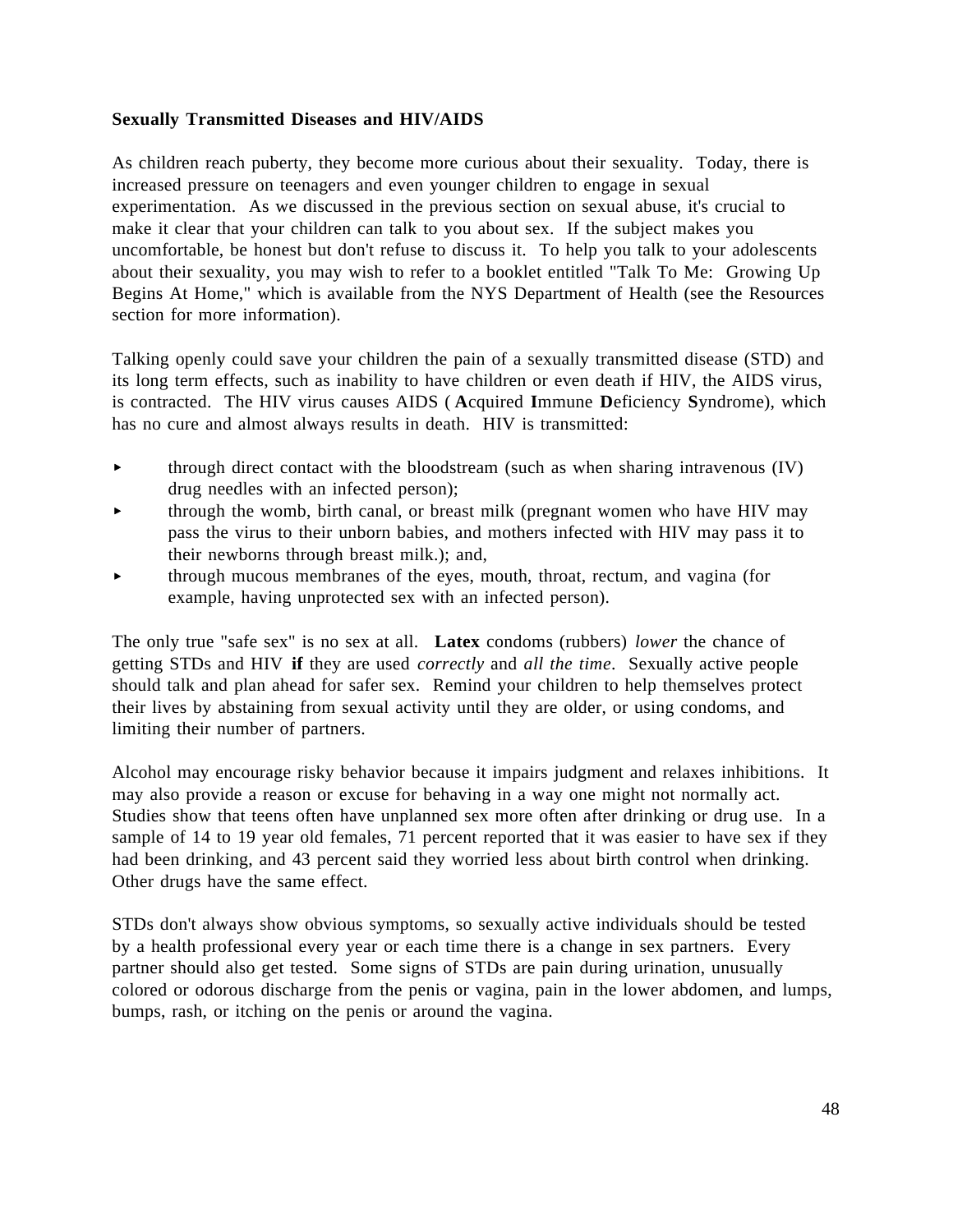### **Sexually Transmitted Diseases and HIV/AIDS**

As children reach puberty, they become more curious about their sexuality. Today, there is increased pressure on teenagers and even younger children to engage in sexual experimentation. As we discussed in the previous section on sexual abuse, it's crucial to make it clear that your children can talk to you about sex. If the subject makes you uncomfortable, be honest but don't refuse to discuss it. To help you talk to your adolescents about their sexuality, you may wish to refer to a booklet entitled "Talk To Me: Growing Up Begins At Home," which is available from the NYS Department of Health (see the Resources section for more information).

Talking openly could save your children the pain of a sexually transmitted disease (STD) and its long term effects, such as inability to have children or even death if HIV, the AIDS virus, is contracted. The HIV virus causes AIDS ( **A**cquired **I**mmune **D**eficiency **S**yndrome), which has no cure and almost always results in death. HIV is transmitted:

- through direct contact with the bloodstream (such as when sharing intravenous (IV)  $\blacktriangleright$ drug needles with an infected person);
- through the womb, birth canal, or breast milk (pregnant women who have HIV may ь pass the virus to their unborn babies, and mothers infected with HIV may pass it to their newborns through breast milk.); and,
- through mucous membranes of the eyes, mouth, throat, rectum, and vagina (for ь example, having unprotected sex with an infected person).

The only true "safe sex" is no sex at all. **Latex** condoms (rubbers) *lower* the chance of getting STDs and HIV **if** they are used *correctly* and *all the time*. Sexually active people should talk and plan ahead for safer sex. Remind your children to help themselves protect their lives by abstaining from sexual activity until they are older, or using condoms, and limiting their number of partners.

Alcohol may encourage risky behavior because it impairs judgment and relaxes inhibitions. It may also provide a reason or excuse for behaving in a way one might not normally act. Studies show that teens often have unplanned sex more often after drinking or drug use. In a sample of 14 to 19 year old females, 71 percent reported that it was easier to have sex if they had been drinking, and 43 percent said they worried less about birth control when drinking. Other drugs have the same effect.

STDs don't always show obvious symptoms, so sexually active individuals should be tested by a health professional every year or each time there is a change in sex partners. Every partner should also get tested. Some signs of STDs are pain during urination, unusually colored or odorous discharge from the penis or vagina, pain in the lower abdomen, and lumps, bumps, rash, or itching on the penis or around the vagina.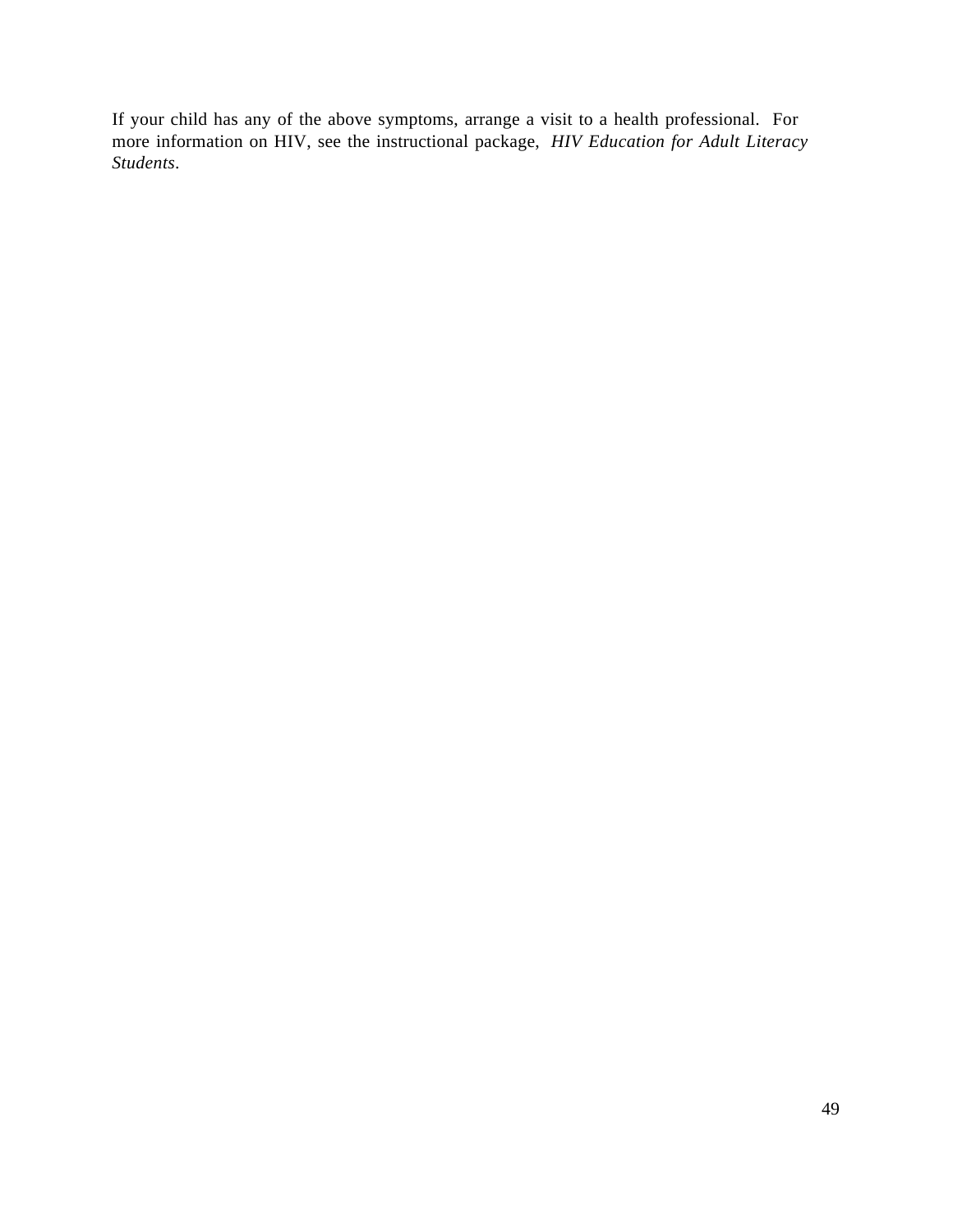If your child has any of the above symptoms, arrange a visit to a health professional. For more information on HIV, see the instructional package, *HIV Education for Adult Literacy Students*.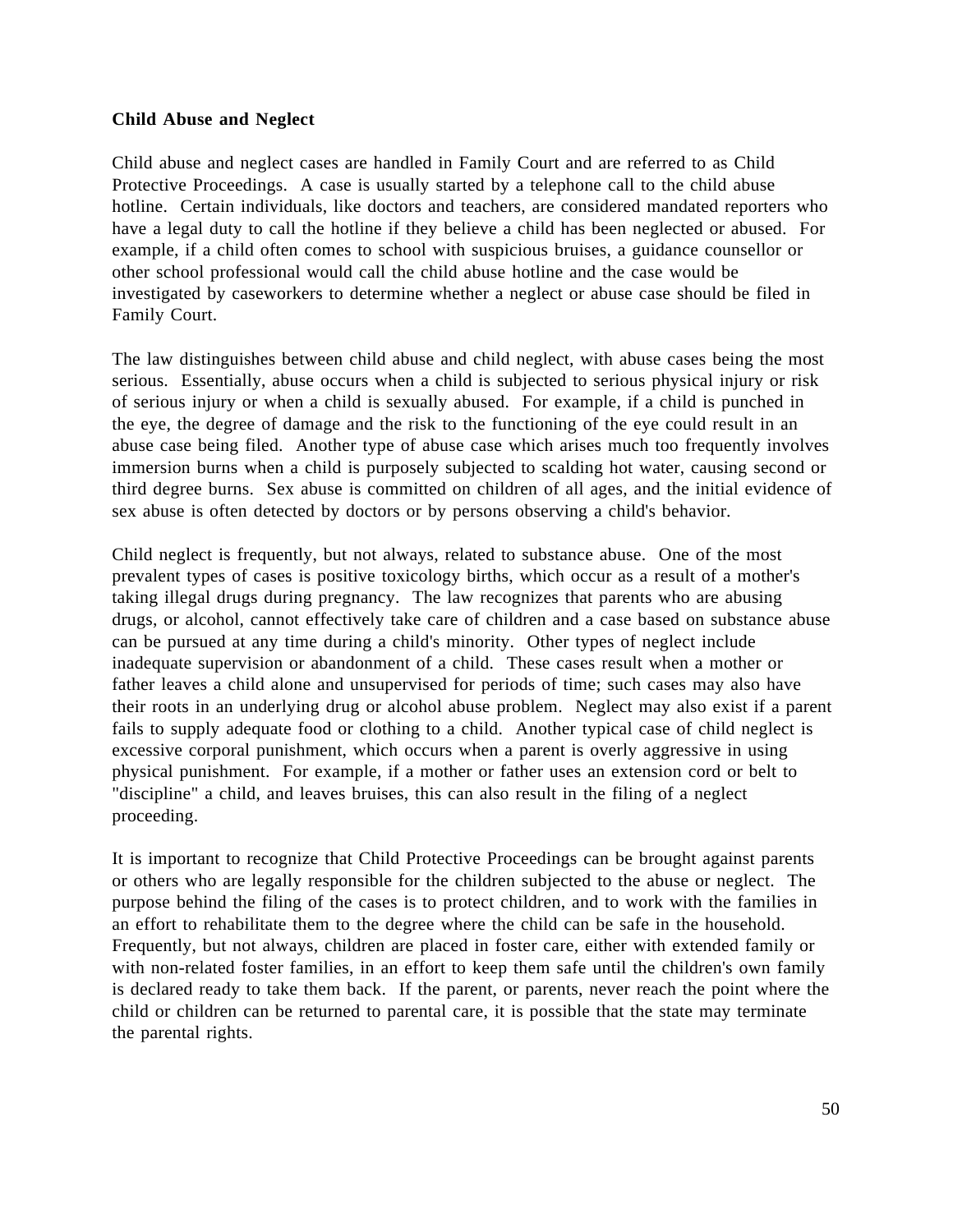#### **Child Abuse and Neglect**

Child abuse and neglect cases are handled in Family Court and are referred to as Child Protective Proceedings. A case is usually started by a telephone call to the child abuse hotline. Certain individuals, like doctors and teachers, are considered mandated reporters who have a legal duty to call the hotline if they believe a child has been neglected or abused. For example, if a child often comes to school with suspicious bruises, a guidance counsellor or other school professional would call the child abuse hotline and the case would be investigated by caseworkers to determine whether a neglect or abuse case should be filed in Family Court.

The law distinguishes between child abuse and child neglect, with abuse cases being the most serious. Essentially, abuse occurs when a child is subjected to serious physical injury or risk of serious injury or when a child is sexually abused. For example, if a child is punched in the eye, the degree of damage and the risk to the functioning of the eye could result in an abuse case being filed. Another type of abuse case which arises much too frequently involves immersion burns when a child is purposely subjected to scalding hot water, causing second or third degree burns. Sex abuse is committed on children of all ages, and the initial evidence of sex abuse is often detected by doctors or by persons observing a child's behavior.

Child neglect is frequently, but not always, related to substance abuse. One of the most prevalent types of cases is positive toxicology births, which occur as a result of a mother's taking illegal drugs during pregnancy. The law recognizes that parents who are abusing drugs, or alcohol, cannot effectively take care of children and a case based on substance abuse can be pursued at any time during a child's minority. Other types of neglect include inadequate supervision or abandonment of a child. These cases result when a mother or father leaves a child alone and unsupervised for periods of time; such cases may also have their roots in an underlying drug or alcohol abuse problem. Neglect may also exist if a parent fails to supply adequate food or clothing to a child. Another typical case of child neglect is excessive corporal punishment, which occurs when a parent is overly aggressive in using physical punishment. For example, if a mother or father uses an extension cord or belt to "discipline" a child, and leaves bruises, this can also result in the filing of a neglect proceeding.

It is important to recognize that Child Protective Proceedings can be brought against parents or others who are legally responsible for the children subjected to the abuse or neglect. The purpose behind the filing of the cases is to protect children, and to work with the families in an effort to rehabilitate them to the degree where the child can be safe in the household. Frequently, but not always, children are placed in foster care, either with extended family or with non-related foster families, in an effort to keep them safe until the children's own family is declared ready to take them back. If the parent, or parents, never reach the point where the child or children can be returned to parental care, it is possible that the state may terminate the parental rights.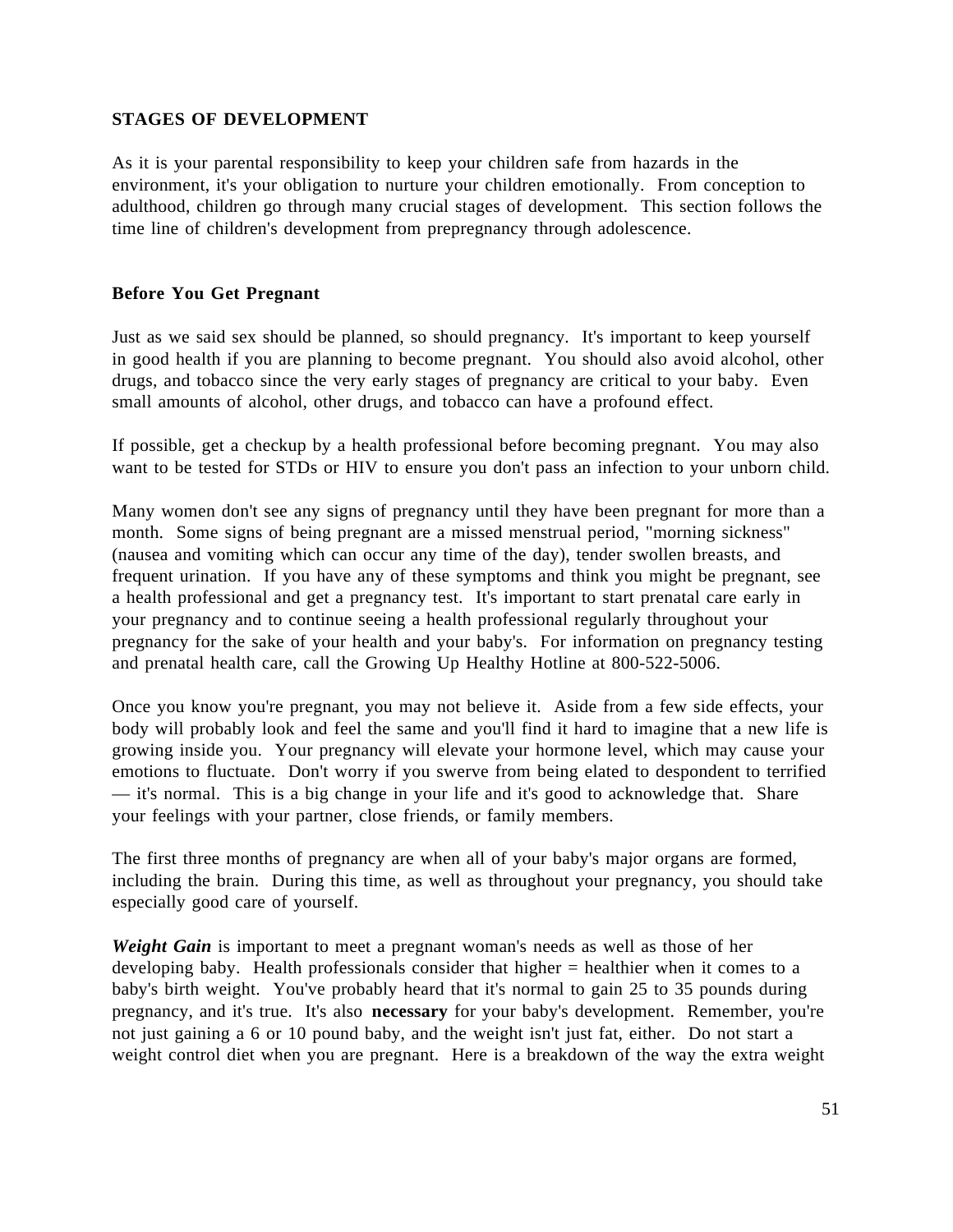## **STAGES OF DEVELOPMENT**

As it is your parental responsibility to keep your children safe from hazards in the environment, it's your obligation to nurture your children emotionally. From conception to adulthood, children go through many crucial stages of development. This section follows the time line of children's development from prepregnancy through adolescence.

## **Before You Get Pregnant**

Just as we said sex should be planned, so should pregnancy. It's important to keep yourself in good health if you are planning to become pregnant. You should also avoid alcohol, other drugs, and tobacco since the very early stages of pregnancy are critical to your baby. Even small amounts of alcohol, other drugs, and tobacco can have a profound effect.

If possible, get a checkup by a health professional before becoming pregnant. You may also want to be tested for STDs or HIV to ensure you don't pass an infection to your unborn child.

Many women don't see any signs of pregnancy until they have been pregnant for more than a month. Some signs of being pregnant are a missed menstrual period, "morning sickness" (nausea and vomiting which can occur any time of the day), tender swollen breasts, and frequent urination. If you have any of these symptoms and think you might be pregnant, see a health professional and get a pregnancy test. It's important to start prenatal care early in your pregnancy and to continue seeing a health professional regularly throughout your pregnancy for the sake of your health and your baby's. For information on pregnancy testing and prenatal health care, call the Growing Up Healthy Hotline at 800-522-5006.

Once you know you're pregnant, you may not believe it. Aside from a few side effects, your body will probably look and feel the same and you'll find it hard to imagine that a new life is growing inside you. Your pregnancy will elevate your hormone level, which may cause your emotions to fluctuate. Don't worry if you swerve from being elated to despondent to terrified — it's normal. This is a big change in your life and it's good to acknowledge that. Share your feelings with your partner, close friends, or family members.

The first three months of pregnancy are when all of your baby's major organs are formed, including the brain. During this time, as well as throughout your pregnancy, you should take especially good care of yourself.

*Weight Gain* is important to meet a pregnant woman's needs as well as those of her developing baby. Health professionals consider that higher = healthier when it comes to a baby's birth weight. You've probably heard that it's normal to gain 25 to 35 pounds during pregnancy, and it's true. It's also **necessary** for your baby's development. Remember, you're not just gaining a 6 or 10 pound baby, and the weight isn't just fat, either. Do not start a weight control diet when you are pregnant. Here is a breakdown of the way the extra weight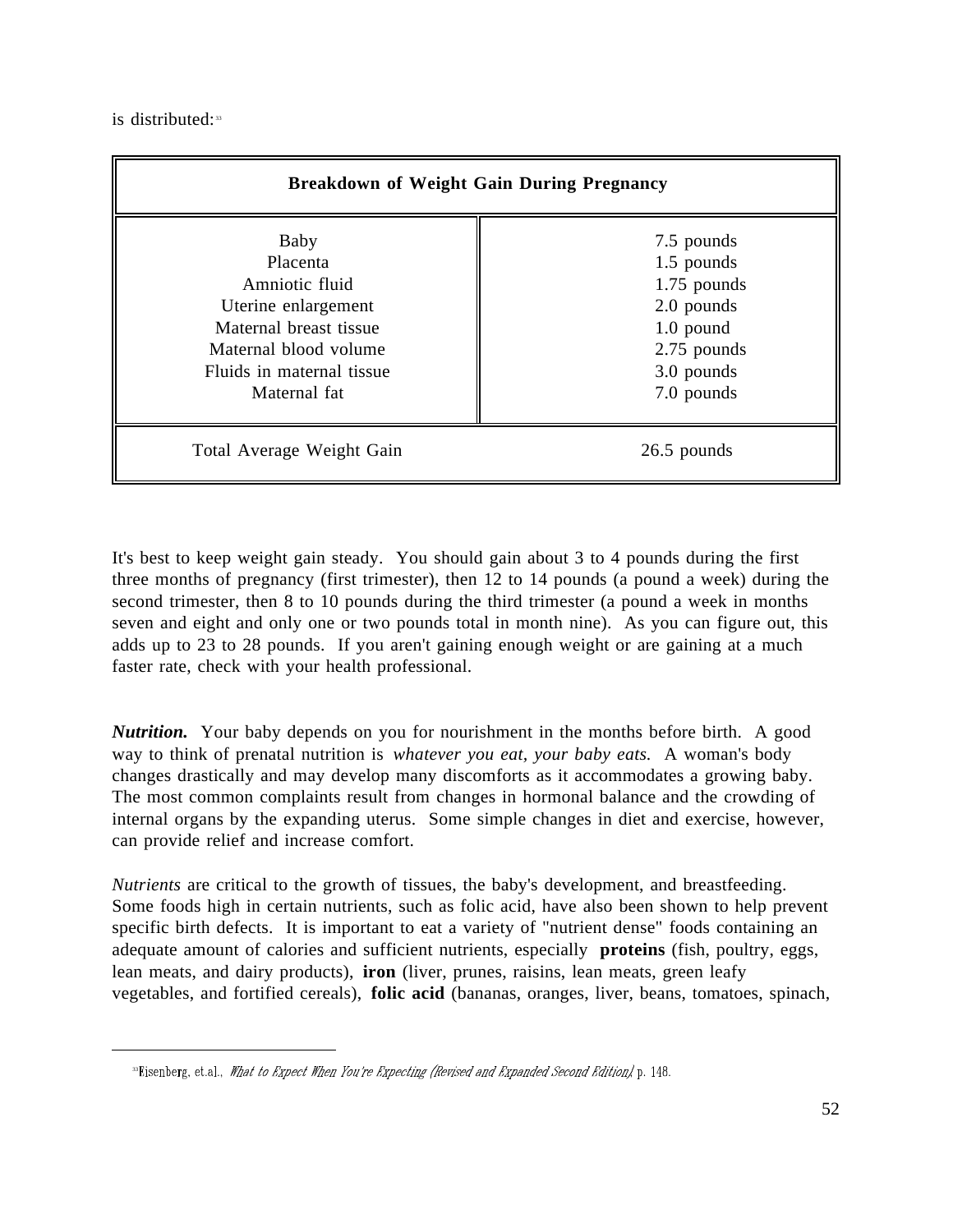is distributed:<sup>33</sup>

 $\overline{a}$ 

| <b>Breakdown of Weight Gain During Pregnancy</b>                                                                                                          |                                                                                                                   |  |
|-----------------------------------------------------------------------------------------------------------------------------------------------------------|-------------------------------------------------------------------------------------------------------------------|--|
| Baby<br>Placenta<br>Amniotic fluid<br>Uterine enlargement<br>Maternal breast tissue<br>Maternal blood volume<br>Fluids in maternal tissue<br>Maternal fat | 7.5 pounds<br>1.5 pounds<br>$1.75$ pounds<br>2.0 pounds<br>$1.0$ pound<br>2.75 pounds<br>3.0 pounds<br>7.0 pounds |  |
| Total Average Weight Gain                                                                                                                                 | 26.5 pounds                                                                                                       |  |

It's best to keep weight gain steady. You should gain about 3 to 4 pounds during the first three months of pregnancy (first trimester), then 12 to 14 pounds (a pound a week) during the second trimester, then 8 to 10 pounds during the third trimester (a pound a week in months seven and eight and only one or two pounds total in month nine). As you can figure out, this adds up to 23 to 28 pounds. If you aren't gaining enough weight or are gaining at a much faster rate, check with your health professional.

*Nutrition.* Your baby depends on you for nourishment in the months before birth. A good way to think of prenatal nutrition is *whatever you eat, your baby eats.* A woman's body changes drastically and may develop many discomforts as it accommodates a growing baby. The most common complaints result from changes in hormonal balance and the crowding of internal organs by the expanding uterus. Some simple changes in diet and exercise, however, can provide relief and increase comfort.

*Nutrients* are critical to the growth of tissues, the baby's development, and breastfeeding. Some foods high in certain nutrients, such as folic acid, have also been shown to help prevent specific birth defects. It is important to eat a variety of "nutrient dense" foods containing an adequate amount of calories and sufficient nutrients, especially **proteins** (fish, poultry, eggs, lean meats, and dairy products), **iron** (liver, prunes, raisins, lean meats, green leafy vegetables, and fortified cereals), **folic acid** (bananas, oranges, liver, beans, tomatoes, spinach,

<sup>&</sup>lt;sup>33</sup>Eisenberg, et.al., What to Expect When You're Expecting (Revised and Expanded Second Edition), p. 148.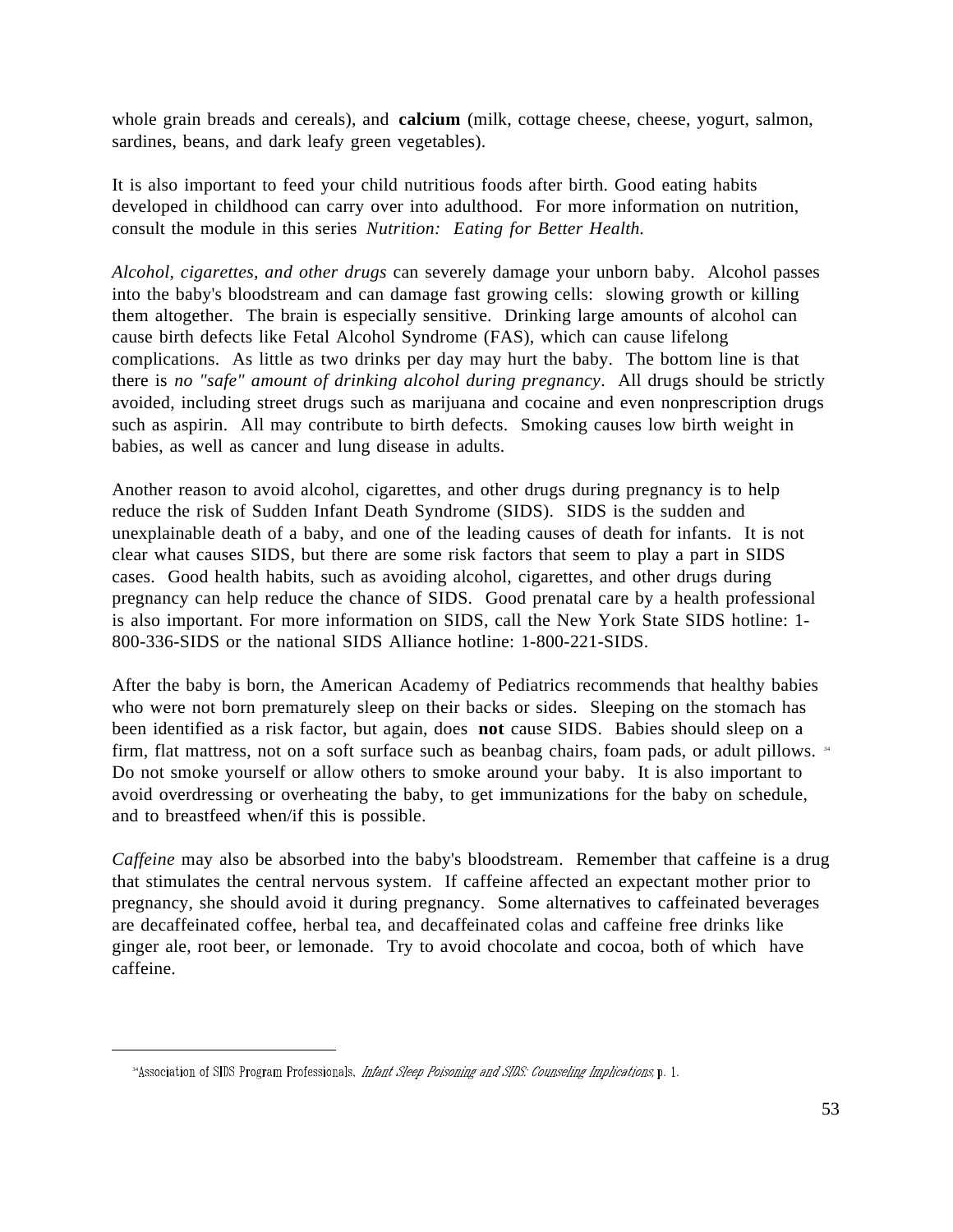whole grain breads and cereals), and **calcium** (milk, cottage cheese, cheese, yogurt, salmon, sardines, beans, and dark leafy green vegetables).

It is also important to feed your child nutritious foods after birth. Good eating habits developed in childhood can carry over into adulthood. For more information on nutrition, consult the module in this series *Nutrition: Eating for Better Health.*

*Alcohol, cigarettes, and other drugs* can severely damage your unborn baby. Alcohol passes into the baby's bloodstream and can damage fast growing cells: slowing growth or killing them altogether. The brain is especially sensitive. Drinking large amounts of alcohol can cause birth defects like Fetal Alcohol Syndrome (FAS), which can cause lifelong complications. As little as two drinks per day may hurt the baby. The bottom line is that there is *no "safe" amount of drinking alcohol during pregnancy*. All drugs should be strictly avoided, including street drugs such as marijuana and cocaine and even nonprescription drugs such as aspirin. All may contribute to birth defects. Smoking causes low birth weight in babies, as well as cancer and lung disease in adults.

Another reason to avoid alcohol, cigarettes, and other drugs during pregnancy is to help reduce the risk of Sudden Infant Death Syndrome (SIDS). SIDS is the sudden and unexplainable death of a baby, and one of the leading causes of death for infants. It is not clear what causes SIDS, but there are some risk factors that seem to play a part in SIDS cases. Good health habits, such as avoiding alcohol, cigarettes, and other drugs during pregnancy can help reduce the chance of SIDS. Good prenatal care by a health professional is also important. For more information on SIDS, call the New York State SIDS hotline: 1- 800-336-SIDS or the national SIDS Alliance hotline: 1-800-221-SIDS.

After the baby is born, the American Academy of Pediatrics recommends that healthy babies who were not born prematurely sleep on their backs or sides. Sleeping on the stomach has been identified as a risk factor, but again, does **not** cause SIDS. Babies should sleep on a firm, flat mattress, not on a soft surface such as beanbag chairs, foam pads, or adult pillows. <sup>34</sup> Do not smoke yourself or allow others to smoke around your baby. It is also important to avoid overdressing or overheating the baby, to get immunizations for the baby on schedule, and to breastfeed when/if this is possible.

*Caffeine* may also be absorbed into the baby's bloodstream. Remember that caffeine is a drug that stimulates the central nervous system. If caffeine affected an expectant mother prior to pregnancy, she should avoid it during pregnancy. Some alternatives to caffeinated beverages are decaffeinated coffee, herbal tea, and decaffeinated colas and caffeine free drinks like ginger ale, root beer, or lemonade. Try to avoid chocolate and cocoa, both of which have caffeine.

<sup>&</sup>lt;sup>34</sup>Association of SIDS Program Professionals, *Infant Sleep Poisoning and SIDS: Counseling Implications*, p. 1.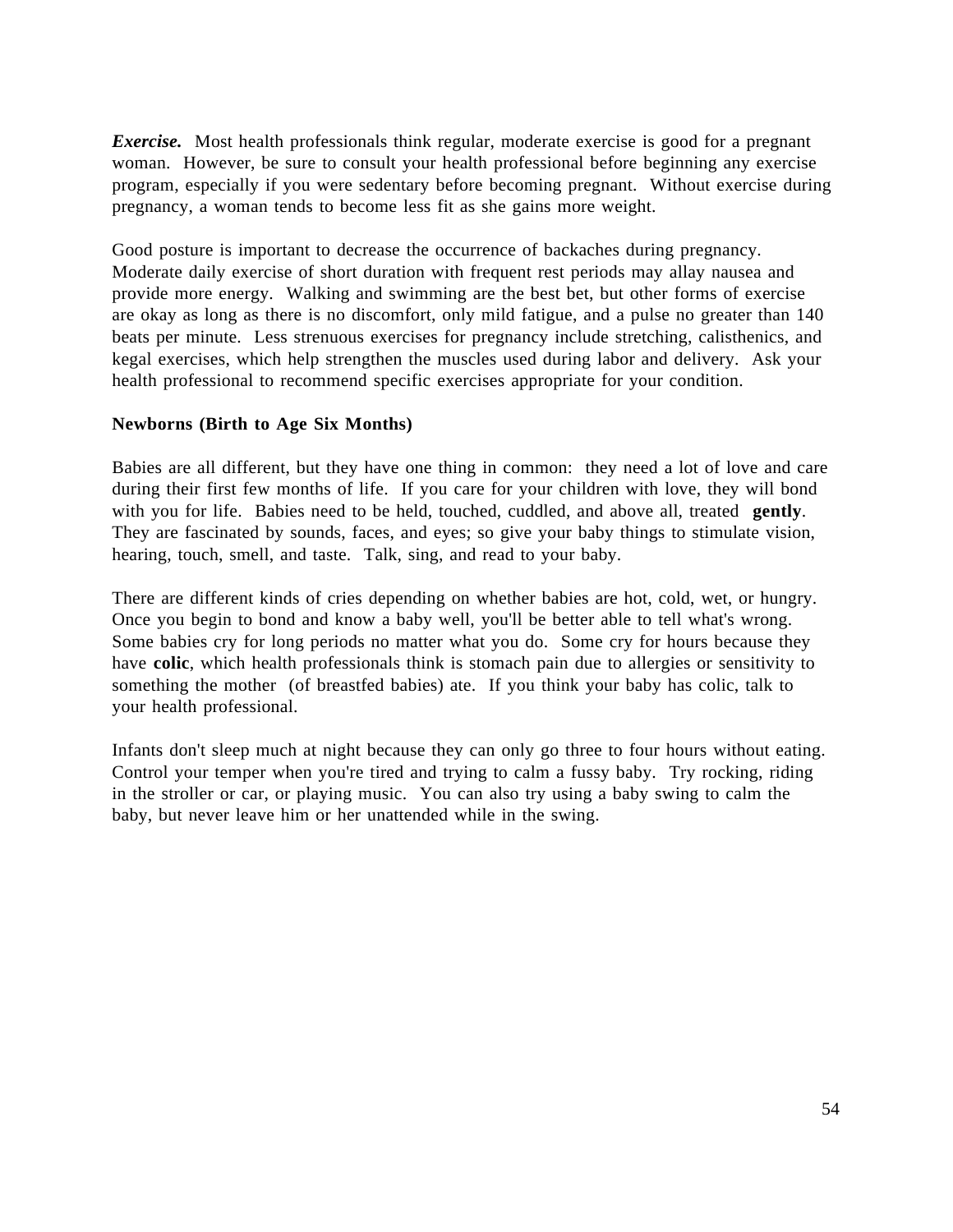*Exercise.* Most health professionals think regular, moderate exercise is good for a pregnant woman. However, be sure to consult your health professional before beginning any exercise program, especially if you were sedentary before becoming pregnant. Without exercise during pregnancy, a woman tends to become less fit as she gains more weight.

Good posture is important to decrease the occurrence of backaches during pregnancy. Moderate daily exercise of short duration with frequent rest periods may allay nausea and provide more energy. Walking and swimming are the best bet, but other forms of exercise are okay as long as there is no discomfort, only mild fatigue, and a pulse no greater than 140 beats per minute. Less strenuous exercises for pregnancy include stretching, calisthenics, and kegal exercises, which help strengthen the muscles used during labor and delivery. Ask your health professional to recommend specific exercises appropriate for your condition.

#### **Newborns (Birth to Age Six Months)**

Babies are all different, but they have one thing in common: they need a lot of love and care during their first few months of life. If you care for your children with love, they will bond with you for life. Babies need to be held, touched, cuddled, and above all, treated **gently**. They are fascinated by sounds, faces, and eyes; so give your baby things to stimulate vision, hearing, touch, smell, and taste. Talk, sing, and read to your baby.

There are different kinds of cries depending on whether babies are hot, cold, wet, or hungry. Once you begin to bond and know a baby well, you'll be better able to tell what's wrong. Some babies cry for long periods no matter what you do. Some cry for hours because they have **colic**, which health professionals think is stomach pain due to allergies or sensitivity to something the mother (of breastfed babies) ate. If you think your baby has colic, talk to your health professional.

Infants don't sleep much at night because they can only go three to four hours without eating. Control your temper when you're tired and trying to calm a fussy baby. Try rocking, riding in the stroller or car, or playing music. You can also try using a baby swing to calm the baby, but never leave him or her unattended while in the swing.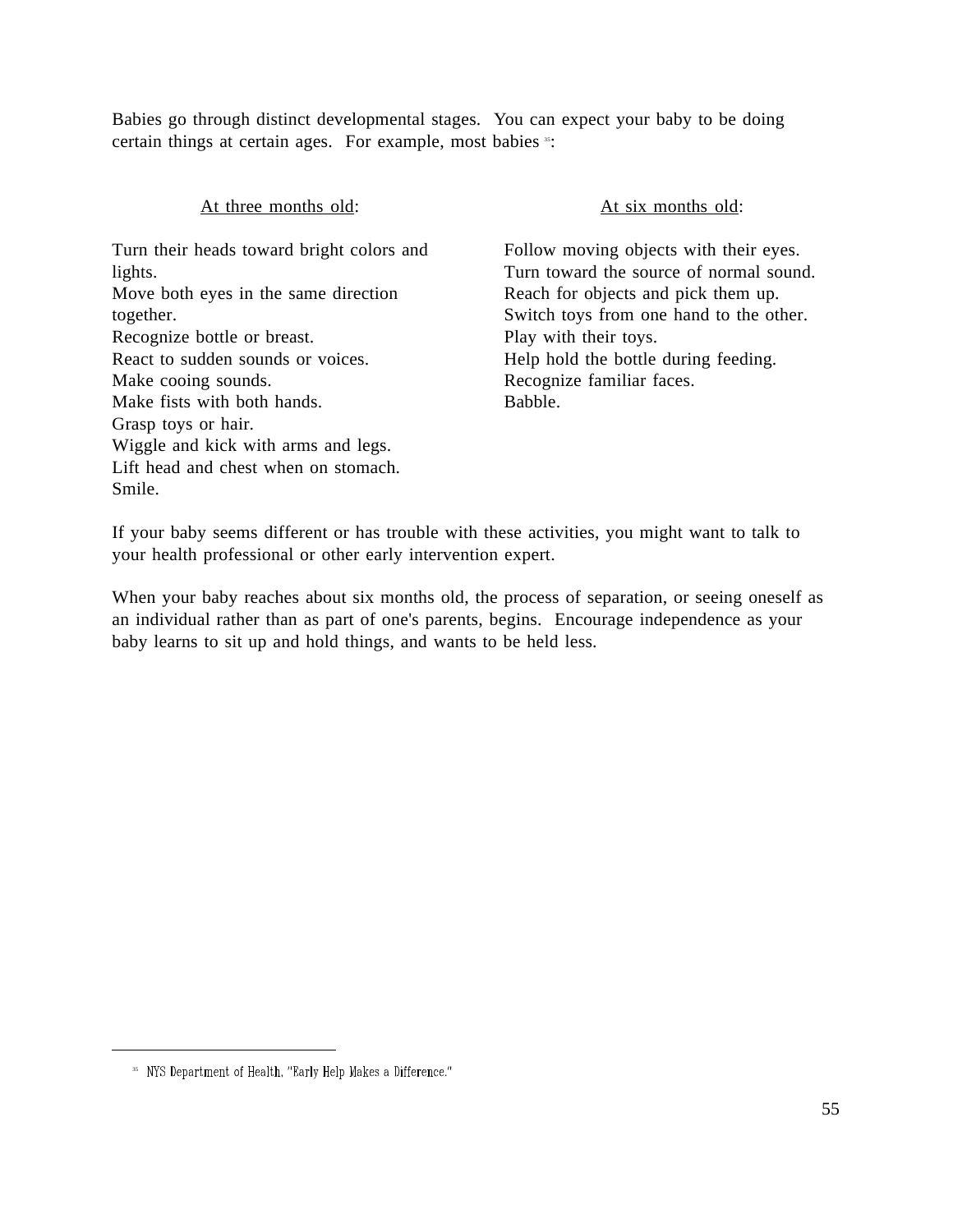Babies go through distinct developmental stages. You can expect your baby to be doing certain things at certain ages. For example, most babies <sup>35</sup>:

| At three months old:                      | At six months old:                      |
|-------------------------------------------|-----------------------------------------|
| Turn their heads toward bright colors and | Follow moving objects with their eyes.  |
| lights.                                   | Turn toward the source of normal sound. |
| Move both eyes in the same direction      | Reach for objects and pick them up.     |
| together.                                 | Switch toys from one hand to the other. |
| Recognize bottle or breast.               | Play with their toys.                   |
| React to sudden sounds or voices.         | Help hold the bottle during feeding.    |
| Make cooing sounds.                       | Recognize familiar faces.               |
| Make fists with both hands.               | Babble.                                 |
| Grasp toys or hair.                       |                                         |
| Wiggle and kick with arms and legs.       |                                         |
| Lift head and chest when on stomach.      |                                         |
| Smile.                                    |                                         |

If your baby seems different or has trouble with these activities, you might want to talk to your health professional or other early intervention expert.

When your baby reaches about six months old, the process of separation, or seeing oneself as an individual rather than as part of one's parents, begins. Encourage independence as your baby learns to sit up and hold things, and wants to be held less.

<sup>&</sup>lt;sup>35</sup> NYS Department of Health, "Early Help Makes a Difference."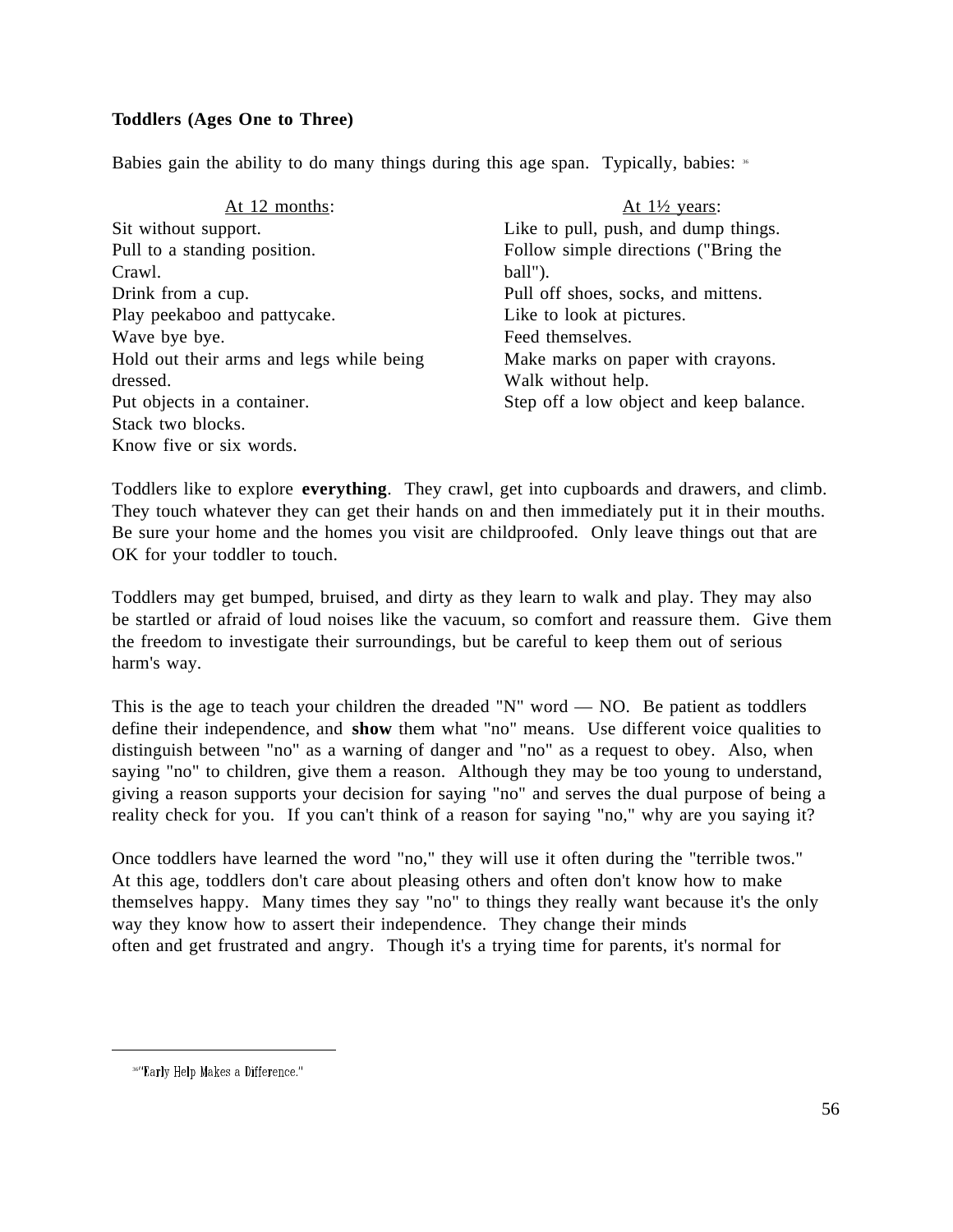# **Toddlers (Ages One to Three)**

Babies gain the ability to do many things during this age span. Typically, babies: <sup>36</sup>

| At 12 months:                            | At $1\frac{1}{2}$ years:                |
|------------------------------------------|-----------------------------------------|
| Sit without support.                     | Like to pull, push, and dump things.    |
| Pull to a standing position.             | Follow simple directions ("Bring the    |
| Crawl.                                   | ball").                                 |
| Drink from a cup.                        | Pull off shoes, socks, and mittens.     |
| Play peekaboo and pattycake.             | Like to look at pictures.               |
| Wave bye bye.                            | Feed themselves.                        |
| Hold out their arms and legs while being | Make marks on paper with crayons.       |
| dressed.                                 | Walk without help.                      |
| Put objects in a container.              | Step off a low object and keep balance. |
| Stack two blocks.                        |                                         |
| Know five or six words.                  |                                         |

Toddlers like to explore **everything**. They crawl, get into cupboards and drawers, and climb. They touch whatever they can get their hands on and then immediately put it in their mouths. Be sure your home and the homes you visit are childproofed. Only leave things out that are OK for your toddler to touch.

Toddlers may get bumped, bruised, and dirty as they learn to walk and play. They may also be startled or afraid of loud noises like the vacuum, so comfort and reassure them. Give them the freedom to investigate their surroundings, but be careful to keep them out of serious harm's way.

This is the age to teach your children the dreaded "N" word  $-$  NO. Be patient as toddlers define their independence, and **show** them what "no" means. Use different voice qualities to distinguish between "no" as a warning of danger and "no" as a request to obey. Also, when saying "no" to children, give them a reason. Although they may be too young to understand, giving a reason supports your decision for saying "no" and serves the dual purpose of being a reality check for you. If you can't think of a reason for saying "no," why are you saying it?

Once toddlers have learned the word "no," they will use it often during the "terrible twos." At this age, toddlers don't care about pleasing others and often don't know how to make themselves happy. Many times they say "no" to things they really want because it's the only way they know how to assert their independence. They change their minds often and get frustrated and angry. Though it's a trying time for parents, it's normal for

<sup>36&</sup>quot;Early Help Makes a Difference."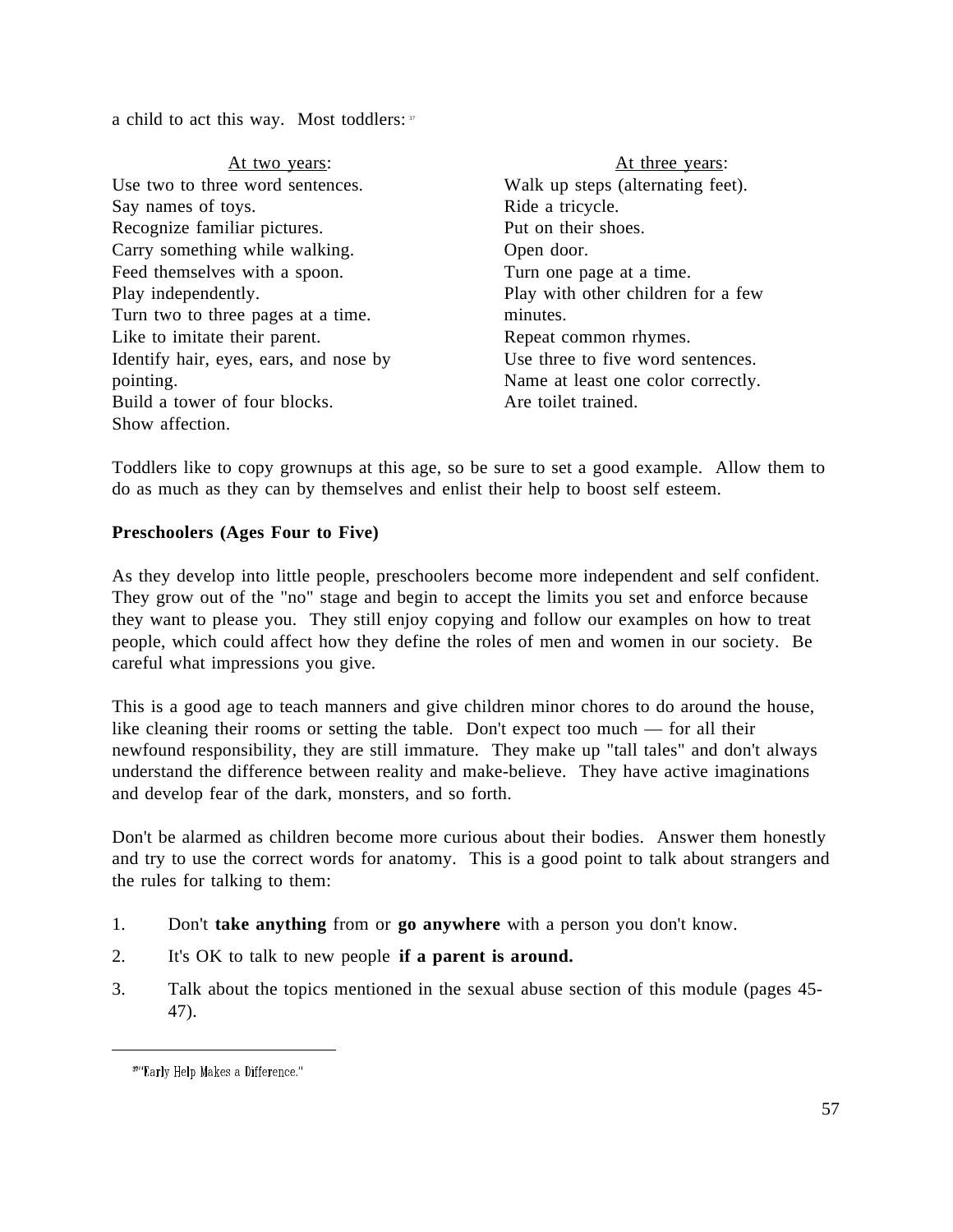a child to act this way. Most toddlers: 37

| At two years:                          | At three years:                    |
|----------------------------------------|------------------------------------|
| Use two to three word sentences.       | Walk up steps (alternating feet).  |
| Say names of toys.                     | Ride a tricycle.                   |
| Recognize familiar pictures.           | Put on their shoes.                |
| Carry something while walking.         | Open door.                         |
| Feed themselves with a spoon.          | Turn one page at a time.           |
| Play independently.                    | Play with other children for a few |
| Turn two to three pages at a time.     | minutes.                           |
| Like to imitate their parent.          | Repeat common rhymes.              |
| Identify hair, eyes, ears, and nose by | Use three to five word sentences.  |
| pointing.                              | Name at least one color correctly. |
| Build a tower of four blocks.          | Are toilet trained.                |
| Show affection.                        |                                    |

Toddlers like to copy grownups at this age, so be sure to set a good example. Allow them to do as much as they can by themselves and enlist their help to boost self esteem.

### **Preschoolers (Ages Four to Five)**

As they develop into little people, preschoolers become more independent and self confident. They grow out of the "no" stage and begin to accept the limits you set and enforce because they want to please you. They still enjoy copying and follow our examples on how to treat people, which could affect how they define the roles of men and women in our society. Be careful what impressions you give.

This is a good age to teach manners and give children minor chores to do around the house, like cleaning their rooms or setting the table. Don't expect too much — for all their newfound responsibility, they are still immature. They make up "tall tales" and don't always understand the difference between reality and make-believe. They have active imaginations and develop fear of the dark, monsters, and so forth.

Don't be alarmed as children become more curious about their bodies. Answer them honestly and try to use the correct words for anatomy. This is a good point to talk about strangers and the rules for talking to them:

- 1. Don't **take anything** from or **go anywhere** with a person you don't know.
- 2. It's OK to talk to new people **if a parent is around.**
- 3. Talk about the topics mentioned in the sexual abuse section of this module (pages 45- 47).

<sup>&</sup>lt;sup>37</sup>"Early Help Makes a Difference."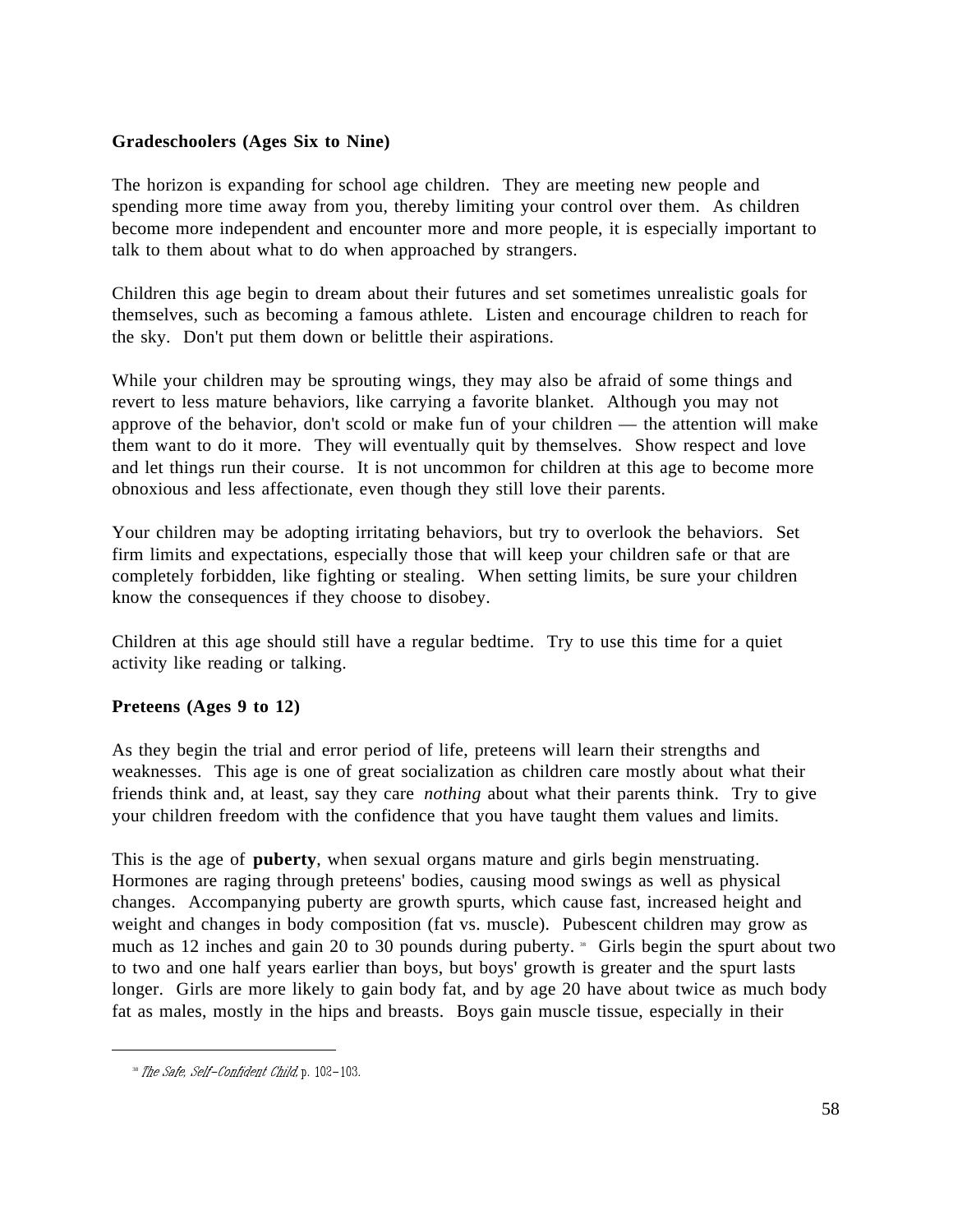### **Gradeschoolers (Ages Six to Nine)**

The horizon is expanding for school age children. They are meeting new people and spending more time away from you, thereby limiting your control over them. As children become more independent and encounter more and more people, it is especially important to talk to them about what to do when approached by strangers.

Children this age begin to dream about their futures and set sometimes unrealistic goals for themselves, such as becoming a famous athlete. Listen and encourage children to reach for the sky. Don't put them down or belittle their aspirations.

While your children may be sprouting wings, they may also be afraid of some things and revert to less mature behaviors, like carrying a favorite blanket. Although you may not approve of the behavior, don't scold or make fun of your children — the attention will make them want to do it more. They will eventually quit by themselves. Show respect and love and let things run their course. It is not uncommon for children at this age to become more obnoxious and less affectionate, even though they still love their parents.

Your children may be adopting irritating behaviors, but try to overlook the behaviors. Set firm limits and expectations, especially those that will keep your children safe or that are completely forbidden, like fighting or stealing. When setting limits, be sure your children know the consequences if they choose to disobey.

Children at this age should still have a regular bedtime. Try to use this time for a quiet activity like reading or talking.

### **Preteens (Ages 9 to 12)**

As they begin the trial and error period of life, preteens will learn their strengths and weaknesses. This age is one of great socialization as children care mostly about what their friends think and, at least, say they care *nothing* about what their parents think. Try to give your children freedom with the confidence that you have taught them values and limits.

This is the age of **puberty**, when sexual organs mature and girls begin menstruating. Hormones are raging through preteens' bodies, causing mood swings as well as physical changes. Accompanying puberty are growth spurts, which cause fast, increased height and weight and changes in body composition (fat vs. muscle). Pubescent children may grow as much as 12 inches and gain 20 to 30 pounds during puberty.  $\cdot$  Girls begin the spurt about two to two and one half years earlier than boys, but boys' growth is greater and the spurt lasts longer. Girls are more likely to gain body fat, and by age 20 have about twice as much body fat as males, mostly in the hips and breasts. Boys gain muscle tissue, especially in their

<sup>&</sup>lt;sup>38</sup> The Safe, Self-Confident Child, p. 102-103.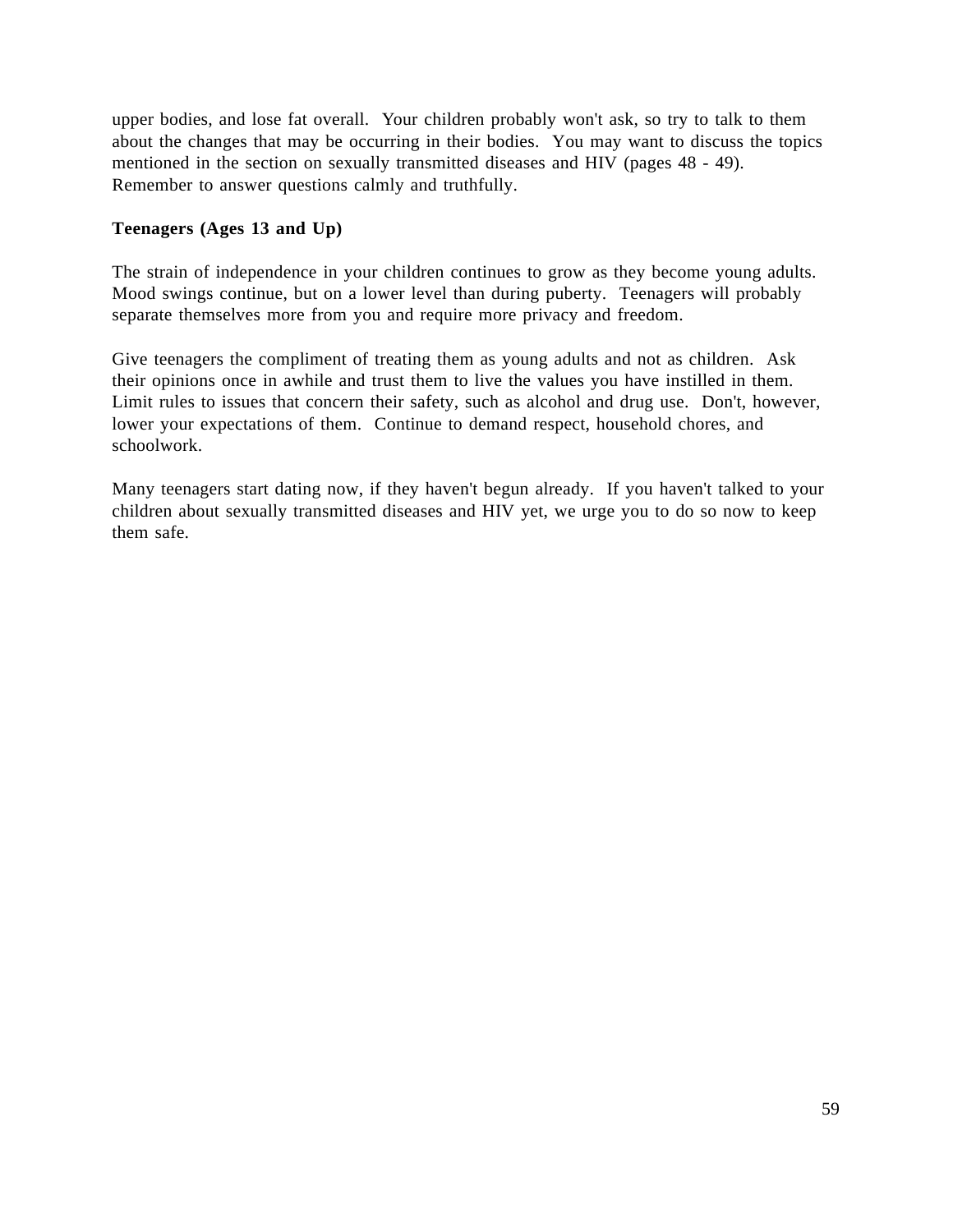upper bodies, and lose fat overall. Your children probably won't ask, so try to talk to them about the changes that may be occurring in their bodies. You may want to discuss the topics mentioned in the section on sexually transmitted diseases and HIV (pages 48 - 49). Remember to answer questions calmly and truthfully.

## **Teenagers (Ages 13 and Up)**

The strain of independence in your children continues to grow as they become young adults. Mood swings continue, but on a lower level than during puberty. Teenagers will probably separate themselves more from you and require more privacy and freedom.

Give teenagers the compliment of treating them as young adults and not as children. Ask their opinions once in awhile and trust them to live the values you have instilled in them. Limit rules to issues that concern their safety, such as alcohol and drug use. Don't, however, lower your expectations of them. Continue to demand respect, household chores, and schoolwork.

Many teenagers start dating now, if they haven't begun already. If you haven't talked to your children about sexually transmitted diseases and HIV yet, we urge you to do so now to keep them safe.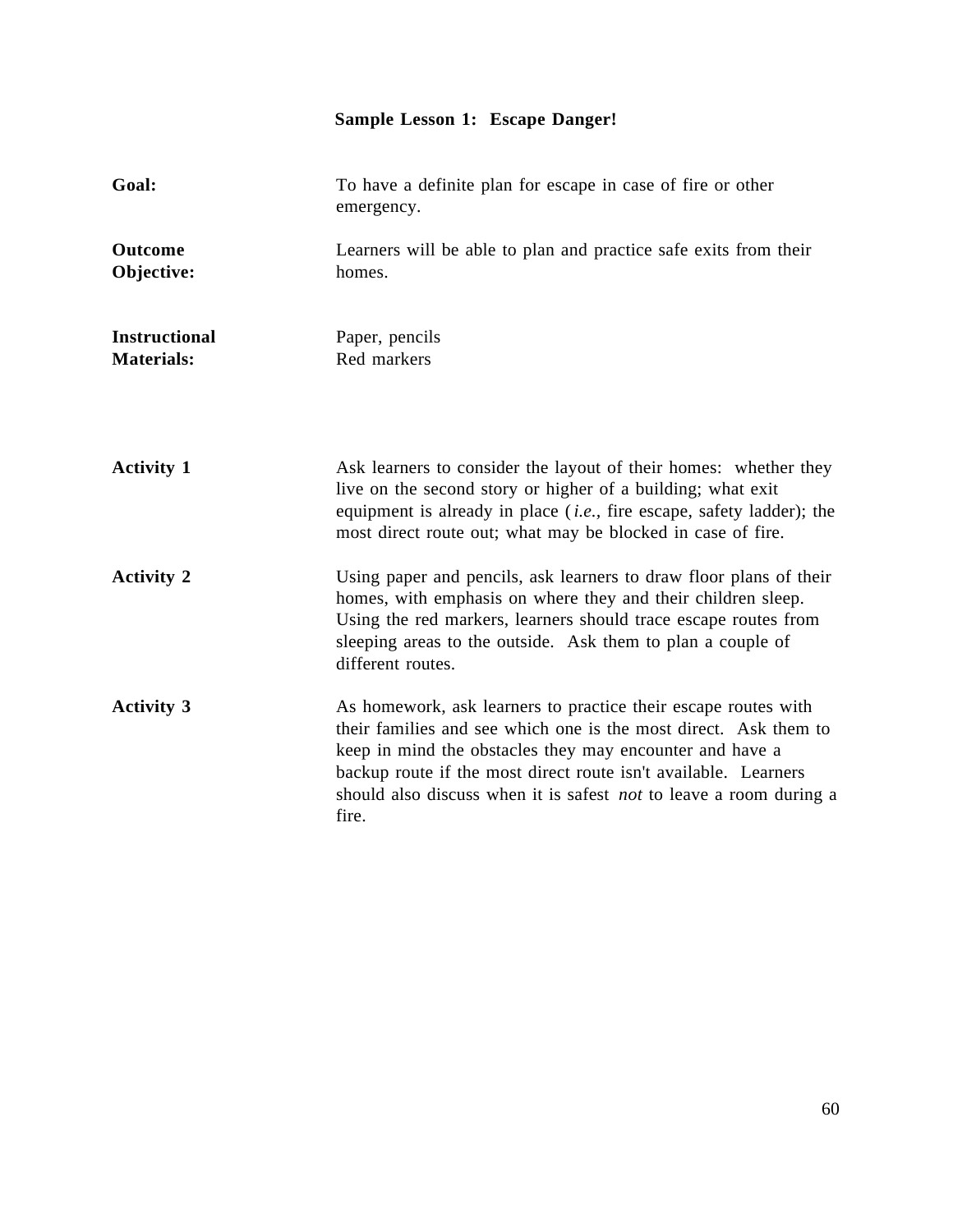# **Sample Lesson 1: Escape Danger!**

| Goal:                                     | To have a definite plan for escape in case of fire or other<br>emergency.                                                                                                                                                                                                                                                                               |
|-------------------------------------------|---------------------------------------------------------------------------------------------------------------------------------------------------------------------------------------------------------------------------------------------------------------------------------------------------------------------------------------------------------|
| <b>Outcome</b><br>Objective:              | Learners will be able to plan and practice safe exits from their<br>homes.                                                                                                                                                                                                                                                                              |
| <b>Instructional</b><br><b>Materials:</b> | Paper, pencils<br>Red markers                                                                                                                                                                                                                                                                                                                           |
| <b>Activity 1</b>                         | Ask learners to consider the layout of their homes: whether they<br>live on the second story or higher of a building; what exit<br>equipment is already in place $(i.e.,$ fire escape, safety ladder); the<br>most direct route out; what may be blocked in case of fire.                                                                               |
| <b>Activity 2</b>                         | Using paper and pencils, ask learners to draw floor plans of their<br>homes, with emphasis on where they and their children sleep.<br>Using the red markers, learners should trace escape routes from<br>sleeping areas to the outside. Ask them to plan a couple of<br>different routes.                                                               |
| <b>Activity 3</b>                         | As homework, ask learners to practice their escape routes with<br>their families and see which one is the most direct. Ask them to<br>keep in mind the obstacles they may encounter and have a<br>backup route if the most direct route isn't available. Learners<br>should also discuss when it is safest <i>not</i> to leave a room during a<br>fire. |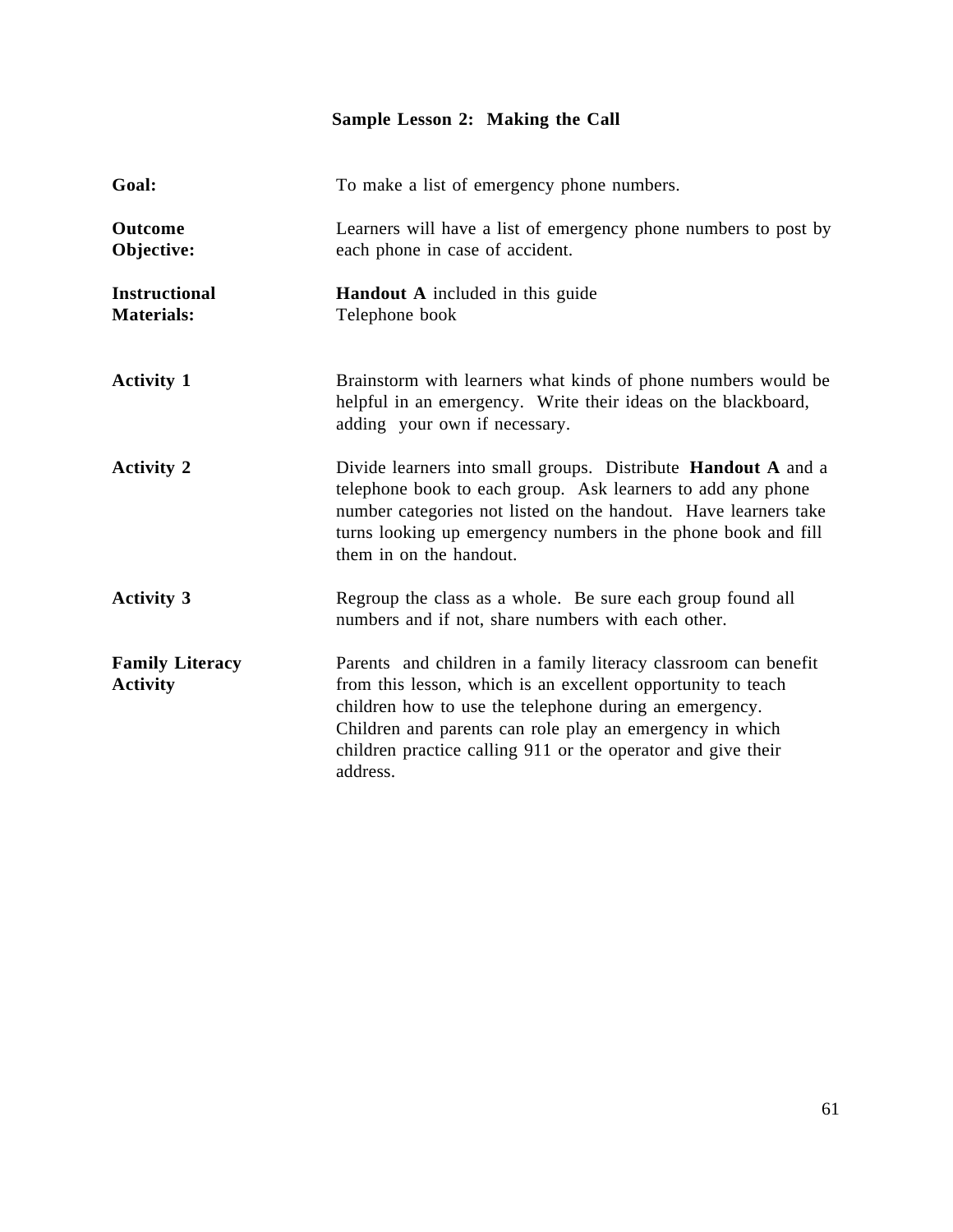# **Sample Lesson 2: Making the Call**

| Goal:                                     | To make a list of emergency phone numbers.                                                                                                                                                                                                                                                                                        |
|-------------------------------------------|-----------------------------------------------------------------------------------------------------------------------------------------------------------------------------------------------------------------------------------------------------------------------------------------------------------------------------------|
| <b>Outcome</b><br>Objective:              | Learners will have a list of emergency phone numbers to post by<br>each phone in case of accident.                                                                                                                                                                                                                                |
| <b>Instructional</b><br><b>Materials:</b> | <b>Handout A</b> included in this guide<br>Telephone book                                                                                                                                                                                                                                                                         |
| <b>Activity 1</b>                         | Brainstorm with learners what kinds of phone numbers would be<br>helpful in an emergency. Write their ideas on the blackboard,<br>adding your own if necessary.                                                                                                                                                                   |
| <b>Activity 2</b>                         | Divide learners into small groups. Distribute Handout A and a<br>telephone book to each group. Ask learners to add any phone<br>number categories not listed on the handout. Have learners take<br>turns looking up emergency numbers in the phone book and fill<br>them in on the handout.                                       |
| <b>Activity 3</b>                         | Regroup the class as a whole. Be sure each group found all<br>numbers and if not, share numbers with each other.                                                                                                                                                                                                                  |
| <b>Family Literacy</b><br><b>Activity</b> | Parents and children in a family literacy classroom can benefit<br>from this lesson, which is an excellent opportunity to teach<br>children how to use the telephone during an emergency.<br>Children and parents can role play an emergency in which<br>children practice calling 911 or the operator and give their<br>address. |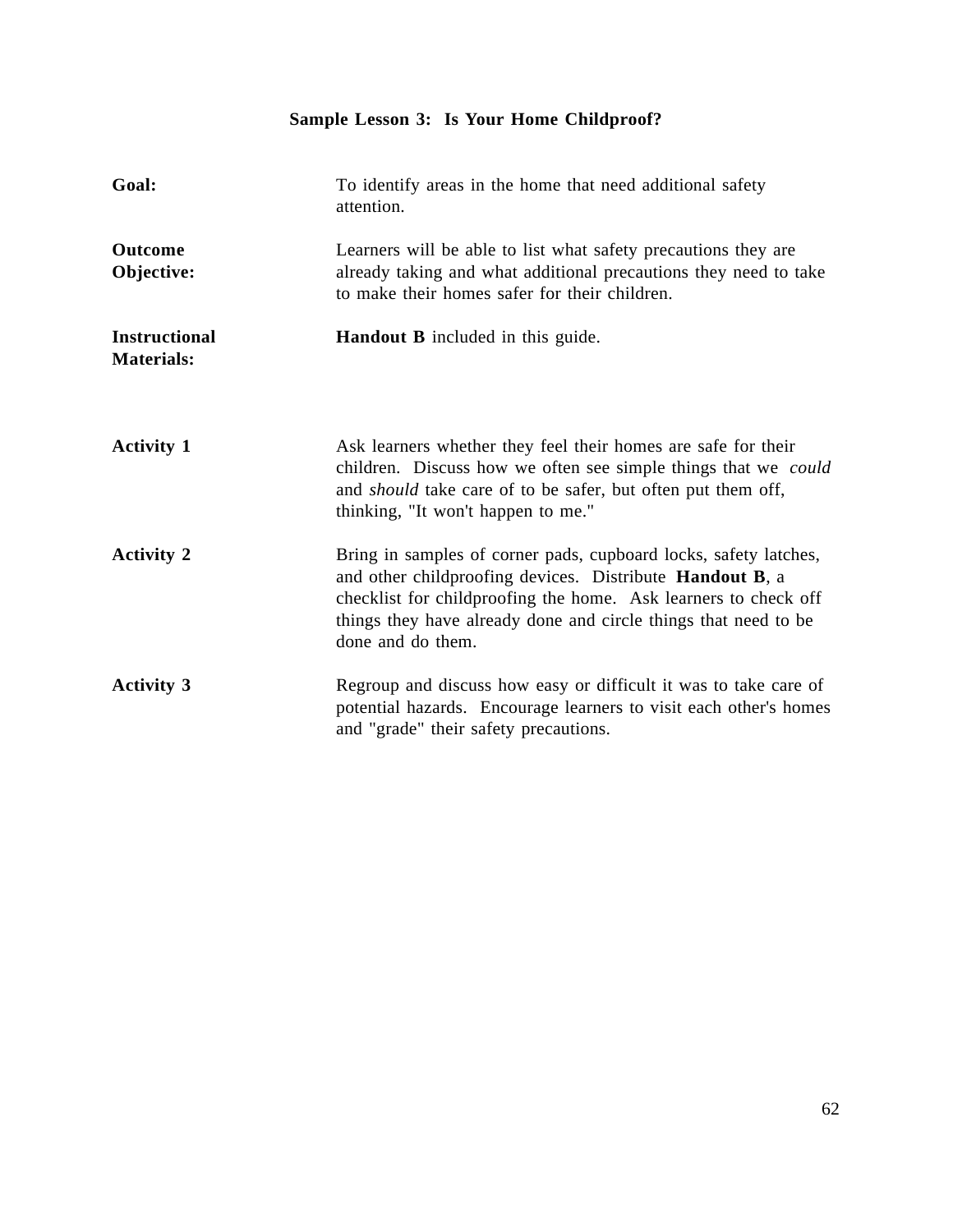# **Sample Lesson 3: Is Your Home Childproof?**

| Goal:                                     | To identify areas in the home that need additional safety<br>attention.                                                                                                                                                                                                                         |
|-------------------------------------------|-------------------------------------------------------------------------------------------------------------------------------------------------------------------------------------------------------------------------------------------------------------------------------------------------|
| Outcome<br>Objective:                     | Learners will be able to list what safety precautions they are<br>already taking and what additional precautions they need to take<br>to make their homes safer for their children.                                                                                                             |
| <b>Instructional</b><br><b>Materials:</b> | <b>Handout B</b> included in this guide.                                                                                                                                                                                                                                                        |
| <b>Activity 1</b>                         | Ask learners whether they feel their homes are safe for their<br>children. Discuss how we often see simple things that we could<br>and <i>should</i> take care of to be safer, but often put them off,<br>thinking, "It won't happen to me."                                                    |
| <b>Activity 2</b>                         | Bring in samples of corner pads, cupboard locks, safety latches,<br>and other childproofing devices. Distribute <b>Handout B</b> , a<br>checklist for childproofing the home. Ask learners to check off<br>things they have already done and circle things that need to be<br>done and do them. |
| <b>Activity 3</b>                         | Regroup and discuss how easy or difficult it was to take care of<br>potential hazards. Encourage learners to visit each other's homes<br>and "grade" their safety precautions.                                                                                                                  |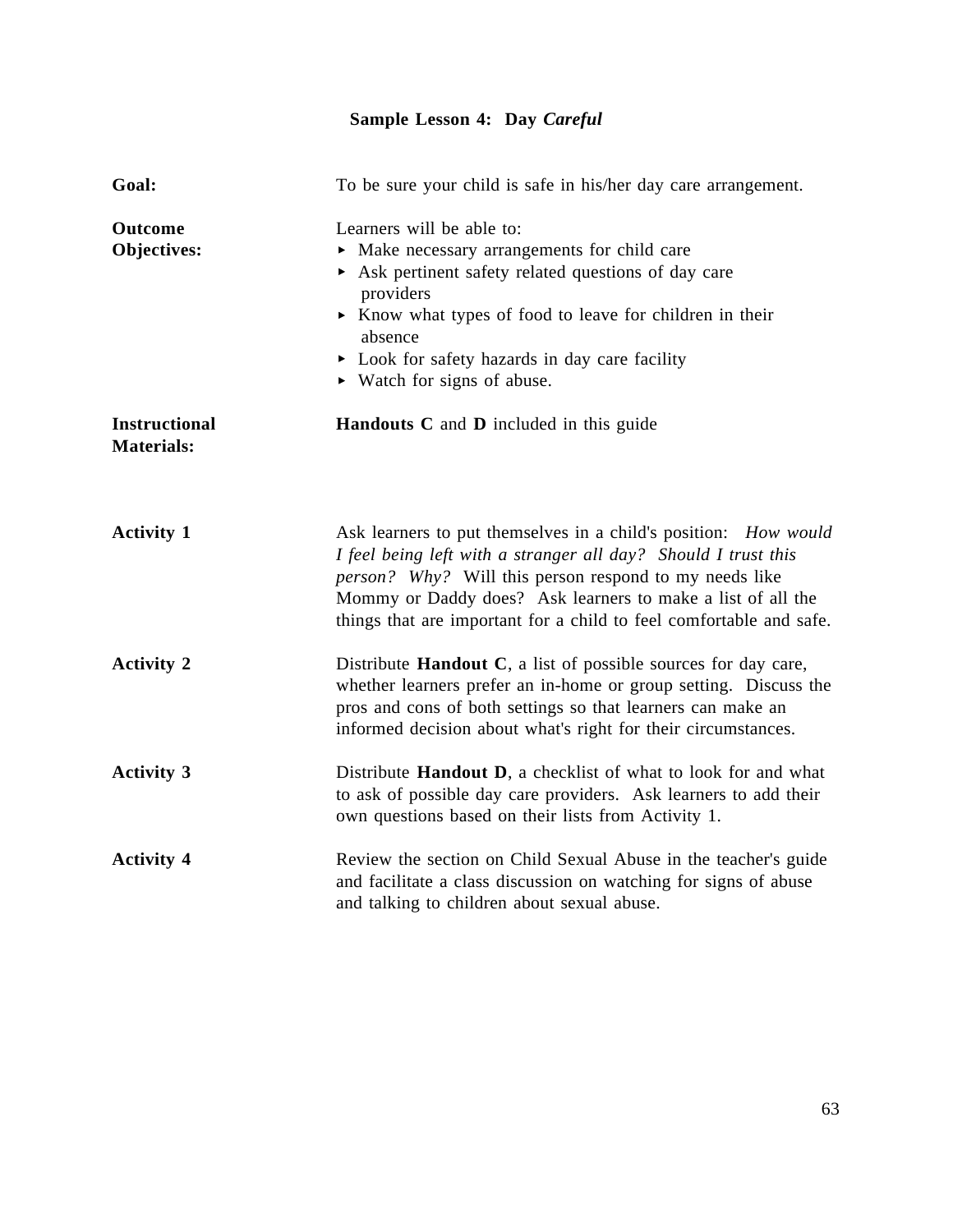# **Sample Lesson 4: Day** *Careful*

| Goal:                                     | To be sure your child is safe in his/her day care arrangement.                                                                                                                                                                                                                                                                           |
|-------------------------------------------|------------------------------------------------------------------------------------------------------------------------------------------------------------------------------------------------------------------------------------------------------------------------------------------------------------------------------------------|
| <b>Outcome</b><br>Objectives:             | Learners will be able to:<br>• Make necessary arrangements for child care<br>Ask pertinent safety related questions of day care<br>providers<br>Know what types of food to leave for children in their<br>absence<br>• Look for safety hazards in day care facility<br>$\triangleright$ Watch for signs of abuse.                        |
| <b>Instructional</b><br><b>Materials:</b> | Handouts C and D included in this guide                                                                                                                                                                                                                                                                                                  |
| <b>Activity 1</b>                         | Ask learners to put themselves in a child's position: How would<br>I feel being left with a stranger all day? Should I trust this<br><i>person?</i> Why? Will this person respond to my needs like<br>Mommy or Daddy does? Ask learners to make a list of all the<br>things that are important for a child to feel comfortable and safe. |
| <b>Activity 2</b>                         | Distribute <b>Handout C</b> , a list of possible sources for day care,<br>whether learners prefer an in-home or group setting. Discuss the<br>pros and cons of both settings so that learners can make an<br>informed decision about what's right for their circumstances.                                                               |
| <b>Activity 3</b>                         | Distribute Handout D, a checklist of what to look for and what<br>to ask of possible day care providers. Ask learners to add their<br>own questions based on their lists from Activity 1.                                                                                                                                                |
| <b>Activity 4</b>                         | Review the section on Child Sexual Abuse in the teacher's guide<br>and facilitate a class discussion on watching for signs of abuse<br>and talking to children about sexual abuse.                                                                                                                                                       |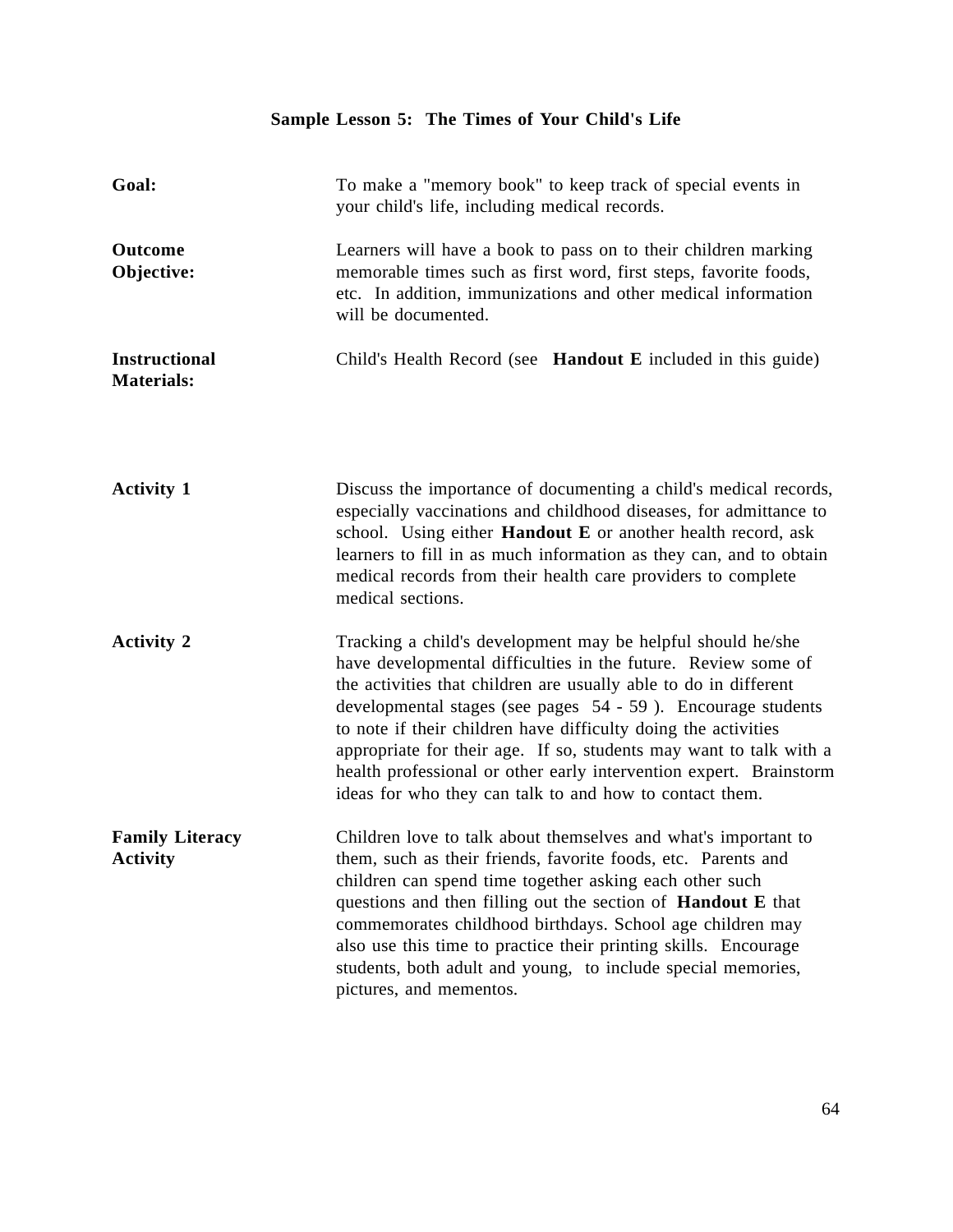# **Sample Lesson 5: The Times of Your Child's Life**

| Goal:                                     | To make a "memory book" to keep track of special events in<br>your child's life, including medical records.                                                                                                                                                                                                                                                                                                                                                                                                                               |
|-------------------------------------------|-------------------------------------------------------------------------------------------------------------------------------------------------------------------------------------------------------------------------------------------------------------------------------------------------------------------------------------------------------------------------------------------------------------------------------------------------------------------------------------------------------------------------------------------|
| Outcome<br>Objective:                     | Learners will have a book to pass on to their children marking<br>memorable times such as first word, first steps, favorite foods,<br>etc. In addition, immunizations and other medical information<br>will be documented.                                                                                                                                                                                                                                                                                                                |
| <b>Instructional</b><br><b>Materials:</b> | Child's Health Record (see <b>Handout E</b> included in this guide)                                                                                                                                                                                                                                                                                                                                                                                                                                                                       |
| <b>Activity 1</b>                         | Discuss the importance of documenting a child's medical records,<br>especially vaccinations and childhood diseases, for admittance to<br>school. Using either Handout E or another health record, ask<br>learners to fill in as much information as they can, and to obtain<br>medical records from their health care providers to complete<br>medical sections.                                                                                                                                                                          |
| <b>Activity 2</b>                         | Tracking a child's development may be helpful should he/she<br>have developmental difficulties in the future. Review some of<br>the activities that children are usually able to do in different<br>developmental stages (see pages 54 - 59). Encourage students<br>to note if their children have difficulty doing the activities<br>appropriate for their age. If so, students may want to talk with a<br>health professional or other early intervention expert. Brainstorm<br>ideas for who they can talk to and how to contact them. |
| <b>Family Literacy</b><br><b>Activity</b> | Children love to talk about themselves and what's important to<br>them, such as their friends, favorite foods, etc. Parents and<br>children can spend time together asking each other such<br>questions and then filling out the section of <b>Handout</b> E that<br>commemorates childhood birthdays. School age children may<br>also use this time to practice their printing skills. Encourage<br>students, both adult and young, to include special memories,<br>pictures, and mementos.                                              |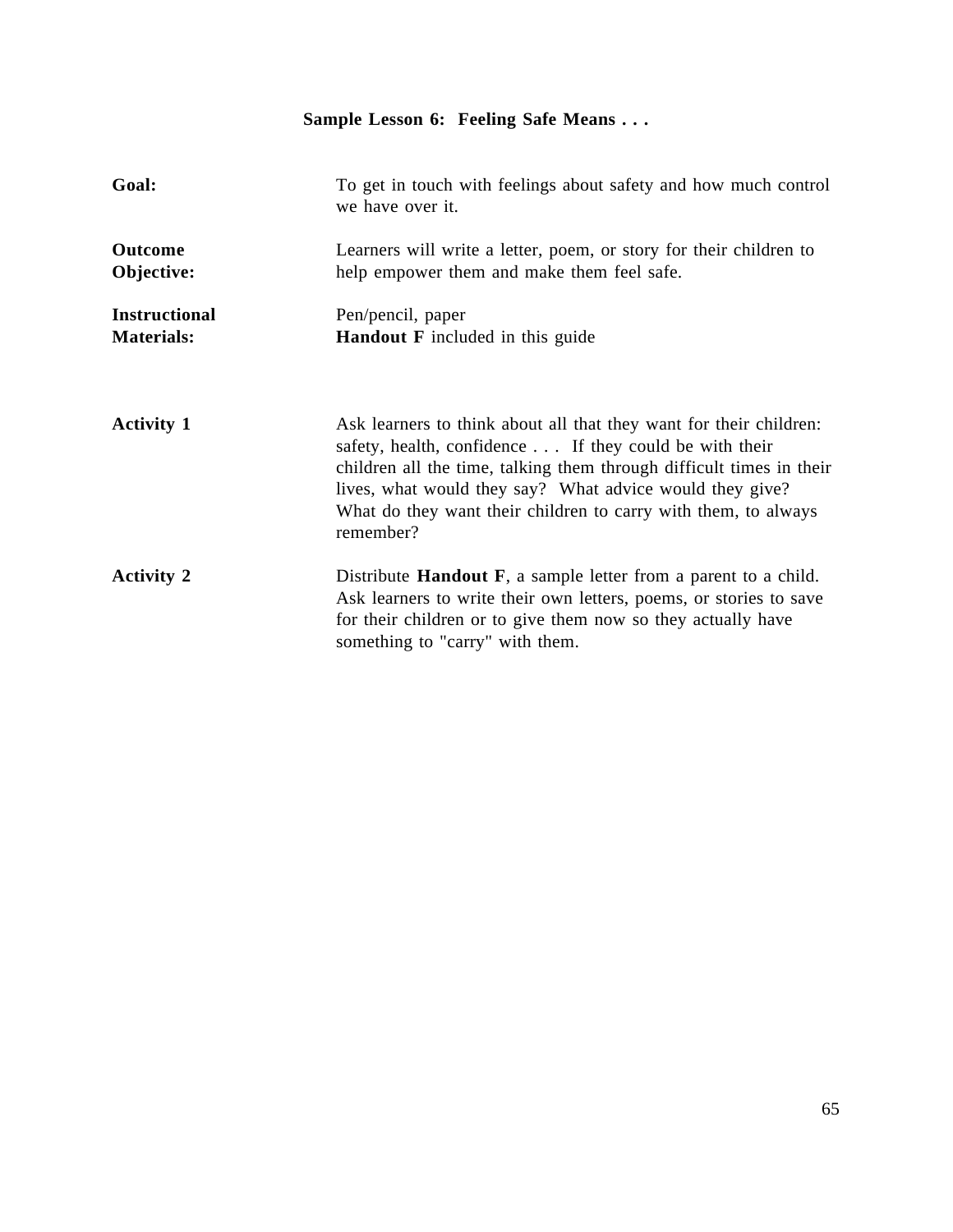# **Sample Lesson 6: Feeling Safe Means . . .**

| Goal:                                     | To get in touch with feelings about safety and how much control<br>we have over it.                                                                                                                                                                                                                                                             |
|-------------------------------------------|-------------------------------------------------------------------------------------------------------------------------------------------------------------------------------------------------------------------------------------------------------------------------------------------------------------------------------------------------|
| <b>Outcome</b><br>Objective:              | Learners will write a letter, poem, or story for their children to<br>help empower them and make them feel safe.                                                                                                                                                                                                                                |
| <b>Instructional</b><br><b>Materials:</b> | Pen/pencil, paper<br><b>Handout F</b> included in this guide                                                                                                                                                                                                                                                                                    |
| <b>Activity 1</b>                         | Ask learners to think about all that they want for their children:<br>safety, health, confidence If they could be with their<br>children all the time, talking them through difficult times in their<br>lives, what would they say? What advice would they give?<br>What do they want their children to carry with them, to always<br>remember? |
| <b>Activity 2</b>                         | Distribute <b>Handout F</b> , a sample letter from a parent to a child.<br>Ask learners to write their own letters, poems, or stories to save<br>for their children or to give them now so they actually have<br>something to "carry" with them.                                                                                                |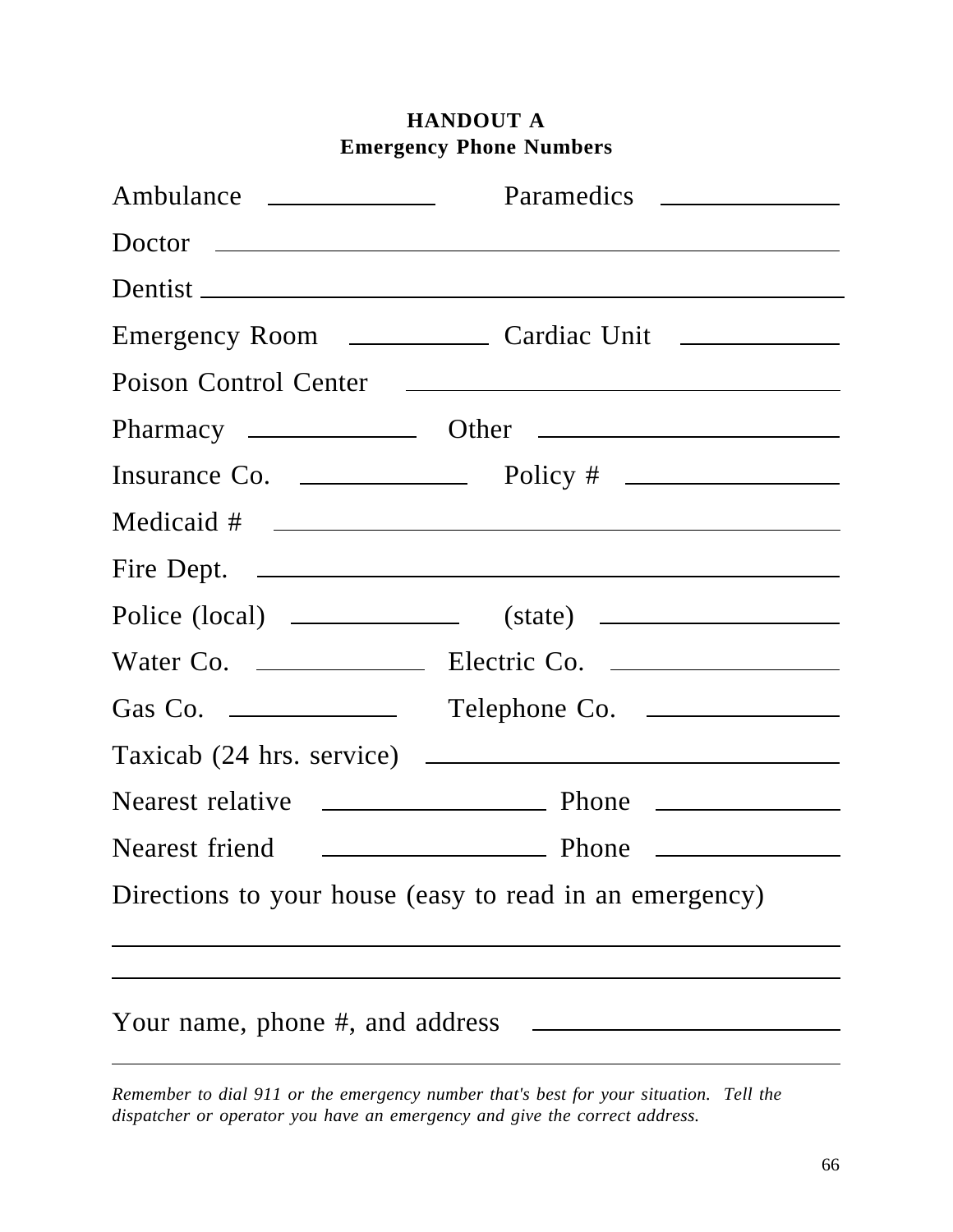|                                 | Fire Dept.                                              |
|---------------------------------|---------------------------------------------------------|
|                                 |                                                         |
|                                 |                                                         |
| Gas Co. $\qquad \qquad$         |                                                         |
|                                 |                                                         |
|                                 |                                                         |
| Nearest friend                  | Phone                                                   |
|                                 | Directions to your house (easy to read in an emergency) |
| Your name, phone #, and address |                                                         |

# **HANDOUT A Emergency Phone Numbers**

*Remember to dial 911 or the emergency number that's best for your situation. Tell the dispatcher or operator you have an emergency and give the correct address.*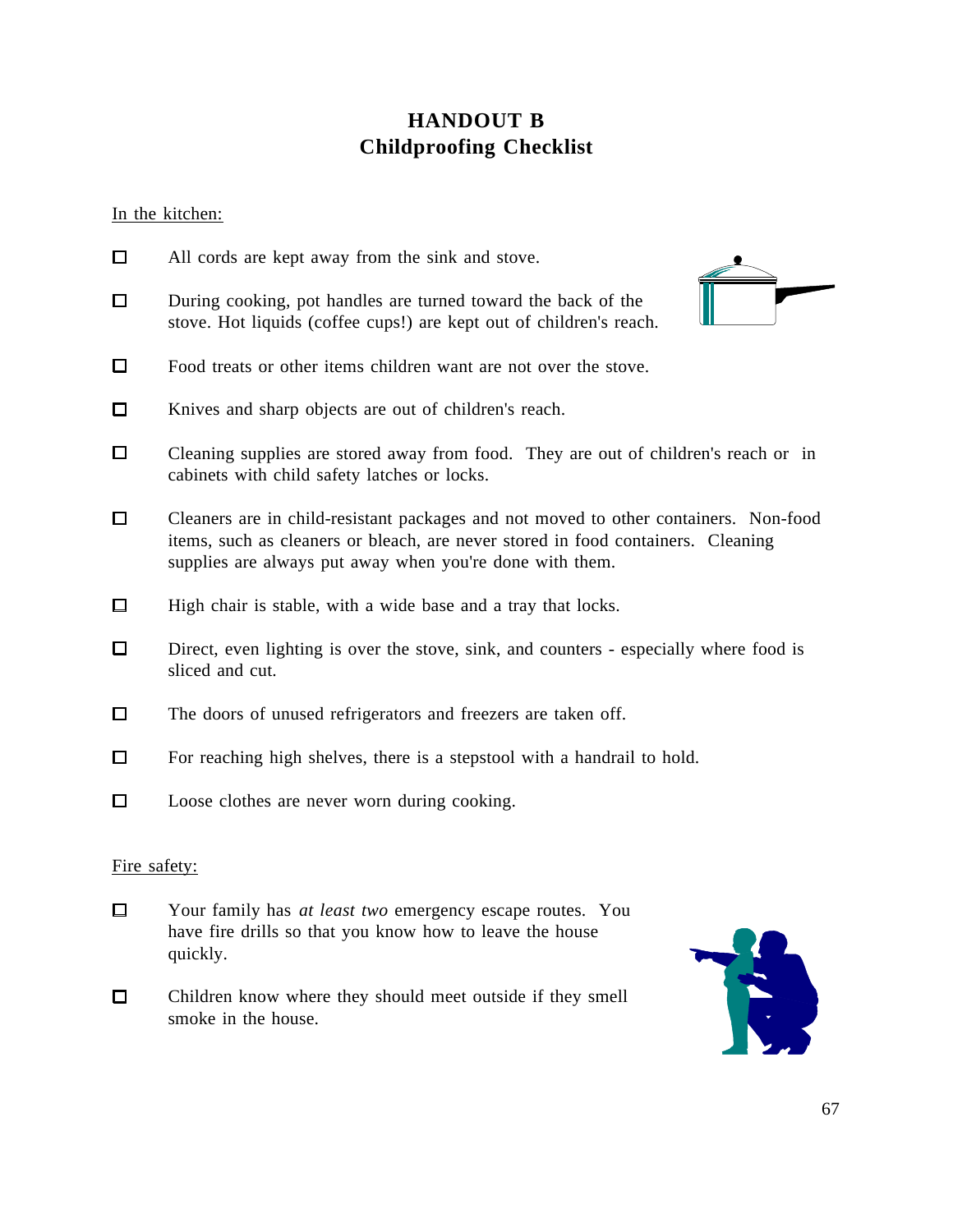# **HANDOUT B Childproofing Checklist**

In the kitchen:

quickly.

| □            | All cords are kept away from the sink and stove.                                                                                                                                                                                     |
|--------------|--------------------------------------------------------------------------------------------------------------------------------------------------------------------------------------------------------------------------------------|
| $\Box$       | During cooking, pot handles are turned toward the back of the<br>stove. Hot liquids (coffee cups!) are kept out of children's reach.                                                                                                 |
| $\Box$       | Food treats or other items children want are not over the stove.                                                                                                                                                                     |
| $\Box$       | Knives and sharp objects are out of children's reach.                                                                                                                                                                                |
| $\Box$       | Cleaning supplies are stored away from food. They are out of children's reach or in<br>cabinets with child safety latches or locks.                                                                                                  |
| $\Box$       | Cleaners are in child-resistant packages and not moved to other containers. Non-food<br>items, such as cleaners or bleach, are never stored in food containers. Cleaning<br>supplies are always put away when you're done with them. |
| □            | High chair is stable, with a wide base and a tray that locks.                                                                                                                                                                        |
| □            | Direct, even lighting is over the stove, sink, and counters - especially where food is<br>sliced and cut.                                                                                                                            |
| □            | The doors of unused refrigerators and freezers are taken off.                                                                                                                                                                        |
| □            | For reaching high shelves, there is a stepstool with a handrail to hold.                                                                                                                                                             |
| □            | Loose clothes are never worn during cooking.                                                                                                                                                                                         |
| Fire safety: |                                                                                                                                                                                                                                      |
| □            | Your family has at least two emergency escape routes. You<br>have fire drills so that you know how to leave the house                                                                                                                |

 $\Box$ Children know where they should meet outside if they smell smoke in the house.

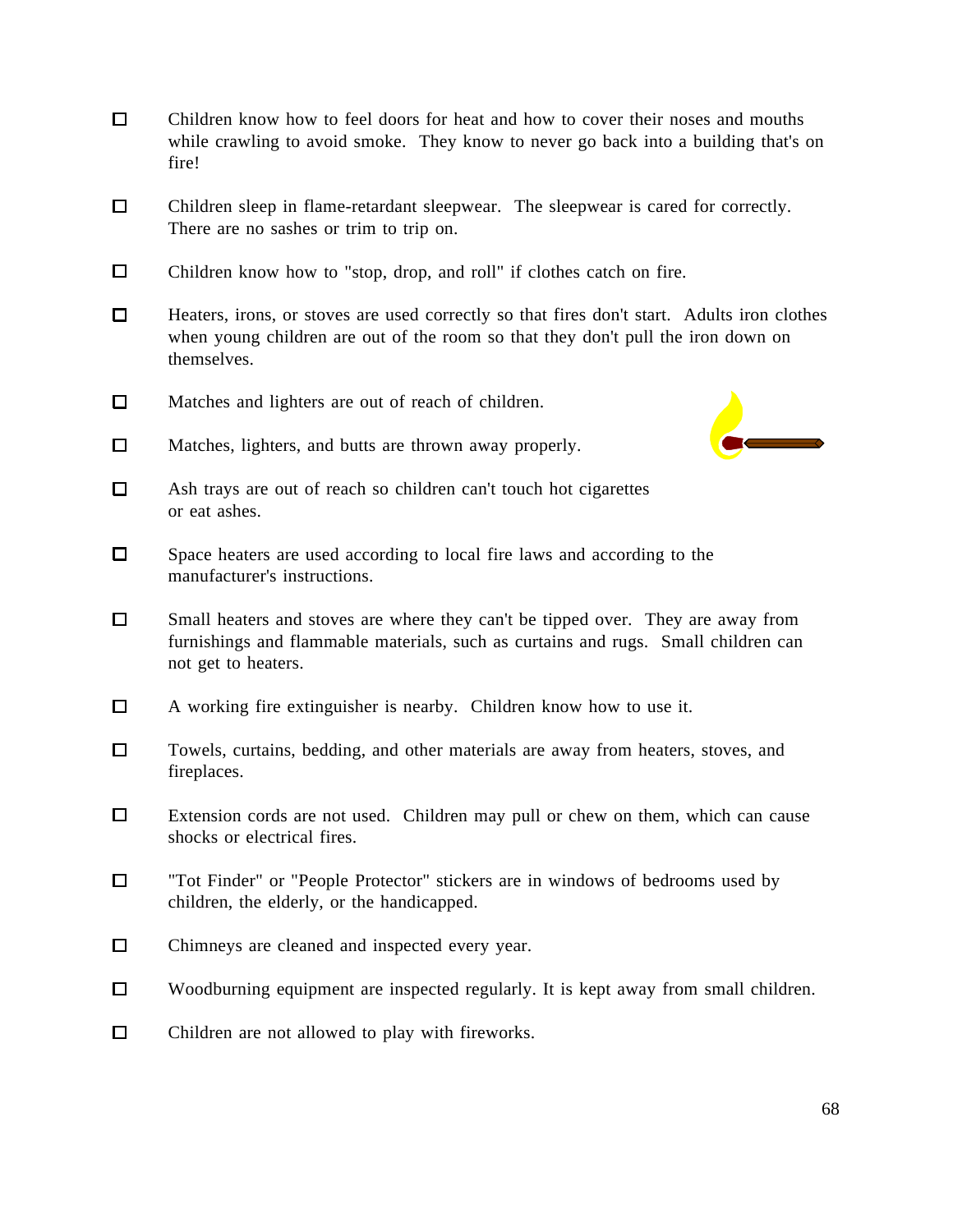- $\Box$ Children know how to feel doors for heat and how to cover their noses and mouths while crawling to avoid smoke. They know to never go back into a building that's on fire!
- $\Box$ Children sleep in flame-retardant sleepwear. The sleepwear is cared for correctly. There are no sashes or trim to trip on.
- $\Box$ Children know how to "stop, drop, and roll" if clothes catch on fire.
- $\Box$ Heaters, irons, or stoves are used correctly so that fires don't start. Adults iron clothes when young children are out of the room so that they don't pull the iron down on themselves.
- $\Box$ Matches and lighters are out of reach of children.
- 
- $\Box$ Matches, lighters, and butts are thrown away properly.
- $\Box$ Ash trays are out of reach so children can't touch hot cigarettes or eat ashes.
- $\Box$ Space heaters are used according to local fire laws and according to the manufacturer's instructions.
- $\Box$ Small heaters and stoves are where they can't be tipped over. They are away from furnishings and flammable materials, such as curtains and rugs. Small children can not get to heaters.
- $\Box$ A working fire extinguisher is nearby. Children know how to use it.
- $\Box$ Towels, curtains, bedding, and other materials are away from heaters, stoves, and fireplaces.
- $\Box$ Extension cords are not used. Children may pull or chew on them, which can cause shocks or electrical fires.
- $\Box$ "Tot Finder" or "People Protector" stickers are in windows of bedrooms used by children, the elderly, or the handicapped.
- $\Box$ Chimneys are cleaned and inspected every year.
- $\Box$ Woodburning equipment are inspected regularly. It is kept away from small children.
- $\Box$ Children are not allowed to play with fireworks.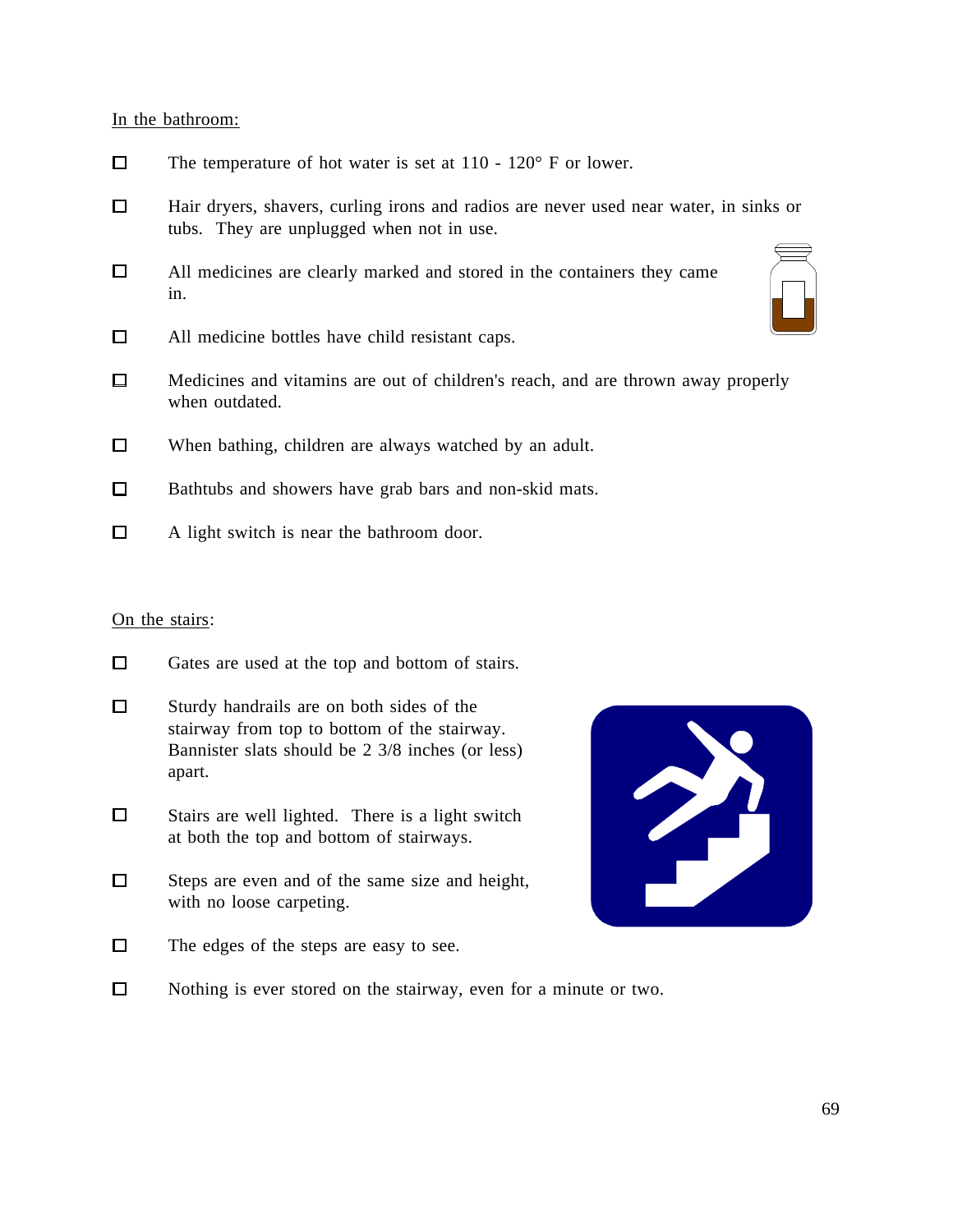In the bathroom:

- $\Box$ The temperature of hot water is set at 110 - 120° F or lower.
- $\Box$ Hair dryers, shavers, curling irons and radios are never used near water, in sinks or tubs. They are unplugged when not in use.
- $\Box$ All medicines are clearly marked and stored in the containers they came in.
- $\Box$ All medicine bottles have child resistant caps.
- $\Box$ Medicines and vitamins are out of children's reach, and are thrown away properly when outdated.
- $\Box$ When bathing, children are always watched by an adult.
- $\Box$ Bathtubs and showers have grab bars and non-skid mats.
- $\Box$ A light switch is near the bathroom door.

### On the stairs:

- $\Box$ Gates are used at the top and bottom of stairs.
- $\Box$ Sturdy handrails are on both sides of the stairway from top to bottom of the stairway. Bannister slats should be 2 3/8 inches (or less) apart.
- $\Box$ Stairs are well lighted. There is a light switch at both the top and bottom of stairways.
- $\Box$ Steps are even and of the same size and height, with no loose carpeting.
- $\Box$ The edges of the steps are easy to see.



 $\Box$ Nothing is ever stored on the stairway, even for a minute or two.

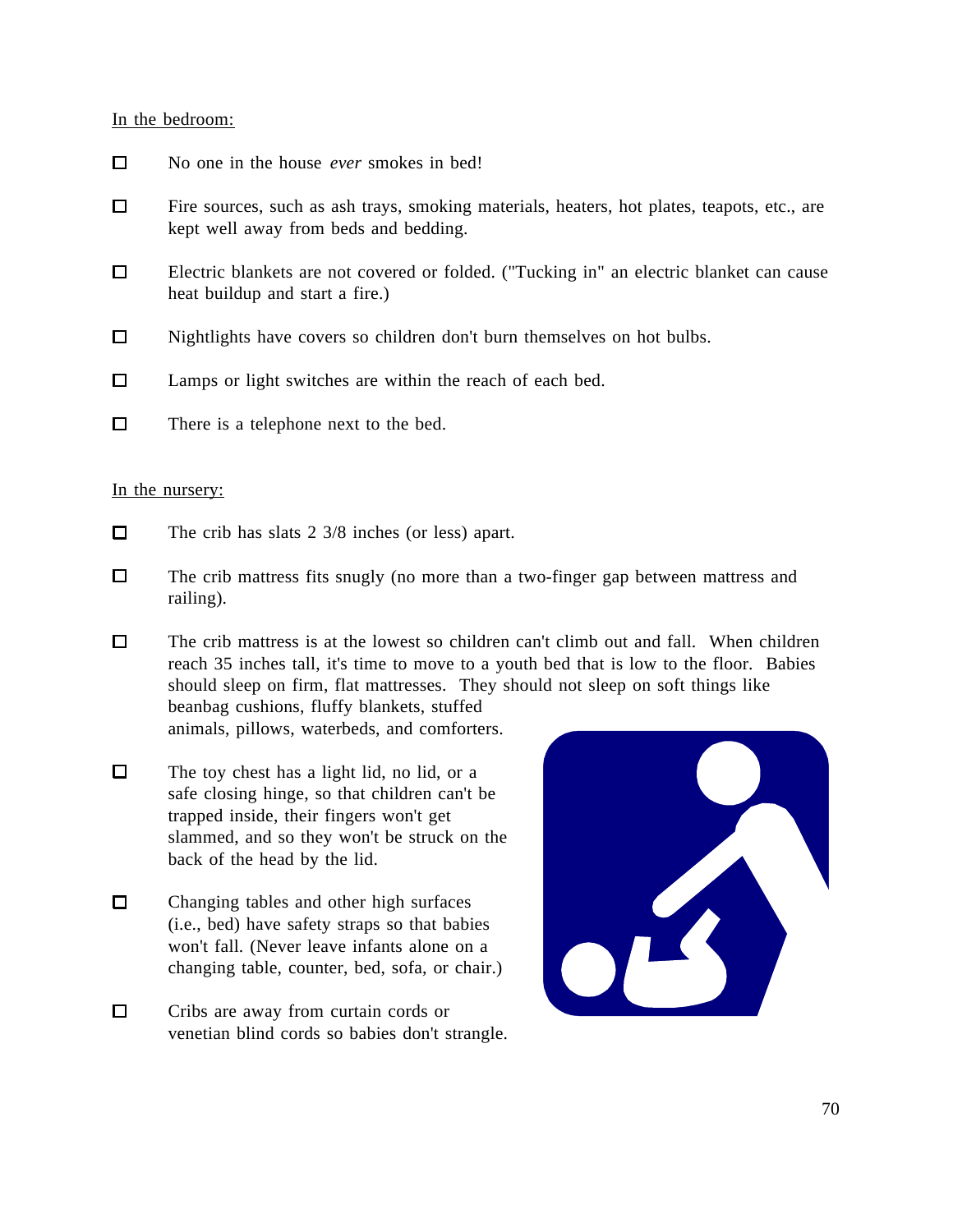### In the bedroom:

- $\Box$ No one in the house *ever* smokes in bed!
- $\Box$ Fire sources, such as ash trays, smoking materials, heaters, hot plates, teapots, etc., are kept well away from beds and bedding.
- $\Box$ Electric blankets are not covered or folded. ("Tucking in" an electric blanket can cause heat buildup and start a fire.)
- $\Box$ Nightlights have covers so children don't burn themselves on hot bulbs.
- $\Box$ Lamps or light switches are within the reach of each bed.
- $\Box$ There is a telephone next to the bed.

#### In the nursery:

- $\Box$ The crib has slats 2 3/8 inches (or less) apart.
- $\Box$ The crib mattress fits snugly (no more than a two-finger gap between mattress and railing).
- $\Box$ The crib mattress is at the lowest so children can't climb out and fall. When children reach 35 inches tall, it's time to move to a youth bed that is low to the floor. Babies should sleep on firm, flat mattresses. They should not sleep on soft things like beanbag cushions, fluffy blankets, stuffed animals, pillows, waterbeds, and comforters.
- $\Box$ The toy chest has a light lid, no lid, or a safe closing hinge, so that children can't be trapped inside, their fingers won't get slammed, and so they won't be struck on the back of the head by the lid.
- $\Box$ Changing tables and other high surfaces (i.e., bed) have safety straps so that babies won't fall. (Never leave infants alone on a changing table, counter, bed, sofa, or chair.)
- $\Box$ Cribs are away from curtain cords or venetian blind cords so babies don't strangle.

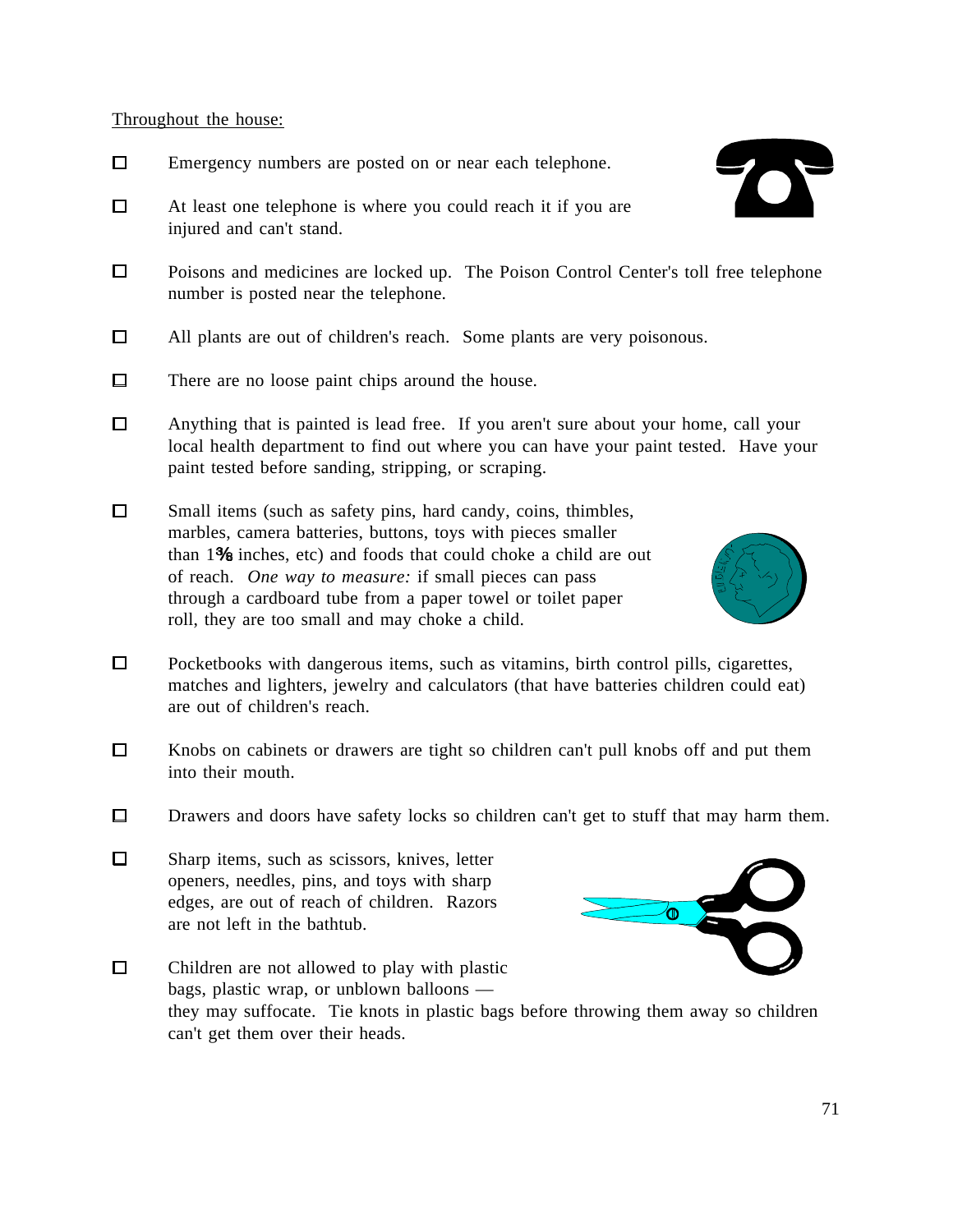### Throughout the house:

- $\Box$ Emergency numbers are posted on or near each telephone.
- $\Box$ At least one telephone is where you could reach it if you are injured and can't stand.
- $\Box$ Poisons and medicines are locked up. The Poison Control Center's toll free telephone number is posted near the telephone.
- $\Box$ All plants are out of children's reach. Some plants are very poisonous.
- $\Box$ There are no loose paint chips around the house.
- $\Box$ Anything that is painted is lead free. If you aren't sure about your home, call your local health department to find out where you can have your paint tested. Have your paint tested before sanding, stripping, or scraping.
- $\Box$ Small items (such as safety pins, hard candy, coins, thimbles, marbles, camera batteries, buttons, toys with pieces smaller than  $1\%$  inches, etc) and foods that could choke a child are out of reach. *One way to measure:* if small pieces can pass through a cardboard tube from a paper towel or toilet paper roll, they are too small and may choke a child.
- $\Box$ Pocketbooks with dangerous items, such as vitamins, birth control pills, cigarettes, matches and lighters, jewelry and calculators (that have batteries children could eat) are out of children's reach.
- $\Box$ Knobs on cabinets or drawers are tight so children can't pull knobs off and put them into their mouth.
- $\Box$ Drawers and doors have safety locks so children can't get to stuff that may harm them.
- $\Box$ Sharp items, such as scissors, knives, letter openers, needles, pins, and toys with sharp edges, are out of reach of children. Razors are not left in the bathtub.







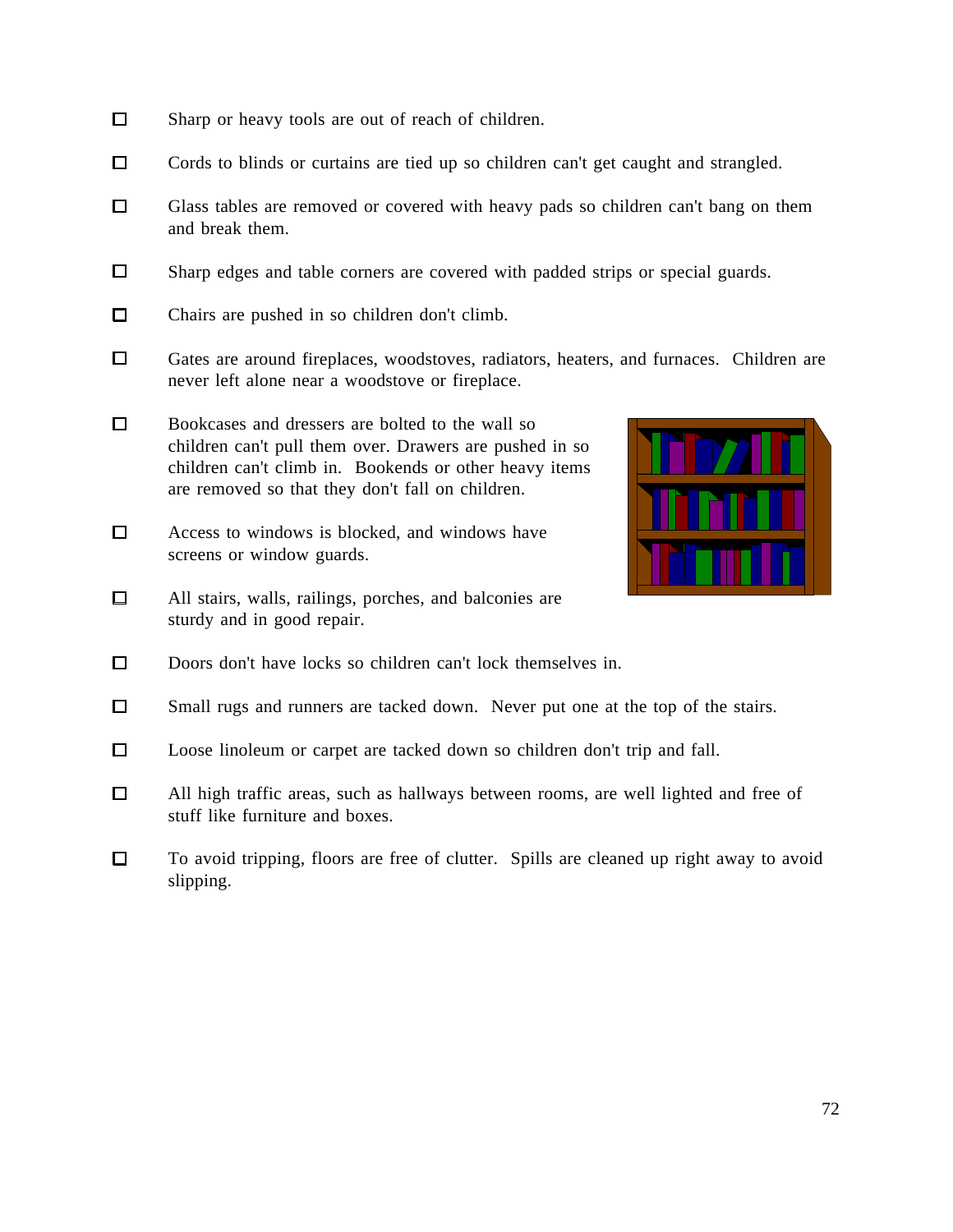- $\Box$ Sharp or heavy tools are out of reach of children.
- $\Box$ Cords to blinds or curtains are tied up so children can't get caught and strangled.
- $\Box$ Glass tables are removed or covered with heavy pads so children can't bang on them and break them.
- $\Box$ Sharp edges and table corners are covered with padded strips or special guards.
- $\Box$ Chairs are pushed in so children don't climb.
- $\Box$ Gates are around fireplaces, woodstoves, radiators, heaters, and furnaces. Children are never left alone near a woodstove or fireplace.
- $\Box$ Bookcases and dressers are bolted to the wall so children can't pull them over. Drawers are pushed in so children can't climb in. Bookends or other heavy items are removed so that they don't fall on children.
- $\Box$ Access to windows is blocked, and windows have screens or window guards.
- $\Box$ All stairs, walls, railings, porches, and balconies are sturdy and in good repair.



- $\Box$ Doors don't have locks so children can't lock themselves in.
- $\Box$ Small rugs and runners are tacked down. Never put one at the top of the stairs.
- $\Box$ Loose linoleum or carpet are tacked down so children don't trip and fall.
- All high traffic areas, such as hallways between rooms, are well lighted and free of  $\Box$ stuff like furniture and boxes.
- $\Box$ To avoid tripping, floors are free of clutter. Spills are cleaned up right away to avoid slipping.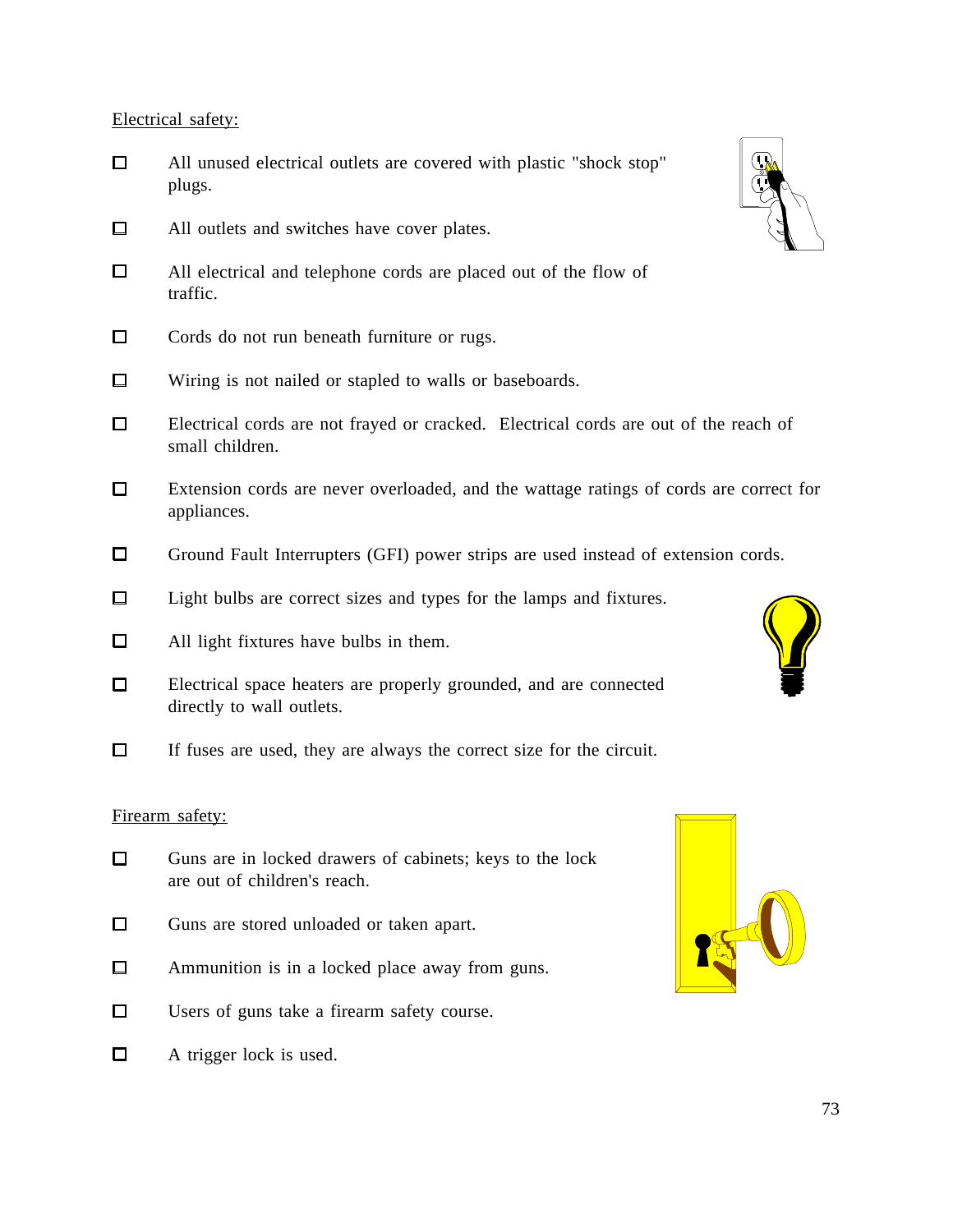Electrical safety:

- $\Box$ All unused electrical outlets are covered with plastic "shock stop" plugs.
- $\Box$ All outlets and switches have cover plates.
- $\Box$ All electrical and telephone cords are placed out of the flow of traffic.
- $\Box$ Cords do not run beneath furniture or rugs.
- $\Box$ Wiring is not nailed or stapled to walls or baseboards.
- $\Box$ Electrical cords are not frayed or cracked. Electrical cords are out of the reach of small children.
- $\Box$ Extension cords are never overloaded, and the wattage ratings of cords are correct for appliances.
- $\Box$ Ground Fault Interrupters (GFI) power strips are used instead of extension cords.
- $\Box$ Light bulbs are correct sizes and types for the lamps and fixtures.
- $\Box$ All light fixtures have bulbs in them.
- $\Box$ Electrical space heaters are properly grounded, and are connected directly to wall outlets.
- $\Box$ If fuses are used, they are always the correct size for the circuit.

### Firearm safety:

- $\Box$ Guns are in locked drawers of cabinets; keys to the lock are out of children's reach.
- $\Box$ Guns are stored unloaded or taken apart.
- $\Box$ Ammunition is in a locked place away from guns.
- $\Box$ Users of guns take a firearm safety course.
- $\Box$ A trigger lock is used.





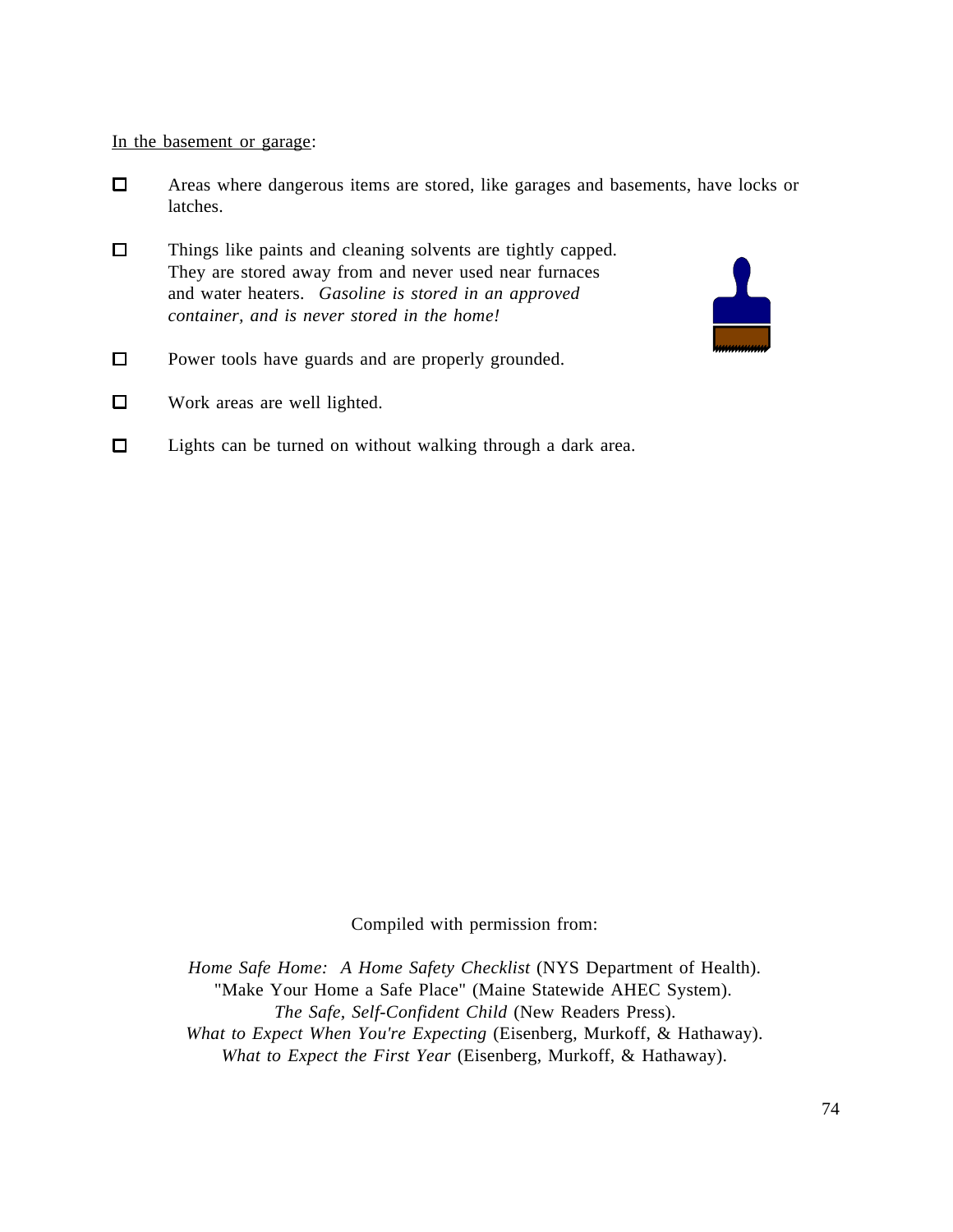#### In the basement or garage:

- $\Box$ Areas where dangerous items are stored, like garages and basements, have locks or latches.
- $\Box$ Things like paints and cleaning solvents are tightly capped. They are stored away from and never used near furnaces and water heaters. *Gasoline is stored in an approved container, and is never stored in the home!*
- $\Box$ Power tools have guards and are properly grounded.
- $\Box$ Work areas are well lighted.
- $\Box$ Lights can be turned on without walking through a dark area.

Compiled with permission from:

*Home Safe Home: A Home Safety Checklist* (NYS Department of Health). "Make Your Home a Safe Place" (Maine Statewide AHEC System). *The Safe, Self-Confident Child* (New Readers Press). *What to Expect When You're Expecting* (Eisenberg, Murkoff, & Hathaway). *What to Expect the First Year* (Eisenberg, Murkoff, & Hathaway).

 $\mathbf{L}$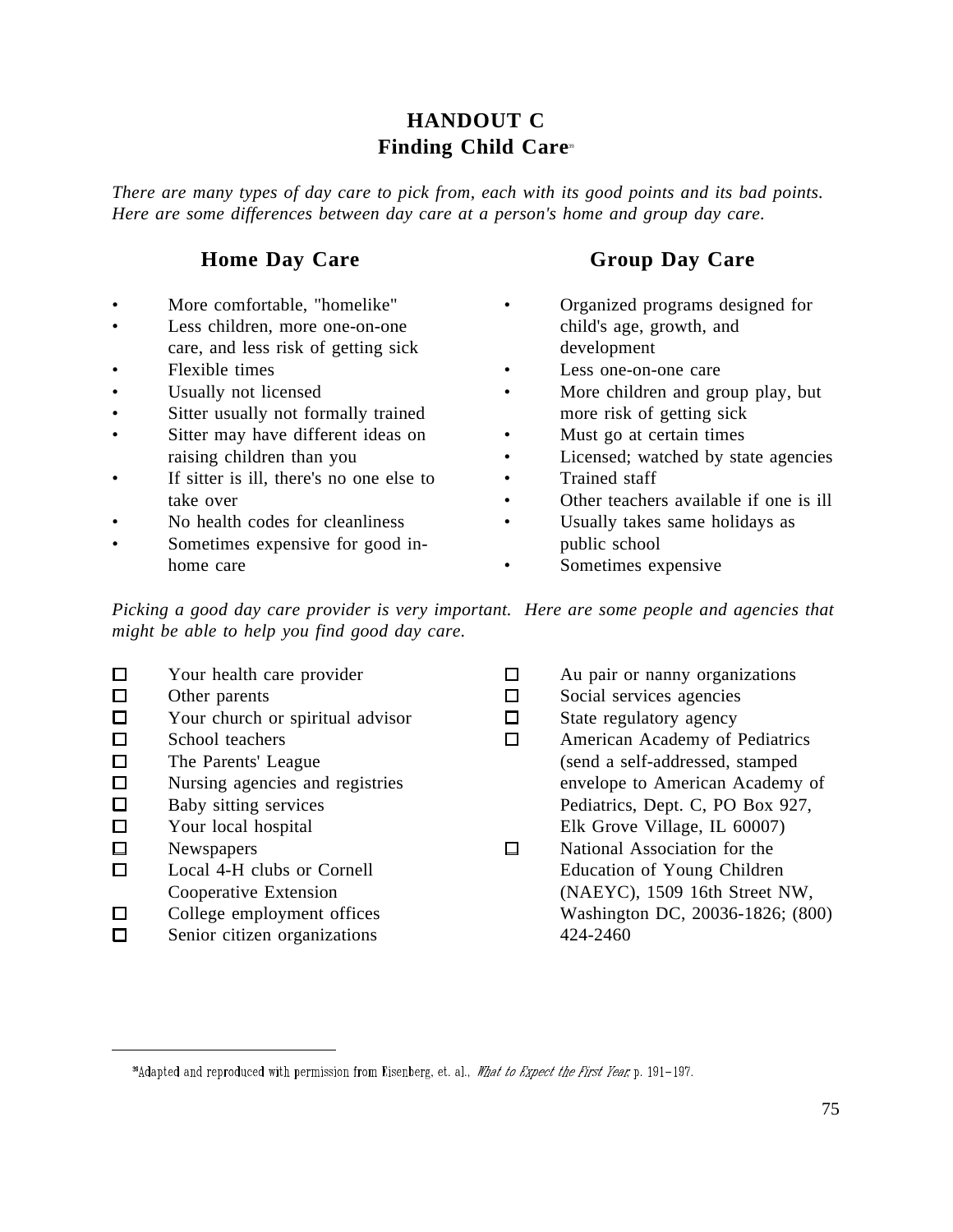## **HANDOUT C Finding Child Care<sup>39</sup>**

*There are many types of day care to pick from, each with its good points and its bad points. Here are some differences between day care at a person's home and group day care.*

### **Home Day Care**

- More comfortable, "homelike"
- Less children, more one-on-one care, and less risk of getting sick
- Flexible times

 $\overline{a}$ 

- Usually not licensed
- Sitter usually not formally trained
- Sitter may have different ideas on raising children than you
- If sitter is ill, there's no one else to take over
- No health codes for cleanliness
- Sometimes expensive for good inhome care

## **Group Day Care**

- Organized programs designed for child's age, growth, and development
- Less one-on-one care
- More children and group play, but more risk of getting sick
- Must go at certain times
- Licensed; watched by state agencies
- Trained staff
- Other teachers available if one is ill
- Usually takes same holidays as public school
- Sometimes expensive

*Picking a good day care provider is very important. Here are some people and agencies that might be able to help you find good day care.* 

|        | Your health care provider        | Au pair or nanny organizations   |
|--------|----------------------------------|----------------------------------|
| □      | Other parents                    | Social services agencies         |
| $\Box$ | Your church or spiritual advisor | State regulatory agency          |
| $\Box$ | School teachers                  | American Academy of Pediatrics   |
| $\Box$ | The Parents' League              | (send a self-addressed, stamped  |
| □      | Nursing agencies and registries  | envelope to American Academy of  |
| □      | Baby sitting services            | Pediatrics, Dept. C, PO Box 927, |
| $\Box$ | Your local hospital              | Elk Grove Village, IL 60007)     |
| $\Box$ | <b>Newspapers</b>                | National Association for the     |
|        | Local 4-H clubs or Cornell       | Education of Young Children      |
|        | Cooperative Extension            | (NAEYC), 1509 16th Street NW,    |
|        | College employment offices       | Washington DC, 20036-1826; (800) |
|        | Senior citizen organizations     | 424-2460                         |

<sup>&</sup>lt;sup>39</sup>Adapted and reproduced with permission from Eisenberg, et. al., What to Expect the First Year, p. 191-197.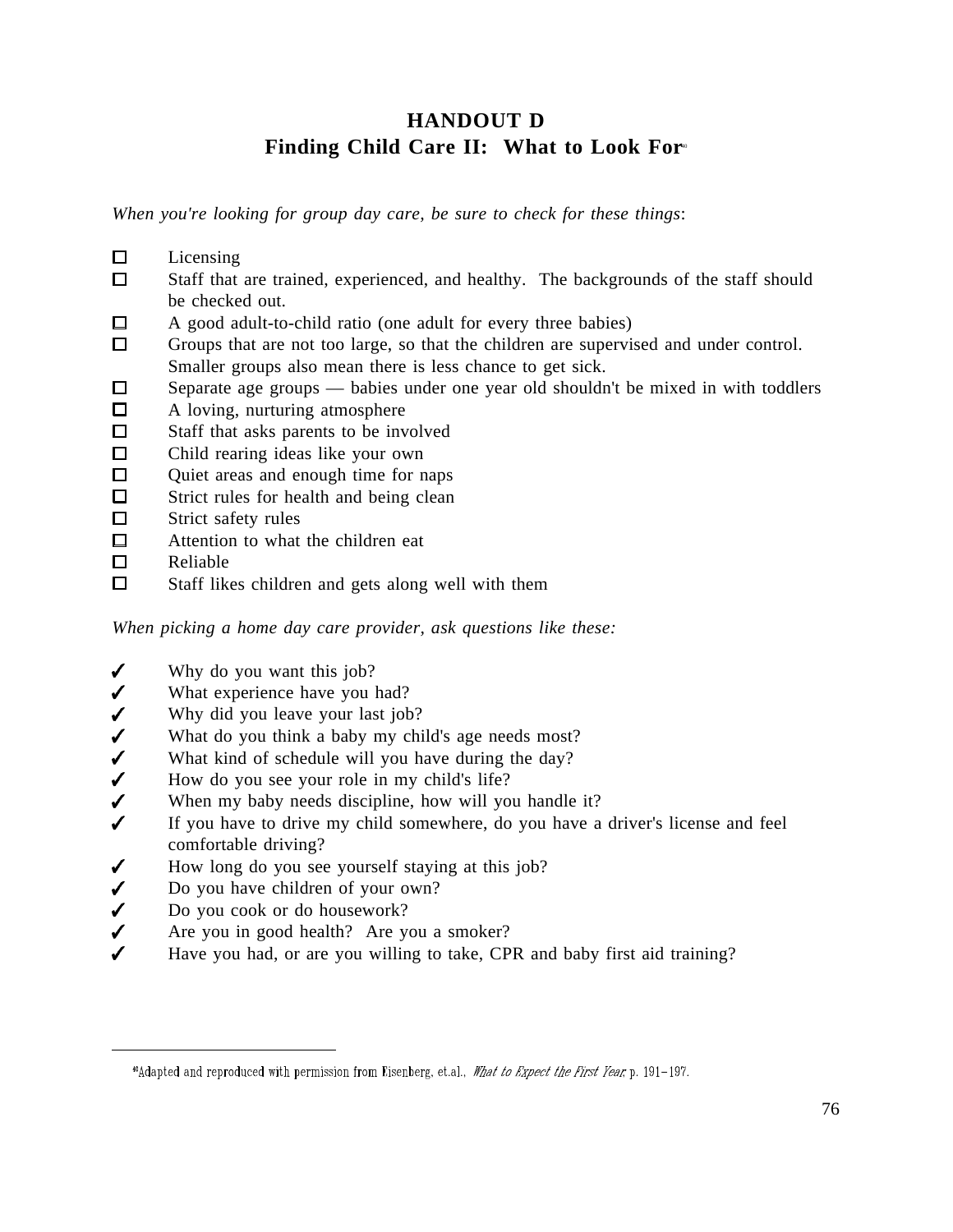# **HANDOUT D** Finding Child Care II: What to Look For<sup>®</sup>

*When you're looking for group day care, be sure to check for these things*:

- $\Box$ Licensing
- $\Box$ Staff that are trained, experienced, and healthy. The backgrounds of the staff should be checked out.
- A good adult-to-child ratio (one adult for every three babies) О.
- $\Box$ Groups that are not too large, so that the children are supervised and under control. Smaller groups also mean there is less chance to get sick.
- Separate age groups babies under one year old shouldn't be mixed in with toddlers  $\Box$
- $\Box$ A loving, nurturing atmosphere
- $\Box$ Staff that asks parents to be involved
- $\Box$ Child rearing ideas like your own
- $\Box$ Quiet areas and enough time for naps
- $\Box$ Strict rules for health and being clean
- $\Box$ Strict safety rules
- $\Box$ Attention to what the children eat
- $\Box$ Reliable

 $\overline{a}$ 

 $\Box$ Staff likes children and gets along well with them

*When picking a home day care provider, ask questions like these:* 

- $\checkmark$ Why do you want this job?
- $\checkmark$ What experience have you had?
- $\checkmark$ Why did you leave your last job?
- What do you think a baby my child's age needs most?
- What kind of schedule will you have during the day?
- ノノノ How do you see your role in my child's life?
- When my baby needs discipline, how will you handle it?
- $\checkmark$ If you have to drive my child somewhere, do you have a driver's license and feel comfortable driving?
- $\checkmark$ How long do you see yourself staying at this job?
- $\checkmark$ Do you have children of your own?
- $\checkmark$ Do you cook or do housework?
- $\checkmark$ Are you in good health? Are you a smoker?
- Have you had, or are you willing to take, CPR and baby first aid training?

<sup>&</sup>quot;Manufed and reproduced with permission from Eisenberg, et.al., What to Expect the First Year, p. 191-197.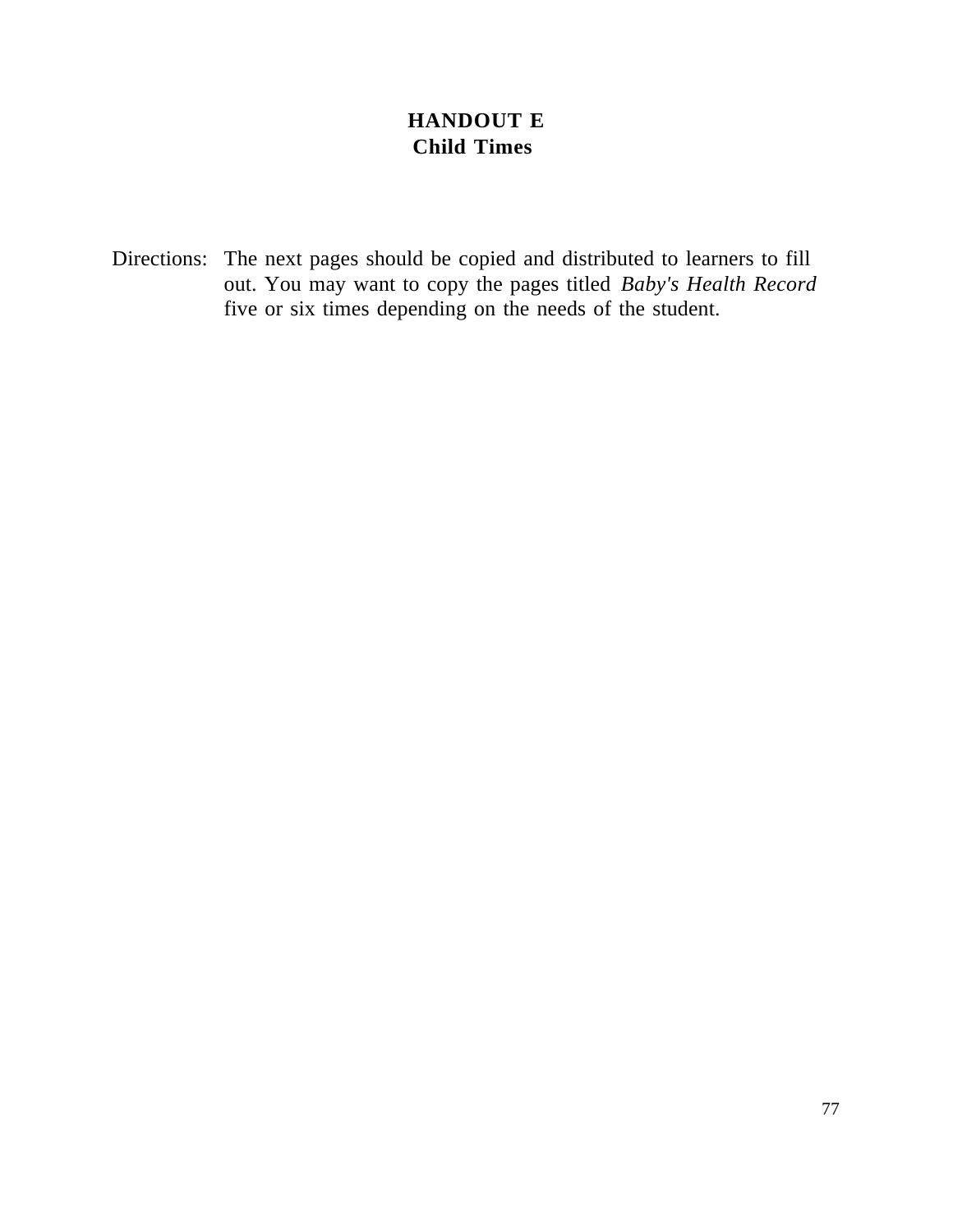# **HANDOUT E Child Times**

Directions: The next pages should be copied and distributed to learners to fill out. You may want to copy the pages titled *Baby's Health Record* five or six times depending on the needs of the student.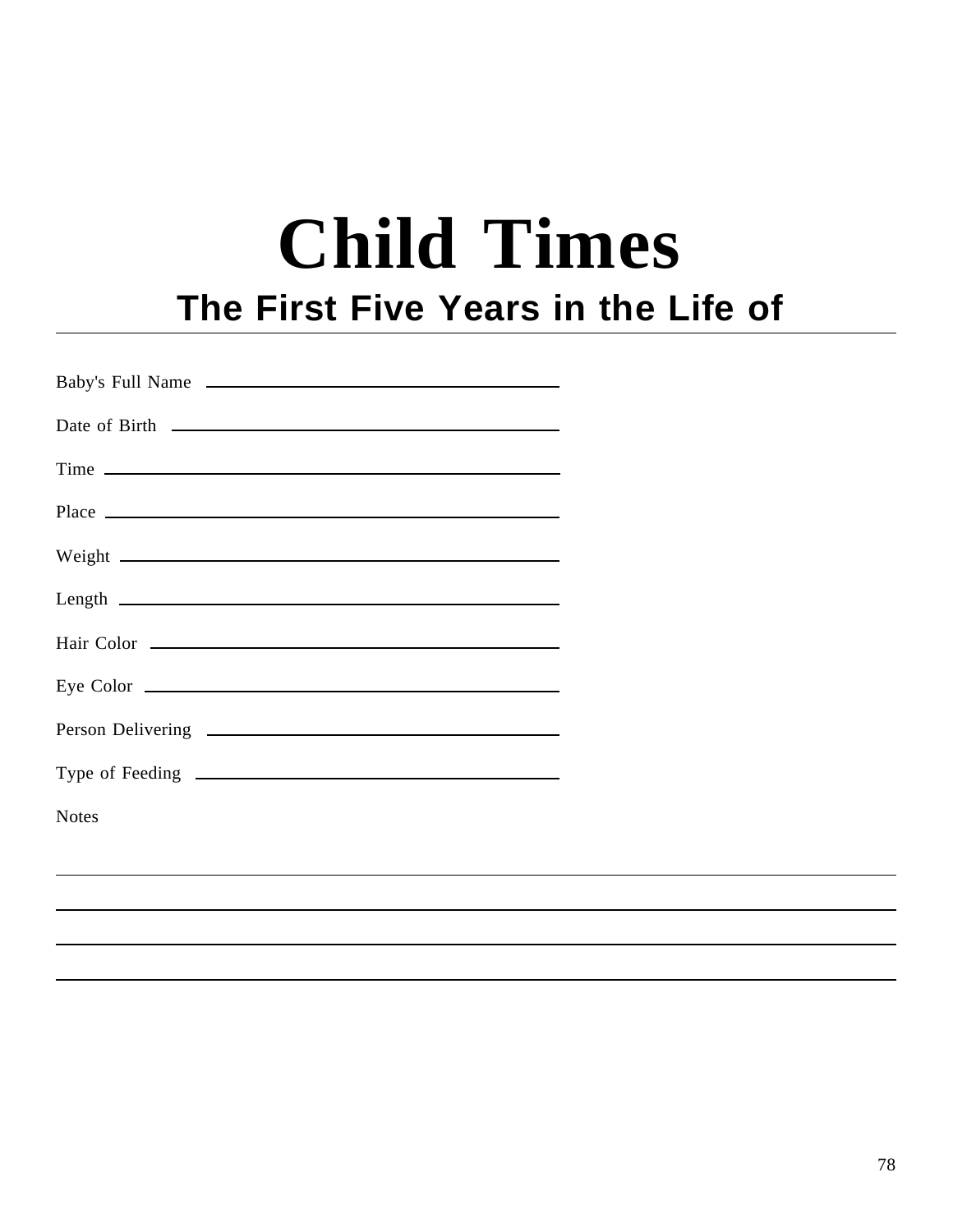# **Child Times The First Five Years in the Life of**

| Baby's Full Name                                                                                                                                                                                                              |  |
|-------------------------------------------------------------------------------------------------------------------------------------------------------------------------------------------------------------------------------|--|
|                                                                                                                                                                                                                               |  |
| Time experience and the set of the set of the set of the set of the set of the set of the set of the set of the set of the set of the set of the set of the set of the set of the set of the set of the set of the set of the |  |
|                                                                                                                                                                                                                               |  |
|                                                                                                                                                                                                                               |  |
| $Length$ $\qquad \qquad$                                                                                                                                                                                                      |  |
| Hair Color                                                                                                                                                                                                                    |  |
|                                                                                                                                                                                                                               |  |
|                                                                                                                                                                                                                               |  |
|                                                                                                                                                                                                                               |  |
| <b>Notes</b>                                                                                                                                                                                                                  |  |
|                                                                                                                                                                                                                               |  |
|                                                                                                                                                                                                                               |  |
|                                                                                                                                                                                                                               |  |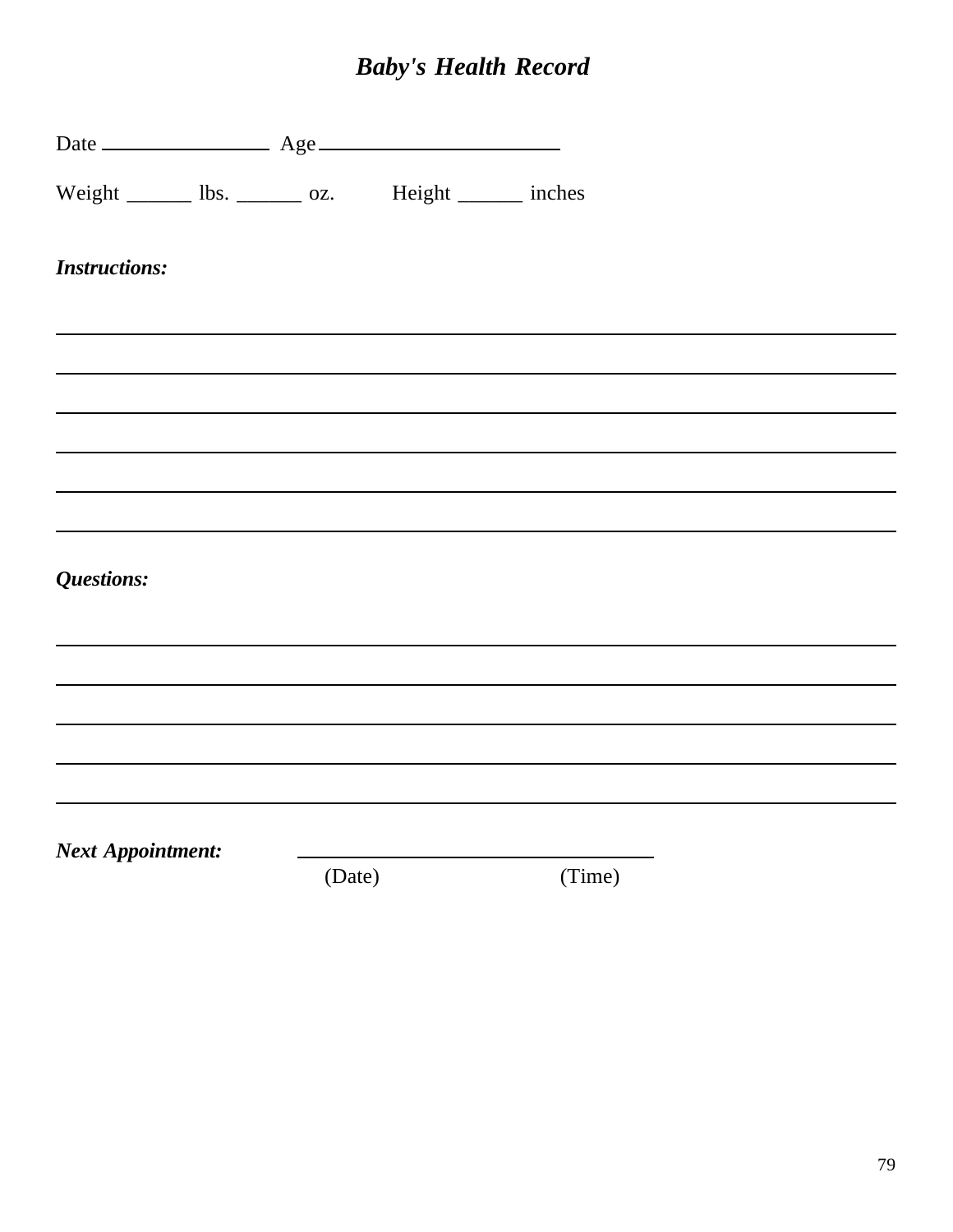# *Baby's Health Record*

| Weight ________ lbs. ________ oz. Height _______ inches |        |        |  |
|---------------------------------------------------------|--------|--------|--|
| <b>Instructions:</b>                                    |        |        |  |
|                                                         |        |        |  |
|                                                         |        |        |  |
|                                                         |        |        |  |
|                                                         |        |        |  |
|                                                         |        |        |  |
| Questions:                                              |        |        |  |
|                                                         |        |        |  |
|                                                         |        |        |  |
|                                                         |        |        |  |
|                                                         |        |        |  |
|                                                         |        |        |  |
| <b>Next Appointment:</b>                                |        |        |  |
|                                                         | (Date) | (Time) |  |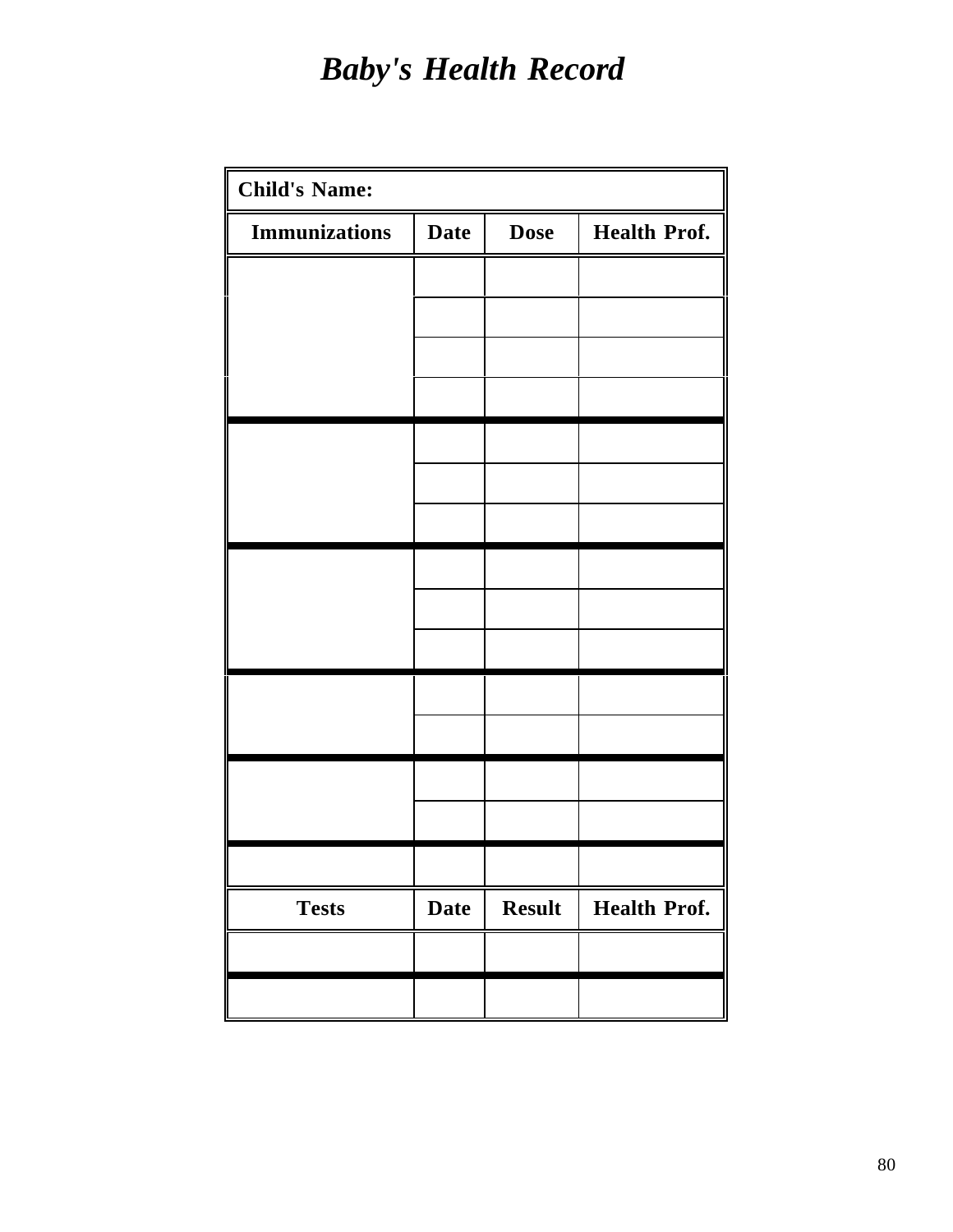# *Baby's Health Record*

| <b>Date</b> | <b>Dose</b>   | <b>Health Prof.</b> |
|-------------|---------------|---------------------|
|             |               |                     |
|             |               |                     |
|             |               |                     |
|             |               |                     |
|             |               |                     |
|             |               |                     |
|             |               |                     |
|             |               |                     |
|             |               |                     |
|             |               |                     |
|             |               |                     |
|             |               |                     |
|             |               |                     |
|             |               |                     |
|             |               |                     |
|             |               |                     |
| <b>Date</b> | <b>Result</b> | <b>Health Prof.</b> |
|             |               |                     |
|             |               |                     |
|             |               |                     |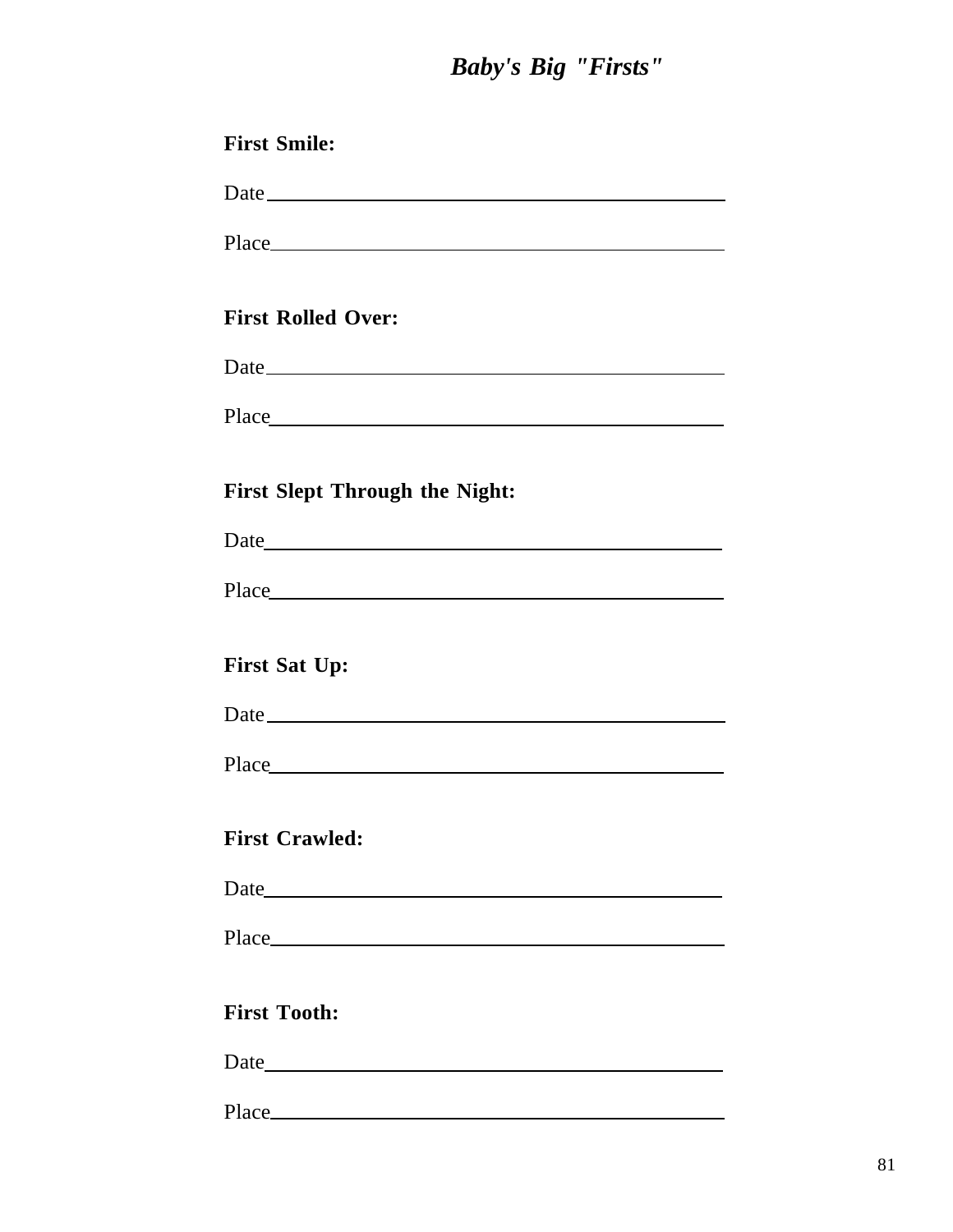# *Baby's Big "Firsts"*

| <b>First Smile:</b>                   |
|---------------------------------------|
| Date                                  |
|                                       |
|                                       |
| <b>First Rolled Over:</b>             |
| Date                                  |
|                                       |
|                                       |
| <b>First Slept Through the Night:</b> |
|                                       |
|                                       |
|                                       |
| <b>First Sat Up:</b>                  |
|                                       |
|                                       |
|                                       |
| <b>First Crawled:</b>                 |
|                                       |
|                                       |
|                                       |
| <b>First Tooth:</b>                   |
|                                       |
|                                       |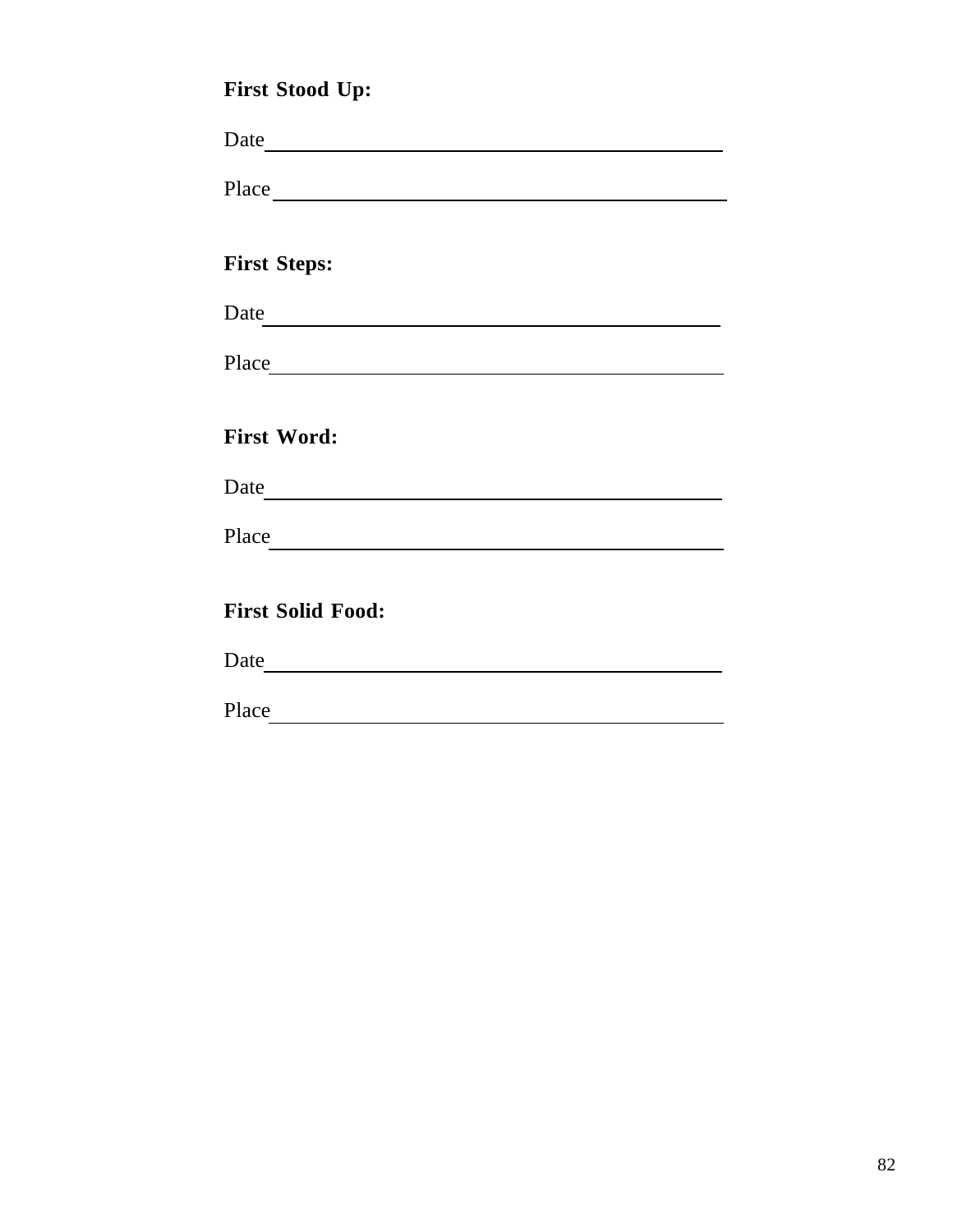| <b>First Stood Up:</b>                                                                                                                                                                                                               |
|--------------------------------------------------------------------------------------------------------------------------------------------------------------------------------------------------------------------------------------|
|                                                                                                                                                                                                                                      |
|                                                                                                                                                                                                                                      |
| <b>First Steps:</b>                                                                                                                                                                                                                  |
|                                                                                                                                                                                                                                      |
|                                                                                                                                                                                                                                      |
| <b>First Word:</b>                                                                                                                                                                                                                   |
|                                                                                                                                                                                                                                      |
| Place <b>Contract Contract Contract Contract Contract Contract Contract Contract Contract Contract Contract Contract Contract Contract Contract Contract Contract Contract Contract Contract Contract Contract Contract Contract</b> |
| <b>First Solid Food:</b>                                                                                                                                                                                                             |
|                                                                                                                                                                                                                                      |
|                                                                                                                                                                                                                                      |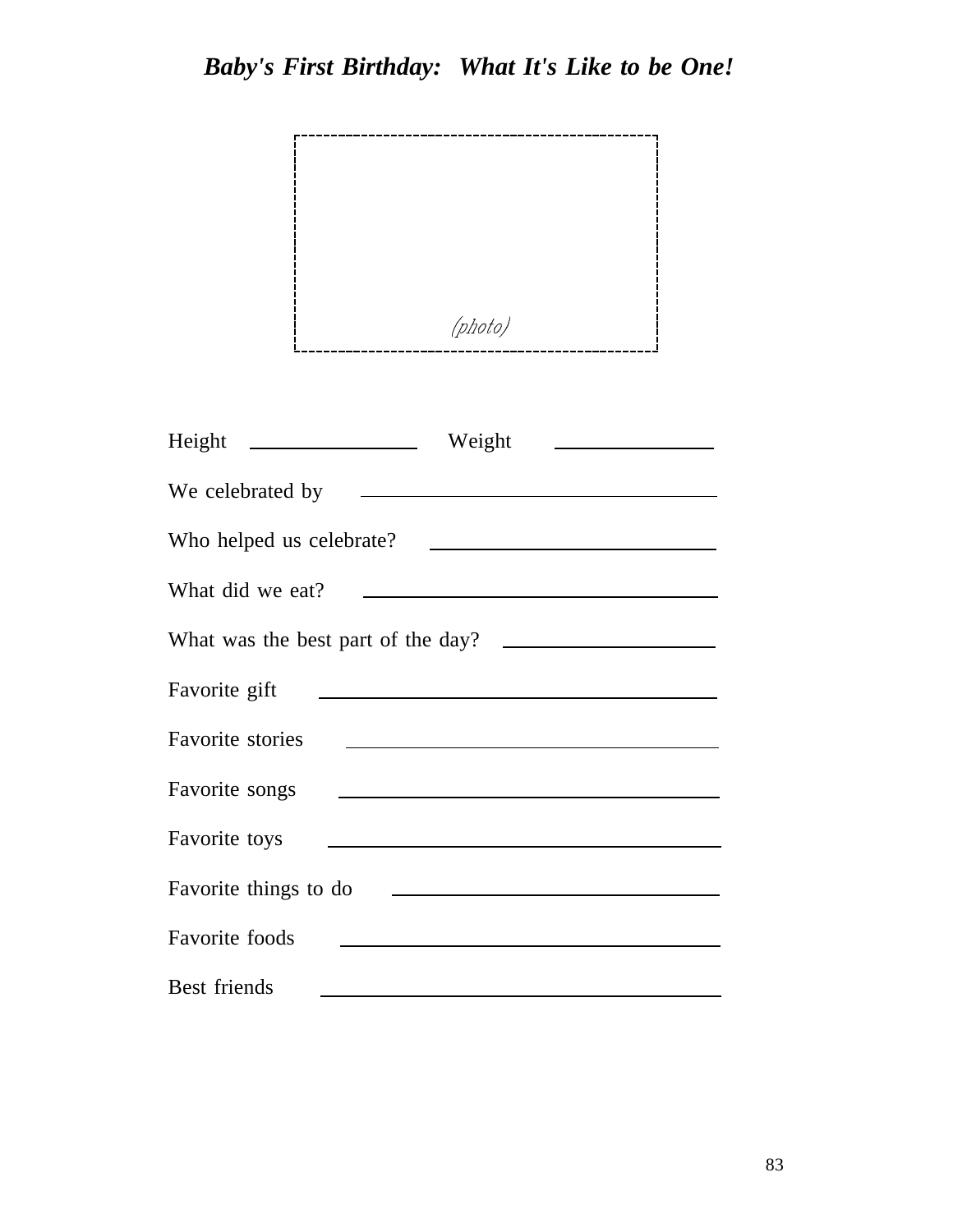

| Weight<br>$Height \t -$                                                              |
|--------------------------------------------------------------------------------------|
|                                                                                      |
| Who helped us celebrate?                                                             |
| What did we eat?<br><u> 1989 - Johann Stein, mars an t-Amerikaansk kommunister (</u> |
| What was the best part of the day?                                                   |
| Favorite gift                                                                        |
| <b>Favorite</b> stories                                                              |
| Favorite songs                                                                       |
| Favorite toys                                                                        |
| Favorite things to do                                                                |
| Favorite foods                                                                       |
| Best friends                                                                         |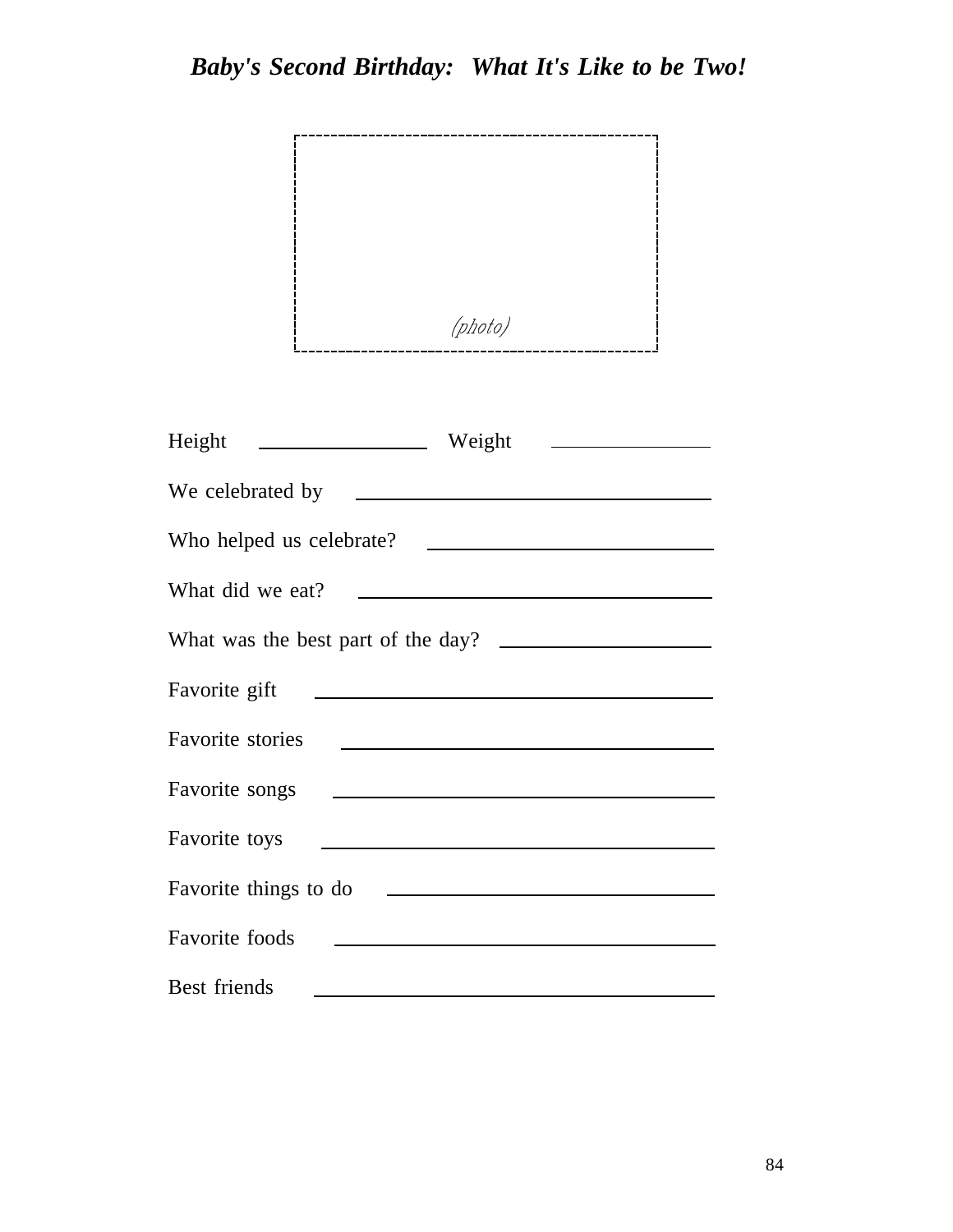

| Height<br>Weight<br><u> 1989 - Andrea Maria Alemania e a pre</u>                                                                         |
|------------------------------------------------------------------------------------------------------------------------------------------|
|                                                                                                                                          |
| Who helped us celebrate?<br><u> 1989 - Johann Barbara, martin a</u>                                                                      |
| What did we eat?<br><u> Andreas Andreas Andreas Andreas Andreas Andreas Andreas Andreas Andreas Andreas Andreas Andreas Andreas Andr</u> |
| What was the best part of the day?                                                                                                       |
| Favorite gift<br><u> 1989 - Johann Barn, mars ann an t-Amhain Aonaich an t-Aonaich an t-Aonaich ann an t-Aonaich ann an t-Aonaich</u>    |
| <b>Favorite</b> stories                                                                                                                  |
| Favorite songs<br><u> 1989 - Johann Barbara, martin amerikan basal dan berasal dalam basal dalam basal dalam basal dalam basal dala</u>  |
| Favorite toys<br><u> 1989 - Johann Barbara, martin amerikan basal dan berasal dan berasal dalam basal dalam basal dan berasal dala</u>   |
| Favorite things to do                                                                                                                    |
| Favorite foods<br><u> 1989 - Andrea Andrew Maria (b. 1989)</u>                                                                           |
| Best friends                                                                                                                             |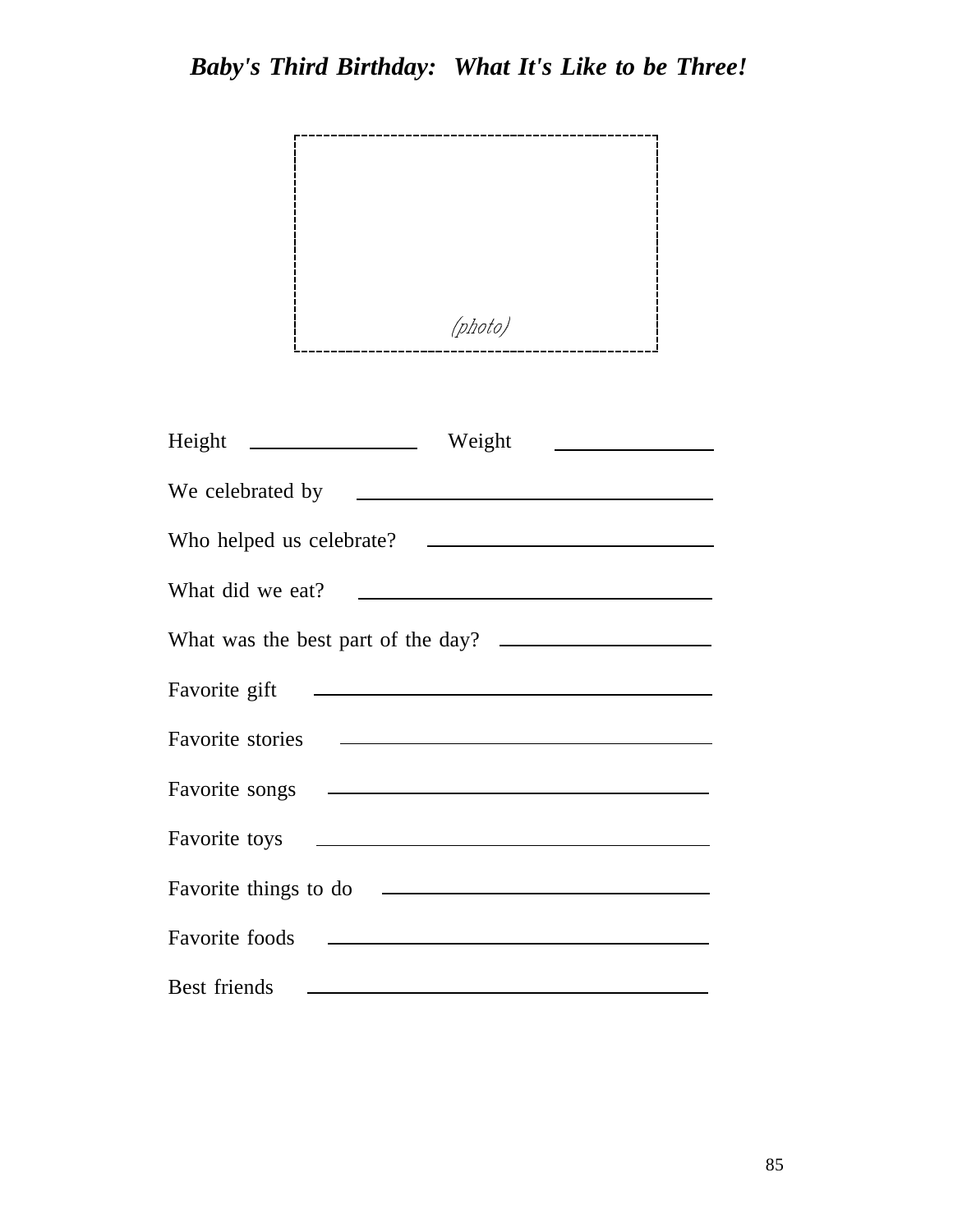

| Height ____________________ Weight<br><u> 1980 - Andrea Britain, politik eta politik eta politik eta politik eta politik eta politik eta politik eta p</u>                                                                           |
|--------------------------------------------------------------------------------------------------------------------------------------------------------------------------------------------------------------------------------------|
| We celebrated by <b>we are all the set of the set of the set of the set of the set of the set of the set of the set of the set of the set of the set of the set of the set of the set of the set of the set of the set of the se</b> |
|                                                                                                                                                                                                                                      |
| What did we eat?<br><u> The Communication of the Communication</u>                                                                                                                                                                   |
| What was the best part of the day?                                                                                                                                                                                                   |
| Favorite gift                                                                                                                                                                                                                        |
|                                                                                                                                                                                                                                      |
|                                                                                                                                                                                                                                      |
|                                                                                                                                                                                                                                      |
| <u> 1980 - Andrea Barbara, poeta esperanto-poeta esperanto-poeta esperanto-poeta esperanto-poeta esperanto-poeta</u><br>Favorite things to do                                                                                        |
| Favorite foods                                                                                                                                                                                                                       |
| Best friends                                                                                                                                                                                                                         |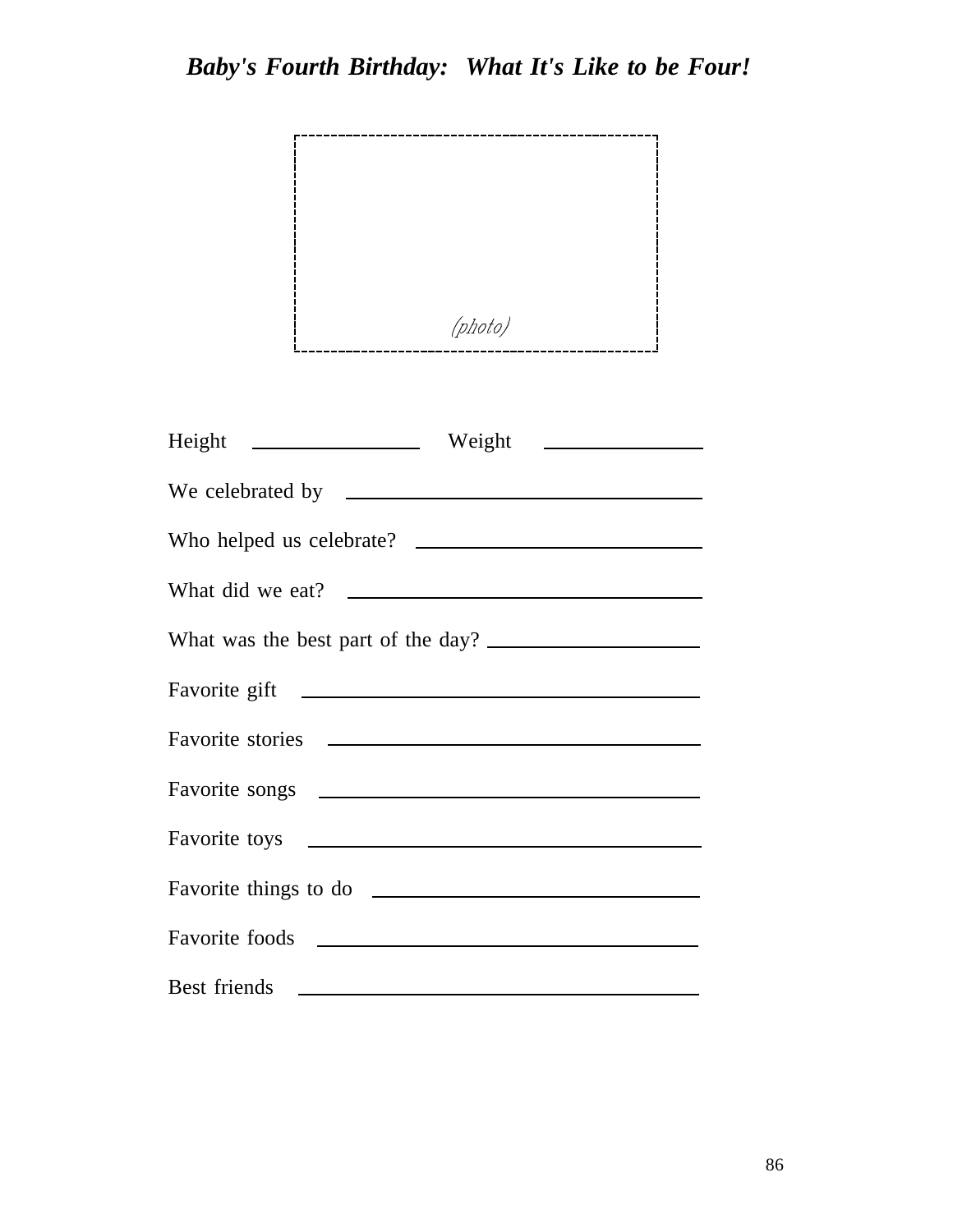

| What did we eat?                                                                                                                                                                                                                     |
|--------------------------------------------------------------------------------------------------------------------------------------------------------------------------------------------------------------------------------------|
| What was the best part of the day?                                                                                                                                                                                                   |
| Favorite gift The Communication of the Communication of the Communication of the Communication of the Communication of the Communication of the Communication of the Communication of the Communication of the Communication o       |
|                                                                                                                                                                                                                                      |
|                                                                                                                                                                                                                                      |
|                                                                                                                                                                                                                                      |
|                                                                                                                                                                                                                                      |
| Favorite foods contract to the series of the series of the series of the series of the series of the series of the series of the series of the series of the series of the series of the series of the series of the series of       |
| Best friends <u>example and the set of the set of the set of the set of the set of the set of the set of the set of the set of the set of the set of the set of the set of the set of the set of the set of the set of the set o</u> |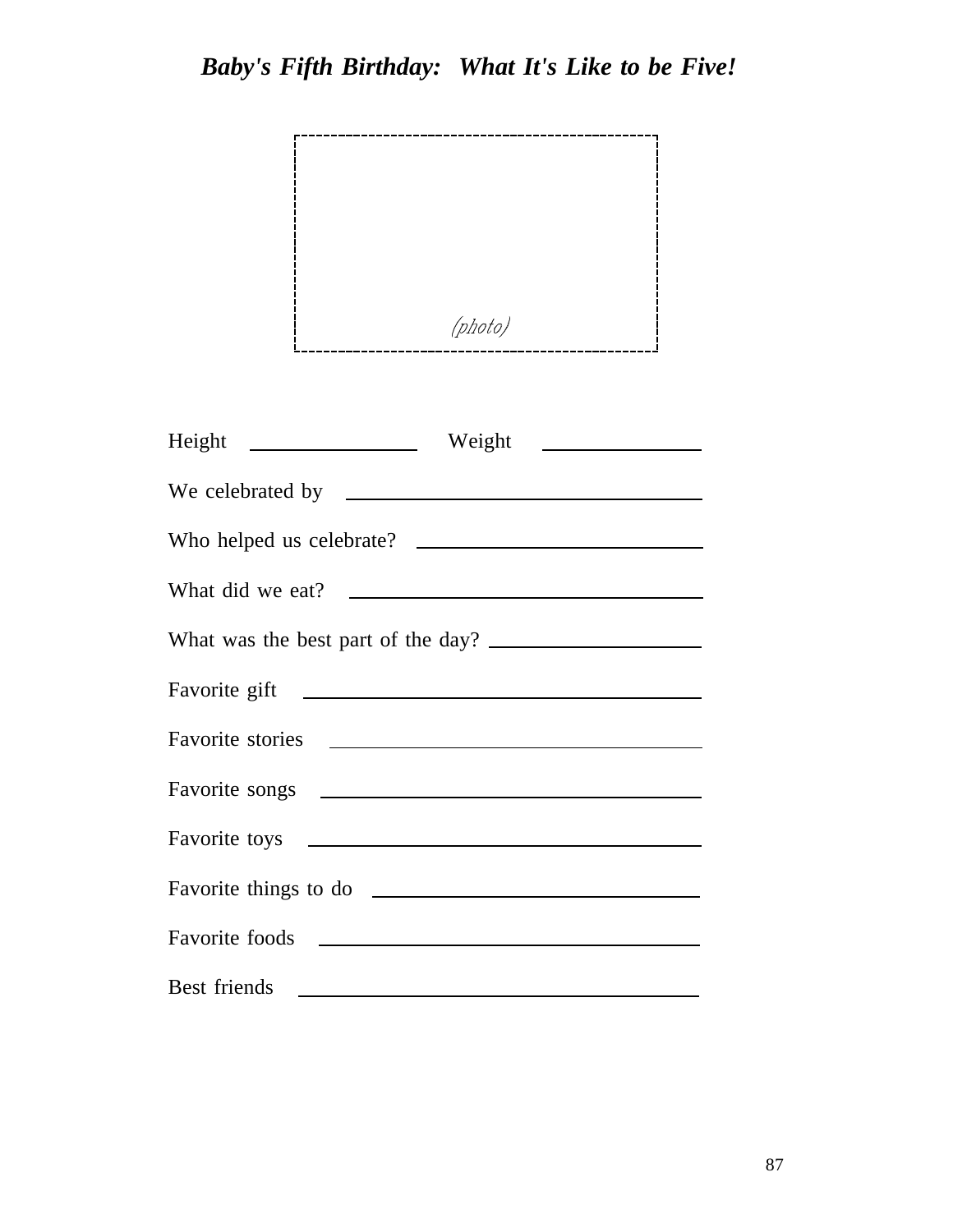

| Who helped us celebrate?                                                                                                                                                                                                             |
|--------------------------------------------------------------------------------------------------------------------------------------------------------------------------------------------------------------------------------------|
| What did we eat?                                                                                                                                                                                                                     |
| What was the best part of the day?                                                                                                                                                                                                   |
|                                                                                                                                                                                                                                      |
|                                                                                                                                                                                                                                      |
|                                                                                                                                                                                                                                      |
|                                                                                                                                                                                                                                      |
|                                                                                                                                                                                                                                      |
|                                                                                                                                                                                                                                      |
| Best friends <u>example and the set of the set of the set of the set of the set of the set of the set of the set of the set of the set of the set of the set of the set of the set of the set of the set of the set of the set o</u> |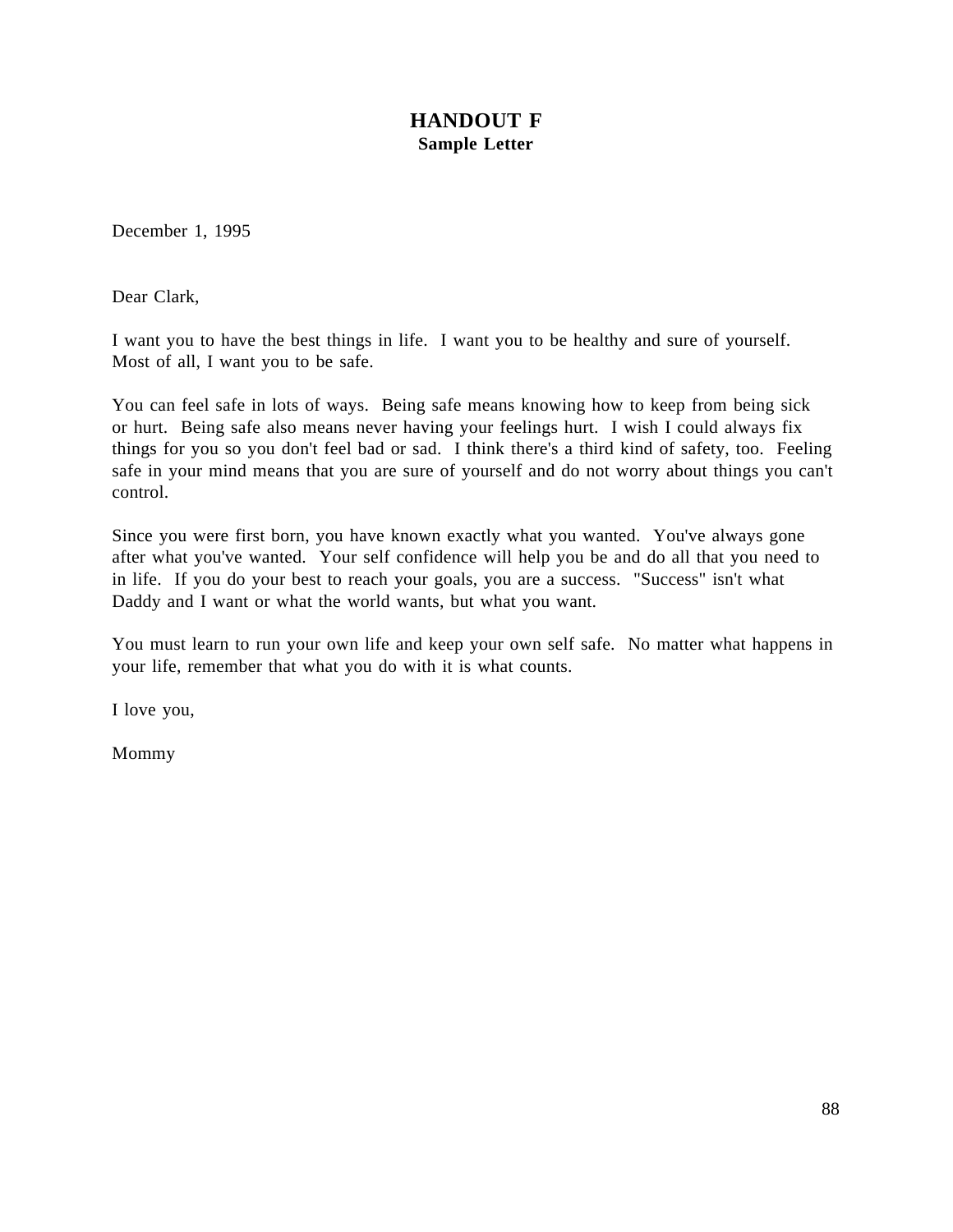### **HANDOUT F Sample Letter**

December 1, 1995

Dear Clark,

I want you to have the best things in life. I want you to be healthy and sure of yourself. Most of all, I want you to be safe.

You can feel safe in lots of ways. Being safe means knowing how to keep from being sick or hurt. Being safe also means never having your feelings hurt. I wish I could always fix things for you so you don't feel bad or sad. I think there's a third kind of safety, too. Feeling safe in your mind means that you are sure of yourself and do not worry about things you can't control.

Since you were first born, you have known exactly what you wanted. You've always gone after what you've wanted. Your self confidence will help you be and do all that you need to in life. If you do your best to reach your goals, you are a success. "Success" isn't what Daddy and I want or what the world wants, but what you want.

You must learn to run your own life and keep your own self safe. No matter what happens in your life, remember that what you do with it is what counts.

I love you,

Mommy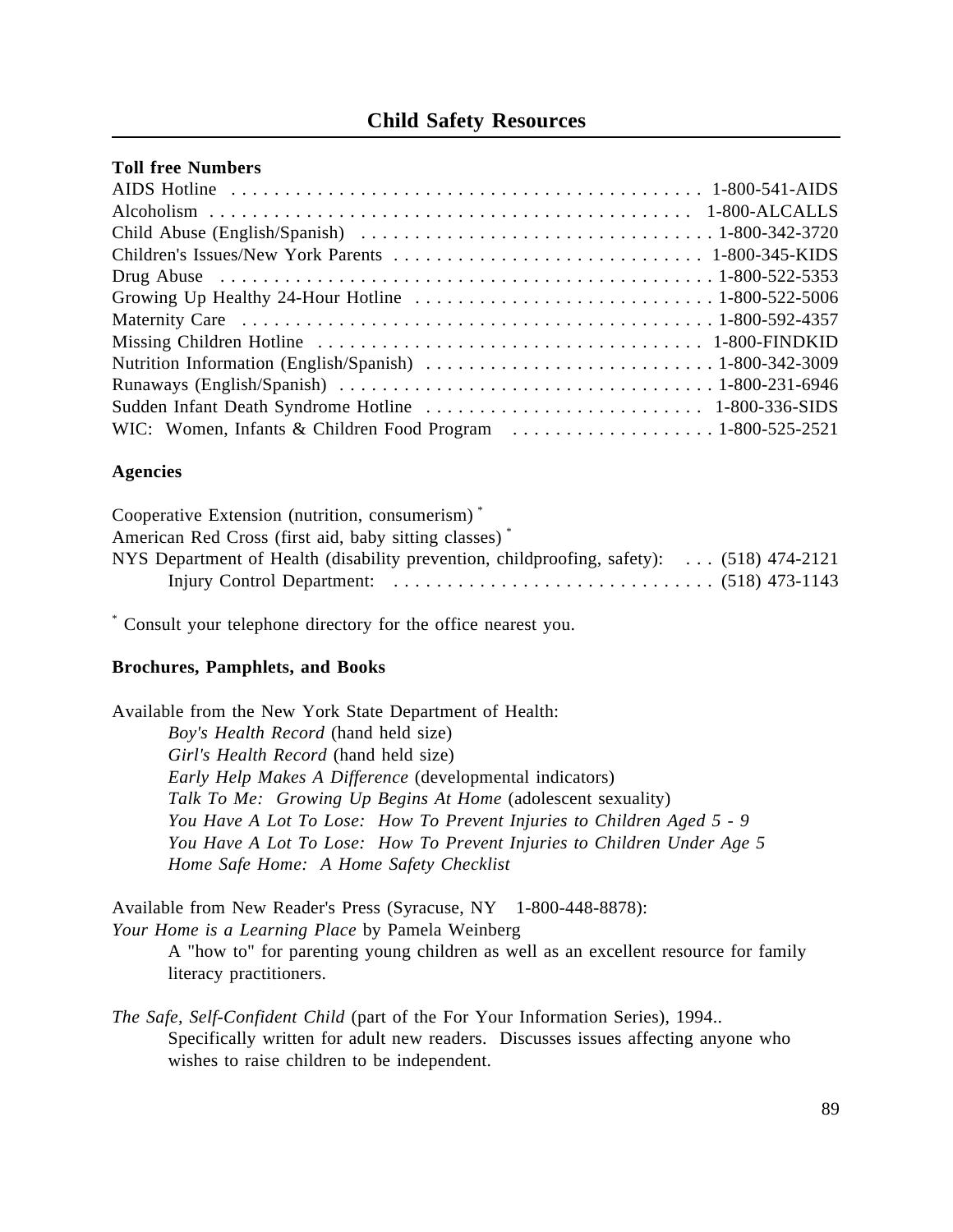### **Child Safety Resources**

#### **Toll free Numbers**

### **Agencies**

| Cooperative Extension (nutrition, consumerism)*                                          |  |
|------------------------------------------------------------------------------------------|--|
| American Red Cross (first aid, baby sitting classes) <sup>*</sup>                        |  |
| NYS Department of Health (disability prevention, childproofing, safety):  (518) 474-2121 |  |
|                                                                                          |  |

\* Consult your telephone directory for the office nearest you.

### **Brochures, Pamphlets, and Books**

Available from the New York State Department of Health: *Boy's Health Record* (hand held size) *Girl's Health Record* (hand held size) *Early Help Makes A Difference* (developmental indicators) *Talk To Me: Growing Up Begins At Home* (adolescent sexuality) *You Have A Lot To Lose: How To Prevent Injuries to Children Aged 5 - 9 You Have A Lot To Lose: How To Prevent Injuries to Children Under Age 5 Home Safe Home: A Home Safety Checklist* 

Available from New Reader's Press (Syracuse, NY 1-800-448-8878): *Your Home is a Learning Place* by Pamela Weinberg

> A "how to" for parenting young children as well as an excellent resource for family literacy practitioners.

*The Safe, Self-Confident Child* (part of the For Your Information Series), 1994.. Specifically written for adult new readers. Discusses issues affecting anyone who wishes to raise children to be independent.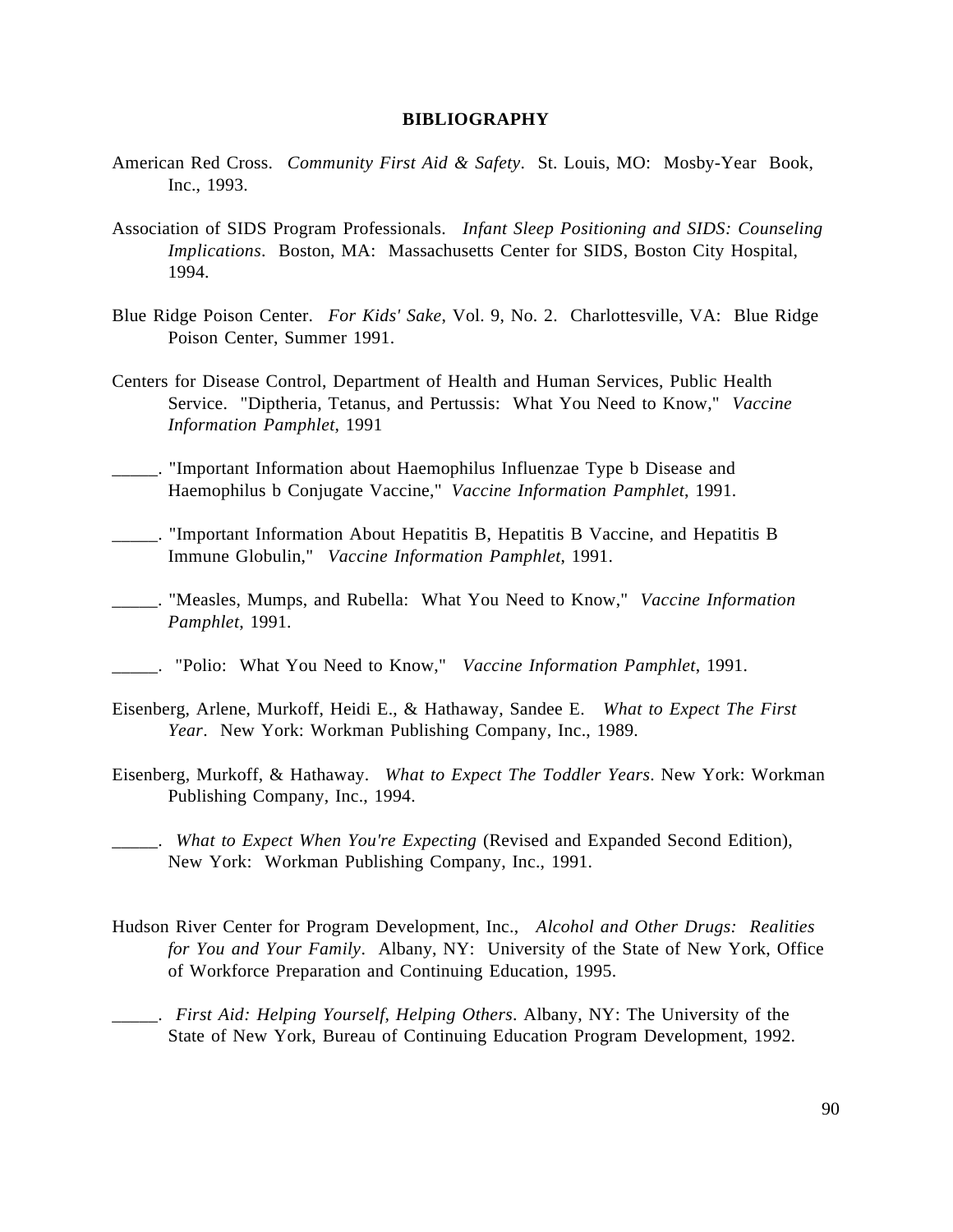### **BIBLIOGRAPHY**

- American Red Cross. *Community First Aid & Safety*. St. Louis, MO: Mosby-Year Book, Inc., 1993.
- Association of SIDS Program Professionals. *Infant Sleep Positioning and SIDS: Counseling Implications*. Boston, MA: Massachusetts Center for SIDS, Boston City Hospital, 1994.
- Blue Ridge Poison Center. *For Kids' Sake*, Vol. 9, No. 2. Charlottesville, VA: Blue Ridge Poison Center, Summer 1991.
- Centers for Disease Control, Department of Health and Human Services, Public Health Service. "Diptheria, Tetanus, and Pertussis: What You Need to Know," *Vaccine Information Pamphlet*, 1991
- \_\_\_\_\_. "Important Information about Haemophilus Influenzae Type b Disease and Haemophilus b Conjugate Vaccine," *Vaccine Information Pamphlet*, 1991.
- \_\_\_\_\_. "Important Information About Hepatitis B, Hepatitis B Vaccine, and Hepatitis B Immune Globulin," *Vaccine Information Pamphlet*, 1991.
- \_\_\_\_\_. "Measles, Mumps, and Rubella: What You Need to Know," *Vaccine Information Pamphlet*, 1991.
- \_\_\_\_\_. "Polio: What You Need to Know," *Vaccine Information Pamphlet*, 1991.
- Eisenberg, Arlene, Murkoff, Heidi E., & Hathaway, Sandee E. *What to Expect The First Year*. New York: Workman Publishing Company, Inc., 1989.
- Eisenberg, Murkoff, & Hathaway. *What to Expect The Toddler Years*. New York: Workman Publishing Company, Inc., 1994.
	- \_\_\_\_\_. *What to Expect When You're Expecting* (Revised and Expanded Second Edition), New York: Workman Publishing Company, Inc., 1991.
- Hudson River Center for Program Development, Inc., *Alcohol and Other Drugs: Realities for You and Your Family*. Albany, NY: University of the State of New York, Office of Workforce Preparation and Continuing Education, 1995.
- \_\_\_\_\_. *First Aid: Helping Yourself, Helping Others*. Albany, NY: The University of the State of New York, Bureau of Continuing Education Program Development, 1992.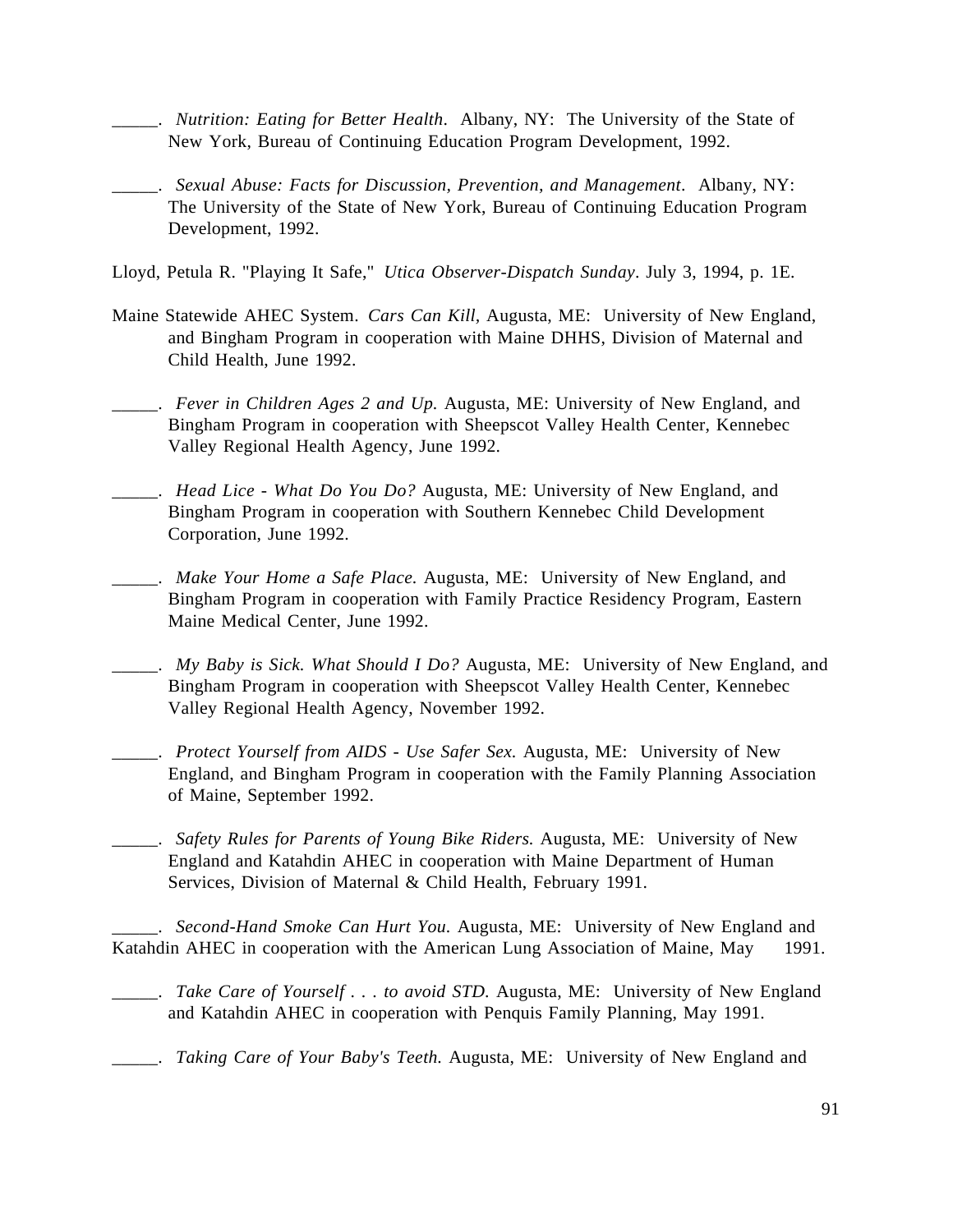- \_\_\_\_\_. *Nutrition: Eating for Better Health*. Albany, NY: The University of the State of New York, Bureau of Continuing Education Program Development, 1992.
- \_\_\_\_\_. *Sexual Abuse: Facts for Discussion, Prevention, and Management*. Albany, NY: The University of the State of New York, Bureau of Continuing Education Program Development, 1992.
- Lloyd, Petula R. "Playing It Safe," *Utica Observer-Dispatch Sunday*. July 3, 1994, p. 1E.
- Maine Statewide AHEC System. *Cars Can Kill,* Augusta, ME: University of New England, and Bingham Program in cooperation with Maine DHHS, Division of Maternal and Child Health, June 1992.
- \_\_\_\_\_. *Fever in Children Ages 2 and Up.* Augusta, ME: University of New England, and Bingham Program in cooperation with Sheepscot Valley Health Center, Kennebec Valley Regional Health Agency, June 1992.
- \_\_\_\_\_. *Head Lice What Do You Do?* Augusta, ME: University of New England, and Bingham Program in cooperation with Southern Kennebec Child Development Corporation, June 1992.
- \_\_\_\_\_. *Make Your Home a Safe Place.* Augusta, ME: University of New England, and Bingham Program in cooperation with Family Practice Residency Program, Eastern Maine Medical Center, June 1992.
- \_\_\_\_\_. *My Baby is Sick. What Should I Do?* Augusta, ME: University of New England, and Bingham Program in cooperation with Sheepscot Valley Health Center, Kennebec Valley Regional Health Agency, November 1992.
- \_\_\_\_\_. *Protect Yourself from AIDS Use Safer Sex.* Augusta, ME: University of New England, and Bingham Program in cooperation with the Family Planning Association of Maine, September 1992.
- \_\_\_\_\_. *Safety Rules for Parents of Young Bike Riders.* Augusta, ME: University of New England and Katahdin AHEC in cooperation with Maine Department of Human Services, Division of Maternal & Child Health, February 1991.

\_\_\_\_\_. *Second-Hand Smoke Can Hurt You.* Augusta, ME: University of New England and Katahdin AHEC in cooperation with the American Lung Association of Maine, May 1991.

- \_\_\_\_\_. *Take Care of Yourself . . . to avoid STD.* Augusta, ME: University of New England and Katahdin AHEC in cooperation with Penquis Family Planning, May 1991.
- \_\_\_\_\_. *Taking Care of Your Baby's Teeth.* Augusta, ME: University of New England and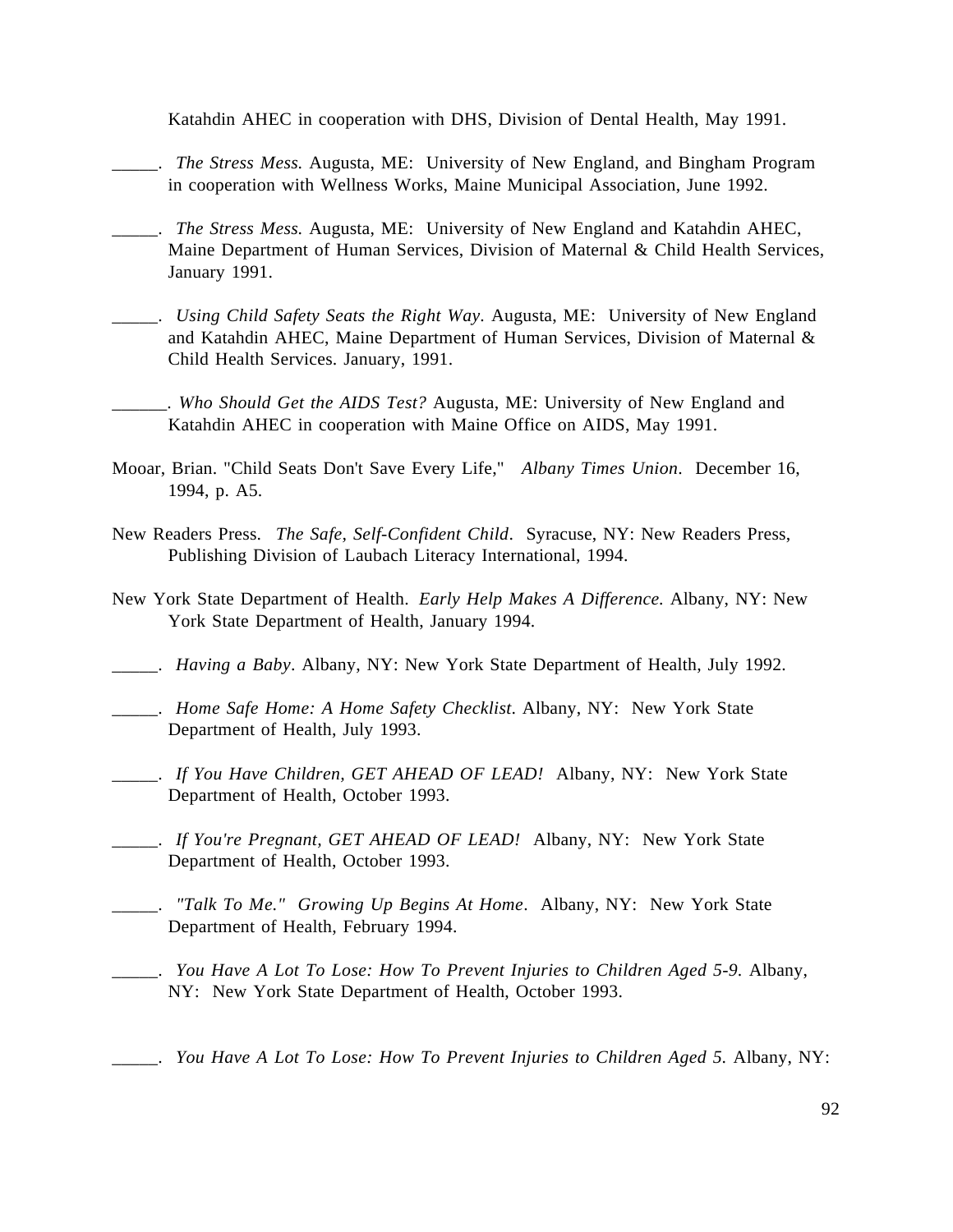Katahdin AHEC in cooperation with DHS, Division of Dental Health, May 1991.

- \_\_\_\_\_. *The Stress Mess.* Augusta, ME: University of New England, and Bingham Program in cooperation with Wellness Works, Maine Municipal Association, June 1992.
- \_\_\_\_\_. *The Stress Mess.* Augusta, ME: University of New England and Katahdin AHEC, Maine Department of Human Services, Division of Maternal & Child Health Services, January 1991.
- \_\_\_\_\_. *Using Child Safety Seats the Right Way.* Augusta, ME: University of New England and Katahdin AHEC, Maine Department of Human Services, Division of Maternal & Child Health Services. January, 1991.
- \_\_\_\_\_\_. *Who Should Get the AIDS Test?* Augusta, ME: University of New England and Katahdin AHEC in cooperation with Maine Office on AIDS, May 1991.
- Mooar, Brian. "Child Seats Don't Save Every Life," *Albany Times Union*. December 16, 1994, p. A5.
- New Readers Press. *The Safe, Self-Confident Child*. Syracuse, NY: New Readers Press, Publishing Division of Laubach Literacy International, 1994.
- New York State Department of Health. *Early Help Makes A Difference.* Albany, NY: New York State Department of Health, January 1994.
- \_\_\_\_\_. *Having a Baby*. Albany, NY: New York State Department of Health, July 1992.
- \_\_\_\_\_. *Home Safe Home: A Home Safety Checklist*. Albany, NY: New York State Department of Health, July 1993.
- \_\_\_\_\_. *If You Have Children, GET AHEAD OF LEAD!* Albany, NY: New York State Department of Health, October 1993.
- \_\_\_\_\_. *If You're Pregnant, GET AHEAD OF LEAD!* Albany, NY: New York State Department of Health, October 1993.
- \_\_\_\_\_. *"Talk To Me." Growing Up Begins At Home*. Albany, NY: New York State Department of Health, February 1994.
- \_\_\_\_\_. *You Have A Lot To Lose: How To Prevent Injuries to Children Aged 5-9.* Albany, NY: New York State Department of Health, October 1993.
- \_\_\_\_\_. *You Have A Lot To Lose: How To Prevent Injuries to Children Aged 5.* Albany, NY: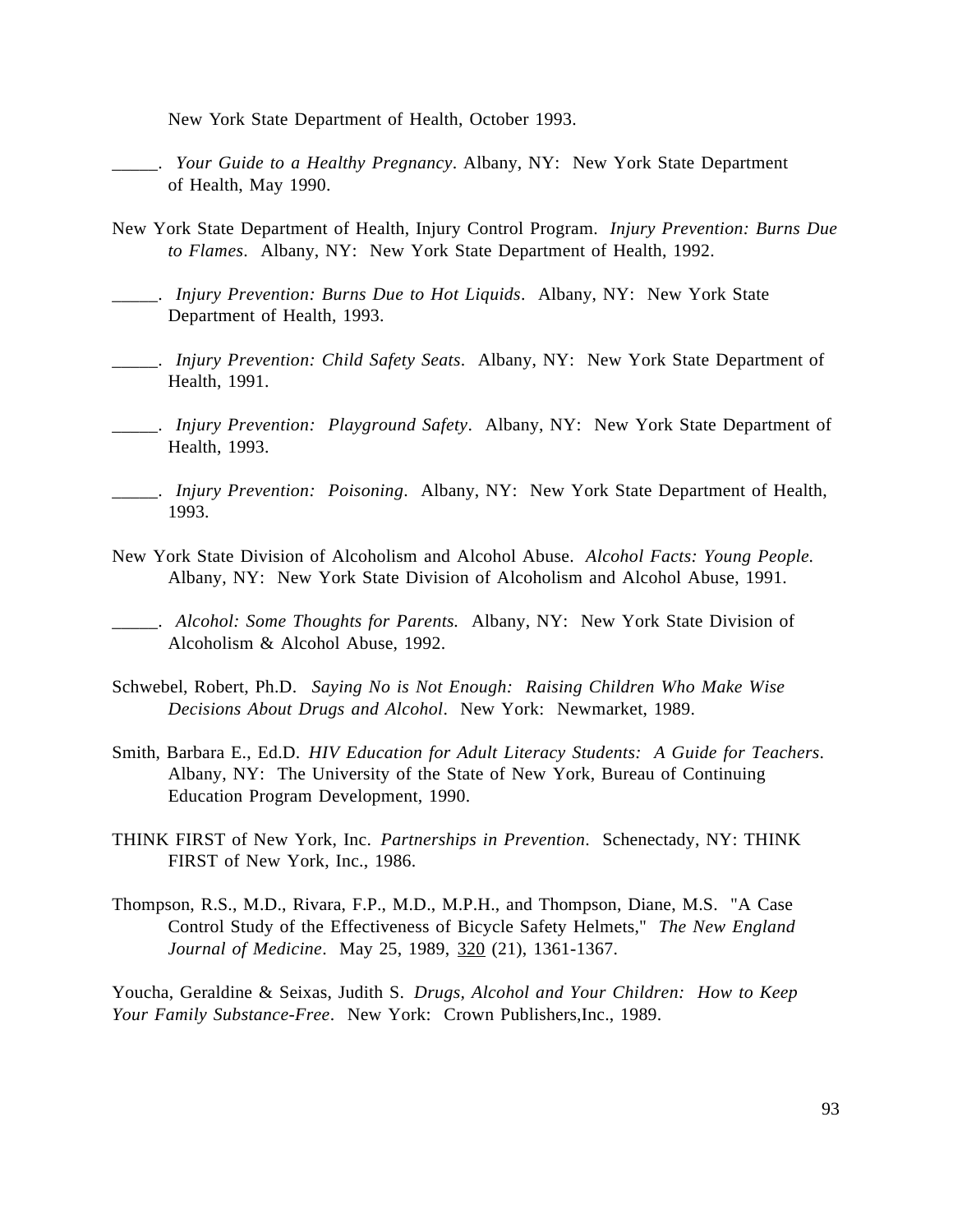New York State Department of Health, October 1993.

- \_\_\_\_\_. *Your Guide to a Healthy Pregnancy*. Albany, NY: New York State Department of Health, May 1990.
- New York State Department of Health, Injury Control Program. *Injury Prevention: Burns Due to Flames*. Albany, NY: New York State Department of Health, 1992.
- \_\_\_\_\_. *Injury Prevention: Burns Due to Hot Liquids*. Albany, NY: New York State Department of Health, 1993.
- \_\_\_\_\_. *Injury Prevention: Child Safety Seats*. Albany, NY: New York State Department of Health, 1991.
- \_\_\_\_\_. *Injury Prevention: Playground Safety*. Albany, NY: New York State Department of Health, 1993.
- \_\_\_\_\_. *Injury Prevention: Poisoning*. Albany, NY: New York State Department of Health, 1993.
- New York State Division of Alcoholism and Alcohol Abuse. *Alcohol Facts: Young People.* Albany, NY: New York State Division of Alcoholism and Alcohol Abuse, 1991.

- Schwebel, Robert, Ph.D. *Saying No is Not Enough: Raising Children Who Make Wise Decisions About Drugs and Alcohol*. New York: Newmarket, 1989.
- Smith, Barbara E., Ed.D. *HIV Education for Adult Literacy Students: A Guide for Teachers*. Albany, NY: The University of the State of New York, Bureau of Continuing Education Program Development, 1990.
- THINK FIRST of New York, Inc. *Partnerships in Prevention*. Schenectady, NY: THINK FIRST of New York, Inc., 1986.
- Thompson, R.S., M.D., Rivara, F.P., M.D., M.P.H., and Thompson, Diane, M.S. "A Case Control Study of the Effectiveness of Bicycle Safety Helmets," *The New England Journal of Medicine*. May 25, 1989, 320 (21), 1361-1367.

Youcha, Geraldine & Seixas, Judith S. *Drugs, Alcohol and Your Children: How to Keep Your Family Substance-Free*. New York: Crown Publishers,Inc., 1989.

\_\_\_\_\_. *Alcohol: Some Thoughts for Parents.* Albany, NY: New York State Division of Alcoholism & Alcohol Abuse, 1992.